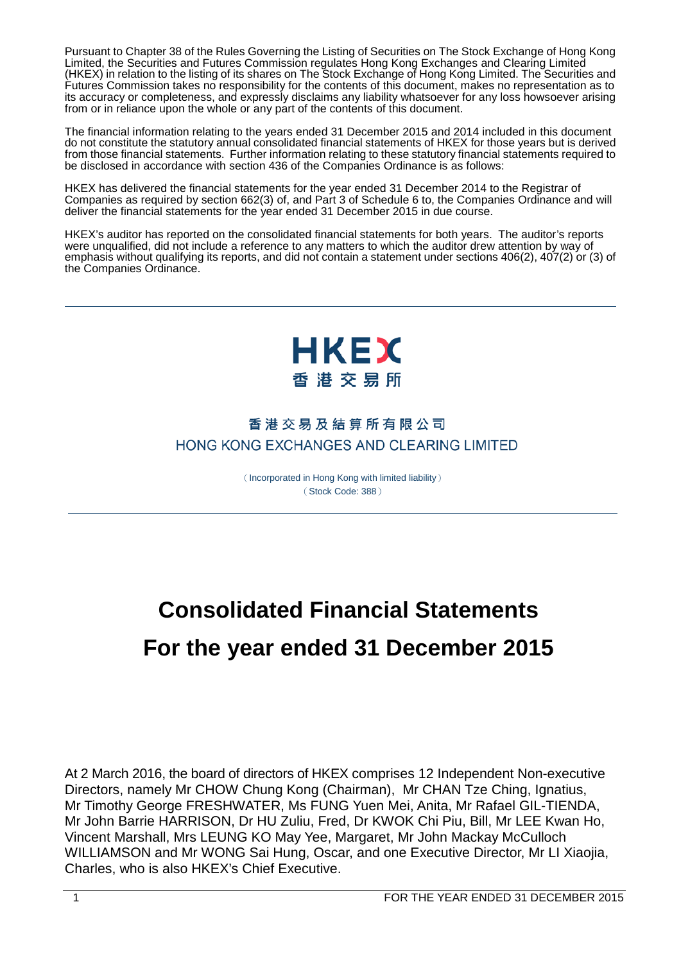Pursuant to Chapter 38 of the Rules Governing the Listing of Securities on The Stock Exchange of Hong Kong Limited, the Securities and Futures Commission regulates Hong Kong Exchanges and Clearing Limited (HKEX) in relation to the listing of its shares on The Stock Exchange of Hong Kong Limited. The Securities and Futures Commission takes no responsibility for the contents of this document, makes no representation as to its accuracy or completeness, and expressly disclaims any liability whatsoever for any loss howsoever arising from or in reliance upon the whole or any part of the contents of this document.

The financial information relating to the years ended 31 December 2015 and 2014 included in this document do not constitute the statutory annual consolidated financial statements of HKEX for those years but is derived from those financial statements. Further information relating to these statutory financial statements required to be disclosed in accordance with section 436 of the Companies Ordinance is as follows:

HKEX has delivered the financial statements for the year ended 31 December 2014 to the Registrar of Companies as required by section 662(3) of, and Part 3 of Schedule 6 to, the Companies Ordinance and will deliver the financial statements for the year ended 31 December 2015 in due course.

HKEX's auditor has reported on the consolidated financial statements for both years. The auditor's reports were unqualified, did not include a reference to any matters to which the auditor drew attention by way of emphasis without qualifying its reports, and did not contain a statement under sections 406(2), 407(2) or (3) of the Companies Ordinance.



# 香港交易及結算所有限公司 HONG KONG EXCHANGES AND CLEARING LIMITED

(Incorporated in Hong Kong with limited liability) (Stock Code: 388)

# **Consolidated Financial Statements For the year ended 31 December 2015**

At 2 March 2016, the board of directors of HKEX comprises 12 Independent Non-executive Directors, namely Mr CHOW Chung Kong (Chairman), Mr CHAN Tze Ching, Ignatius, Mr Timothy George FRESHWATER, Ms FUNG Yuen Mei, Anita, Mr Rafael GIL-TIENDA, Mr John Barrie HARRISON, Dr HU Zuliu, Fred, Dr KWOK Chi Piu, Bill, Mr LEE Kwan Ho, Vincent Marshall, Mrs LEUNG KO May Yee, Margaret, Mr John Mackay McCulloch WILLIAMSON and Mr WONG Sai Hung, Oscar, and one Executive Director, Mr LI Xiaojia, Charles, who is also HKEX's Chief Executive.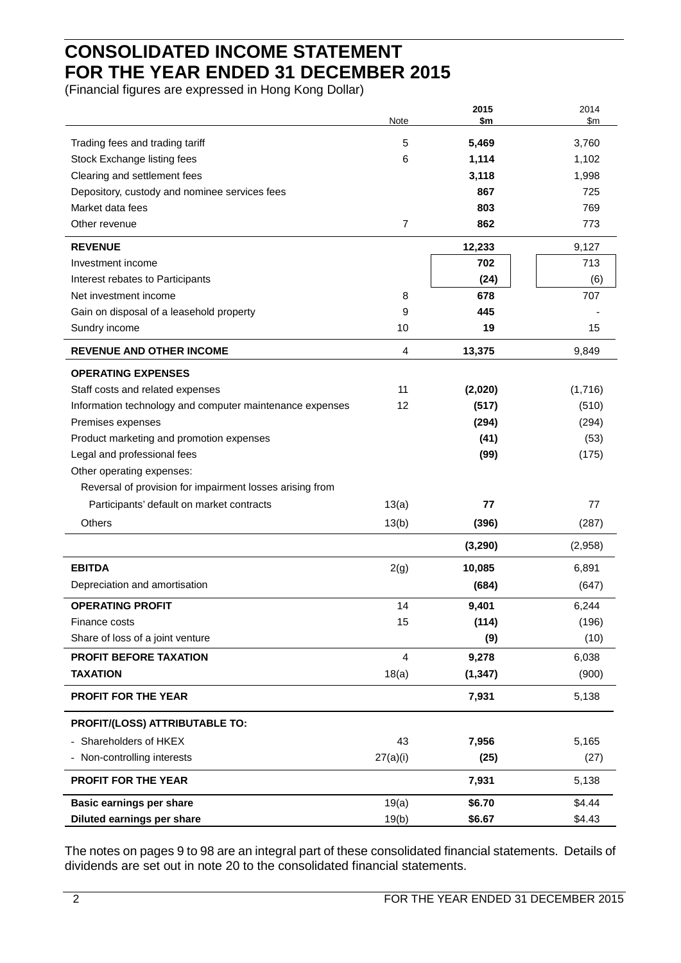# **CONSOLIDATED INCOME STATEMENT FOR THE YEAR ENDED 31 DECEMBER 2015**

(Financial figures are expressed in Hong Kong Dollar)

|                                                          | Note     | 2015<br>\$m | 2014<br>\$m |
|----------------------------------------------------------|----------|-------------|-------------|
|                                                          |          |             |             |
| Trading fees and trading tariff                          | 5        | 5,469       | 3,760       |
| Stock Exchange listing fees                              | 6        | 1,114       | 1,102       |
| Clearing and settlement fees                             |          | 3,118       | 1,998       |
| Depository, custody and nominee services fees            |          | 867         | 725         |
| Market data fees                                         |          | 803         | 769         |
| Other revenue                                            | 7        | 862         | 773         |
| <b>REVENUE</b>                                           |          | 12,233      | 9,127       |
| Investment income                                        |          | 702         | 713         |
| Interest rebates to Participants                         |          | (24)        | (6)         |
| Net investment income                                    | 8        | 678         | 707         |
| Gain on disposal of a leasehold property                 | 9        | 445         |             |
| Sundry income                                            | 10       | 19          | 15          |
| <b>REVENUE AND OTHER INCOME</b>                          | 4        | 13,375      | 9,849       |
| <b>OPERATING EXPENSES</b>                                |          |             |             |
| Staff costs and related expenses                         | 11       | (2,020)     | (1,716)     |
| Information technology and computer maintenance expenses | 12       | (517)       | (510)       |
| Premises expenses                                        |          | (294)       | (294)       |
| Product marketing and promotion expenses                 |          | (41)        | (53)        |
| Legal and professional fees                              |          | (99)        | (175)       |
| Other operating expenses:                                |          |             |             |
| Reversal of provision for impairment losses arising from |          |             |             |
| Participants' default on market contracts                | 13(a)    | 77          | 77          |
| <b>Others</b>                                            | 13(b)    | (396)       | (287)       |
|                                                          |          | (3,290)     | (2,958)     |
| <b>EBITDA</b>                                            | 2(g)     | 10,085      | 6,891       |
| Depreciation and amortisation                            |          | (684)       | (647)       |
| <b>OPERATING PROFIT</b>                                  | 14       | 9,401       | 6,244       |
| Finance costs                                            | 15       | (114)       | (196)       |
| Share of loss of a joint venture                         |          | (9)         | (10)        |
| <b>PROFIT BEFORE TAXATION</b>                            | 4        | 9,278       | 6,038       |
| <b>TAXATION</b>                                          | 18(a)    | (1, 347)    | (900)       |
| PROFIT FOR THE YEAR                                      |          | 7,931       | 5,138       |
| PROFIT/(LOSS) ATTRIBUTABLE TO:                           |          |             |             |
| Shareholders of HKEX                                     | 43       | 7,956       | 5,165       |
| Non-controlling interests                                | 27(a)(i) | (25)        | (27)        |
| PROFIT FOR THE YEAR                                      |          | 7,931       | 5,138       |
| <b>Basic earnings per share</b>                          | 19(a)    | \$6.70      | \$4.44      |
| Diluted earnings per share                               | 19(b)    | \$6.67      | \$4.43      |

The notes on pages 9 to 98 are an integral part of these consolidated financial statements. Details of dividends are set out in note 20 to the consolidated financial statements.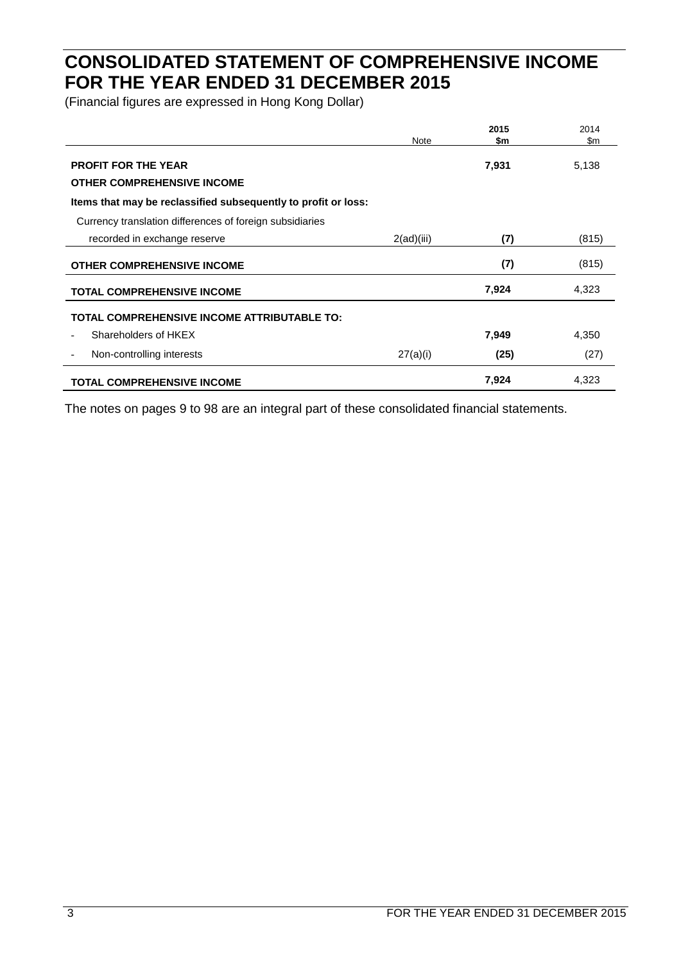# **CONSOLIDATED STATEMENT OF COMPREHENSIVE INCOME FOR THE YEAR ENDED 31 DECEMBER 2015**

(Financial figures are expressed in Hong Kong Dollar)

|                                                                | Note       | 2015<br>\$m | 2014<br>\$m |
|----------------------------------------------------------------|------------|-------------|-------------|
|                                                                |            |             |             |
| <b>PROFIT FOR THE YEAR</b>                                     |            | 7,931       | 5,138       |
| <b>OTHER COMPREHENSIVE INCOME</b>                              |            |             |             |
| Items that may be reclassified subsequently to profit or loss: |            |             |             |
| Currency translation differences of foreign subsidiaries       |            |             |             |
| recorded in exchange reserve                                   | 2(ad)(iii) | (7)         | (815)       |
| <b>OTHER COMPREHENSIVE INCOME</b>                              |            | (7)         | (815)       |
| <b>TOTAL COMPREHENSIVE INCOME</b>                              |            | 7,924       | 4,323       |
| <b>TOTAL COMPREHENSIVE INCOME ATTRIBUTABLE TO:</b>             |            |             |             |
| Shareholders of HKEX                                           |            | 7,949       | 4,350       |
| Non-controlling interests                                      | 27(a)(i)   | (25)        | (27)        |
| <b>TOTAL COMPREHENSIVE INCOME</b>                              |            | 7,924       | 4,323       |

The notes on pages 9 to 98 are an integral part of these consolidated financial statements.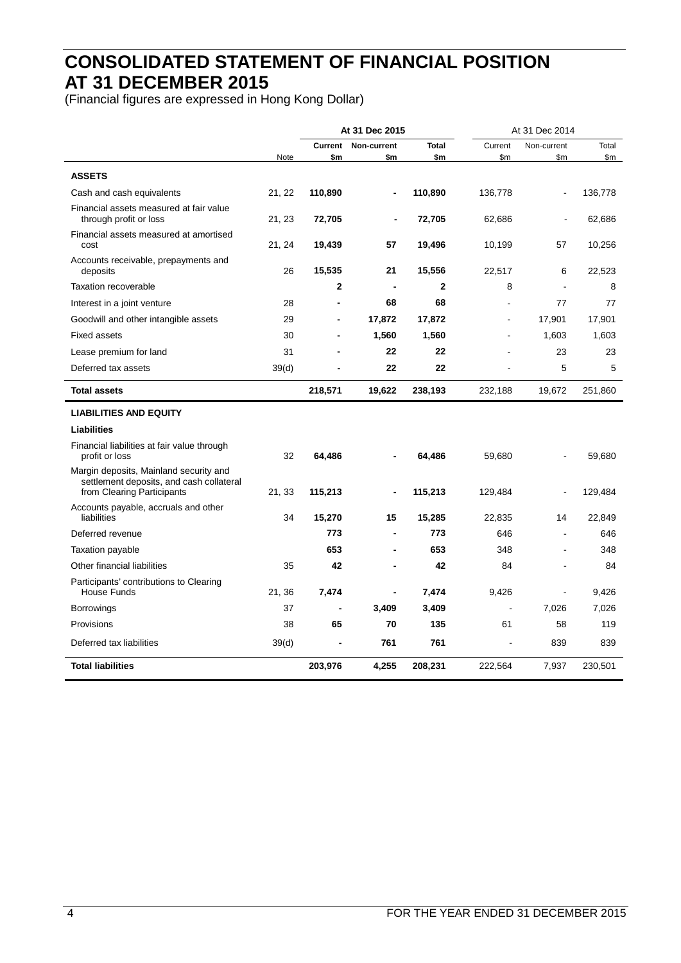# **CONSOLIDATED STATEMENT OF FINANCIAL POSITION AT 31 DECEMBER 2015**

(Financial figures are expressed in Hong Kong Dollar)

|                                                                                                                  | At 31 Dec 2015 |         |                |              | At 31 Dec 2014 |             |         |
|------------------------------------------------------------------------------------------------------------------|----------------|---------|----------------|--------------|----------------|-------------|---------|
|                                                                                                                  |                | Current | Non-current    | <b>Total</b> | Current        | Non-current | Total   |
|                                                                                                                  | Note           | \$m     | \$m            | \$m          | \$m            | \$m         | \$m     |
| <b>ASSETS</b>                                                                                                    |                |         |                |              |                |             |         |
| Cash and cash equivalents                                                                                        | 21, 22         | 110,890 | $\blacksquare$ | 110,890      | 136,778        | ÷           | 136,778 |
| Financial assets measured at fair value<br>through profit or loss                                                | 21, 23         | 72,705  | ٠              | 72,705       | 62,686         |             | 62,686  |
| Financial assets measured at amortised<br>cost                                                                   | 21, 24         | 19,439  | 57             | 19,496       | 10,199         | 57          | 10,256  |
| Accounts receivable, prepayments and<br>deposits                                                                 | 26             | 15,535  | 21             | 15,556       | 22,517         | 6           | 22,523  |
| <b>Taxation recoverable</b>                                                                                      |                | 2       |                | $\mathbf{2}$ | 8              |             | 8       |
| Interest in a joint venture                                                                                      | 28             |         | 68             | 68           | ä,             | 77          | 77      |
| Goodwill and other intangible assets                                                                             | 29             | ٠       | 17,872         | 17,872       | $\blacksquare$ | 17,901      | 17,901  |
| <b>Fixed assets</b>                                                                                              | 30             |         | 1,560          | 1,560        | L,             | 1,603       | 1,603   |
| Lease premium for land                                                                                           | 31             |         | 22             | 22           |                | 23          | 23      |
| Deferred tax assets                                                                                              | 39(d)          |         | 22             | 22           |                | 5           | 5       |
| <b>Total assets</b>                                                                                              |                | 218,571 | 19,622         | 238,193      | 232,188        | 19,672      | 251,860 |
| <b>LIABILITIES AND EQUITY</b>                                                                                    |                |         |                |              |                |             |         |
| <b>Liabilities</b>                                                                                               |                |         |                |              |                |             |         |
| Financial liabilities at fair value through<br>profit or loss                                                    | 32             | 64,486  |                | 64,486       | 59,680         |             | 59,680  |
| Margin deposits, Mainland security and<br>settlement deposits, and cash collateral<br>from Clearing Participants | 21, 33         | 115,213 |                | 115,213      | 129,484        |             | 129,484 |
| Accounts payable, accruals and other<br>liabilities                                                              | 34             | 15,270  | 15             | 15,285       | 22,835         | 14          | 22,849  |
| Deferred revenue                                                                                                 |                | 773     |                | 773          | 646            |             | 646     |
| <b>Taxation payable</b>                                                                                          |                | 653     |                | 653          | 348            |             | 348     |
| Other financial liabilities                                                                                      | 35             | 42      |                | 42           | 84             | ä,          | 84      |
| Participants' contributions to Clearing                                                                          |                |         |                |              |                |             |         |
| <b>House Funds</b>                                                                                               | 21, 36         | 7,474   |                | 7,474        | 9,426          | ä,          | 9,426   |
| <b>Borrowings</b>                                                                                                | 37             |         | 3,409          | 3,409        |                | 7,026       | 7,026   |
| Provisions                                                                                                       | 38             | 65      | 70             | 135          | 61             | 58          | 119     |
| Deferred tax liabilities                                                                                         | 39(d)          |         | 761            | 761          | ÷,             | 839         | 839     |
| <b>Total liabilities</b>                                                                                         |                | 203,976 | 4,255          | 208,231      | 222,564        | 7,937       | 230,501 |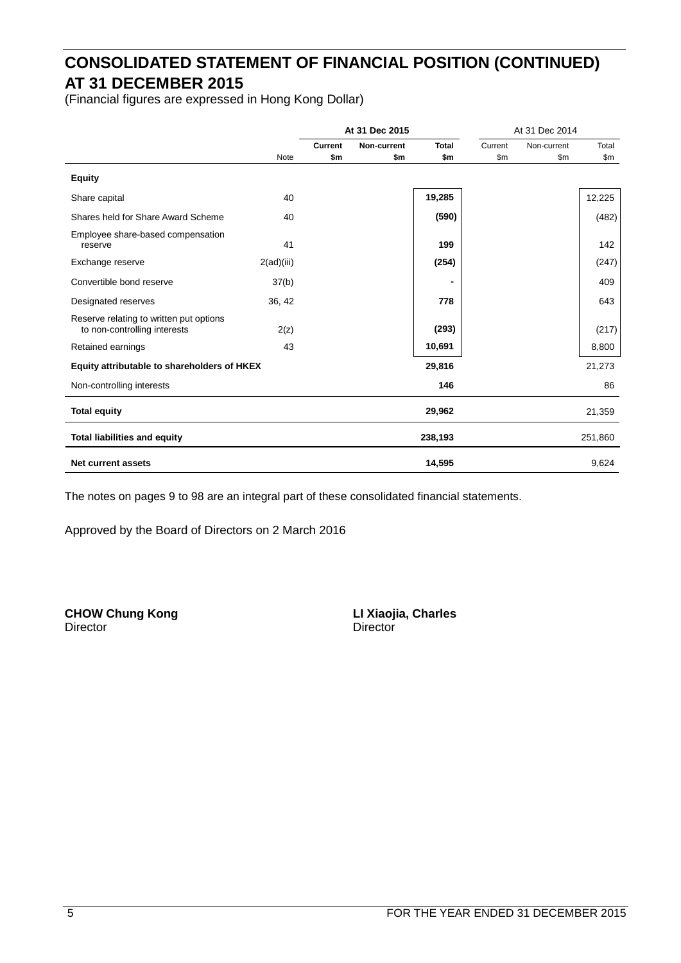# **CONSOLIDATED STATEMENT OF FINANCIAL POSITION (CONTINUED) AT 31 DECEMBER 2015**

(Financial figures are expressed in Hong Kong Dollar)

|                                                                         |            | At 31 Dec 2015 |             |              | At 31 Dec 2014 |             |         |
|-------------------------------------------------------------------------|------------|----------------|-------------|--------------|----------------|-------------|---------|
|                                                                         |            | <b>Current</b> | Non-current | <b>Total</b> | Current        | Non-current | Total   |
|                                                                         | Note       | \$m            | \$m         | \$m          | \$m\$          | \$m         | \$m     |
| <b>Equity</b>                                                           |            |                |             |              |                |             |         |
| Share capital                                                           | 40         |                |             | 19,285       |                |             | 12,225  |
| Shares held for Share Award Scheme                                      | 40         |                |             | (590)        |                |             | (482)   |
| Employee share-based compensation<br>reserve                            | 41         |                |             | 199          |                |             | 142     |
| Exchange reserve                                                        | 2(ad)(iii) |                |             | (254)        |                |             | (247)   |
| Convertible bond reserve                                                | 37(b)      |                |             |              |                |             | 409     |
| Designated reserves                                                     | 36, 42     |                |             | 778          |                |             | 643     |
| Reserve relating to written put options<br>to non-controlling interests | 2(z)       |                |             | (293)        |                |             | (217)   |
| Retained earnings                                                       | 43         |                |             | 10,691       |                |             | 8,800   |
| Equity attributable to shareholders of HKEX                             |            |                |             | 29,816       |                |             | 21,273  |
| Non-controlling interests                                               |            |                |             | 146          |                |             | 86      |
| <b>Total equity</b>                                                     |            |                |             | 29,962       |                |             | 21,359  |
| <b>Total liabilities and equity</b>                                     |            |                |             | 238,193      |                |             | 251,860 |
| <b>Net current assets</b>                                               |            |                |             | 14,595       |                |             | 9,624   |

The notes on pages 9 to 98 are an integral part of these consolidated financial statements.

Approved by the Board of Directors on 2 March 2016

**CHOW Chung Kong LI Xiaojia, Charles** Director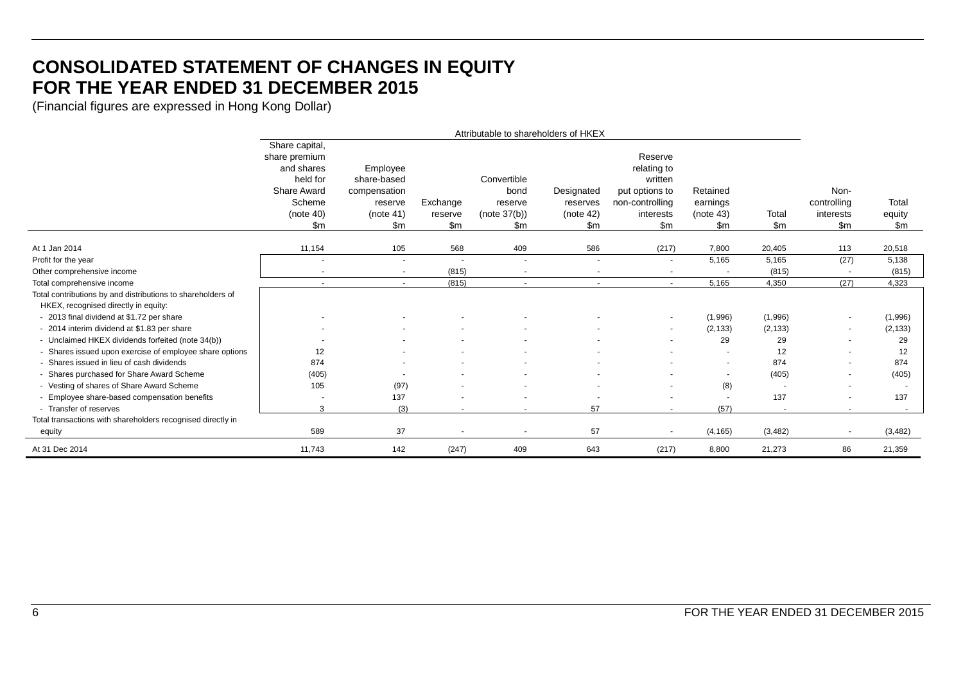# **CONSOLIDATED STATEMENT OF CHANGES IN EQUITY FOR THE YEAR ENDED 31 DECEMBER 2015**

(Financial figures are expressed in Hong Kong Dollar)

|                                                             | Attributable to shareholders of HKEX                                                                          |                                                                        |                                      |                                                       |                                            |                                                                                                      |                                          |                          |                                                   |                                  |
|-------------------------------------------------------------|---------------------------------------------------------------------------------------------------------------|------------------------------------------------------------------------|--------------------------------------|-------------------------------------------------------|--------------------------------------------|------------------------------------------------------------------------------------------------------|------------------------------------------|--------------------------|---------------------------------------------------|----------------------------------|
|                                                             | Share capital,<br>share premium<br>and shares<br>held for<br><b>Share Award</b><br>Scheme<br>(note 40)<br>\$m | Employee<br>share-based<br>compensation<br>reserve<br>(note 41)<br>\$m | Exchange<br>reserve<br>$\mathsf{Sm}$ | Convertible<br>bond<br>reserve<br>(note 37(b))<br>\$m | Designated<br>reserves<br>(note 42)<br>\$m | Reserve<br>relating to<br>written<br>put options to<br>non-controlling<br>interests<br>$\mathsf{Sm}$ | Retained<br>earnings<br>(note 43)<br>\$m | Total<br>$\mathsf{Sm}$   | Non-<br>controlling<br>interests<br>$\mathsf{Sm}$ | Total<br>equity<br>$\mathsf{Sm}$ |
|                                                             |                                                                                                               |                                                                        |                                      |                                                       |                                            |                                                                                                      |                                          |                          |                                                   |                                  |
| At 1 Jan 2014                                               | 11,154                                                                                                        | 105                                                                    | 568                                  | 409                                                   | 586                                        | (217)                                                                                                | 7,800                                    | 20,405                   | 113                                               | 20,518                           |
| Profit for the year                                         |                                                                                                               | $\overline{\phantom{a}}$                                               | $\blacksquare$                       | $\overline{\phantom{a}}$                              |                                            |                                                                                                      | 5,165                                    | 5,165                    | (27)                                              | 5,138                            |
| Other comprehensive income                                  | $\overline{\phantom{a}}$                                                                                      | $\sim$                                                                 | (815)                                | $\overline{\phantom{a}}$                              | $\sim$                                     | $\blacksquare$                                                                                       |                                          | (815)                    | $\sim$                                            | (815)                            |
| Total comprehensive income                                  | $\blacksquare$                                                                                                | $\sim$                                                                 | (815)                                | $\sim$                                                | $\sim$                                     | $\sim$                                                                                               | 5,165                                    | 4,350                    | (27)                                              | 4,323                            |
| Total contributions by and distributions to shareholders of |                                                                                                               |                                                                        |                                      |                                                       |                                            |                                                                                                      |                                          |                          |                                                   |                                  |
| HKEX, recognised directly in equity:                        |                                                                                                               |                                                                        |                                      |                                                       |                                            |                                                                                                      |                                          |                          |                                                   |                                  |
| - 2013 final dividend at \$1.72 per share                   |                                                                                                               |                                                                        |                                      |                                                       |                                            | $\blacksquare$                                                                                       | (1,996)                                  | (1,996)                  | $\overline{\phantom{a}}$                          | (1,996)                          |
| - 2014 interim dividend at \$1.83 per share                 |                                                                                                               |                                                                        |                                      |                                                       |                                            |                                                                                                      | (2, 133)                                 | (2, 133)                 | $\sim$                                            | (2, 133)                         |
| - Unclaimed HKEX dividends forfeited (note 34(b))           |                                                                                                               |                                                                        |                                      |                                                       |                                            |                                                                                                      | 29                                       | 29                       |                                                   | 29                               |
| - Shares issued upon exercise of employee share options     | 12                                                                                                            |                                                                        | $\overline{\phantom{a}}$             |                                                       |                                            |                                                                                                      | $\overline{\phantom{a}}$                 | 12                       |                                                   | 12                               |
| - Shares issued in lieu of cash dividends                   | 874                                                                                                           |                                                                        |                                      |                                                       |                                            |                                                                                                      |                                          | 874                      |                                                   | 874                              |
| - Shares purchased for Share Award Scheme                   | (405)                                                                                                         |                                                                        |                                      |                                                       |                                            |                                                                                                      |                                          | (405)                    |                                                   | (405)                            |
| - Vesting of shares of Share Award Scheme                   | 105                                                                                                           | (97)                                                                   |                                      |                                                       |                                            | ٠                                                                                                    | (8)                                      | $\overline{\phantom{a}}$ | $\overline{\phantom{0}}$                          | $\overline{\phantom{a}}$         |
| - Employee share-based compensation benefits                | $\overline{\phantom{a}}$                                                                                      | 137                                                                    |                                      |                                                       |                                            |                                                                                                      | $\overline{\phantom{a}}$                 | 137                      |                                                   | 137                              |
| - Transfer of reserves                                      | 3                                                                                                             | (3)                                                                    | $\overline{\phantom{a}}$             |                                                       | 57                                         | $\blacksquare$                                                                                       | (57)                                     |                          |                                                   |                                  |
| Total transactions with shareholders recognised directly in |                                                                                                               |                                                                        |                                      |                                                       |                                            |                                                                                                      |                                          |                          |                                                   |                                  |
| equity                                                      | 589                                                                                                           | 37                                                                     | $\overline{\phantom{a}}$             |                                                       | 57                                         | $\blacksquare$                                                                                       | (4, 165)                                 | (3, 482)                 | $\sim$                                            | (3, 482)                         |
| At 31 Dec 2014                                              | 11,743                                                                                                        | 142                                                                    | (247)                                | 409                                                   | 643                                        | (217)                                                                                                | 8,800                                    | 21,273                   | 86                                                | 21,359                           |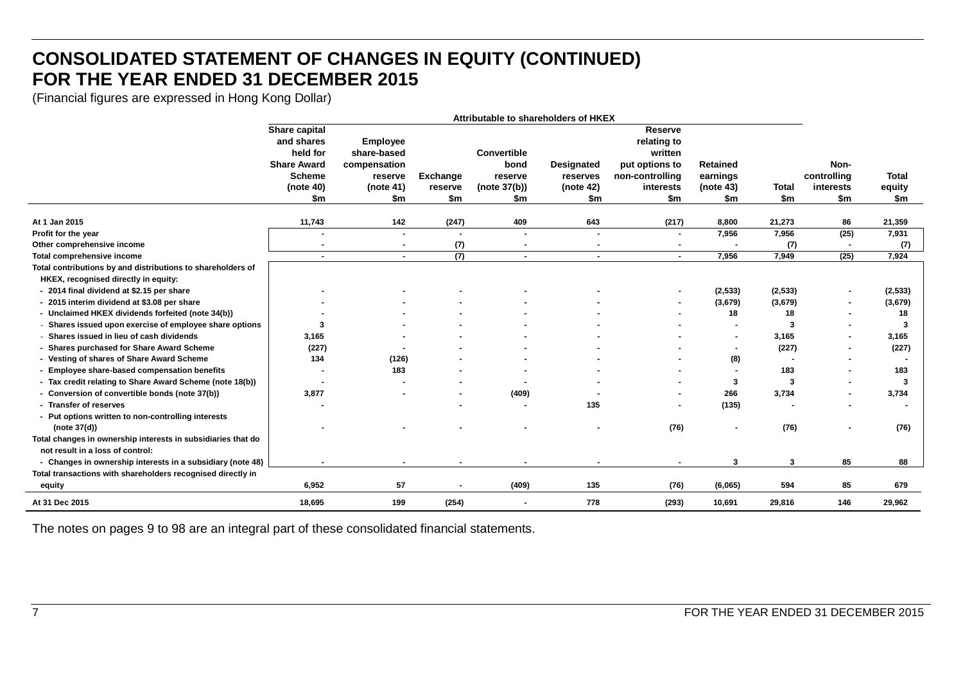# **CONSOLIDATED STATEMENT OF CHANGES IN EQUITY (CONTINUED) FOR THE YEAR ENDED 31 DECEMBER 2015**

(Financial figures are expressed in Hong Kong Dollar)

| Share capital<br><b>Reserve</b><br>and shares<br><b>Employee</b><br>relating to<br>held for<br>share-based<br>Convertible<br>written<br><b>Share Award</b><br>Designated<br>put options to<br>compensation<br>bond<br><b>Retained</b><br>Non-<br><b>Scheme</b><br>non-controlling<br>controlling<br><b>Exchange</b><br>earnings<br>reserve<br>reserve<br>reserves<br>(note 41)<br>(note 37(b))<br>(note $40$ )<br>(note 42)<br>(note $43$ )<br>Total<br>interests<br>interests<br>reserve<br>\$m<br>\$m<br>\$m<br>\$m<br>\$m<br>\$m<br>\$m<br>\$m<br>\$m | <b>Total</b><br>equity<br>\$m |
|----------------------------------------------------------------------------------------------------------------------------------------------------------------------------------------------------------------------------------------------------------------------------------------------------------------------------------------------------------------------------------------------------------------------------------------------------------------------------------------------------------------------------------------------------------|-------------------------------|
|                                                                                                                                                                                                                                                                                                                                                                                                                                                                                                                                                          |                               |
|                                                                                                                                                                                                                                                                                                                                                                                                                                                                                                                                                          |                               |
|                                                                                                                                                                                                                                                                                                                                                                                                                                                                                                                                                          |                               |
|                                                                                                                                                                                                                                                                                                                                                                                                                                                                                                                                                          |                               |
|                                                                                                                                                                                                                                                                                                                                                                                                                                                                                                                                                          |                               |
|                                                                                                                                                                                                                                                                                                                                                                                                                                                                                                                                                          |                               |
|                                                                                                                                                                                                                                                                                                                                                                                                                                                                                                                                                          |                               |
|                                                                                                                                                                                                                                                                                                                                                                                                                                                                                                                                                          |                               |
| At 1 Jan 2015<br>11,743<br>142<br>(247)<br>409<br>643<br>(217)<br>86<br>8,800<br>21,273                                                                                                                                                                                                                                                                                                                                                                                                                                                                  | 21,359                        |
| (25)<br>7,956<br>7,956<br>Profit for the year<br>$\blacksquare$<br>$\blacksquare$<br>٠<br>$\blacksquare$                                                                                                                                                                                                                                                                                                                                                                                                                                                 | 7,931                         |
| (7)<br>Other comprehensive income<br>(7)<br>$\sim$<br>$\blacksquare$                                                                                                                                                                                                                                                                                                                                                                                                                                                                                     | (7)                           |
| (7)<br>7,956<br>7,949<br>(25)<br>Total comprehensive income<br>$\overline{\phantom{a}}$<br>$\blacksquare$<br>$\overline{\phantom{a}}$<br>$\overline{\phantom{a}}$                                                                                                                                                                                                                                                                                                                                                                                        | 7,924                         |
| Total contributions by and distributions to shareholders of                                                                                                                                                                                                                                                                                                                                                                                                                                                                                              |                               |
| HKEX, recognised directly in equity:                                                                                                                                                                                                                                                                                                                                                                                                                                                                                                                     |                               |
| - 2014 final dividend at \$2.15 per share<br>(2,533)<br>(2,533)                                                                                                                                                                                                                                                                                                                                                                                                                                                                                          | (2,533)                       |
| - 2015 interim dividend at \$3.08 per share<br>(3,679)<br>(3,679)                                                                                                                                                                                                                                                                                                                                                                                                                                                                                        | (3,679)                       |
| - Unclaimed HKEX dividends forfeited (note 34(b))<br>18<br>18                                                                                                                                                                                                                                                                                                                                                                                                                                                                                            | 18                            |
| - Shares issued upon exercise of employee share options<br>3<br>3                                                                                                                                                                                                                                                                                                                                                                                                                                                                                        | 3                             |
| - Shares issued in lieu of cash dividends<br>3,165<br>3,165                                                                                                                                                                                                                                                                                                                                                                                                                                                                                              | 3,165                         |
| - Shares purchased for Share Award Scheme<br>(227)<br>(227)                                                                                                                                                                                                                                                                                                                                                                                                                                                                                              | (227)                         |
| - Vesting of shares of Share Award Scheme<br>134<br>(126)<br>(8)                                                                                                                                                                                                                                                                                                                                                                                                                                                                                         |                               |
| - Employee share-based compensation benefits<br>183<br>183<br>$\overline{\phantom{a}}$                                                                                                                                                                                                                                                                                                                                                                                                                                                                   | 183                           |
| - Tax credit relating to Share Award Scheme (note 18(b))<br>3<br>3                                                                                                                                                                                                                                                                                                                                                                                                                                                                                       | 3                             |
| - Conversion of convertible bonds (note 37(b))<br>3,877<br>(409)<br>266<br>3,734                                                                                                                                                                                                                                                                                                                                                                                                                                                                         | 3,734                         |
| - Transfer of reserves<br>135<br>(135)                                                                                                                                                                                                                                                                                                                                                                                                                                                                                                                   |                               |
| - Put options written to non-controlling interests                                                                                                                                                                                                                                                                                                                                                                                                                                                                                                       |                               |
| (note 37(d))<br>(76)<br>(76)                                                                                                                                                                                                                                                                                                                                                                                                                                                                                                                             | (76)                          |
| Total changes in ownership interests in subsidiaries that do                                                                                                                                                                                                                                                                                                                                                                                                                                                                                             |                               |
| not result in a loss of control:                                                                                                                                                                                                                                                                                                                                                                                                                                                                                                                         |                               |
| - Changes in ownership interests in a subsidiary (note 48)<br>85<br>3<br>3                                                                                                                                                                                                                                                                                                                                                                                                                                                                               | 88                            |
| Total transactions with shareholders recognised directly in                                                                                                                                                                                                                                                                                                                                                                                                                                                                                              |                               |
| 6.952<br>57<br>(409)<br>135<br>85<br>(76)<br>594<br>(6,065)<br>equity<br>$\blacksquare$                                                                                                                                                                                                                                                                                                                                                                                                                                                                  | 679                           |
| At 31 Dec 2015<br>18,695<br>199<br>(254)<br>778<br>(293)<br>10,691<br>146<br>29,816                                                                                                                                                                                                                                                                                                                                                                                                                                                                      | 29,962                        |

The notes on pages 9 to 98 are an integral part of these consolidated financial statements.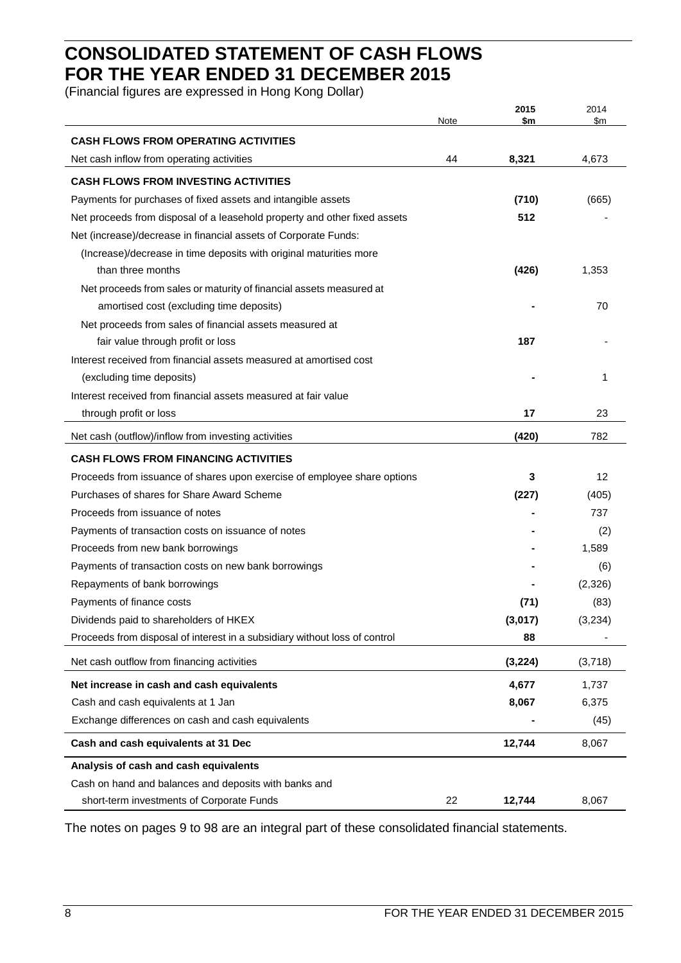# **CONSOLIDATED STATEMENT OF CASH FLOWS FOR THE YEAR ENDED 31 DECEMBER 2015**

(Financial figures are expressed in Hong Kong Dollar)

|                                                                            | Note | 2015<br>\$m | 2014<br>\$m |
|----------------------------------------------------------------------------|------|-------------|-------------|
| <b>CASH FLOWS FROM OPERATING ACTIVITIES</b>                                |      |             |             |
| Net cash inflow from operating activities                                  | 44   | 8,321       | 4,673       |
| <b>CASH FLOWS FROM INVESTING ACTIVITIES</b>                                |      |             |             |
| Payments for purchases of fixed assets and intangible assets               |      | (710)       | (665)       |
| Net proceeds from disposal of a leasehold property and other fixed assets  |      | 512         |             |
| Net (increase)/decrease in financial assets of Corporate Funds:            |      |             |             |
| (Increase)/decrease in time deposits with original maturities more         |      |             |             |
| than three months                                                          |      | (426)       | 1,353       |
| Net proceeds from sales or maturity of financial assets measured at        |      |             |             |
| amortised cost (excluding time deposits)                                   |      |             | 70          |
| Net proceeds from sales of financial assets measured at                    |      |             |             |
| fair value through profit or loss                                          |      | 187         |             |
| Interest received from financial assets measured at amortised cost         |      |             |             |
| (excluding time deposits)                                                  |      |             | 1           |
| Interest received from financial assets measured at fair value             |      |             |             |
| through profit or loss                                                     |      | 17          | 23          |
| Net cash (outflow)/inflow from investing activities                        |      | (420)       | 782         |
| <b>CASH FLOWS FROM FINANCING ACTIVITIES</b>                                |      |             |             |
| Proceeds from issuance of shares upon exercise of employee share options   |      | 3           | 12          |
| Purchases of shares for Share Award Scheme                                 |      | (227)       | (405)       |
| Proceeds from issuance of notes                                            |      |             | 737         |
| Payments of transaction costs on issuance of notes                         |      |             | (2)         |
| Proceeds from new bank borrowings                                          |      |             | 1,589       |
| Payments of transaction costs on new bank borrowings                       |      |             | (6)         |
| Repayments of bank borrowings                                              |      |             | (2,326)     |
| Payments of finance costs                                                  |      | (71)        | (83)        |
| Dividends paid to shareholders of HKEX                                     |      | (3,017)     | (3,234)     |
| Proceeds from disposal of interest in a subsidiary without loss of control |      | 88          |             |
| Net cash outflow from financing activities                                 |      | (3, 224)    | (3,718)     |
| Net increase in cash and cash equivalents                                  |      | 4,677       | 1,737       |
| Cash and cash equivalents at 1 Jan                                         |      | 8,067       | 6,375       |
| Exchange differences on cash and cash equivalents                          |      |             | (45)        |
| Cash and cash equivalents at 31 Dec                                        |      | 12,744      | 8,067       |
| Analysis of cash and cash equivalents                                      |      |             |             |
| Cash on hand and balances and deposits with banks and                      |      |             |             |
| short-term investments of Corporate Funds                                  | 22   | 12,744      | 8,067       |

The notes on pages 9 to 98 are an integral part of these consolidated financial statements.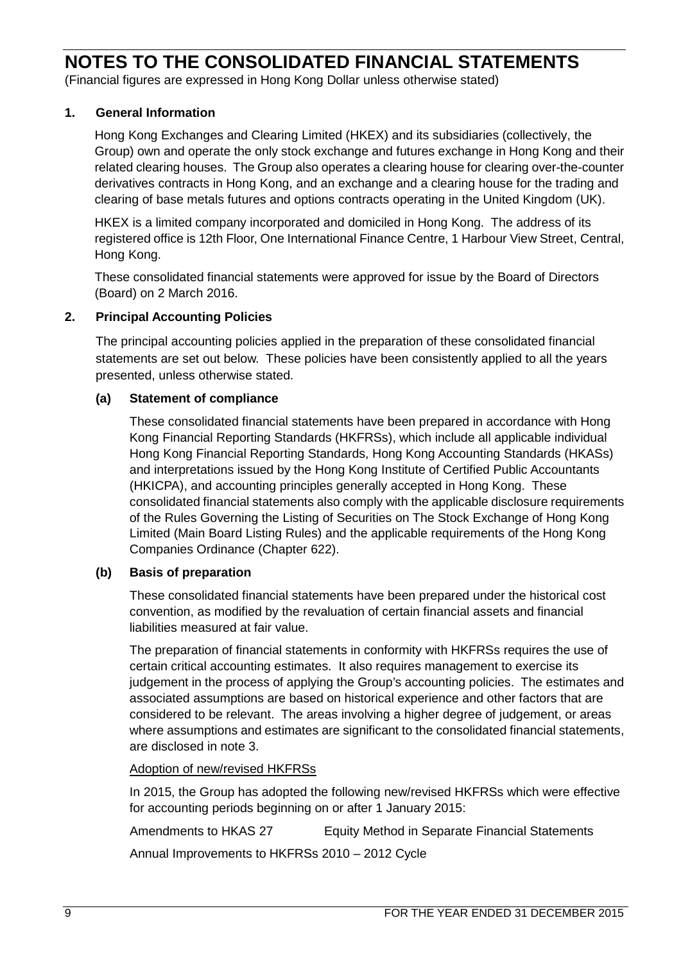(Financial figures are expressed in Hong Kong Dollar unless otherwise stated)

# **1. General Information**

Hong Kong Exchanges and Clearing Limited (HKEX) and its subsidiaries (collectively, the Group) own and operate the only stock exchange and futures exchange in Hong Kong and their related clearing houses. The Group also operates a clearing house for clearing over-the-counter derivatives contracts in Hong Kong, and an exchange and a clearing house for the trading and clearing of base metals futures and options contracts operating in the United Kingdom (UK).

HKEX is a limited company incorporated and domiciled in Hong Kong. The address of its registered office is 12th Floor, One International Finance Centre, 1 Harbour View Street, Central, Hong Kong.

These consolidated financial statements were approved for issue by the Board of Directors (Board) on 2 March 2016.

#### **2. Principal Accounting Policies**

The principal accounting policies applied in the preparation of these consolidated financial statements are set out below. These policies have been consistently applied to all the years presented, unless otherwise stated.

#### **(a) Statement of compliance**

These consolidated financial statements have been prepared in accordance with Hong Kong Financial Reporting Standards (HKFRSs), which include all applicable individual Hong Kong Financial Reporting Standards, Hong Kong Accounting Standards (HKASs) and interpretations issued by the Hong Kong Institute of Certified Public Accountants (HKICPA), and accounting principles generally accepted in Hong Kong. These consolidated financial statements also comply with the applicable disclosure requirements of the Rules Governing the Listing of Securities on The Stock Exchange of Hong Kong Limited (Main Board Listing Rules) and the applicable requirements of the Hong Kong Companies Ordinance (Chapter 622).

#### **(b) Basis of preparation**

These consolidated financial statements have been prepared under the historical cost convention, as modified by the revaluation of certain financial assets and financial liabilities measured at fair value.

The preparation of financial statements in conformity with HKFRSs requires the use of certain critical accounting estimates. It also requires management to exercise its judgement in the process of applying the Group's accounting policies. The estimates and associated assumptions are based on historical experience and other factors that are considered to be relevant. The areas involving a higher degree of judgement, or areas where assumptions and estimates are significant to the consolidated financial statements, are disclosed in note 3.

#### Adoption of new/revised HKFRSs

In 2015, the Group has adopted the following new/revised HKFRSs which were effective for accounting periods beginning on or after 1 January 2015:

Amendments to HKAS 27 Equity Method in Separate Financial Statements

Annual Improvements to HKFRSs 2010 – 2012 Cycle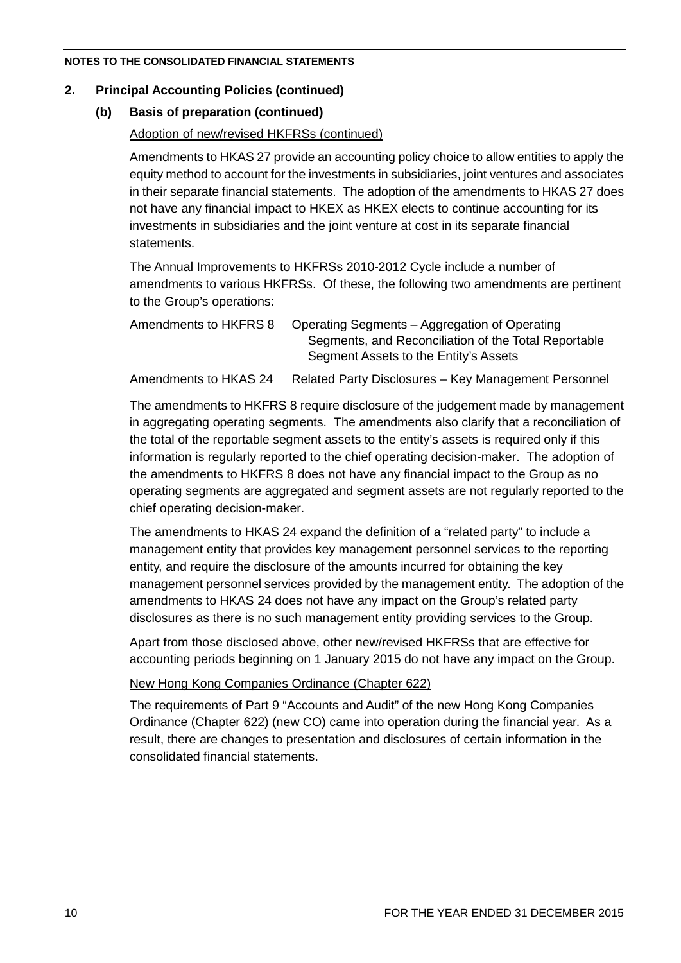### **2. Principal Accounting Policies (continued)**

# **(b) Basis of preparation (continued)**

# Adoption of new/revised HKFRSs (continued)

Amendments to HKAS 27 provide an accounting policy choice to allow entities to apply the equity method to account for the investments in subsidiaries, joint ventures and associates in their separate financial statements. The adoption of the amendments to HKAS 27 does not have any financial impact to HKEX as HKEX elects to continue accounting for its investments in subsidiaries and the joint venture at cost in its separate financial statements.

The Annual Improvements to HKFRSs 2010-2012 Cycle include a number of amendments to various HKFRSs. Of these, the following two amendments are pertinent to the Group's operations:

| Amendments to HKFRS 8 | Operating Segments – Aggregation of Operating        |
|-----------------------|------------------------------------------------------|
|                       | Segments, and Reconciliation of the Total Reportable |
|                       | Segment Assets to the Entity's Assets                |

Amendments to HKAS 24 Related Party Disclosures – Key Management Personnel

The amendments to HKFRS 8 require disclosure of the judgement made by management in aggregating operating segments. The amendments also clarify that a reconciliation of the total of the reportable segment assets to the entity's assets is required only if this information is regularly reported to the chief operating decision-maker. The adoption of the amendments to HKFRS 8 does not have any financial impact to the Group as no operating segments are aggregated and segment assets are not regularly reported to the chief operating decision-maker.

The amendments to HKAS 24 expand the definition of a "related party" to include a management entity that provides key management personnel services to the reporting entity, and require the disclosure of the amounts incurred for obtaining the key management personnel services provided by the management entity. The adoption of the amendments to HKAS 24 does not have any impact on the Group's related party disclosures as there is no such management entity providing services to the Group.

Apart from those disclosed above, other new/revised HKFRSs that are effective for accounting periods beginning on 1 January 2015 do not have any impact on the Group.

# New Hong Kong Companies Ordinance (Chapter 622)

The requirements of Part 9 "Accounts and Audit" of the new Hong Kong Companies Ordinance (Chapter 622) (new CO) came into operation during the financial year. As a result, there are changes to presentation and disclosures of certain information in the consolidated financial statements.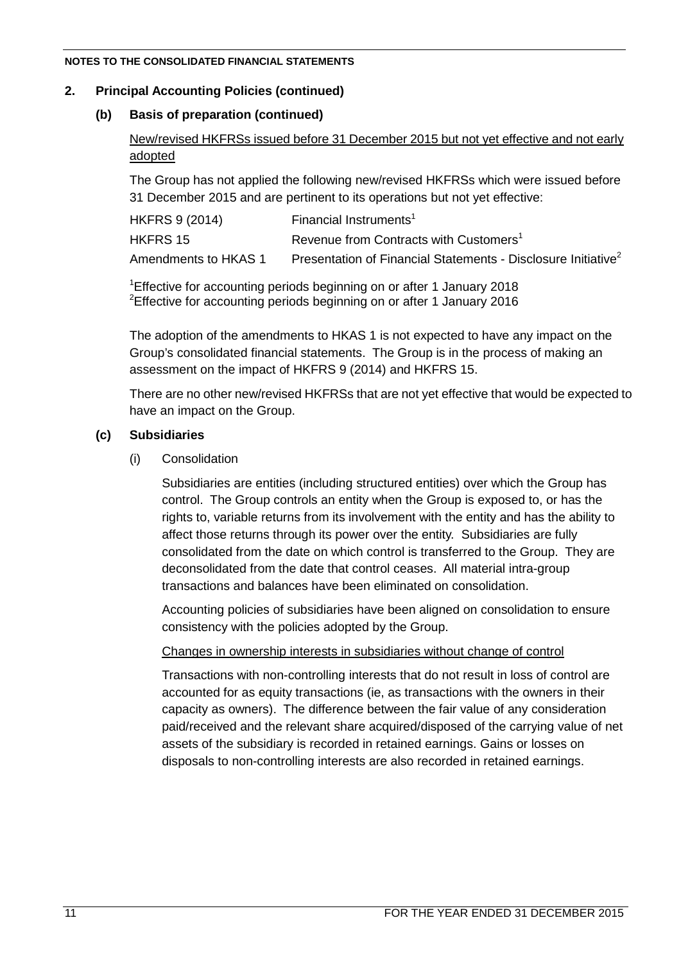### **2. Principal Accounting Policies (continued)**

# **(b) Basis of preparation (continued)**

New/revised HKFRSs issued before 31 December 2015 but not yet effective and not early adopted

The Group has not applied the following new/revised HKFRSs which were issued before 31 December 2015 and are pertinent to its operations but not yet effective:

| <b>HKFRS 9 (2014)</b> | Financial Instruments <sup>1</sup>                                        |
|-----------------------|---------------------------------------------------------------------------|
| <b>HKFRS 15</b>       | Revenue from Contracts with Customers <sup>1</sup>                        |
| Amendments to HKAS 1  | Presentation of Financial Statements - Disclosure Initiative <sup>2</sup> |

<sup>1</sup>Effective for accounting periods beginning on or after 1 January 2018 <sup>2</sup>Effective for accounting periods beginning on or after 1 January 2016

The adoption of the amendments to HKAS 1 is not expected to have any impact on the Group's consolidated financial statements. The Group is in the process of making an assessment on the impact of HKFRS 9 (2014) and HKFRS 15.

There are no other new/revised HKFRSs that are not yet effective that would be expected to have an impact on the Group.

#### **(c) Subsidiaries**

(i) Consolidation

Subsidiaries are entities (including structured entities) over which the Group has control. The Group controls an entity when the Group is exposed to, or has the rights to, variable returns from its involvement with the entity and has the ability to affect those returns through its power over the entity. Subsidiaries are fully consolidated from the date on which control is transferred to the Group. They are deconsolidated from the date that control ceases. All material intra-group transactions and balances have been eliminated on consolidation.

Accounting policies of subsidiaries have been aligned on consolidation to ensure consistency with the policies adopted by the Group.

# Changes in ownership interests in subsidiaries without change of control

Transactions with non-controlling interests that do not result in loss of control are accounted for as equity transactions (ie, as transactions with the owners in their capacity as owners). The difference between the fair value of any consideration paid/received and the relevant share acquired/disposed of the carrying value of net assets of the subsidiary is recorded in retained earnings. Gains or losses on disposals to non-controlling interests are also recorded in retained earnings.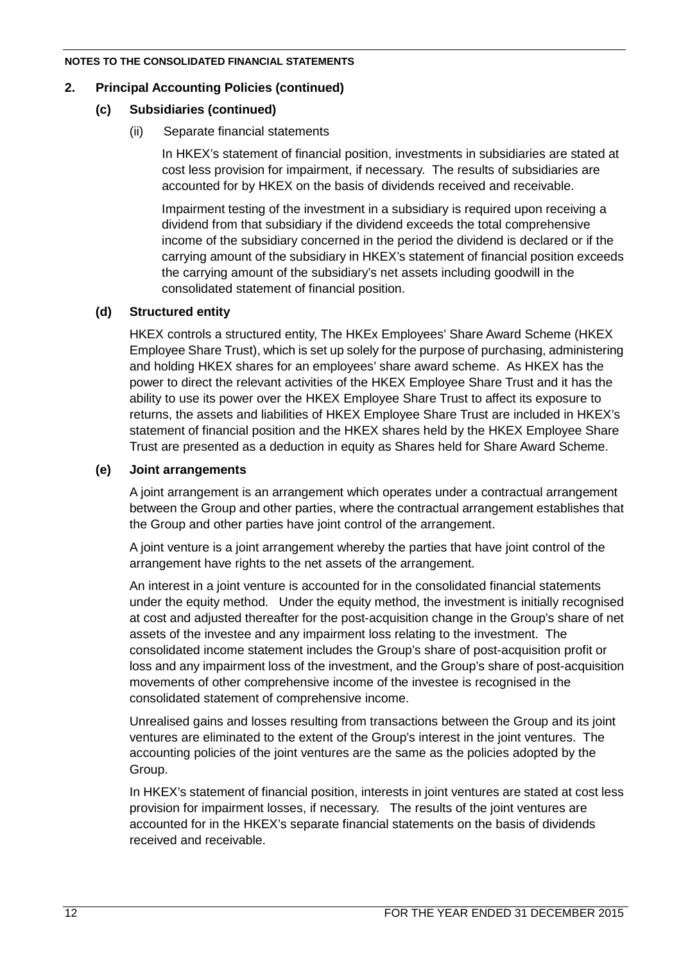# **2. Principal Accounting Policies (continued)**

# **(c) Subsidiaries (continued)**

(ii) Separate financial statements

In HKEX's statement of financial position, investments in subsidiaries are stated at cost less provision for impairment, if necessary. The results of subsidiaries are accounted for by HKEX on the basis of dividends received and receivable.

Impairment testing of the investment in a subsidiary is required upon receiving a dividend from that subsidiary if the dividend exceeds the total comprehensive income of the subsidiary concerned in the period the dividend is declared or if the carrying amount of the subsidiary in HKEX's statement of financial position exceeds the carrying amount of the subsidiary's net assets including goodwill in the consolidated statement of financial position.

# **(d) Structured entity**

HKEX controls a structured entity, The HKEx Employees' Share Award Scheme (HKEX Employee Share Trust), which is set up solely for the purpose of purchasing, administering and holding HKEX shares for an employees' share award scheme. As HKEX has the power to direct the relevant activities of the HKEX Employee Share Trust and it has the ability to use its power over the HKEX Employee Share Trust to affect its exposure to returns, the assets and liabilities of HKEX Employee Share Trust are included in HKEX's statement of financial position and the HKEX shares held by the HKEX Employee Share Trust are presented as a deduction in equity as Shares held for Share Award Scheme.

# **(e) Joint arrangements**

A joint arrangement is an arrangement which operates under a contractual arrangement between the Group and other parties, where the contractual arrangement establishes that the Group and other parties have joint control of the arrangement.

A joint venture is a joint arrangement whereby the parties that have joint control of the arrangement have rights to the net assets of the arrangement.

An interest in a joint venture is accounted for in the consolidated financial statements under the equity method. Under the equity method, the investment is initially recognised at cost and adjusted thereafter for the post-acquisition change in the Group's share of net assets of the investee and any impairment loss relating to the investment. The consolidated income statement includes the Group's share of post-acquisition profit or loss and any impairment loss of the investment, and the Group's share of post-acquisition movements of other comprehensive income of the investee is recognised in the consolidated statement of comprehensive income.

Unrealised gains and losses resulting from transactions between the Group and its joint ventures are eliminated to the extent of the Group's interest in the joint ventures. The accounting policies of the joint ventures are the same as the policies adopted by the Group.

In HKEX's statement of financial position, interests in joint ventures are stated at cost less provision for impairment losses, if necessary. The results of the joint ventures are accounted for in the HKEX's separate financial statements on the basis of dividends received and receivable.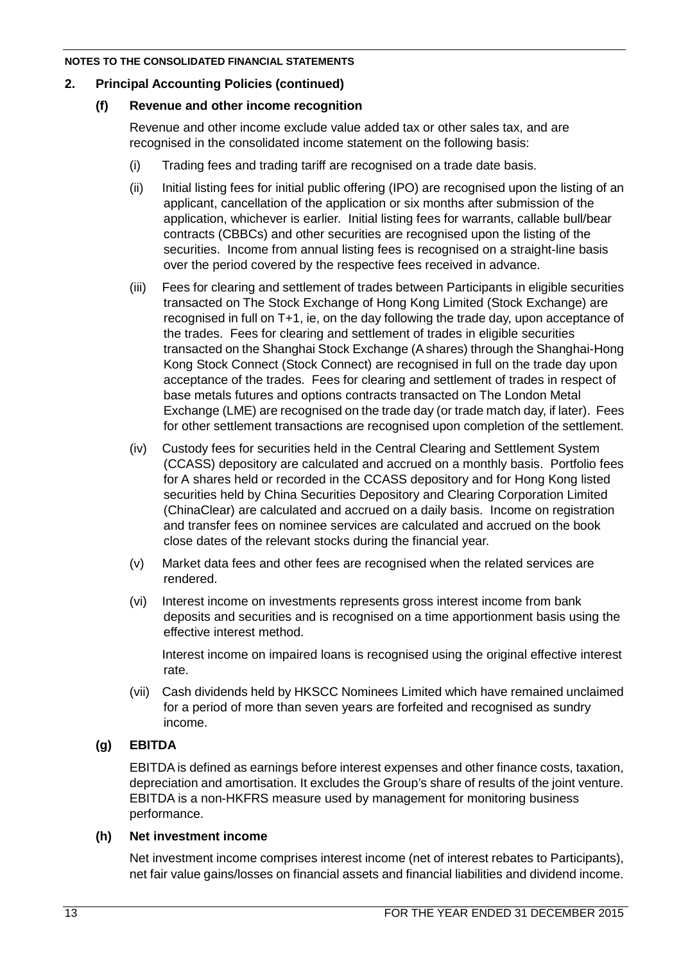# **2. Principal Accounting Policies (continued)**

# **(f) Revenue and other income recognition**

Revenue and other income exclude value added tax or other sales tax, and are recognised in the consolidated income statement on the following basis:

- (i) Trading fees and trading tariff are recognised on a trade date basis.
- (ii) Initial listing fees for initial public offering (IPO) are recognised upon the listing of an applicant, cancellation of the application or six months after submission of the application, whichever is earlier. Initial listing fees for warrants, callable bull/bear contracts (CBBCs) and other securities are recognised upon the listing of the securities. Income from annual listing fees is recognised on a straight-line basis over the period covered by the respective fees received in advance.
- (iii) Fees for clearing and settlement of trades between Participants in eligible securities transacted on The Stock Exchange of Hong Kong Limited (Stock Exchange) are recognised in full on T+1, ie, on the day following the trade day, upon acceptance of the trades. Fees for clearing and settlement of trades in eligible securities transacted on the Shanghai Stock Exchange (A shares) through the Shanghai-Hong Kong Stock Connect (Stock Connect) are recognised in full on the trade day upon acceptance of the trades. Fees for clearing and settlement of trades in respect of base metals futures and options contracts transacted on The London Metal Exchange (LME) are recognised on the trade day (or trade match day, if later). Fees for other settlement transactions are recognised upon completion of the settlement.
- (iv) Custody fees for securities held in the Central Clearing and Settlement System (CCASS) depository are calculated and accrued on a monthly basis. Portfolio fees for A shares held or recorded in the CCASS depository and for Hong Kong listed securities held by China Securities Depository and Clearing Corporation Limited (ChinaClear) are calculated and accrued on a daily basis. Income on registration and transfer fees on nominee services are calculated and accrued on the book close dates of the relevant stocks during the financial year.
- (v) Market data fees and other fees are recognised when the related services are rendered.
- (vi) Interest income on investments represents gross interest income from bank deposits and securities and is recognised on a time apportionment basis using the effective interest method.

Interest income on impaired loans is recognised using the original effective interest rate.

(vii) Cash dividends held by HKSCC Nominees Limited which have remained unclaimed for a period of more than seven years are forfeited and recognised as sundry income.

# **(g) EBITDA**

EBITDA is defined as earnings before interest expenses and other finance costs, taxation, depreciation and amortisation. It excludes the Group's share of results of the joint venture. EBITDA is a non-HKFRS measure used by management for monitoring business performance.

# **(h) Net investment income**

Net investment income comprises interest income (net of interest rebates to Participants), net fair value gains/losses on financial assets and financial liabilities and dividend income.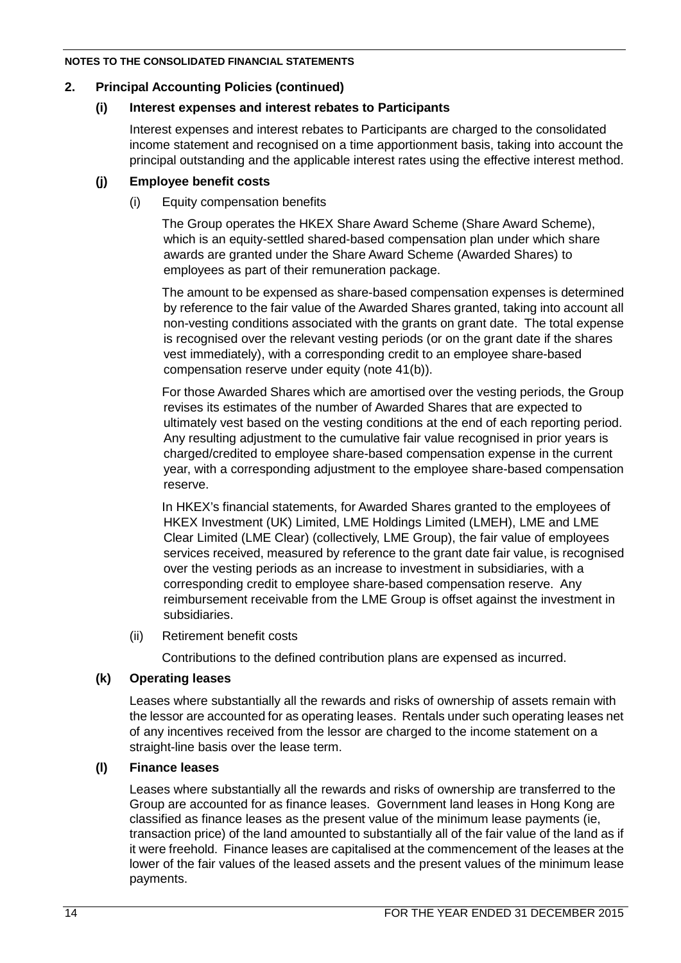# **2. Principal Accounting Policies (continued)**

# **(i) Interest expenses and interest rebates to Participants**

Interest expenses and interest rebates to Participants are charged to the consolidated income statement and recognised on a time apportionment basis, taking into account the principal outstanding and the applicable interest rates using the effective interest method.

# **(j) Employee benefit costs**

(i) Equity compensation benefits

The Group operates the HKEX Share Award Scheme (Share Award Scheme), which is an equity-settled shared-based compensation plan under which share awards are granted under the Share Award Scheme (Awarded Shares) to employees as part of their remuneration package.

The amount to be expensed as share-based compensation expenses is determined by reference to the fair value of the Awarded Shares granted, taking into account all non-vesting conditions associated with the grants on grant date. The total expense is recognised over the relevant vesting periods (or on the grant date if the shares vest immediately), with a corresponding credit to an employee share-based compensation reserve under equity (note 41(b)).

For those Awarded Shares which are amortised over the vesting periods, the Group revises its estimates of the number of Awarded Shares that are expected to ultimately vest based on the vesting conditions at the end of each reporting period. Any resulting adjustment to the cumulative fair value recognised in prior years is charged/credited to employee share-based compensation expense in the current year, with a corresponding adjustment to the employee share-based compensation reserve.

In HKEX's financial statements, for Awarded Shares granted to the employees of HKEX Investment (UK) Limited, LME Holdings Limited (LMEH), LME and LME Clear Limited (LME Clear) (collectively, LME Group), the fair value of employees services received, measured by reference to the grant date fair value, is recognised over the vesting periods as an increase to investment in subsidiaries, with a corresponding credit to employee share-based compensation reserve. Any reimbursement receivable from the LME Group is offset against the investment in subsidiaries.

(ii) Retirement benefit costs

Contributions to the defined contribution plans are expensed as incurred.

# **(k) Operating leases**

Leases where substantially all the rewards and risks of ownership of assets remain with the lessor are accounted for as operating leases. Rentals under such operating leases net of any incentives received from the lessor are charged to the income statement on a straight-line basis over the lease term.

# **(l) Finance leases**

Leases where substantially all the rewards and risks of ownership are transferred to the Group are accounted for as finance leases. Government land leases in Hong Kong are classified as finance leases as the present value of the minimum lease payments (ie, transaction price) of the land amounted to substantially all of the fair value of the land as if it were freehold. Finance leases are capitalised at the commencement of the leases at the lower of the fair values of the leased assets and the present values of the minimum lease payments.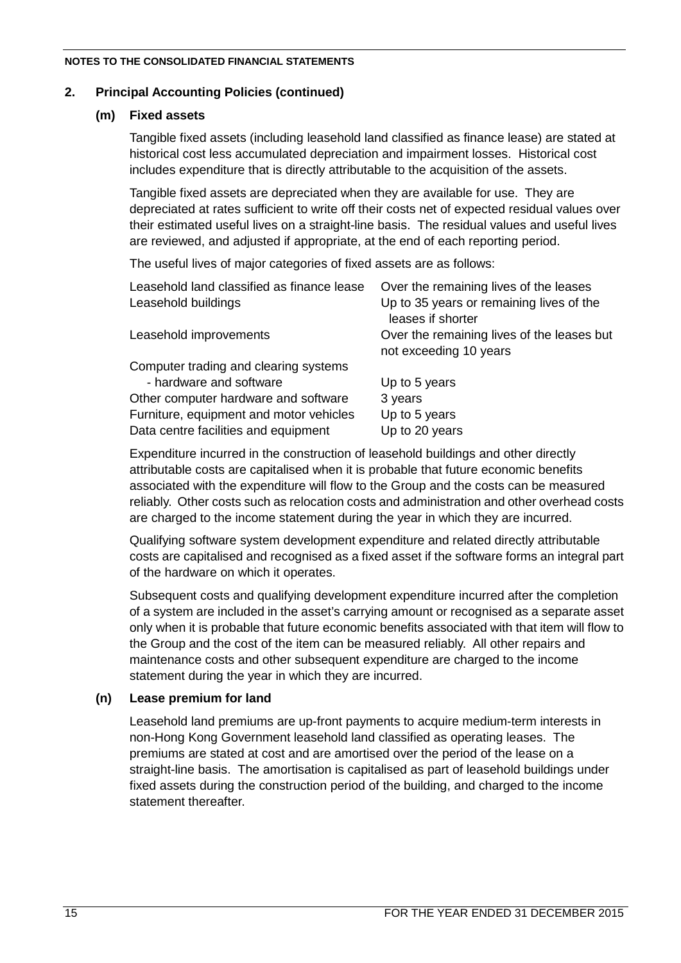# **2. Principal Accounting Policies (continued)**

# **(m) Fixed assets**

Tangible fixed assets (including leasehold land classified as finance lease) are stated at historical cost less accumulated depreciation and impairment losses. Historical cost includes expenditure that is directly attributable to the acquisition of the assets.

Tangible fixed assets are depreciated when they are available for use. They are depreciated at rates sufficient to write off their costs net of expected residual values over their estimated useful lives on a straight-line basis. The residual values and useful lives are reviewed, and adjusted if appropriate, at the end of each reporting period.

The useful lives of major categories of fixed assets are as follows:

| Leasehold land classified as finance lease | Over the remaining lives of the leases                               |
|--------------------------------------------|----------------------------------------------------------------------|
| Leasehold buildings                        | Up to 35 years or remaining lives of the<br>leases if shorter        |
| Leasehold improvements                     | Over the remaining lives of the leases but<br>not exceeding 10 years |
| Computer trading and clearing systems      |                                                                      |
| - hardware and software                    | Up to 5 years                                                        |
| Other computer hardware and software       | 3 years                                                              |
| Furniture, equipment and motor vehicles    | Up to 5 years                                                        |
| Data centre facilities and equipment       | Up to 20 years                                                       |
|                                            |                                                                      |

Expenditure incurred in the construction of leasehold buildings and other directly attributable costs are capitalised when it is probable that future economic benefits associated with the expenditure will flow to the Group and the costs can be measured reliably. Other costs such as relocation costs and administration and other overhead costs are charged to the income statement during the year in which they are incurred.

Qualifying software system development expenditure and related directly attributable costs are capitalised and recognised as a fixed asset if the software forms an integral part of the hardware on which it operates.

Subsequent costs and qualifying development expenditure incurred after the completion of a system are included in the asset's carrying amount or recognised as a separate asset only when it is probable that future economic benefits associated with that item will flow to the Group and the cost of the item can be measured reliably. All other repairs and maintenance costs and other subsequent expenditure are charged to the income statement during the year in which they are incurred.

# **(n) Lease premium for land**

Leasehold land premiums are up-front payments to acquire medium-term interests in non-Hong Kong Government leasehold land classified as operating leases. The premiums are stated at cost and are amortised over the period of the lease on a straight-line basis. The amortisation is capitalised as part of leasehold buildings under fixed assets during the construction period of the building, and charged to the income statement thereafter.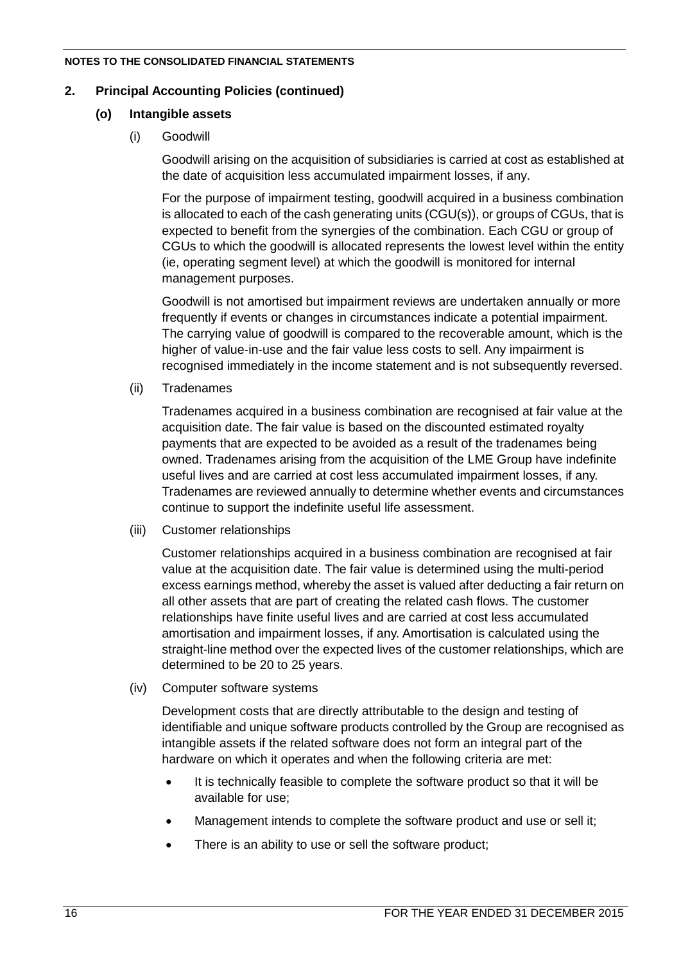# **2. Principal Accounting Policies (continued)**

# **(o) Intangible assets**

(i) Goodwill

Goodwill arising on the acquisition of subsidiaries is carried at cost as established at the date of acquisition less accumulated impairment losses, if any.

For the purpose of impairment testing, goodwill acquired in a business combination is allocated to each of the cash generating units (CGU(s)), or groups of CGUs, that is expected to benefit from the synergies of the combination. Each CGU or group of CGUs to which the goodwill is allocated represents the lowest level within the entity (ie, operating segment level) at which the goodwill is monitored for internal management purposes.

Goodwill is not amortised but impairment reviews are undertaken annually or more frequently if events or changes in circumstances indicate a potential impairment. The carrying value of goodwill is compared to the recoverable amount, which is the higher of value-in-use and the fair value less costs to sell. Any impairment is recognised immediately in the income statement and is not subsequently reversed.

(ii) Tradenames

Tradenames acquired in a business combination are recognised at fair value at the acquisition date. The fair value is based on the discounted estimated royalty payments that are expected to be avoided as a result of the tradenames being owned. Tradenames arising from the acquisition of the LME Group have indefinite useful lives and are carried at cost less accumulated impairment losses, if any. Tradenames are reviewed annually to determine whether events and circumstances continue to support the indefinite useful life assessment.

(iii) Customer relationships

Customer relationships acquired in a business combination are recognised at fair value at the acquisition date. The fair value is determined using the multi-period excess earnings method, whereby the asset is valued after deducting a fair return on all other assets that are part of creating the related cash flows. The customer relationships have finite useful lives and are carried at cost less accumulated amortisation and impairment losses, if any. Amortisation is calculated using the straight-line method over the expected lives of the customer relationships, which are determined to be 20 to 25 years.

(iv) Computer software systems

Development costs that are directly attributable to the design and testing of identifiable and unique software products controlled by the Group are recognised as intangible assets if the related software does not form an integral part of the hardware on which it operates and when the following criteria are met:

- It is technically feasible to complete the software product so that it will be available for use;
- Management intends to complete the software product and use or sell it:
- There is an ability to use or sell the software product;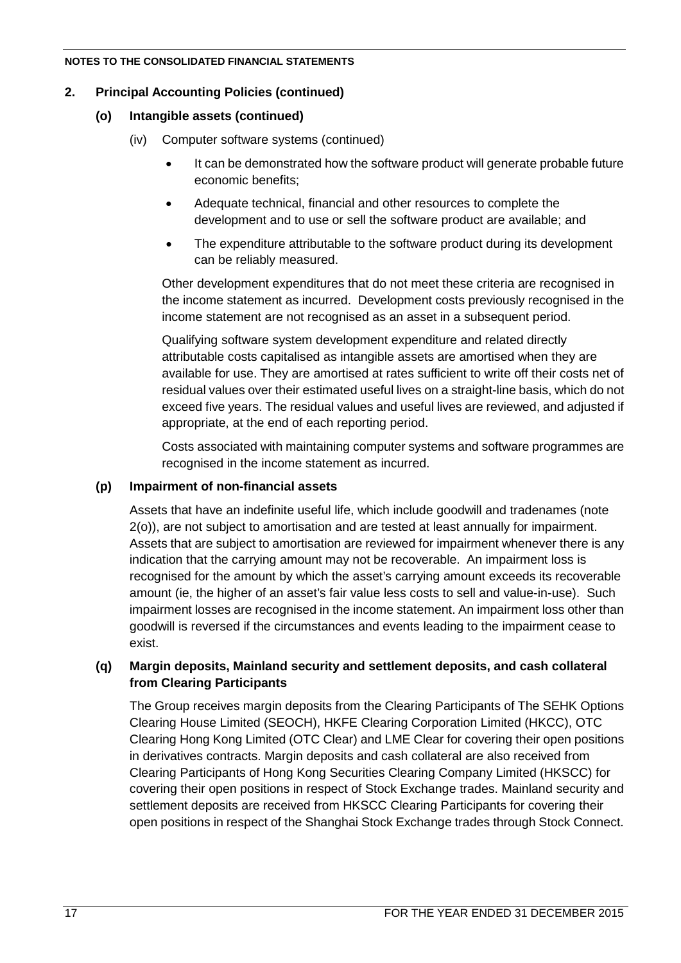# **2. Principal Accounting Policies (continued)**

# **(o) Intangible assets (continued)**

- (iv) Computer software systems (continued)
	- It can be demonstrated how the software product will generate probable future economic benefits;
	- Adequate technical, financial and other resources to complete the development and to use or sell the software product are available; and
	- The expenditure attributable to the software product during its development can be reliably measured.

Other development expenditures that do not meet these criteria are recognised in the income statement as incurred. Development costs previously recognised in the income statement are not recognised as an asset in a subsequent period.

Qualifying software system development expenditure and related directly attributable costs capitalised as intangible assets are amortised when they are available for use. They are amortised at rates sufficient to write off their costs net of residual values over their estimated useful lives on a straight-line basis, which do not exceed five years. The residual values and useful lives are reviewed, and adjusted if appropriate, at the end of each reporting period.

Costs associated with maintaining computer systems and software programmes are recognised in the income statement as incurred.

# **(p) Impairment of non-financial assets**

Assets that have an indefinite useful life, which include goodwill and tradenames (note 2(o)), are not subject to amortisation and are tested at least annually for impairment. Assets that are subject to amortisation are reviewed for impairment whenever there is any indication that the carrying amount may not be recoverable. An impairment loss is recognised for the amount by which the asset's carrying amount exceeds its recoverable amount (ie, the higher of an asset's fair value less costs to sell and value-in-use). Such impairment losses are recognised in the income statement. An impairment loss other than goodwill is reversed if the circumstances and events leading to the impairment cease to exist.

# **(q) Margin deposits, Mainland security and settlement deposits, and cash collateral from Clearing Participants**

The Group receives margin deposits from the Clearing Participants of The SEHK Options Clearing House Limited (SEOCH), HKFE Clearing Corporation Limited (HKCC), OTC Clearing Hong Kong Limited (OTC Clear) and LME Clear for covering their open positions in derivatives contracts. Margin deposits and cash collateral are also received from Clearing Participants of Hong Kong Securities Clearing Company Limited (HKSCC) for covering their open positions in respect of Stock Exchange trades. Mainland security and settlement deposits are received from HKSCC Clearing Participants for covering their open positions in respect of the Shanghai Stock Exchange trades through Stock Connect.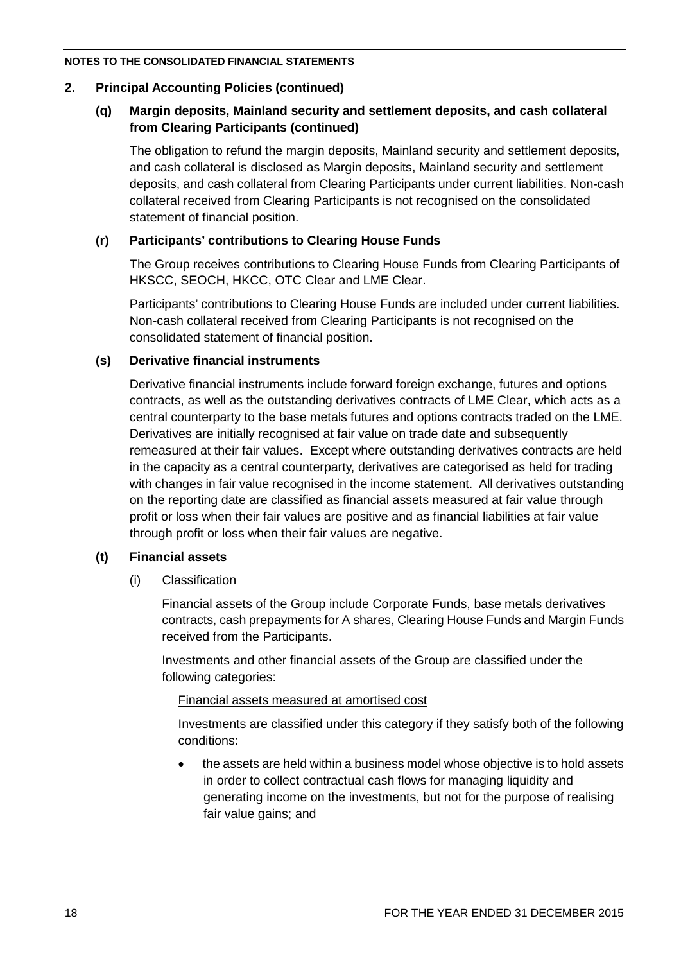# **2. Principal Accounting Policies (continued)**

# **(q) Margin deposits, Mainland security and settlement deposits, and cash collateral from Clearing Participants (continued)**

The obligation to refund the margin deposits, Mainland security and settlement deposits, and cash collateral is disclosed as Margin deposits, Mainland security and settlement deposits, and cash collateral from Clearing Participants under current liabilities. Non-cash collateral received from Clearing Participants is not recognised on the consolidated statement of financial position.

# **(r) Participants' contributions to Clearing House Funds**

The Group receives contributions to Clearing House Funds from Clearing Participants of HKSCC, SEOCH, HKCC, OTC Clear and LME Clear.

Participants' contributions to Clearing House Funds are included under current liabilities. Non-cash collateral received from Clearing Participants is not recognised on the consolidated statement of financial position.

# **(s) Derivative financial instruments**

Derivative financial instruments include forward foreign exchange, futures and options contracts, as well as the outstanding derivatives contracts of LME Clear, which acts as a central counterparty to the base metals futures and options contracts traded on the LME. Derivatives are initially recognised at fair value on trade date and subsequently remeasured at their fair values. Except where outstanding derivatives contracts are held in the capacity as a central counterparty, derivatives are categorised as held for trading with changes in fair value recognised in the income statement. All derivatives outstanding on the reporting date are classified as financial assets measured at fair value through profit or loss when their fair values are positive and as financial liabilities at fair value through profit or loss when their fair values are negative.

#### **(t) Financial assets**

(i) Classification

Financial assets of the Group include Corporate Funds, base metals derivatives contracts, cash prepayments for A shares, Clearing House Funds and Margin Funds received from the Participants.

Investments and other financial assets of the Group are classified under the following categories:

#### Financial assets measured at amortised cost

Investments are classified under this category if they satisfy both of the following conditions:

• the assets are held within a business model whose objective is to hold assets in order to collect contractual cash flows for managing liquidity and generating income on the investments, but not for the purpose of realising fair value gains; and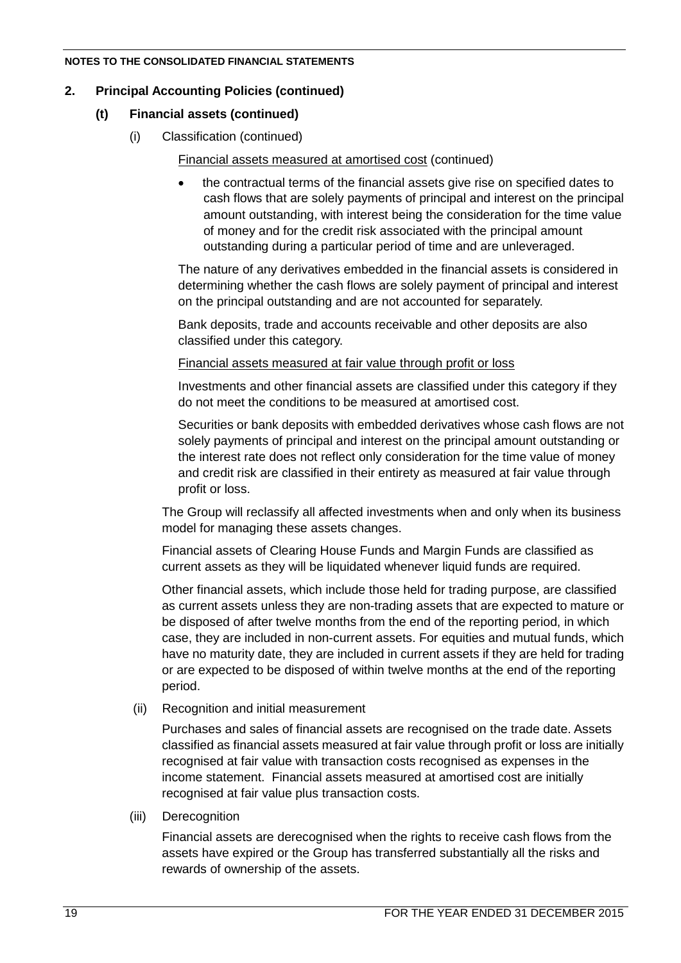# **2. Principal Accounting Policies (continued)**

# **(t) Financial assets (continued)**

(i) Classification (continued)

Financial assets measured at amortised cost (continued)

• the contractual terms of the financial assets give rise on specified dates to cash flows that are solely payments of principal and interest on the principal amount outstanding, with interest being the consideration for the time value of money and for the credit risk associated with the principal amount outstanding during a particular period of time and are unleveraged.

The nature of any derivatives embedded in the financial assets is considered in determining whether the cash flows are solely payment of principal and interest on the principal outstanding and are not accounted for separately.

Bank deposits, trade and accounts receivable and other deposits are also classified under this category.

Financial assets measured at fair value through profit or loss

Investments and other financial assets are classified under this category if they do not meet the conditions to be measured at amortised cost.

Securities or bank deposits with embedded derivatives whose cash flows are not solely payments of principal and interest on the principal amount outstanding or the interest rate does not reflect only consideration for the time value of money and credit risk are classified in their entirety as measured at fair value through profit or loss.

The Group will reclassify all affected investments when and only when its business model for managing these assets changes.

Financial assets of Clearing House Funds and Margin Funds are classified as current assets as they will be liquidated whenever liquid funds are required.

Other financial assets, which include those held for trading purpose, are classified as current assets unless they are non-trading assets that are expected to mature or be disposed of after twelve months from the end of the reporting period, in which case, they are included in non-current assets. For equities and mutual funds, which have no maturity date, they are included in current assets if they are held for trading or are expected to be disposed of within twelve months at the end of the reporting period.

(ii) Recognition and initial measurement

Purchases and sales of financial assets are recognised on the trade date. Assets classified as financial assets measured at fair value through profit or loss are initially recognised at fair value with transaction costs recognised as expenses in the income statement. Financial assets measured at amortised cost are initially recognised at fair value plus transaction costs.

(iii) Derecognition

Financial assets are derecognised when the rights to receive cash flows from the assets have expired or the Group has transferred substantially all the risks and rewards of ownership of the assets.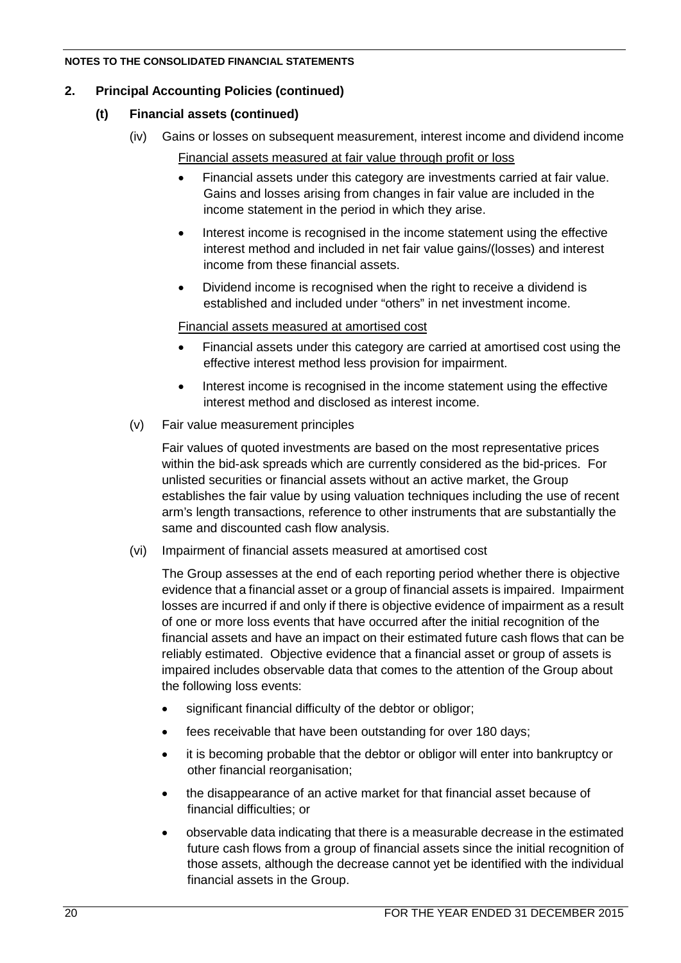# **2. Principal Accounting Policies (continued)**

# **(t) Financial assets (continued)**

- (iv) Gains or losses on subsequent measurement, interest income and dividend income
	- Financial assets measured at fair value through profit or loss
	- Financial assets under this category are investments carried at fair value. Gains and losses arising from changes in fair value are included in the income statement in the period in which they arise.
	- Interest income is recognised in the income statement using the effective interest method and included in net fair value gains/(losses) and interest income from these financial assets.
	- Dividend income is recognised when the right to receive a dividend is established and included under "others" in net investment income.

# Financial assets measured at amortised cost

- Financial assets under this category are carried at amortised cost using the effective interest method less provision for impairment.
- Interest income is recognised in the income statement using the effective interest method and disclosed as interest income.
- (v) Fair value measurement principles

Fair values of quoted investments are based on the most representative prices within the bid-ask spreads which are currently considered as the bid-prices. For unlisted securities or financial assets without an active market, the Group establishes the fair value by using valuation techniques including the use of recent arm's length transactions, reference to other instruments that are substantially the same and discounted cash flow analysis.

(vi) Impairment of financial assets measured at amortised cost

The Group assesses at the end of each reporting period whether there is objective evidence that a financial asset or a group of financial assets is impaired. Impairment losses are incurred if and only if there is objective evidence of impairment as a result of one or more loss events that have occurred after the initial recognition of the financial assets and have an impact on their estimated future cash flows that can be reliably estimated. Objective evidence that a financial asset or group of assets is impaired includes observable data that comes to the attention of the Group about the following loss events:

- significant financial difficulty of the debtor or obligor;
- fees receivable that have been outstanding for over 180 days;
- it is becoming probable that the debtor or obligor will enter into bankruptcy or other financial reorganisation;
- the disappearance of an active market for that financial asset because of financial difficulties; or
- observable data indicating that there is a measurable decrease in the estimated future cash flows from a group of financial assets since the initial recognition of those assets, although the decrease cannot yet be identified with the individual financial assets in the Group.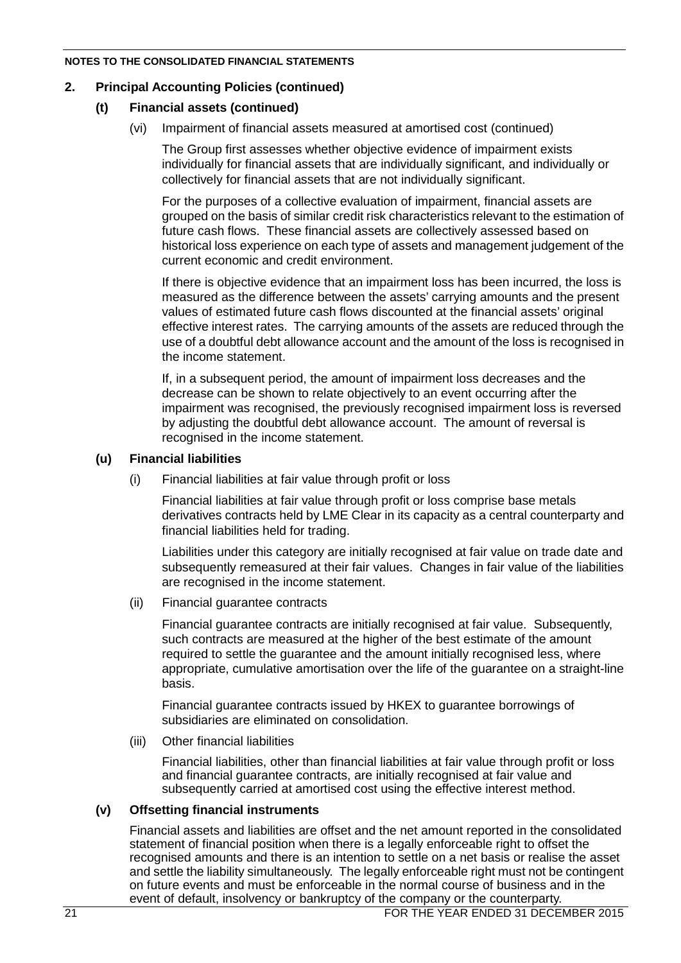### **2. Principal Accounting Policies (continued)**

# **(t) Financial assets (continued)**

(vi) Impairment of financial assets measured at amortised cost (continued)

The Group first assesses whether objective evidence of impairment exists individually for financial assets that are individually significant, and individually or collectively for financial assets that are not individually significant.

For the purposes of a collective evaluation of impairment, financial assets are grouped on the basis of similar credit risk characteristics relevant to the estimation of future cash flows. These financial assets are collectively assessed based on historical loss experience on each type of assets and management judgement of the current economic and credit environment.

If there is objective evidence that an impairment loss has been incurred, the loss is measured as the difference between the assets' carrying amounts and the present values of estimated future cash flows discounted at the financial assets' original effective interest rates. The carrying amounts of the assets are reduced through the use of a doubtful debt allowance account and the amount of the loss is recognised in the income statement.

If, in a subsequent period, the amount of impairment loss decreases and the decrease can be shown to relate objectively to an event occurring after the impairment was recognised, the previously recognised impairment loss is reversed by adjusting the doubtful debt allowance account. The amount of reversal is recognised in the income statement.

#### **(u) Financial liabilities**

(i) Financial liabilities at fair value through profit or loss

Financial liabilities at fair value through profit or loss comprise base metals derivatives contracts held by LME Clear in its capacity as a central counterparty and financial liabilities held for trading.

Liabilities under this category are initially recognised at fair value on trade date and subsequently remeasured at their fair values. Changes in fair value of the liabilities are recognised in the income statement.

(ii) Financial guarantee contracts

Financial guarantee contracts are initially recognised at fair value. Subsequently, such contracts are measured at the higher of the best estimate of the amount required to settle the guarantee and the amount initially recognised less, where appropriate, cumulative amortisation over the life of the guarantee on a straight-line basis.

Financial guarantee contracts issued by HKEX to guarantee borrowings of subsidiaries are eliminated on consolidation.

(iii) Other financial liabilities

Financial liabilities, other than financial liabilities at fair value through profit or loss and financial guarantee contracts, are initially recognised at fair value and subsequently carried at amortised cost using the effective interest method.

#### **(v) Offsetting financial instruments**

Financial assets and liabilities are offset and the net amount reported in the consolidated statement of financial position when there is a legally enforceable right to offset the recognised amounts and there is an intention to settle on a net basis or realise the asset and settle the liability simultaneously. The legally enforceable right must not be contingent on future events and must be enforceable in the normal course of business and in the event of default, insolvency or bankruptcy of the company or the counterparty.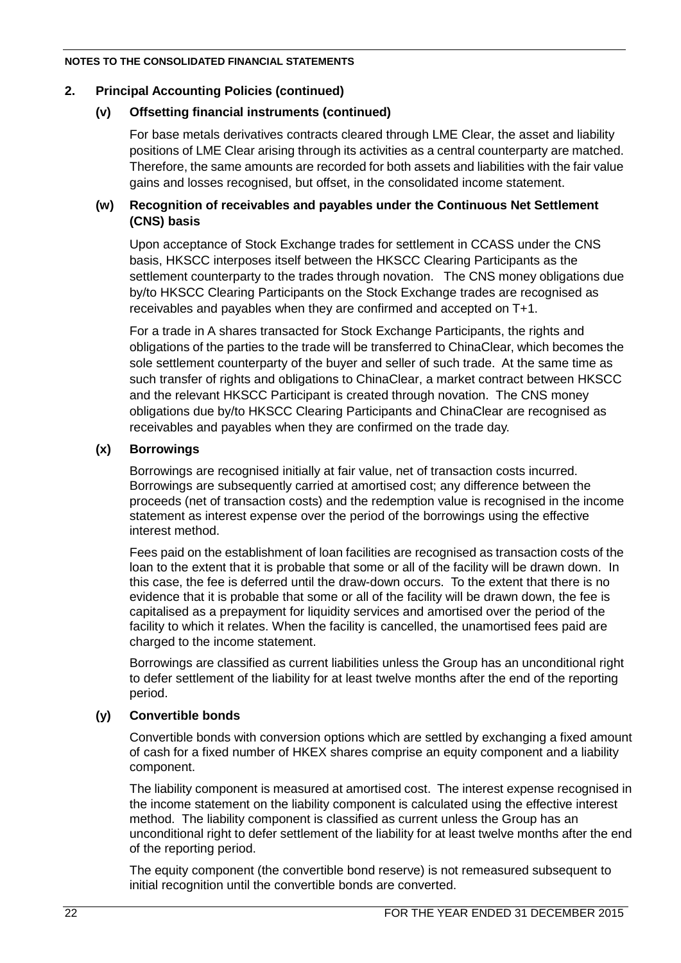# **2. Principal Accounting Policies (continued)**

# **(v) Offsetting financial instruments (continued)**

For base metals derivatives contracts cleared through LME Clear, the asset and liability positions of LME Clear arising through its activities as a central counterparty are matched. Therefore, the same amounts are recorded for both assets and liabilities with the fair value gains and losses recognised, but offset, in the consolidated income statement.

# **(w) Recognition of receivables and payables under the Continuous Net Settlement (CNS) basis**

Upon acceptance of Stock Exchange trades for settlement in CCASS under the CNS basis, HKSCC interposes itself between the HKSCC Clearing Participants as the settlement counterparty to the trades through novation. The CNS money obligations due by/to HKSCC Clearing Participants on the Stock Exchange trades are recognised as receivables and payables when they are confirmed and accepted on T+1.

For a trade in A shares transacted for Stock Exchange Participants, the rights and obligations of the parties to the trade will be transferred to ChinaClear, which becomes the sole settlement counterparty of the buyer and seller of such trade. At the same time as such transfer of rights and obligations to ChinaClear, a market contract between HKSCC and the relevant HKSCC Participant is created through novation. The CNS money obligations due by/to HKSCC Clearing Participants and ChinaClear are recognised as receivables and payables when they are confirmed on the trade day.

# **(x) Borrowings**

Borrowings are recognised initially at fair value, net of transaction costs incurred. Borrowings are subsequently carried at amortised cost; any difference between the proceeds (net of transaction costs) and the redemption value is recognised in the income statement as interest expense over the period of the borrowings using the effective interest method.

Fees paid on the establishment of loan facilities are recognised as transaction costs of the loan to the extent that it is probable that some or all of the facility will be drawn down. In this case, the fee is deferred until the draw-down occurs. To the extent that there is no evidence that it is probable that some or all of the facility will be drawn down, the fee is capitalised as a prepayment for liquidity services and amortised over the period of the facility to which it relates. When the facility is cancelled, the unamortised fees paid are charged to the income statement.

Borrowings are classified as current liabilities unless the Group has an unconditional right to defer settlement of the liability for at least twelve months after the end of the reporting period.

# **(y) Convertible bonds**

Convertible bonds with conversion options which are settled by exchanging a fixed amount of cash for a fixed number of HKEX shares comprise an equity component and a liability component.

The liability component is measured at amortised cost. The interest expense recognised in the income statement on the liability component is calculated using the effective interest method. The liability component is classified as current unless the Group has an unconditional right to defer settlement of the liability for at least twelve months after the end of the reporting period.

The equity component (the convertible bond reserve) is not remeasured subsequent to initial recognition until the convertible bonds are converted.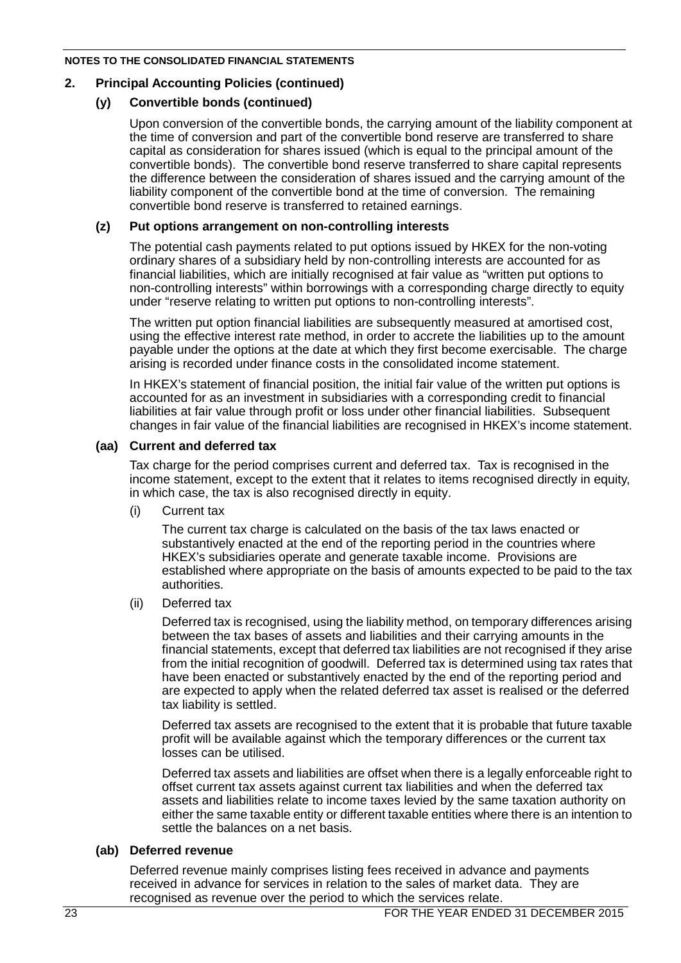# **2. Principal Accounting Policies (continued)**

# **(y) Convertible bonds (continued)**

Upon conversion of the convertible bonds, the carrying amount of the liability component at the time of conversion and part of the convertible bond reserve are transferred to share capital as consideration for shares issued (which is equal to the principal amount of the convertible bonds). The convertible bond reserve transferred to share capital represents the difference between the consideration of shares issued and the carrying amount of the liability component of the convertible bond at the time of conversion. The remaining convertible bond reserve is transferred to retained earnings.

### **(z) Put options arrangement on non-controlling interests**

The potential cash payments related to put options issued by HKEX for the non-voting ordinary shares of a subsidiary held by non-controlling interests are accounted for as financial liabilities, which are initially recognised at fair value as "written put options to non-controlling interests" within borrowings with a corresponding charge directly to equity under "reserve relating to written put options to non-controlling interests".

The written put option financial liabilities are subsequently measured at amortised cost, using the effective interest rate method, in order to accrete the liabilities up to the amount payable under the options at the date at which they first become exercisable. The charge arising is recorded under finance costs in the consolidated income statement.

In HKEX's statement of financial position, the initial fair value of the written put options is accounted for as an investment in subsidiaries with a corresponding credit to financial liabilities at fair value through profit or loss under other financial liabilities. Subsequent changes in fair value of the financial liabilities are recognised in HKEX's income statement.

# **(aa) Current and deferred tax**

Tax charge for the period comprises current and deferred tax. Tax is recognised in the income statement, except to the extent that it relates to items recognised directly in equity, in which case, the tax is also recognised directly in equity.

(i) Current tax

The current tax charge is calculated on the basis of the tax laws enacted or substantively enacted at the end of the reporting period in the countries where HKEX's subsidiaries operate and generate taxable income. Provisions are established where appropriate on the basis of amounts expected to be paid to the tax authorities.

(ii) Deferred tax

Deferred tax is recognised, using the liability method, on temporary differences arising between the tax bases of assets and liabilities and their carrying amounts in the financial statements, except that deferred tax liabilities are not recognised if they arise from the initial recognition of goodwill. Deferred tax is determined using tax rates that have been enacted or substantively enacted by the end of the reporting period and are expected to apply when the related deferred tax asset is realised or the deferred tax liability is settled.

Deferred tax assets are recognised to the extent that it is probable that future taxable profit will be available against which the temporary differences or the current tax losses can be utilised.

Deferred tax assets and liabilities are offset when there is a legally enforceable right to offset current tax assets against current tax liabilities and when the deferred tax assets and liabilities relate to income taxes levied by the same taxation authority on either the same taxable entity or different taxable entities where there is an intention to settle the balances on a net basis.

# **(ab) Deferred revenue**

Deferred revenue mainly comprises listing fees received in advance and payments received in advance for services in relation to the sales of market data. They are recognised as revenue over the period to which the services relate.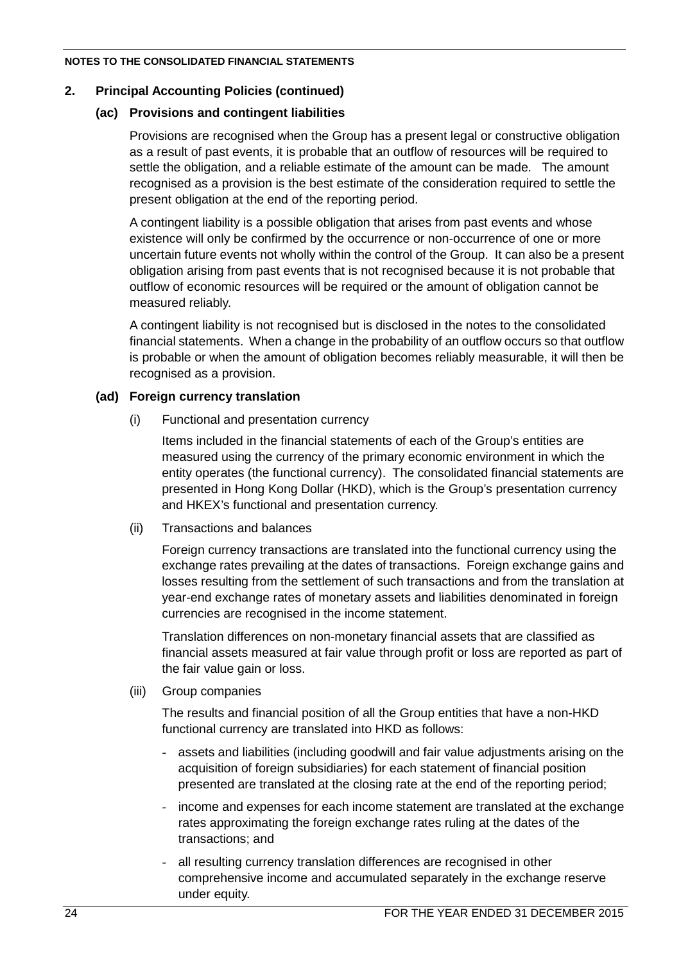# **2. Principal Accounting Policies (continued)**

# **(ac) Provisions and contingent liabilities**

Provisions are recognised when the Group has a present legal or constructive obligation as a result of past events, it is probable that an outflow of resources will be required to settle the obligation, and a reliable estimate of the amount can be made. The amount recognised as a provision is the best estimate of the consideration required to settle the present obligation at the end of the reporting period.

A contingent liability is a possible obligation that arises from past events and whose existence will only be confirmed by the occurrence or non-occurrence of one or more uncertain future events not wholly within the control of the Group. It can also be a present obligation arising from past events that is not recognised because it is not probable that outflow of economic resources will be required or the amount of obligation cannot be measured reliably.

A contingent liability is not recognised but is disclosed in the notes to the consolidated financial statements. When a change in the probability of an outflow occurs so that outflow is probable or when the amount of obligation becomes reliably measurable, it will then be recognised as a provision.

# **(ad) Foreign currency translation**

(i) Functional and presentation currency

Items included in the financial statements of each of the Group's entities are measured using the currency of the primary economic environment in which the entity operates (the functional currency). The consolidated financial statements are presented in Hong Kong Dollar (HKD), which is the Group's presentation currency and HKEX's functional and presentation currency.

(ii) Transactions and balances

Foreign currency transactions are translated into the functional currency using the exchange rates prevailing at the dates of transactions. Foreign exchange gains and losses resulting from the settlement of such transactions and from the translation at year-end exchange rates of monetary assets and liabilities denominated in foreign currencies are recognised in the income statement.

Translation differences on non-monetary financial assets that are classified as financial assets measured at fair value through profit or loss are reported as part of the fair value gain or loss.

(iii) Group companies

The results and financial position of all the Group entities that have a non-HKD functional currency are translated into HKD as follows:

- assets and liabilities (including goodwill and fair value adjustments arising on the acquisition of foreign subsidiaries) for each statement of financial position presented are translated at the closing rate at the end of the reporting period;
- income and expenses for each income statement are translated at the exchange rates approximating the foreign exchange rates ruling at the dates of the transactions; and
- all resulting currency translation differences are recognised in other comprehensive income and accumulated separately in the exchange reserve under equity.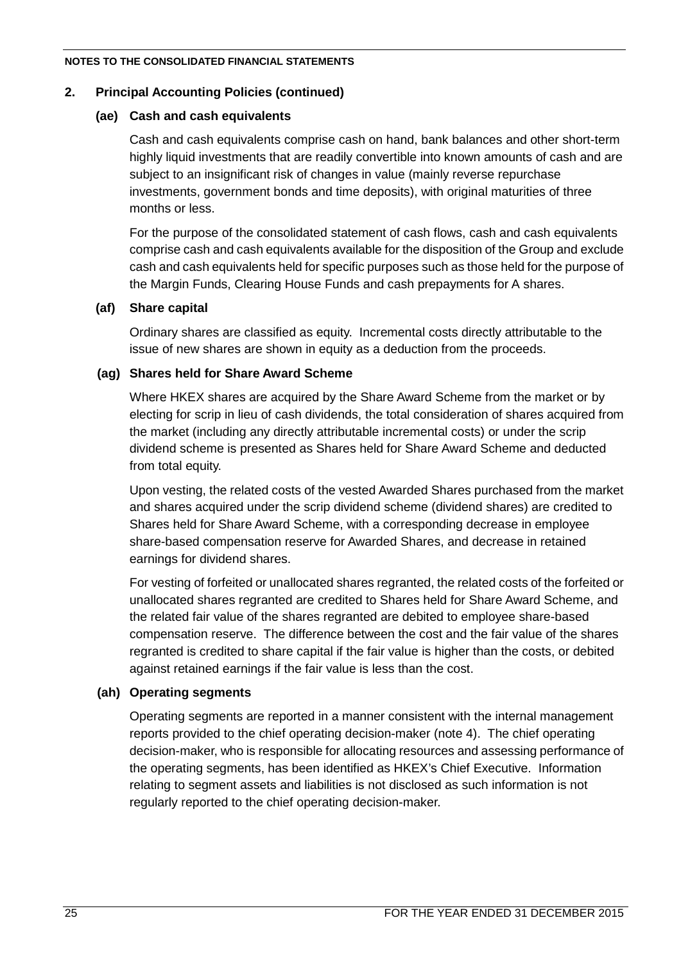# **2. Principal Accounting Policies (continued)**

# **(ae) Cash and cash equivalents**

Cash and cash equivalents comprise cash on hand, bank balances and other short-term highly liquid investments that are readily convertible into known amounts of cash and are subject to an insignificant risk of changes in value (mainly reverse repurchase investments, government bonds and time deposits), with original maturities of three months or less.

For the purpose of the consolidated statement of cash flows, cash and cash equivalents comprise cash and cash equivalents available for the disposition of the Group and exclude cash and cash equivalents held for specific purposes such as those held for the purpose of the Margin Funds, Clearing House Funds and cash prepayments for A shares.

# **(af) Share capital**

Ordinary shares are classified as equity. Incremental costs directly attributable to the issue of new shares are shown in equity as a deduction from the proceeds.

# **(ag) Shares held for Share Award Scheme**

Where HKEX shares are acquired by the Share Award Scheme from the market or by electing for scrip in lieu of cash dividends, the total consideration of shares acquired from the market (including any directly attributable incremental costs) or under the scrip dividend scheme is presented as Shares held for Share Award Scheme and deducted from total equity.

Upon vesting, the related costs of the vested Awarded Shares purchased from the market and shares acquired under the scrip dividend scheme (dividend shares) are credited to Shares held for Share Award Scheme, with a corresponding decrease in employee share-based compensation reserve for Awarded Shares, and decrease in retained earnings for dividend shares.

For vesting of forfeited or unallocated shares regranted, the related costs of the forfeited or unallocated shares regranted are credited to Shares held for Share Award Scheme, and the related fair value of the shares regranted are debited to employee share-based compensation reserve. The difference between the cost and the fair value of the shares regranted is credited to share capital if the fair value is higher than the costs, or debited against retained earnings if the fair value is less than the cost.

#### **(ah) Operating segments**

Operating segments are reported in a manner consistent with the internal management reports provided to the chief operating decision-maker (note 4). The chief operating decision-maker, who is responsible for allocating resources and assessing performance of the operating segments, has been identified as HKEX's Chief Executive. Information relating to segment assets and liabilities is not disclosed as such information is not regularly reported to the chief operating decision-maker.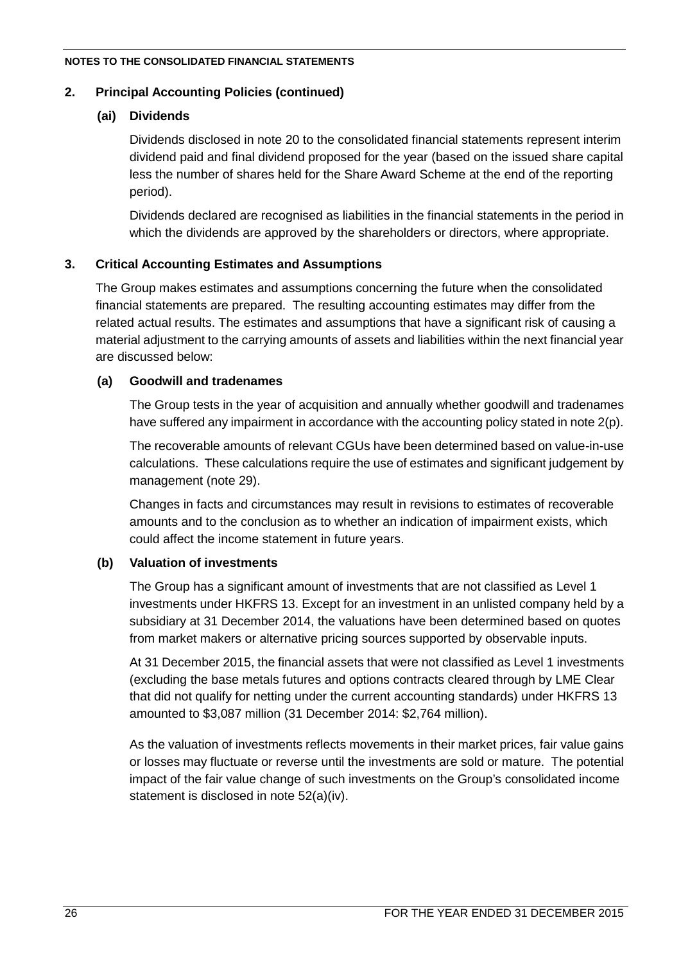# **2. Principal Accounting Policies (continued)**

# **(ai) Dividends**

Dividends disclosed in note 20 to the consolidated financial statements represent interim dividend paid and final dividend proposed for the year (based on the issued share capital less the number of shares held for the Share Award Scheme at the end of the reporting period).

Dividends declared are recognised as liabilities in the financial statements in the period in which the dividends are approved by the shareholders or directors, where appropriate.

# **3. Critical Accounting Estimates and Assumptions**

The Group makes estimates and assumptions concerning the future when the consolidated financial statements are prepared. The resulting accounting estimates may differ from the related actual results. The estimates and assumptions that have a significant risk of causing a material adjustment to the carrying amounts of assets and liabilities within the next financial year are discussed below:

#### **(a) Goodwill and tradenames**

The Group tests in the year of acquisition and annually whether goodwill and tradenames have suffered any impairment in accordance with the accounting policy stated in note 2(p).

The recoverable amounts of relevant CGUs have been determined based on value-in-use calculations. These calculations require the use of estimates and significant judgement by management (note 29).

Changes in facts and circumstances may result in revisions to estimates of recoverable amounts and to the conclusion as to whether an indication of impairment exists, which could affect the income statement in future years.

# **(b) Valuation of investments**

The Group has a significant amount of investments that are not classified as Level 1 investments under HKFRS 13. Except for an investment in an unlisted company held by a subsidiary at 31 December 2014, the valuations have been determined based on quotes from market makers or alternative pricing sources supported by observable inputs.

At 31 December 2015, the financial assets that were not classified as Level 1 investments (excluding the base metals futures and options contracts cleared through by LME Clear that did not qualify for netting under the current accounting standards) under HKFRS 13 amounted to \$3,087 million (31 December 2014: \$2,764 million).

As the valuation of investments reflects movements in their market prices, fair value gains or losses may fluctuate or reverse until the investments are sold or mature. The potential impact of the fair value change of such investments on the Group's consolidated income statement is disclosed in note 52(a)(iv).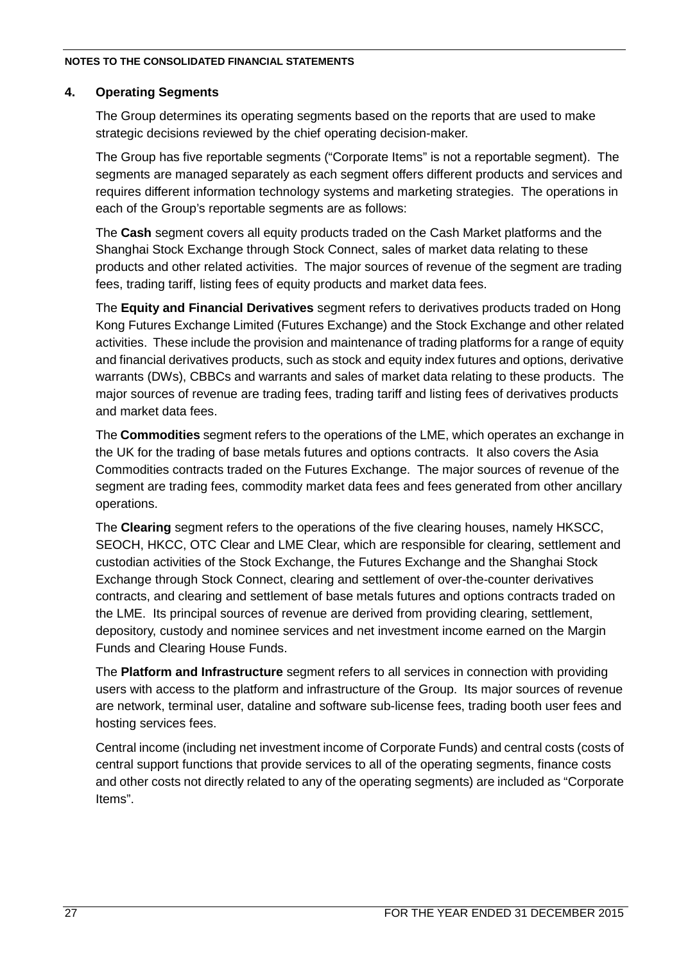# **4. Operating Segments**

The Group determines its operating segments based on the reports that are used to make strategic decisions reviewed by the chief operating decision-maker.

The Group has five reportable segments ("Corporate Items" is not a reportable segment). The segments are managed separately as each segment offers different products and services and requires different information technology systems and marketing strategies. The operations in each of the Group's reportable segments are as follows:

The **Cash** segment covers all equity products traded on the Cash Market platforms and the Shanghai Stock Exchange through Stock Connect, sales of market data relating to these products and other related activities. The major sources of revenue of the segment are trading fees, trading tariff, listing fees of equity products and market data fees.

The **Equity and Financial Derivatives** segment refers to derivatives products traded on Hong Kong Futures Exchange Limited (Futures Exchange) and the Stock Exchange and other related activities. These include the provision and maintenance of trading platforms for a range of equity and financial derivatives products, such as stock and equity index futures and options, derivative warrants (DWs), CBBCs and warrants and sales of market data relating to these products. The major sources of revenue are trading fees, trading tariff and listing fees of derivatives products and market data fees.

The **Commodities** segment refers to the operations of the LME, which operates an exchange in the UK for the trading of base metals futures and options contracts. It also covers the Asia Commodities contracts traded on the Futures Exchange. The major sources of revenue of the segment are trading fees, commodity market data fees and fees generated from other ancillary operations.

The **Clearing** segment refers to the operations of the five clearing houses, namely HKSCC, SEOCH, HKCC, OTC Clear and LME Clear, which are responsible for clearing, settlement and custodian activities of the Stock Exchange, the Futures Exchange and the Shanghai Stock Exchange through Stock Connect, clearing and settlement of over-the-counter derivatives contracts, and clearing and settlement of base metals futures and options contracts traded on the LME. Its principal sources of revenue are derived from providing clearing, settlement, depository, custody and nominee services and net investment income earned on the Margin Funds and Clearing House Funds.

The **Platform and Infrastructure** segment refers to all services in connection with providing users with access to the platform and infrastructure of the Group. Its major sources of revenue are network, terminal user, dataline and software sub-license fees, trading booth user fees and hosting services fees.

Central income (including net investment income of Corporate Funds) and central costs (costs of central support functions that provide services to all of the operating segments, finance costs and other costs not directly related to any of the operating segments) are included as "Corporate Items".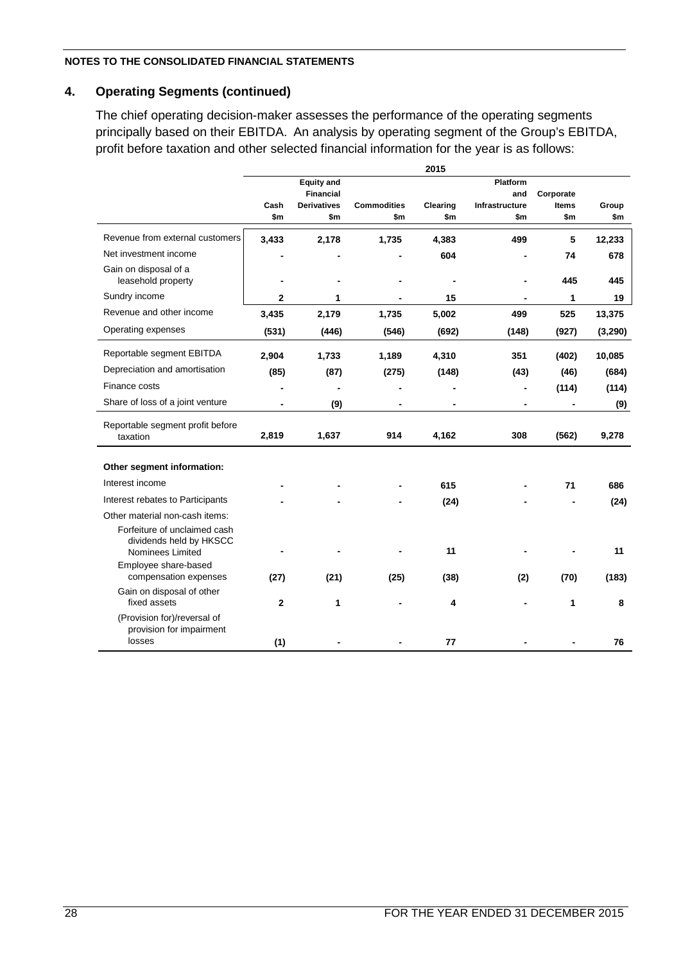# **4. Operating Segments (continued)**

The chief operating decision-maker assesses the performance of the operating segments principally based on their EBITDA. An analysis by operating segment of the Group's EBITDA, profit before taxation and other selected financial information for the year is as follows:

|                                              |                |                    |                    | 2015     |                |              |          |
|----------------------------------------------|----------------|--------------------|--------------------|----------|----------------|--------------|----------|
|                                              |                | <b>Equity and</b>  |                    |          | Platform       |              |          |
|                                              |                | <b>Financial</b>   |                    |          | and            | Corporate    |          |
|                                              | Cash           | <b>Derivatives</b> | <b>Commodities</b> | Clearing | Infrastructure | <b>Items</b> | Group    |
|                                              | \$m            | \$m                | \$m                | \$m      | \$m            | \$m          | \$m      |
| Revenue from external customers              | 3,433          | 2,178              | 1,735              | 4,383    | 499            | 5            | 12,233   |
| Net investment income                        |                |                    |                    | 604      |                | 74           | 678      |
| Gain on disposal of a                        |                |                    |                    |          |                |              |          |
| leasehold property                           |                |                    |                    |          |                | 445          | 445      |
| Sundry income                                | $\overline{2}$ | 1                  |                    | 15       | $\blacksquare$ | 1            | 19       |
| Revenue and other income                     | 3,435          | 2,179              | 1,735              | 5,002    | 499            | 525          | 13,375   |
| Operating expenses                           | (531)          | (446)              | (546)              | (692)    | (148)          | (927)        | (3, 290) |
| Reportable segment EBITDA                    | 2,904          | 1,733              | 1,189              | 4,310    | 351            | (402)        | 10,085   |
| Depreciation and amortisation                | (85)           | (87)               | (275)              | (148)    | (43)           | (46)         | (684)    |
| Finance costs                                |                |                    |                    |          |                | (114)        | (114)    |
| Share of loss of a joint venture             |                | (9)                |                    |          |                |              | (9)      |
| Reportable segment profit before<br>taxation | 2,819          | 1,637              | 914                | 4,162    | 308            | (562)        | 9,278    |
|                                              |                |                    |                    |          |                |              |          |
| Other segment information:                   |                |                    |                    |          |                |              |          |
| Interest income                              |                |                    |                    | 615      |                | 71           | 686      |
| Interest rebates to Participants             |                |                    |                    | (24)     |                |              | (24)     |
| Other material non-cash items:               |                |                    |                    |          |                |              |          |
| Forfeiture of unclaimed cash                 |                |                    |                    |          |                |              |          |
| dividends held by HKSCC                      |                |                    |                    |          |                |              |          |
| Nominees Limited                             |                |                    |                    | 11       |                |              | 11       |
| Employee share-based                         |                |                    |                    |          |                | (70)         |          |
| compensation expenses                        | (27)           | (21)               | (25)               | (38)     | (2)            |              | (183)    |
| Gain on disposal of other<br>fixed assets    | $\mathbf{2}$   | 1                  |                    | 4        |                | 1            | 8        |
| (Provision for)/reversal of                  |                |                    |                    |          |                |              |          |
| provision for impairment                     |                |                    |                    |          |                |              |          |
| losses                                       | (1)            |                    |                    | 77       |                |              | 76       |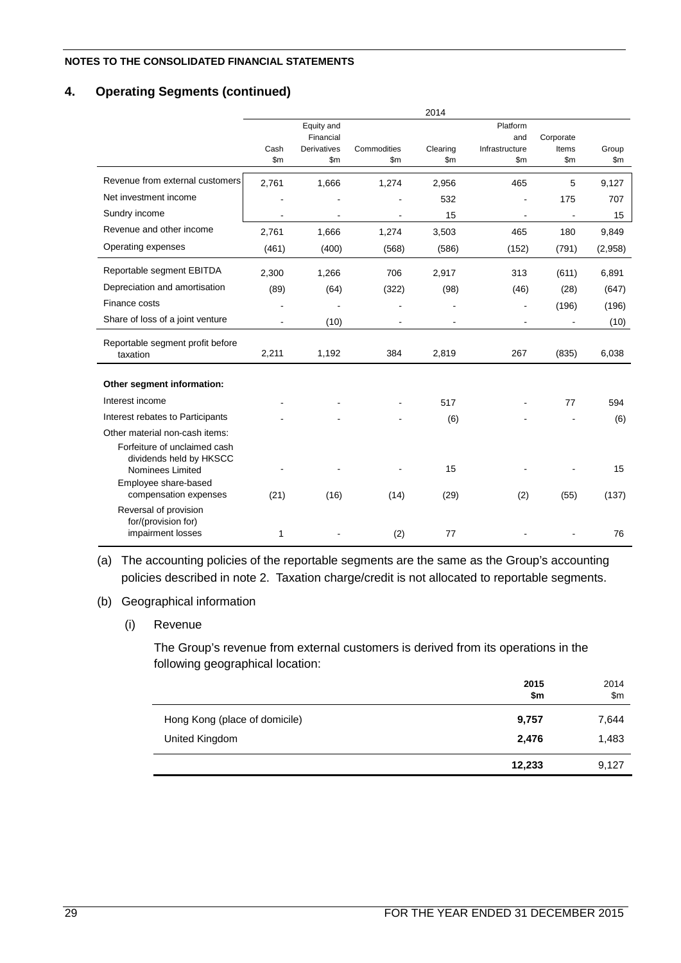# **4. Operating Segments (continued)**

|                                                                             |               |                          |                | 2014     |                          |                |         |
|-----------------------------------------------------------------------------|---------------|--------------------------|----------------|----------|--------------------------|----------------|---------|
|                                                                             |               | Equity and               |                |          | Platform                 |                |         |
|                                                                             |               | Financial                |                |          | and                      | Corporate      |         |
|                                                                             | Cash          | Derivatives              | Commodities    | Clearing | Infrastructure           | Items          | Group   |
|                                                                             | $\mathsf{Sm}$ | \$m\$                    | \$m\$          | \$m      | \$m                      | $\mathsf{Sm}$  | \$m\$   |
| Revenue from external customers                                             | 2,761         | 1,666                    | 1,274          | 2,956    | 465                      | 5              | 9,127   |
| Net investment income                                                       |               |                          |                | 532      |                          | 175            | 707     |
| Sundry income                                                               |               | $\overline{\phantom{a}}$ | $\blacksquare$ | 15       | $\overline{\phantom{a}}$ | $\overline{a}$ | 15      |
| Revenue and other income                                                    | 2,761         | 1,666                    | 1,274          | 3,503    | 465                      | 180            | 9,849   |
| Operating expenses                                                          | (461)         | (400)                    | (568)          | (586)    | (152)                    | (791)          | (2,958) |
| Reportable segment EBITDA                                                   | 2,300         | 1,266                    | 706            | 2,917    | 313                      | (611)          | 6,891   |
| Depreciation and amortisation                                               | (89)          | (64)                     | (322)          | (98)     | (46)                     | (28)           | (647)   |
| Finance costs                                                               |               |                          |                |          |                          | (196)          | (196)   |
| Share of loss of a joint venture                                            |               | (10)                     |                |          |                          |                | (10)    |
| Reportable segment profit before<br>taxation                                | 2,211         | 1,192                    | 384            | 2,819    | 267                      | (835)          | 6,038   |
| Other segment information:                                                  |               |                          |                |          |                          |                |         |
|                                                                             |               |                          |                |          |                          |                |         |
| Interest income                                                             |               |                          |                | 517      |                          | 77             | 594     |
| Interest rebates to Participants                                            |               |                          |                | (6)      |                          |                | (6)     |
| Other material non-cash items:                                              |               |                          |                |          |                          |                |         |
| Forfeiture of unclaimed cash<br>dividends held by HKSCC<br>Nominees Limited |               |                          |                | 15       |                          |                | 15      |
| Employee share-based<br>compensation expenses                               | (21)          | (16)                     | (14)           | (29)     | (2)                      | (55)           | (137)   |
| Reversal of provision<br>for/(provision for)<br>impairment losses           | 1             |                          | (2)            | 77       |                          |                | 76      |
|                                                                             |               |                          |                |          |                          |                |         |

(a) The accounting policies of the reportable segments are the same as the Group's accounting policies described in note 2. Taxation charge/credit is not allocated to reportable segments.

#### (b) Geographical information

#### (i) Revenue

The Group's revenue from external customers is derived from its operations in the following geographical location:

|                               | 2015<br>\$m | 2014<br>\$m |
|-------------------------------|-------------|-------------|
| Hong Kong (place of domicile) | 9,757       | 7,644       |
| United Kingdom                | 2,476       | 1,483       |
|                               | 12,233      | 9,127       |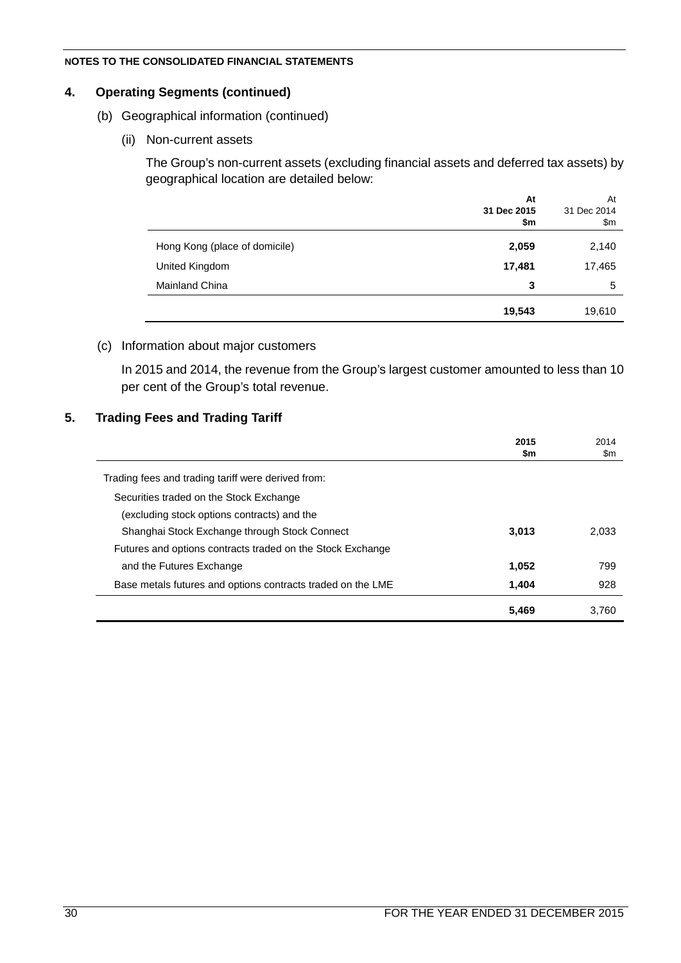#### **4. Operating Segments (continued)**

- (b) Geographical information (continued)
	- (ii) Non-current assets

The Group's non-current assets (excluding financial assets and deferred tax assets) by geographical location are detailed below:

|                               | At<br>31 Dec 2015<br>\$m | At<br>31 Dec 2014<br>\$m |
|-------------------------------|--------------------------|--------------------------|
| Hong Kong (place of domicile) | 2,059                    | 2,140                    |
| United Kingdom                | 17,481                   | 17,465                   |
| <b>Mainland China</b>         | 3                        | 5                        |
|                               | 19,543                   | 19,610                   |

### (c) Information about major customers

In 2015 and 2014, the revenue from the Group's largest customer amounted to less than 10 per cent of the Group's total revenue.

# **5. Trading Fees and Trading Tariff**

|                                                             | 2015<br>\$m | 2014<br>\$m |
|-------------------------------------------------------------|-------------|-------------|
| Trading fees and trading tariff were derived from:          |             |             |
| Securities traded on the Stock Exchange                     |             |             |
| (excluding stock options contracts) and the                 |             |             |
| Shanghai Stock Exchange through Stock Connect               | 3,013       | 2,033       |
| Futures and options contracts traded on the Stock Exchange  |             |             |
| and the Futures Exchange                                    | 1,052       | 799         |
| Base metals futures and options contracts traded on the LME | 1,404       | 928         |
|                                                             | 5.469       | 3.760       |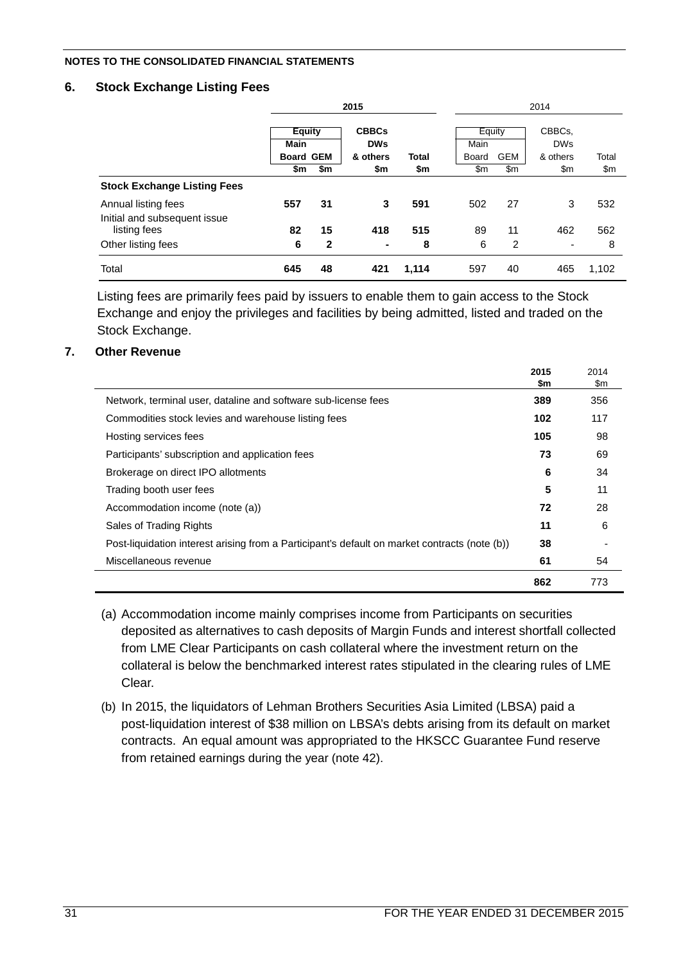#### **6. Stock Exchange Listing Fees**

|                                    |                  |     | 2015         |              |        |                | 2014                     |       |
|------------------------------------|------------------|-----|--------------|--------------|--------|----------------|--------------------------|-------|
|                                    | <b>Equity</b>    |     | <b>CBBCs</b> |              | Equity |                | CBBCs,                   |       |
|                                    | <b>Main</b>      |     | <b>DWs</b>   |              | Main   |                | <b>DWs</b>               |       |
|                                    | <b>Board GEM</b> |     | & others     | <b>Total</b> | Board  | <b>GEM</b>     | & others                 | Total |
|                                    | \$m              | \$m | \$m          | \$m          | \$m    | \$m            | \$m                      | \$m   |
| <b>Stock Exchange Listing Fees</b> |                  |     |              |              |        |                |                          |       |
| Annual listing fees                | 557              | 31  | 3            | 591          | 502    | 27             | 3                        | 532   |
| Initial and subsequent issue       |                  |     |              |              |        |                |                          |       |
| listing fees                       | 82               | 15  | 418          | 515          | 89     | 11             | 462                      | 562   |
| Other listing fees                 | 6                | 2   | ۰            | 8            | 6      | $\overline{2}$ | $\overline{\phantom{a}}$ | 8     |
| Total                              | 645              | 48  | 421          | 1,114        | 597    | 40             | 465                      | 1,102 |

Listing fees are primarily fees paid by issuers to enable them to gain access to the Stock Exchange and enjoy the privileges and facilities by being admitted, listed and traded on the Stock Exchange.

#### **7. Other Revenue**

|                                                                                               | 2015<br>\$m | 2014<br>\$m |
|-----------------------------------------------------------------------------------------------|-------------|-------------|
| Network, terminal user, dataline and software sub-license fees                                | 389         | 356         |
| Commodities stock levies and warehouse listing fees                                           | 102         | 117         |
| Hosting services fees                                                                         | 105         | 98          |
| Participants' subscription and application fees                                               | 73          | 69          |
| Brokerage on direct IPO allotments                                                            | 6           | 34          |
| Trading booth user fees                                                                       | 5           | 11          |
| Accommodation income (note (a))                                                               | 72          | 28          |
| Sales of Trading Rights                                                                       | 11          | 6           |
| Post-liquidation interest arising from a Participant's default on market contracts (note (b)) | 38          |             |
| Miscellaneous revenue                                                                         | 61          | 54          |
|                                                                                               | 862         | 773         |

- (a) Accommodation income mainly comprises income from Participants on securities deposited as alternatives to cash deposits of Margin Funds and interest shortfall collected from LME Clear Participants on cash collateral where the investment return on the collateral is below the benchmarked interest rates stipulated in the clearing rules of LME Clear.
- (b) In 2015, the liquidators of Lehman Brothers Securities Asia Limited (LBSA) paid a post-liquidation interest of \$38 million on LBSA's debts arising from its default on market contracts. An equal amount was appropriated to the HKSCC Guarantee Fund reserve from retained earnings during the year (note 42).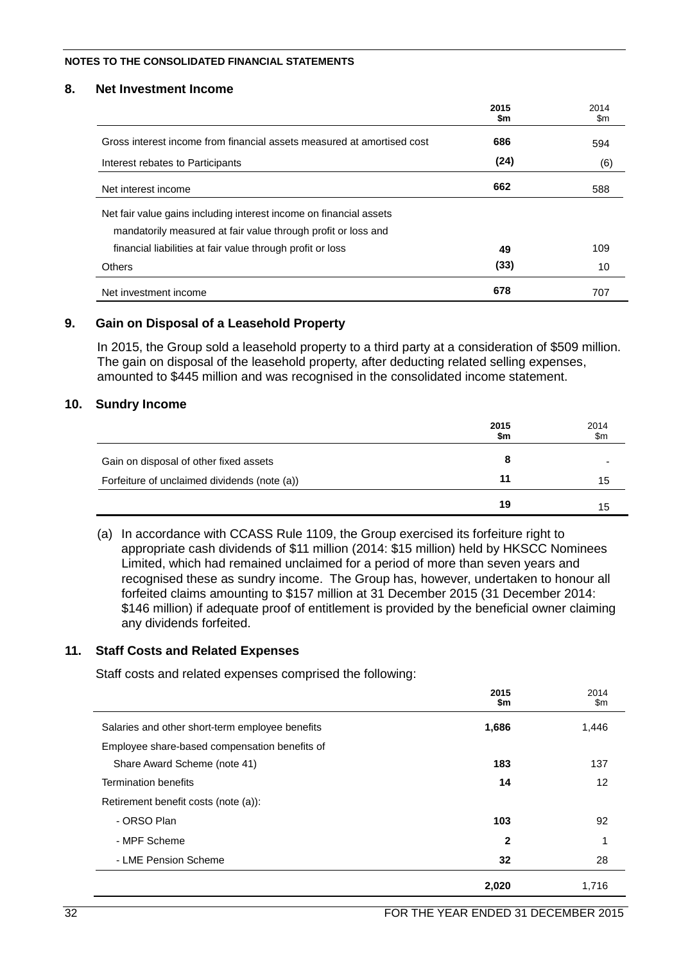#### **8. Net Investment Income**

|                                                                        | 2015<br>\$m | 2014<br>\$m |
|------------------------------------------------------------------------|-------------|-------------|
| Gross interest income from financial assets measured at amortised cost | 686         | 594         |
| Interest rebates to Participants                                       | (24)        | (6)         |
| Net interest income                                                    | 662         | 588         |
| Net fair value gains including interest income on financial assets     |             |             |
| mandatorily measured at fair value through profit or loss and          |             |             |
| financial liabilities at fair value through profit or loss             | 49          | 109         |
| <b>Others</b>                                                          | (33)        | 10          |
| Net investment income                                                  | 678         | 707         |

#### **9. Gain on Disposal of a Leasehold Property**

In 2015, the Group sold a leasehold property to a third party at a consideration of \$509 million. The gain on disposal of the leasehold property, after deducting related selling expenses, amounted to \$445 million and was recognised in the consolidated income statement.

#### **10. Sundry Income**

|                                              | 2015<br>\$m | 2014<br>\$m |
|----------------------------------------------|-------------|-------------|
| Gain on disposal of other fixed assets       | 8           |             |
| Forfeiture of unclaimed dividends (note (a)) | 11          | 15          |
|                                              | 19          | 15          |

(a) In accordance with CCASS Rule 1109, the Group exercised its forfeiture right to appropriate cash dividends of \$11 million (2014: \$15 million) held by HKSCC Nominees Limited, which had remained unclaimed for a period of more than seven years and recognised these as sundry income. The Group has, however, undertaken to honour all forfeited claims amounting to \$157 million at 31 December 2015 (31 December 2014: \$146 million) if adequate proof of entitlement is provided by the beneficial owner claiming any dividends forfeited.

#### **11. Staff Costs and Related Expenses**

Staff costs and related expenses comprised the following:

|                                                 | 2015<br>\$m  | 2014<br>\$m |
|-------------------------------------------------|--------------|-------------|
| Salaries and other short-term employee benefits | 1,686        | 1,446       |
| Employee share-based compensation benefits of   |              |             |
| Share Award Scheme (note 41)                    | 183          | 137         |
| <b>Termination benefits</b>                     | 14           | 12          |
| Retirement benefit costs (note (a)):            |              |             |
| - ORSO Plan                                     | 103          | 92          |
| - MPF Scheme                                    | $\mathbf{2}$ |             |
| - LME Pension Scheme                            | 32           | 28          |
|                                                 | 2.020        | 1.716       |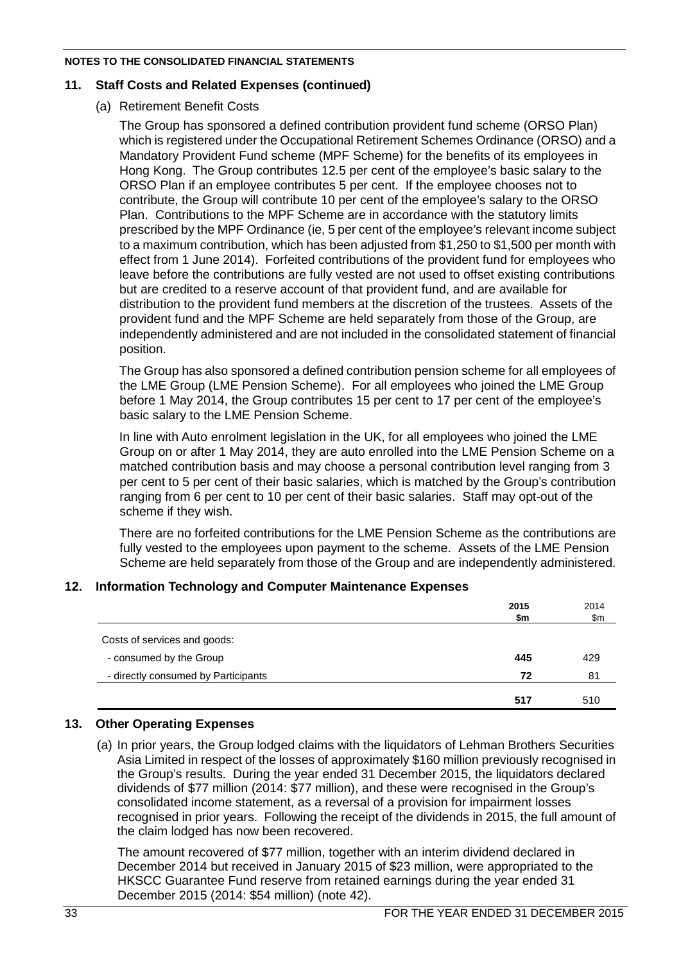#### **11. Staff Costs and Related Expenses (continued)**

(a) Retirement Benefit Costs

The Group has sponsored a defined contribution provident fund scheme (ORSO Plan) which is registered under the Occupational Retirement Schemes Ordinance (ORSO) and a Mandatory Provident Fund scheme (MPF Scheme) for the benefits of its employees in Hong Kong. The Group contributes 12.5 per cent of the employee's basic salary to the ORSO Plan if an employee contributes 5 per cent. If the employee chooses not to contribute, the Group will contribute 10 per cent of the employee's salary to the ORSO Plan. Contributions to the MPF Scheme are in accordance with the statutory limits prescribed by the MPF Ordinance (ie, 5 per cent of the employee's relevant income subject to a maximum contribution, which has been adjusted from \$1,250 to \$1,500 per month with effect from 1 June 2014). Forfeited contributions of the provident fund for employees who leave before the contributions are fully vested are not used to offset existing contributions but are credited to a reserve account of that provident fund, and are available for distribution to the provident fund members at the discretion of the trustees. Assets of the provident fund and the MPF Scheme are held separately from those of the Group, are independently administered and are not included in the consolidated statement of financial position.

The Group has also sponsored a defined contribution pension scheme for all employees of the LME Group (LME Pension Scheme). For all employees who joined the LME Group before 1 May 2014, the Group contributes 15 per cent to 17 per cent of the employee's basic salary to the LME Pension Scheme.

In line with Auto enrolment legislation in the UK, for all employees who joined the LME Group on or after 1 May 2014, they are auto enrolled into the LME Pension Scheme on a matched contribution basis and may choose a personal contribution level ranging from 3 per cent to 5 per cent of their basic salaries, which is matched by the Group's contribution ranging from 6 per cent to 10 per cent of their basic salaries. Staff may opt-out of the scheme if they wish.

There are no forfeited contributions for the LME Pension Scheme as the contributions are fully vested to the employees upon payment to the scheme. Assets of the LME Pension Scheme are held separately from those of the Group and are independently administered.

#### **12. Information Technology and Computer Maintenance Expenses**

|                                     | 2015<br>\$m | 2014<br>\$m |
|-------------------------------------|-------------|-------------|
| Costs of services and goods:        |             |             |
| - consumed by the Group             | 445         | 429         |
| - directly consumed by Participants | 72          | 81          |
|                                     | 517         | 510         |

#### **13. Other Operating Expenses**

(a) In prior years, the Group lodged claims with the liquidators of Lehman Brothers Securities Asia Limited in respect of the losses of approximately \$160 million previously recognised in the Group's results. During the year ended 31 December 2015, the liquidators declared dividends of \$77 million (2014: \$77 million), and these were recognised in the Group's consolidated income statement, as a reversal of a provision for impairment losses recognised in prior years. Following the receipt of the dividends in 2015, the full amount of the claim lodged has now been recovered.

The amount recovered of \$77 million, together with an interim dividend declared in December 2014 but received in January 2015 of \$23 million, were appropriated to the HKSCC Guarantee Fund reserve from retained earnings during the year ended 31 December 2015 (2014: \$54 million) (note 42).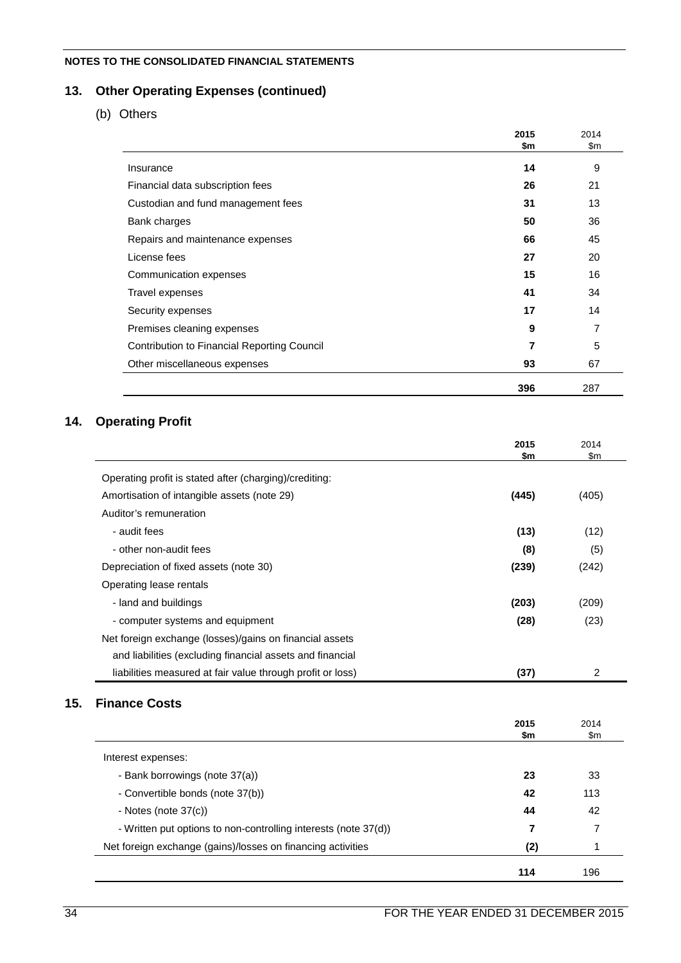# **13. Other Operating Expenses (continued)**

(b) Others

|                                             | 2015<br>\$m | 2014<br>\$m |
|---------------------------------------------|-------------|-------------|
|                                             |             |             |
| Insurance                                   | 14          | 9           |
| Financial data subscription fees            | 26          | 21          |
| Custodian and fund management fees          | 31          | 13          |
| Bank charges                                | 50          | 36          |
| Repairs and maintenance expenses            | 66          | 45          |
| License fees                                | 27          | 20          |
| Communication expenses                      | 15          | 16          |
| Travel expenses                             | 41          | 34          |
| Security expenses                           | 17          | 14          |
| Premises cleaning expenses                  | 9           | 7           |
| Contribution to Financial Reporting Council | 7           | 5           |
| Other miscellaneous expenses                | 93          | 67          |
|                                             | 396         | 287         |

# **14. Operating Profit**

|                                                                 | 2015<br>\$m | 2014<br>$\mathsf{S}$ m |
|-----------------------------------------------------------------|-------------|------------------------|
| Operating profit is stated after (charging)/crediting:          |             |                        |
| Amortisation of intangible assets (note 29)                     | (445)       | (405)                  |
| Auditor's remuneration                                          |             |                        |
| - audit fees                                                    | (13)        | (12)                   |
| - other non-audit fees                                          | (8)         | (5)                    |
| Depreciation of fixed assets (note 30)                          | (239)       | (242)                  |
| Operating lease rentals                                         |             |                        |
| - land and buildings                                            | (203)       | (209)                  |
| - computer systems and equipment                                | (28)        | (23)                   |
| Net foreign exchange (losses)/gains on financial assets         |             |                        |
| and liabilities (excluding financial assets and financial       |             |                        |
| liabilities measured at fair value through profit or loss)      | (37)        | 2                      |
| <b>Finance Costs</b>                                            |             |                        |
|                                                                 | 2015<br>\$m | 2014<br>\$m\$          |
| Interest expenses:                                              |             |                        |
| - Bank borrowings (note 37(a))                                  | 23          | 33                     |
| - Convertible bonds (note 37(b))                                | 42          | 113                    |
| - Notes (note $37(c)$ )                                         | 44          | 42                     |
| - Written put options to non-controlling interests (note 37(d)) | 7           | $\overline{7}$         |
|                                                                 |             |                        |

Net foreign exchange (gains)/losses on financing activities **(2)** (2) 1

**114** 196

**15. Finance Costs**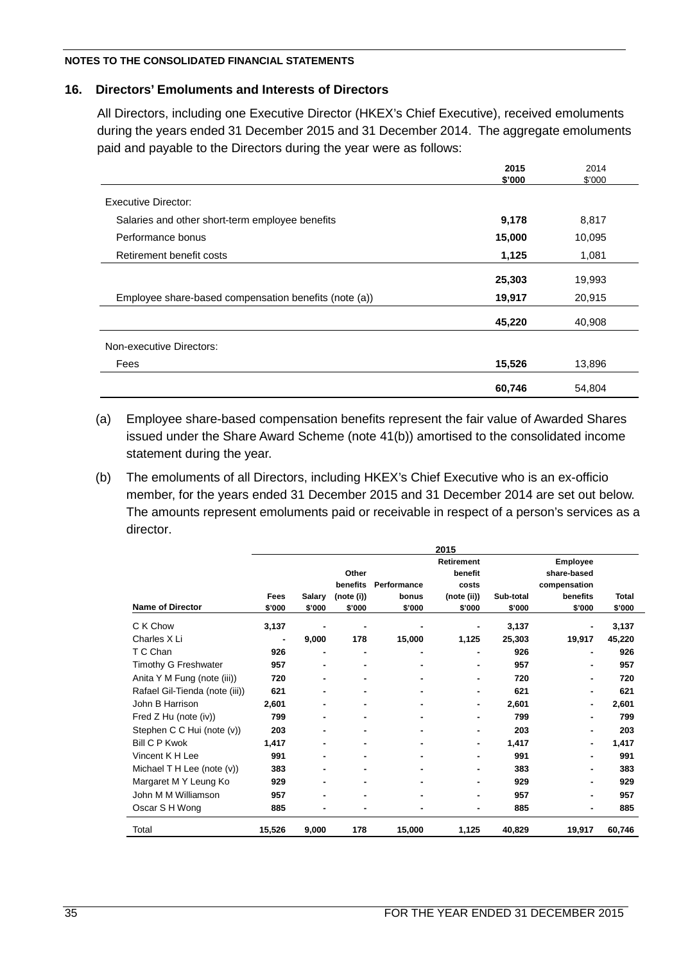#### **16. Directors' Emoluments and Interests of Directors**

All Directors, including one Executive Director (HKEX's Chief Executive), received emoluments during the years ended 31 December 2015 and 31 December 2014. The aggregate emoluments paid and payable to the Directors during the year were as follows:

|                                                       | 2015   | 2014   |
|-------------------------------------------------------|--------|--------|
|                                                       | \$'000 | \$'000 |
| Executive Director:                                   |        |        |
| Salaries and other short-term employee benefits       | 9,178  | 8,817  |
| Performance bonus                                     | 15,000 | 10,095 |
| Retirement benefit costs                              | 1,125  | 1,081  |
|                                                       | 25,303 | 19,993 |
| Employee share-based compensation benefits (note (a)) | 19,917 | 20,915 |
|                                                       | 45,220 | 40,908 |
| Non-executive Directors:                              |        |        |
| Fees                                                  | 15,526 | 13,896 |
|                                                       | 60,746 | 54,804 |

(a) Employee share-based compensation benefits represent the fair value of Awarded Shares issued under the Share Award Scheme (note 41(b)) amortised to the consolidated income statement during the year.

(b) The emoluments of all Directors, including HKEX's Chief Executive who is an ex-officio member, for the years ended 31 December 2015 and 31 December 2014 are set out below. The amounts represent emoluments paid or receivable in respect of a person's services as a director.

|                                | 2015           |                |                   |                |                                       |           |                                         |              |  |  |  |
|--------------------------------|----------------|----------------|-------------------|----------------|---------------------------------------|-----------|-----------------------------------------|--------------|--|--|--|
|                                |                |                | Other<br>benefits | Performance    | <b>Retirement</b><br>benefit<br>costs |           | Employee<br>share-based<br>compensation |              |  |  |  |
|                                | Fees           | Salary         | (note (i))        | bonus          | (note (ii))                           | Sub-total | benefits                                | <b>Total</b> |  |  |  |
| <b>Name of Director</b>        | \$'000         | \$'000         | \$'000            | \$'000         | \$'000                                | \$'000    | \$'000                                  | \$'000       |  |  |  |
| C K Chow                       | 3,137          |                |                   |                |                                       | 3,137     |                                         | 3,137        |  |  |  |
| Charles X Li                   | $\blacksquare$ | 9,000          | 178               | 15,000         | 1,125                                 | 25,303    | 19,917                                  | 45,220       |  |  |  |
| T C Chan                       | 926            |                |                   |                |                                       | 926       |                                         | 926          |  |  |  |
| Timothy G Freshwater           | 957            |                |                   |                |                                       | 957       |                                         | 957          |  |  |  |
| Anita Y M Fung (note (iii))    | 720            |                | -                 |                | ۰                                     | 720       | $\blacksquare$                          | 720          |  |  |  |
| Rafael Gil-Tienda (note (iii)) | 621            |                |                   |                | $\blacksquare$                        | 621       |                                         | 621          |  |  |  |
| John B Harrison                | 2,601          |                |                   |                | ۰                                     | 2,601     |                                         | 2,601        |  |  |  |
| Fred Z Hu (note (iv))          | 799            |                | -                 | $\blacksquare$ | ۰                                     | 799       | $\blacksquare$                          | 799          |  |  |  |
| Stephen C C Hui (note (v))     | 203            |                |                   |                |                                       | 203       |                                         | 203          |  |  |  |
| <b>Bill C P Kwok</b>           | 1,417          |                |                   |                | ۰                                     | 1,417     |                                         | 1,417        |  |  |  |
| Vincent K H Lee                | 991            | $\blacksquare$ | ۰                 |                | ۰                                     | 991       | $\blacksquare$                          | 991          |  |  |  |
| Michael T H Lee (note $(v)$ )  | 383            |                |                   |                |                                       | 383       |                                         | 383          |  |  |  |
| Margaret M Y Leung Ko          | 929            |                |                   |                |                                       | 929       |                                         | 929          |  |  |  |
| John M M Williamson            | 957            | $\blacksquare$ |                   |                | ۰                                     | 957       | $\blacksquare$                          | 957          |  |  |  |
| Oscar S H Wong                 | 885            | $\blacksquare$ |                   |                | ۰                                     | 885       |                                         | 885          |  |  |  |
| Total                          | 15,526         | 9,000          | 178               | 15,000         | 1,125                                 | 40,829    | 19,917                                  | 60,746       |  |  |  |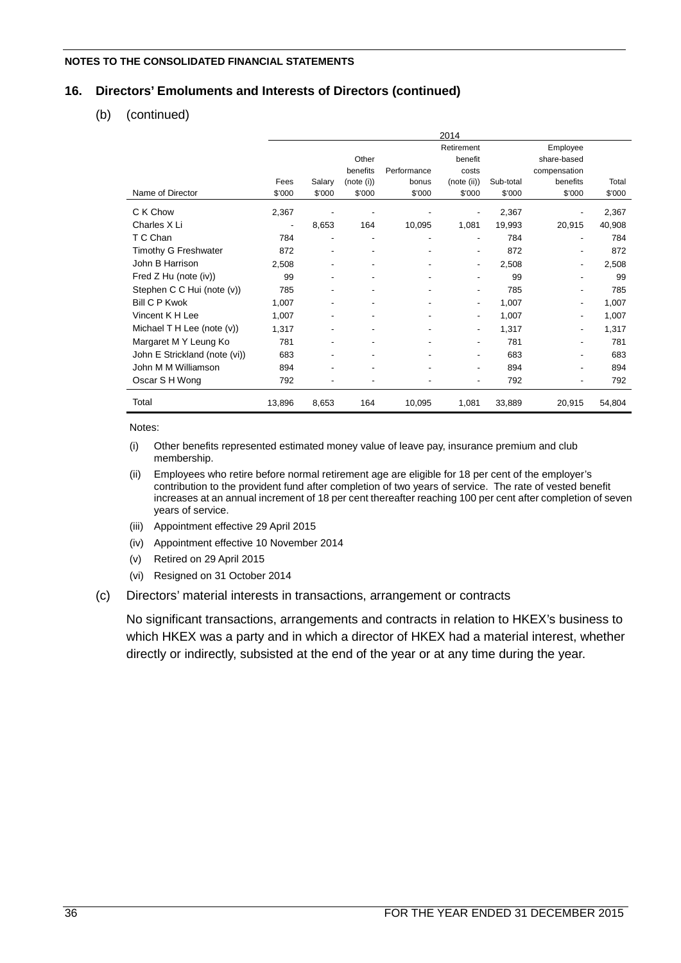# **16. Directors' Emoluments and Interests of Directors (continued)**

(b) (continued)

|                               | 2014                     |        |                          |             |                          |           |                          |        |  |  |  |
|-------------------------------|--------------------------|--------|--------------------------|-------------|--------------------------|-----------|--------------------------|--------|--|--|--|
|                               |                          |        |                          |             | Retirement               |           | Employee                 |        |  |  |  |
|                               |                          |        | Other                    |             | benefit                  |           | share-based              |        |  |  |  |
|                               |                          |        | benefits                 | Performance | costs                    |           | compensation             |        |  |  |  |
|                               | Fees                     | Salary | (note (i))               | bonus       | (note (ii))              | Sub-total | benefits                 | Total  |  |  |  |
| Name of Director              | \$'000                   | \$'000 | \$'000                   | \$'000      | \$'000                   | \$'000    | \$'000                   | \$'000 |  |  |  |
| C K Chow                      | 2,367                    |        |                          |             |                          | 2,367     |                          | 2,367  |  |  |  |
| Charles X Li                  | $\overline{\phantom{a}}$ | 8,653  | 164                      | 10,095      | 1,081                    | 19,993    | 20,915                   | 40,908 |  |  |  |
| T C Chan                      | 784                      |        | ٠                        |             | ٠                        | 784       | $\blacksquare$           | 784    |  |  |  |
| Timothy G Freshwater          | 872                      | ٠      | $\overline{\phantom{a}}$ |             | $\overline{\phantom{0}}$ | 872       |                          | 872    |  |  |  |
| John B Harrison               | 2,508                    |        | $\overline{\phantom{a}}$ |             | -                        | 2,508     | $\blacksquare$           | 2,508  |  |  |  |
| Fred Z Hu (note (iv))         | 99                       | -      | $\overline{\phantom{a}}$ |             | ۰                        | 99        | $\overline{\phantom{a}}$ | 99     |  |  |  |
| Stephen C C Hui (note (v))    | 785                      |        | $\overline{\phantom{a}}$ |             | -                        | 785       | $\overline{\phantom{a}}$ | 785    |  |  |  |
| <b>Bill C P Kwok</b>          | 1,007                    |        | $\overline{\phantom{a}}$ |             | $\overline{\phantom{0}}$ | 1,007     | $\overline{\phantom{a}}$ | 1,007  |  |  |  |
| Vincent K H Lee               | 1,007                    | ٠      | $\overline{\phantom{a}}$ |             | $\overline{\phantom{0}}$ | 1,007     | $\overline{\phantom{a}}$ | 1,007  |  |  |  |
| Michael T H Lee (note (v))    | 1,317                    |        | $\overline{\phantom{a}}$ |             | -                        | 1,317     |                          | 1,317  |  |  |  |
| Margaret M Y Leung Ko         | 781                      |        | ٠                        |             | ۰                        | 781       | $\blacksquare$           | 781    |  |  |  |
| John E Strickland (note (vi)) | 683                      |        |                          |             | ٠                        | 683       | ٠                        | 683    |  |  |  |
| John M M Williamson           | 894                      | -      | -                        |             | $\overline{\phantom{a}}$ | 894       | $\overline{\phantom{a}}$ | 894    |  |  |  |
| Oscar S H Wong                | 792                      |        |                          |             | $\overline{\phantom{0}}$ | 792       | $\overline{\phantom{a}}$ | 792    |  |  |  |
| Total                         | 13,896                   | 8,653  | 164                      | 10,095      | 1,081                    | 33,889    | 20,915                   | 54,804 |  |  |  |

Notes:

- (i) Other benefits represented estimated money value of leave pay, insurance premium and club membership.
- (ii) Employees who retire before normal retirement age are eligible for 18 per cent of the employer's contribution to the provident fund after completion of two years of service. The rate of vested benefit increases at an annual increment of 18 per cent thereafter reaching 100 per cent after completion of seven years of service.
- (iii) Appointment effective 29 April 2015
- (iv) Appointment effective 10 November 2014
- (v) Retired on 29 April 2015
- (vi) Resigned on 31 October 2014
- (c) Directors' material interests in transactions, arrangement or contracts

No significant transactions, arrangements and contracts in relation to HKEX's business to which HKEX was a party and in which a director of HKEX had a material interest, whether directly or indirectly, subsisted at the end of the year or at any time during the year.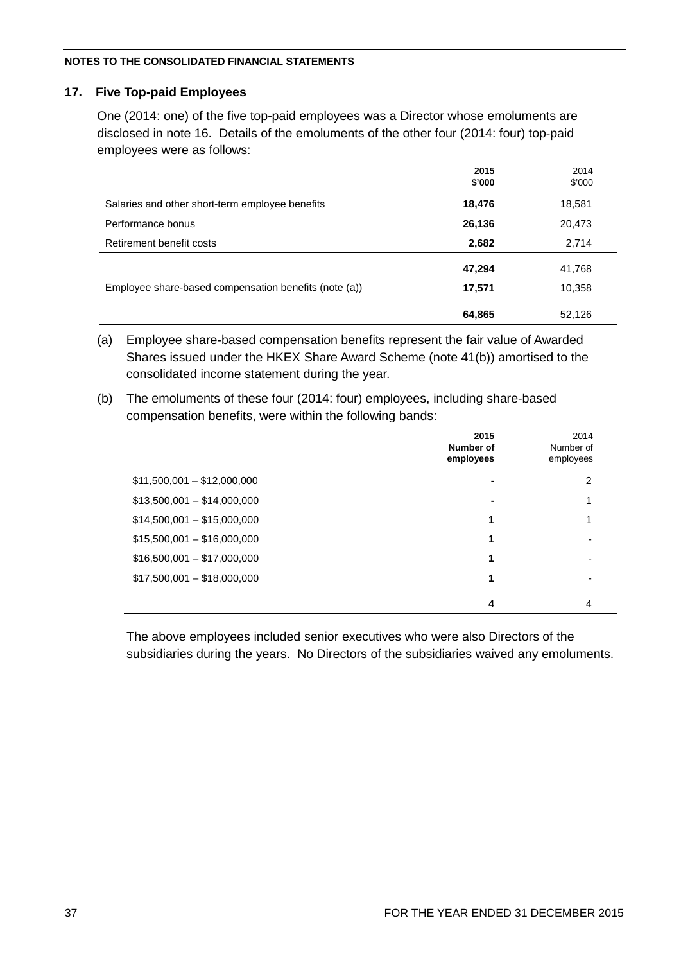# **17. Five Top-paid Employees**

One (2014: one) of the five top-paid employees was a Director whose emoluments are disclosed in note 16. Details of the emoluments of the other four (2014: four) top-paid employees were as follows:

|                                                       | 2015<br>\$'000 | 2014<br>\$'000 |
|-------------------------------------------------------|----------------|----------------|
| Salaries and other short-term employee benefits       | 18,476         | 18,581         |
| Performance bonus                                     | 26,136         | 20,473         |
| Retirement benefit costs                              | 2,682          | 2,714          |
|                                                       | 47,294         | 41,768         |
| Employee share-based compensation benefits (note (a)) | 17,571         | 10,358         |
|                                                       | 64,865         | 52,126         |

(a) Employee share-based compensation benefits represent the fair value of Awarded Shares issued under the HKEX Share Award Scheme (note 41(b)) amortised to the consolidated income statement during the year.

(b) The emoluments of these four (2014: four) employees, including share-based compensation benefits, were within the following bands:

|                             | 2015<br>Number of<br>employees | 2014<br>Number of<br>employees |
|-----------------------------|--------------------------------|--------------------------------|
| $$11,500,001 - $12,000,000$ |                                | $\overline{2}$                 |
| $$13,500,001 - $14,000,000$ |                                | 1                              |
| $$14,500,001 - $15,000,000$ |                                | 1                              |
| $$15,500,001 - $16,000,000$ |                                |                                |
| $$16,500,001 - $17,000,000$ |                                | -                              |
| $$17,500,001 - $18,000,000$ |                                | $\overline{\phantom{a}}$       |
|                             | 4                              | 4                              |

The above employees included senior executives who were also Directors of the subsidiaries during the years. No Directors of the subsidiaries waived any emoluments.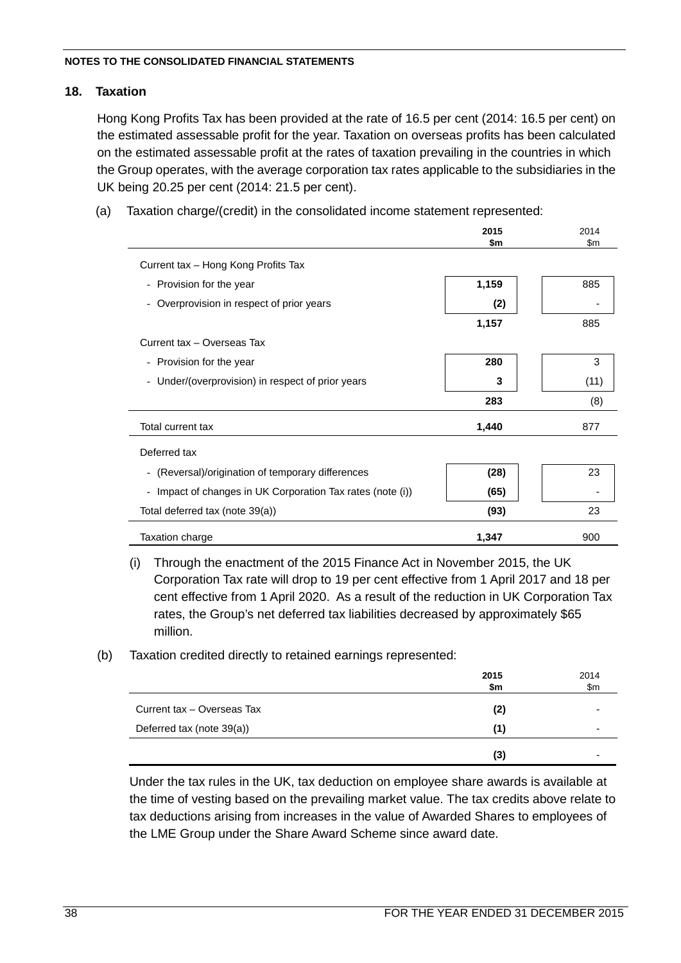# **18. Taxation**

Hong Kong Profits Tax has been provided at the rate of 16.5 per cent (2014: 16.5 per cent) on the estimated assessable profit for the year. Taxation on overseas profits has been calculated on the estimated assessable profit at the rates of taxation prevailing in the countries in which the Group operates, with the average corporation tax rates applicable to the subsidiaries in the UK being 20.25 per cent (2014: 21.5 per cent).

(a) Taxation charge/(credit) in the consolidated income statement represented:

|                                                            | 2015<br>\$m | 2014<br>$\mathsf{Sm}$ |
|------------------------------------------------------------|-------------|-----------------------|
|                                                            |             |                       |
| Current tax - Hong Kong Profits Tax                        |             |                       |
| - Provision for the year                                   | 1,159       | 885                   |
| Overprovision in respect of prior years                    | (2)         |                       |
|                                                            | 1,157       | 885                   |
| Current tax - Overseas Tax                                 |             |                       |
| - Provision for the year                                   | 280         | 3                     |
| - Under/(overprovision) in respect of prior years          | 3           | (11)                  |
|                                                            | 283         | (8)                   |
| Total current tax                                          | 1,440       | 877                   |
| Deferred tax                                               |             |                       |
| - (Reversal)/origination of temporary differences          | (28)        | 23                    |
| - Impact of changes in UK Corporation Tax rates (note (i)) | (65)        |                       |
| Total deferred tax (note 39(a))                            | (93)        | 23                    |
| Taxation charge                                            | 1,347       | 900                   |

(i) Through the enactment of the 2015 Finance Act in November 2015, the UK Corporation Tax rate will drop to 19 per cent effective from 1 April 2017 and 18 per cent effective from 1 April 2020. As a result of the reduction in UK Corporation Tax rates, the Group's net deferred tax liabilities decreased by approximately \$65 million.

(b) Taxation credited directly to retained earnings represented:

|                            | 2015<br>\$m | 2014<br>\$m |
|----------------------------|-------------|-------------|
| Current tax - Overseas Tax | (2)         |             |
| Deferred tax (note 39(a))  | (1)         |             |
|                            | (3)         |             |

Under the tax rules in the UK, tax deduction on employee share awards is available at the time of vesting based on the prevailing market value. The tax credits above relate to tax deductions arising from increases in the value of Awarded Shares to employees of the LME Group under the Share Award Scheme since award date.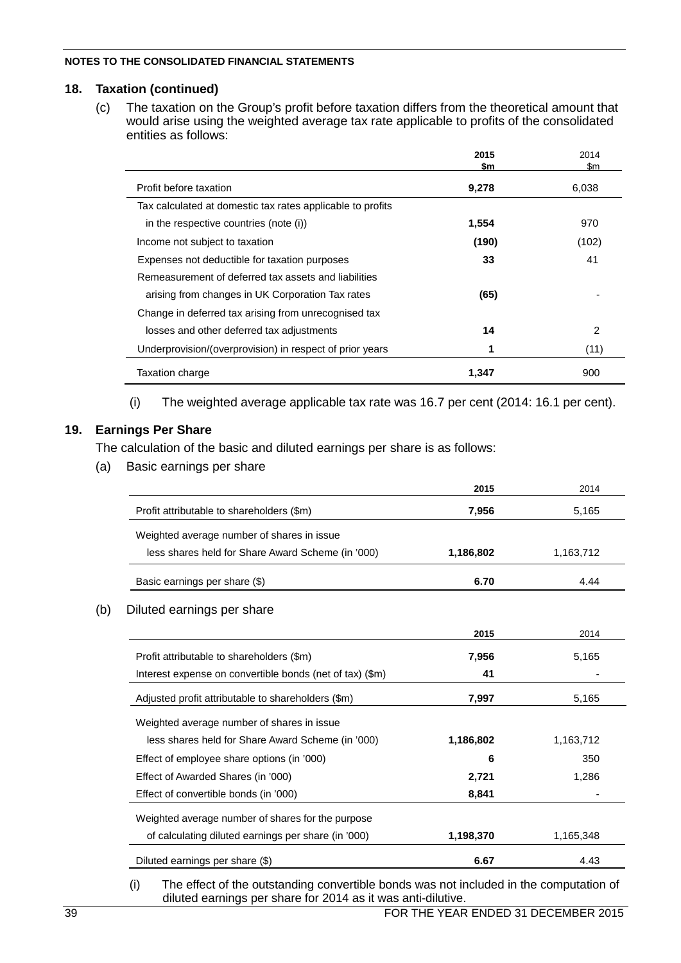# **18. Taxation (continued)**

(c) The taxation on the Group's profit before taxation differs from the theoretical amount that would arise using the weighted average tax rate applicable to profits of the consolidated entities as follows:

|                                                            | 2015<br>\$m | 2014<br>\$m |
|------------------------------------------------------------|-------------|-------------|
| Profit before taxation                                     | 9,278       | 6,038       |
| Tax calculated at domestic tax rates applicable to profits |             |             |
| in the respective countries (note (i))                     | 1.554       | 970         |
| Income not subject to taxation                             | (190)       | (102)       |
| Expenses not deductible for taxation purposes              | 33          | 41          |
| Remeasurement of deferred tax assets and liabilities       |             |             |
| arising from changes in UK Corporation Tax rates           | (65)        |             |
| Change in deferred tax arising from unrecognised tax       |             |             |
| losses and other deferred tax adjustments                  | 14          | 2           |
| Underprovision/(overprovision) in respect of prior years   |             | (11)        |
| Taxation charge                                            | 1,347       | 900         |

(i) The weighted average applicable tax rate was 16.7 per cent (2014: 16.1 per cent).

### **19. Earnings Per Share**

The calculation of the basic and diluted earnings per share is as follows:

(a) Basic earnings per share

|                                                          | 2015      | 2014      |
|----------------------------------------------------------|-----------|-----------|
| Profit attributable to shareholders (\$m)                | 7,956     | 5,165     |
| Weighted average number of shares in issue               |           |           |
| less shares held for Share Award Scheme (in '000)        | 1,186,802 | 1,163,712 |
| Basic earnings per share (\$)                            | 6.70      | 4.44      |
| Diluted earnings per share                               |           |           |
|                                                          | 2015      | 2014      |
| Profit attributable to shareholders (\$m)                | 7,956     | 5,165     |
| Interest expense on convertible bonds (net of tax) (\$m) | 41        |           |
| Adjusted profit attributable to shareholders (\$m)       | 7,997     | 5,165     |
| Weighted average number of shares in issue               |           |           |
| less shares held for Share Award Scheme (in '000)        | 1,186,802 | 1,163,712 |
| Effect of employee share options (in '000)               | 6         | 350       |
| Effect of Awarded Shares (in '000)                       | 2,721     | 1,286     |
| Effect of convertible bonds (in '000)                    | 8,841     |           |
| Weighted average number of shares for the purpose        |           |           |
| of calculating diluted earnings per share (in '000)      | 1,198,370 | 1,165,348 |
| Diluted earnings per share (\$)                          | 6.67      | 4.43      |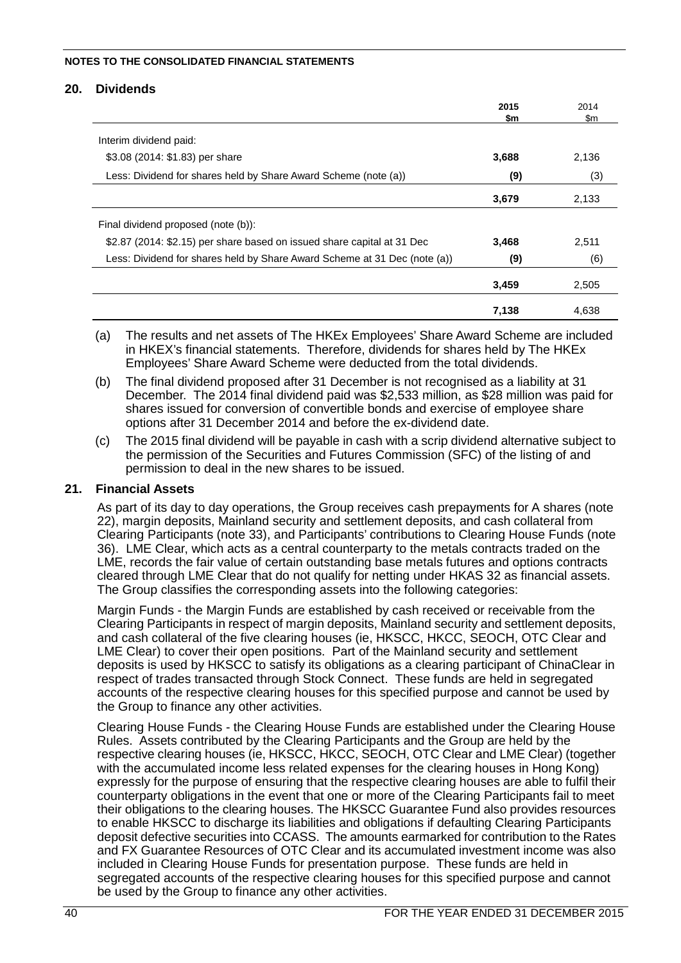### **20. Dividends**

|                                                                           | 2015<br>\$m | 2014<br>\$m |
|---------------------------------------------------------------------------|-------------|-------------|
| Interim dividend paid:                                                    |             |             |
| \$3.08 (2014: \$1.83) per share                                           | 3,688       | 2,136       |
| Less: Dividend for shares held by Share Award Scheme (note (a))           | (9)         | (3)         |
|                                                                           | 3,679       | 2,133       |
| Final dividend proposed (note (b)):                                       |             |             |
| \$2.87 (2014: \$2.15) per share based on issued share capital at 31 Dec   | 3,468       | 2,511       |
| Less: Dividend for shares held by Share Award Scheme at 31 Dec (note (a)) | (9)         | (6)         |
|                                                                           | 3,459       | 2,505       |
|                                                                           | 7,138       | 4,638       |

(a) The results and net assets of The HKEx Employees' Share Award Scheme are included in HKEX's financial statements. Therefore, dividends for shares held by The HKEx Employees' Share Award Scheme were deducted from the total dividends.

- (b) The final dividend proposed after 31 December is not recognised as a liability at 31 December. The 2014 final dividend paid was \$2,533 million, as \$28 million was paid for shares issued for conversion of convertible bonds and exercise of employee share options after 31 December 2014 and before the ex-dividend date.
- (c) The 2015 final dividend will be payable in cash with a scrip dividend alternative subject to the permission of the Securities and Futures Commission (SFC) of the listing of and permission to deal in the new shares to be issued.

### **21. Financial Assets**

As part of its day to day operations, the Group receives cash prepayments for A shares (note 22), margin deposits, Mainland security and settlement deposits, and cash collateral from Clearing Participants (note 33), and Participants' contributions to Clearing House Funds (note 36). LME Clear, which acts as a central counterparty to the metals contracts traded on the LME, records the fair value of certain outstanding base metals futures and options contracts cleared through LME Clear that do not qualify for netting under HKAS 32 as financial assets. The Group classifies the corresponding assets into the following categories:

Margin Funds - the Margin Funds are established by cash received or receivable from the Clearing Participants in respect of margin deposits, Mainland security and settlement deposits, and cash collateral of the five clearing houses (ie, HKSCC, HKCC, SEOCH, OTC Clear and LME Clear) to cover their open positions. Part of the Mainland security and settlement deposits is used by HKSCC to satisfy its obligations as a clearing participant of ChinaClear in respect of trades transacted through Stock Connect. These funds are held in segregated accounts of the respective clearing houses for this specified purpose and cannot be used by the Group to finance any other activities.

Clearing House Funds - the Clearing House Funds are established under the Clearing House Rules. Assets contributed by the Clearing Participants and the Group are held by the respective clearing houses (ie, HKSCC, HKCC, SEOCH, OTC Clear and LME Clear) (together with the accumulated income less related expenses for the clearing houses in Hong Kong) expressly for the purpose of ensuring that the respective clearing houses are able to fulfil their counterparty obligations in the event that one or more of the Clearing Participants fail to meet their obligations to the clearing houses. The HKSCC Guarantee Fund also provides resources to enable HKSCC to discharge its liabilities and obligations if defaulting Clearing Participants deposit defective securities into CCASS. The amounts earmarked for contribution to the Rates and FX Guarantee Resources of OTC Clear and its accumulated investment income was also included in Clearing House Funds for presentation purpose. These funds are held in segregated accounts of the respective clearing houses for this specified purpose and cannot be used by the Group to finance any other activities.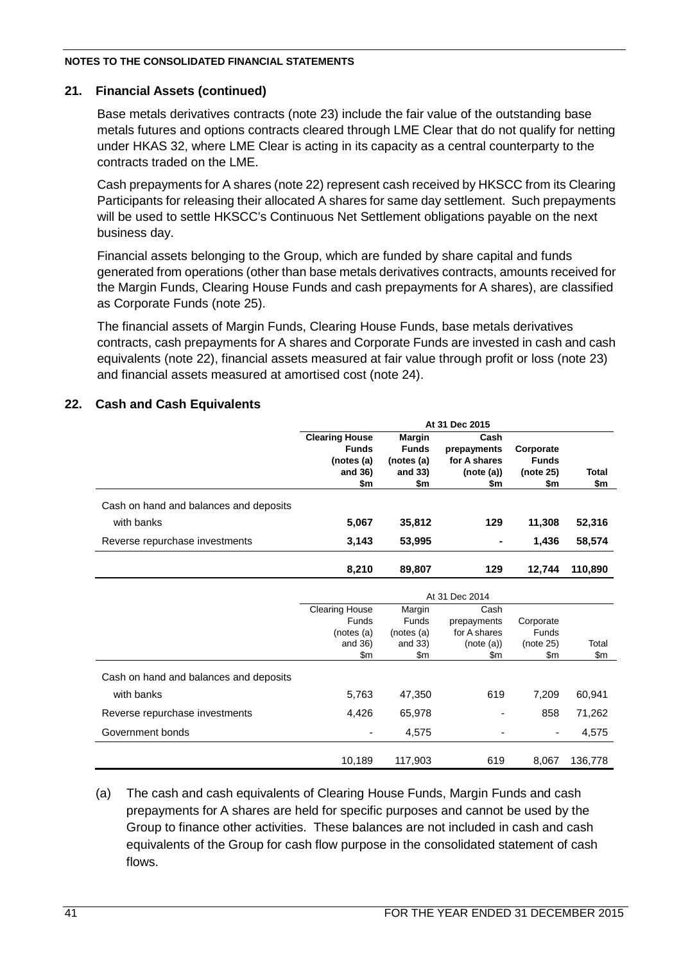# **21. Financial Assets (continued)**

Base metals derivatives contracts (note 23) include the fair value of the outstanding base metals futures and options contracts cleared through LME Clear that do not qualify for netting under HKAS 32, where LME Clear is acting in its capacity as a central counterparty to the contracts traded on the LME.

Cash prepayments for A shares (note 22) represent cash received by HKSCC from its Clearing Participants for releasing their allocated A shares for same day settlement. Such prepayments will be used to settle HKSCC's Continuous Net Settlement obligations payable on the next business day.

Financial assets belonging to the Group, which are funded by share capital and funds generated from operations (other than base metals derivatives contracts, amounts received for the Margin Funds, Clearing House Funds and cash prepayments for A shares), are classified as Corporate Funds (note 25).

The financial assets of Margin Funds, Clearing House Funds, base metals derivatives contracts, cash prepayments for A shares and Corporate Funds are invested in cash and cash equivalents (note 22), financial assets measured at fair value through profit or loss (note 23) and financial assets measured at amortised cost (note 24).

# **22. Cash and Cash Equivalents**

|                                        | At 31 Dec 2015                                                        |                                                               |                                                         |                                               |                     |
|----------------------------------------|-----------------------------------------------------------------------|---------------------------------------------------------------|---------------------------------------------------------|-----------------------------------------------|---------------------|
|                                        | <b>Clearing House</b><br><b>Funds</b><br>(notes (a)<br>and 36)<br>\$m | <b>Margin</b><br><b>Funds</b><br>(notes (a)<br>and 33)<br>\$m | Cash<br>prepayments<br>for A shares<br>(note(a))<br>\$m | Corporate<br><b>Funds</b><br>(note 25)<br>\$m | <b>Total</b><br>\$m |
| Cash on hand and balances and deposits |                                                                       |                                                               |                                                         |                                               |                     |
| with banks                             | 5,067                                                                 | 35,812                                                        | 129                                                     | 11,308                                        | 52,316              |
| Reverse repurchase investments         | 3,143                                                                 | 53,995                                                        | $\blacksquare$                                          | 1,436                                         | 58,574              |
|                                        | 8,210                                                                 | 89,807                                                        | 129                                                     | 12,744                                        | 110,890             |
|                                        | At 31 Dec 2014                                                        |                                                               |                                                         |                                               |                     |
|                                        | <b>Clearing House</b>                                                 | Margin                                                        | Cash                                                    |                                               |                     |
|                                        | Funds                                                                 | <b>Funds</b>                                                  | prepayments                                             | Corporate                                     |                     |
|                                        | (notes (a)                                                            | (notes(a)                                                     | for A shares                                            | Funds                                         |                     |
|                                        | and 36)                                                               | and $33$ )                                                    | (note (a))                                              | (note 25)                                     | Total               |
|                                        | \$m                                                                   | \$m                                                           | \$m                                                     | \$m                                           | $\mathsf{Sm}$       |
| Cash on hand and balances and deposits |                                                                       |                                                               |                                                         |                                               |                     |
| with banks                             | 5,763                                                                 | 47,350                                                        | 619                                                     | 7,209                                         | 60,941              |
| Reverse repurchase investments         | 4,426                                                                 | 65,978                                                        | ٠                                                       | 858                                           | 71,262              |
| Government bonds                       |                                                                       | 4,575                                                         |                                                         | ۰                                             | 4,575               |
|                                        | 10,189                                                                | 117,903                                                       | 619                                                     | 8,067                                         | 136,778             |

(a) The cash and cash equivalents of Clearing House Funds, Margin Funds and cash prepayments for A shares are held for specific purposes and cannot be used by the Group to finance other activities. These balances are not included in cash and cash equivalents of the Group for cash flow purpose in the consolidated statement of cash flows.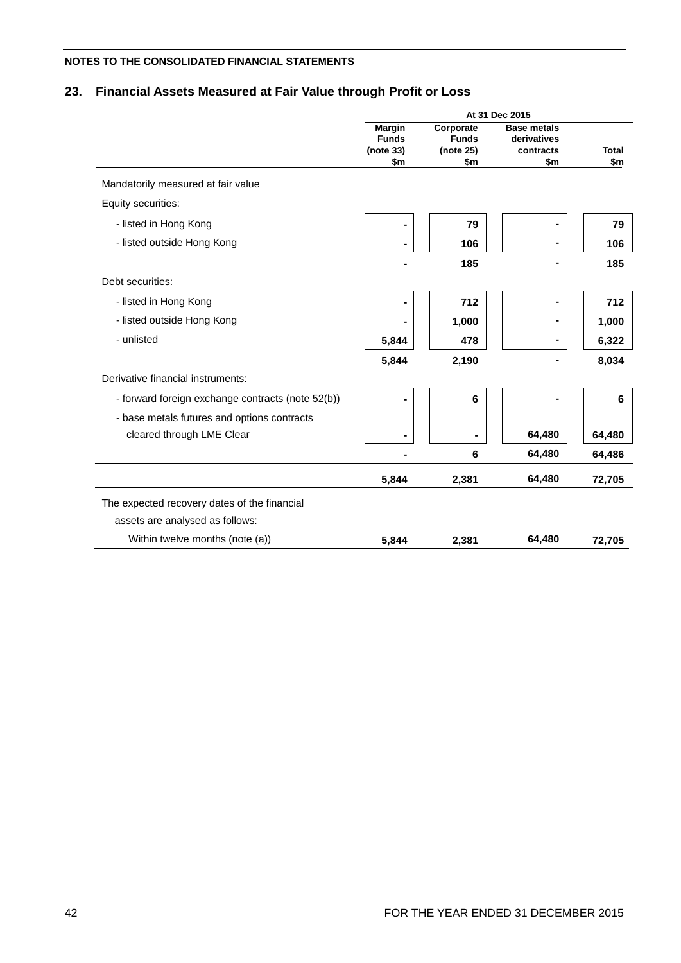# **23. Financial Assets Measured at Fair Value through Profit or Loss**

| At 31 Dec 2015                                    |                                               |                                                       |                     |  |
|---------------------------------------------------|-----------------------------------------------|-------------------------------------------------------|---------------------|--|
| <b>Margin</b><br><b>Funds</b><br>(note 33)<br>\$m | Corporate<br><b>Funds</b><br>(note 25)<br>\$m | <b>Base metals</b><br>derivatives<br>contracts<br>\$m | <b>Total</b><br>\$m |  |
|                                                   |                                               |                                                       |                     |  |
|                                                   |                                               |                                                       |                     |  |
|                                                   | 79                                            | $\blacksquare$                                        | 79                  |  |
|                                                   | 106                                           | $\blacksquare$                                        | 106                 |  |
|                                                   | 185                                           |                                                       | 185                 |  |
|                                                   |                                               |                                                       |                     |  |
|                                                   | 712                                           | $\blacksquare$                                        | 712                 |  |
|                                                   | 1,000                                         |                                                       | 1,000               |  |
| 5,844                                             | 478                                           | ٠                                                     | 6,322               |  |
| 5,844                                             | 2,190                                         |                                                       | 8,034               |  |
|                                                   |                                               |                                                       |                     |  |
|                                                   | 6                                             |                                                       | 6                   |  |
|                                                   |                                               |                                                       |                     |  |
|                                                   |                                               | 64,480                                                | 64,480              |  |
|                                                   | 6                                             | 64,480                                                | 64,486              |  |
| 5,844                                             | 2,381                                         | 64,480                                                | 72,705              |  |
|                                                   |                                               |                                                       |                     |  |
|                                                   |                                               |                                                       |                     |  |
| 5,844                                             | 2,381                                         | 64,480                                                | 72,705              |  |
|                                                   |                                               |                                                       |                     |  |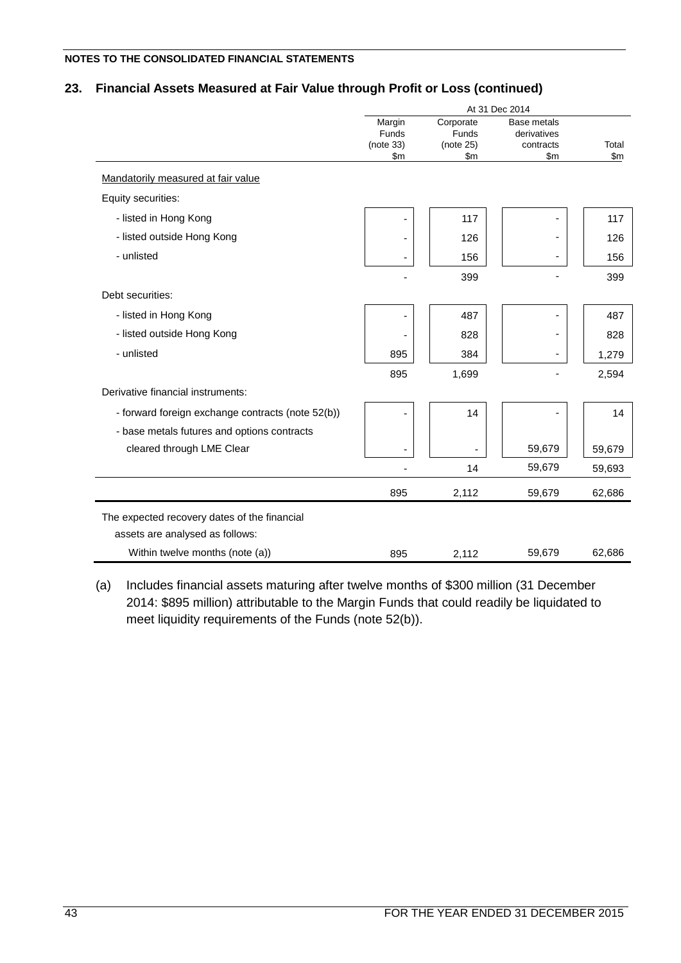# **23. Financial Assets Measured at Fair Value through Profit or Loss (continued)**

|                                                   | At 31 Dec 2014 |               |                          |        |  |  |
|---------------------------------------------------|----------------|---------------|--------------------------|--------|--|--|
|                                                   | Margin         | Corporate     | Base metals              |        |  |  |
|                                                   | Funds          | Funds         | derivatives              |        |  |  |
|                                                   | (note 33)      | (note 25)     | contracts                | Total  |  |  |
|                                                   | \$m            | $\mathsf{Sm}$ | \$m\$                    | \$m\$  |  |  |
| Mandatorily measured at fair value                |                |               |                          |        |  |  |
| Equity securities:                                |                |               |                          |        |  |  |
| - listed in Hong Kong                             |                | 117           | $\overline{\phantom{a}}$ | 117    |  |  |
| - listed outside Hong Kong                        |                | 126           |                          | 126    |  |  |
| - unlisted                                        |                | 156           |                          | 156    |  |  |
|                                                   |                | 399           |                          | 399    |  |  |
| Debt securities:                                  |                |               |                          |        |  |  |
| - listed in Hong Kong                             |                | 487           |                          | 487    |  |  |
| - listed outside Hong Kong                        |                | 828           | $\overline{\phantom{a}}$ | 828    |  |  |
| - unlisted                                        | 895            | 384           | $\overline{\phantom{0}}$ | 1,279  |  |  |
|                                                   | 895            | 1,699         |                          | 2,594  |  |  |
| Derivative financial instruments:                 |                |               |                          |        |  |  |
| - forward foreign exchange contracts (note 52(b)) |                | 14            |                          | 14     |  |  |
| - base metals futures and options contracts       |                |               |                          |        |  |  |
| cleared through LME Clear                         |                |               | 59,679                   | 59,679 |  |  |
|                                                   |                | 14            | 59,679                   | 59,693 |  |  |
|                                                   | 895            | 2,112         | 59,679                   | 62,686 |  |  |
| The expected recovery dates of the financial      |                |               |                          |        |  |  |
| assets are analysed as follows:                   |                |               |                          |        |  |  |
| Within twelve months (note (a))                   | 895            | 2,112         | 59,679                   | 62,686 |  |  |

(a) Includes financial assets maturing after twelve months of \$300 million (31 December 2014: \$895 million) attributable to the Margin Funds that could readily be liquidated to meet liquidity requirements of the Funds (note 52(b)).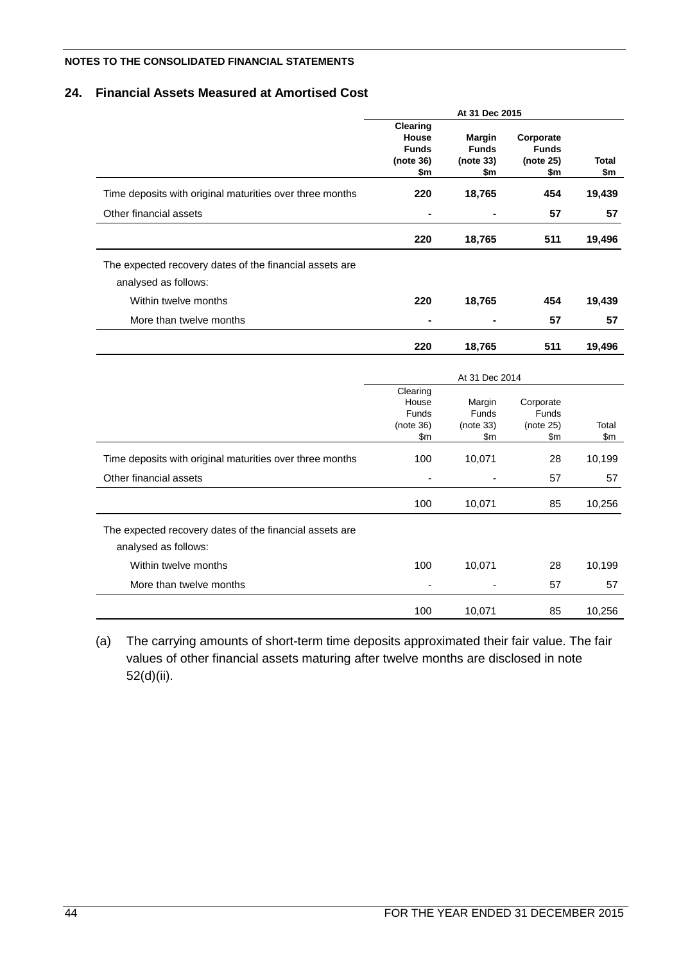### **24. Financial Assets Measured at Amortised Cost**

|                                                                                 | At 31 Dec 2015                                               |                                                   |                                                 |              |
|---------------------------------------------------------------------------------|--------------------------------------------------------------|---------------------------------------------------|-------------------------------------------------|--------------|
|                                                                                 | <b>Clearing</b><br>House<br><b>Funds</b><br>(note 36)<br>\$m | <b>Margin</b><br><b>Funds</b><br>(note 33)<br>\$m | Corporate<br><b>Funds</b><br>(note 25)<br>\$m\$ | Total<br>\$m |
| Time deposits with original maturities over three months                        | 220                                                          | 18,765                                            | 454                                             | 19,439       |
| Other financial assets                                                          |                                                              |                                                   | 57                                              | 57           |
|                                                                                 | 220                                                          | 18,765                                            | 511                                             | 19,496       |
| The expected recovery dates of the financial assets are<br>analysed as follows: |                                                              |                                                   |                                                 |              |
| Within twelve months                                                            | 220                                                          | 18,765                                            | 454                                             | 19,439       |
| More than twelve months                                                         |                                                              |                                                   | 57                                              | 57           |
|                                                                                 | 220                                                          | 18,765                                            | 511                                             | 19,496       |
|                                                                                 | Clearing                                                     | At 31 Dec 2014                                    |                                                 |              |
|                                                                                 | House<br>Funds<br>(note 36)<br>\$m\$                         | Margin<br>Funds<br>(note 33)<br>\$m\$             | Corporate<br>Funds<br>(note 25)<br>\$m          | Total<br>\$m |
| Time deposits with original maturities over three months                        | 100                                                          | 10,071                                            | 28                                              | 10,199       |
| Other financial assets                                                          | ÷                                                            |                                                   | 57                                              | 57           |
|                                                                                 | 100                                                          | 10,071                                            | 85                                              | 10,256       |
| The expected recovery dates of the financial assets are<br>analysed as follows: |                                                              |                                                   |                                                 |              |
| Within twelve months                                                            | 100                                                          | 10,071                                            | 28                                              | 10,199       |
| More than twelve months                                                         |                                                              |                                                   | 57                                              | 57           |
|                                                                                 | 100                                                          | 10,071                                            | 85                                              | 10,256       |

(a) The carrying amounts of short-term time deposits approximated their fair value. The fair values of other financial assets maturing after twelve months are disclosed in note 52(d)(ii).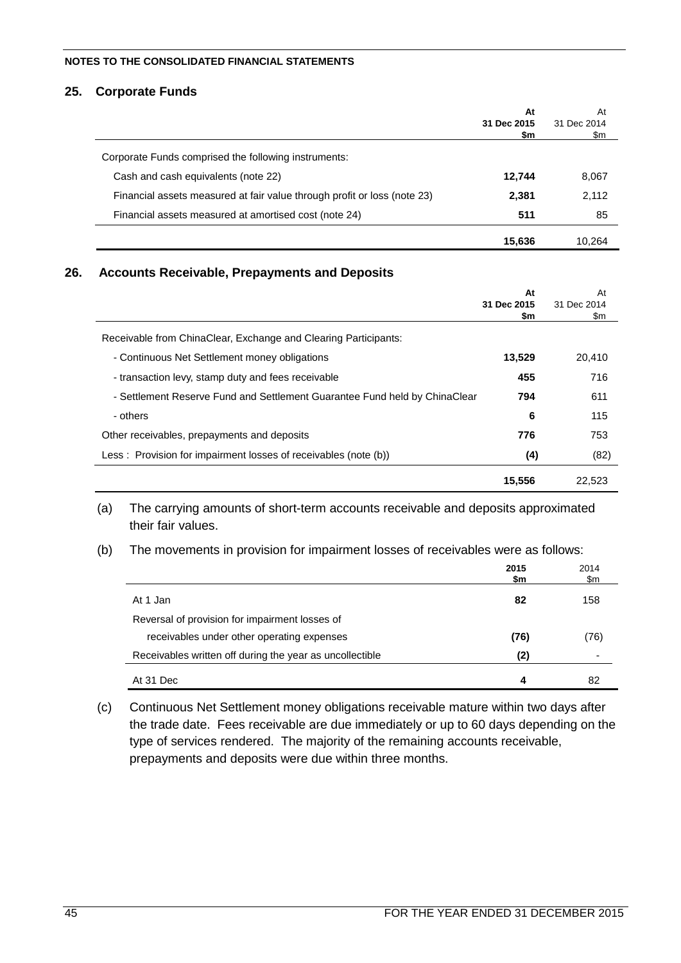## **25. Corporate Funds**

|                                                                          | At<br>31 Dec 2015<br>\$m | At<br>31 Dec 2014<br>\$m |
|--------------------------------------------------------------------------|--------------------------|--------------------------|
| Corporate Funds comprised the following instruments:                     |                          |                          |
| Cash and cash equivalents (note 22)                                      | 12.744                   | 8,067                    |
| Financial assets measured at fair value through profit or loss (note 23) | 2,381                    | 2,112                    |
| Financial assets measured at amortised cost (note 24)                    | 511                      | 85                       |
|                                                                          | 15,636                   | 10.264                   |

### **26. Accounts Receivable, Prepayments and Deposits**

|                                                                            | At<br>31 Dec 2015<br>\$m | At<br>31 Dec 2014<br>\$m |
|----------------------------------------------------------------------------|--------------------------|--------------------------|
| Receivable from ChinaClear, Exchange and Clearing Participants:            |                          |                          |
| - Continuous Net Settlement money obligations                              | 13,529                   | 20,410                   |
| - transaction levy, stamp duty and fees receivable                         | 455                      | 716                      |
| - Settlement Reserve Fund and Settlement Guarantee Fund held by ChinaClear | 794                      | 611                      |
| - others                                                                   | 6                        | 115                      |
| Other receivables, prepayments and deposits                                | 776                      | 753                      |
| Less: Provision for impairment losses of receivables (note (b))            | (4)                      | (82)                     |
|                                                                            | 15,556                   | 22.523                   |

(a) The carrying amounts of short-term accounts receivable and deposits approximated their fair values.

(b) The movements in provision for impairment losses of receivables were as follows:

|                                                          | 2015<br>\$m | 2014<br>\$m |
|----------------------------------------------------------|-------------|-------------|
| At 1 Jan                                                 | 82          | 158         |
| Reversal of provision for impairment losses of           |             |             |
| receivables under other operating expenses               | (76)        | (76)        |
| Receivables written off during the year as uncollectible | (2)         | -           |
| At 31 Dec                                                | 4           | 82          |

(c) Continuous Net Settlement money obligations receivable mature within two days after the trade date. Fees receivable are due immediately or up to 60 days depending on the type of services rendered. The majority of the remaining accounts receivable, prepayments and deposits were due within three months.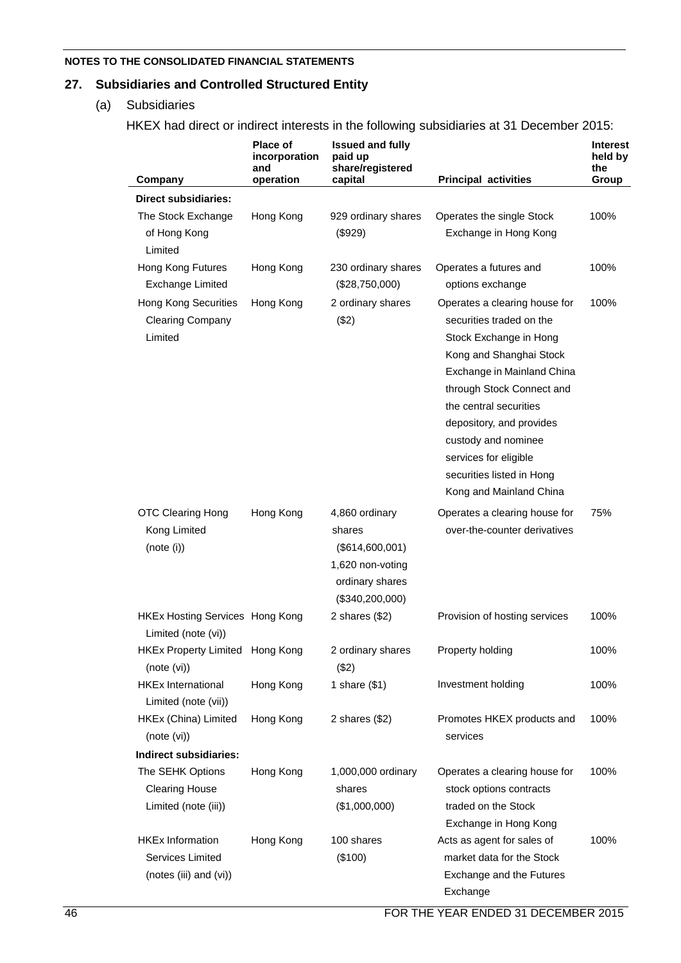# **27. Subsidiaries and Controlled Structured Entity**

# (a) Subsidiaries

HKEX had direct or indirect interests in the following subsidiaries at 31 December 2015:

| Company                                                               | <b>Place of</b><br>incorporation<br>and<br>operation | <b>Issued and fully</b><br>paid up<br>share/registered<br>capital                                       | <b>Principal activities</b>                                                                                                                                                                                                                                                                                                             | <b>Interest</b><br>held by<br>the<br>Group |
|-----------------------------------------------------------------------|------------------------------------------------------|---------------------------------------------------------------------------------------------------------|-----------------------------------------------------------------------------------------------------------------------------------------------------------------------------------------------------------------------------------------------------------------------------------------------------------------------------------------|--------------------------------------------|
| <b>Direct subsidiaries:</b>                                           |                                                      |                                                                                                         |                                                                                                                                                                                                                                                                                                                                         |                                            |
| The Stock Exchange<br>of Hong Kong<br>Limited                         | Hong Kong                                            | 929 ordinary shares<br>(\$929)                                                                          | Operates the single Stock<br>Exchange in Hong Kong                                                                                                                                                                                                                                                                                      | 100%                                       |
| Hong Kong Futures<br><b>Exchange Limited</b>                          | Hong Kong                                            | 230 ordinary shares<br>(\$28,750,000)                                                                   | Operates a futures and<br>options exchange                                                                                                                                                                                                                                                                                              | 100%                                       |
| Hong Kong Securities<br><b>Clearing Company</b><br>Limited            | Hong Kong                                            | 2 ordinary shares<br>(\$2)                                                                              | Operates a clearing house for<br>securities traded on the<br>Stock Exchange in Hong<br>Kong and Shanghai Stock<br>Exchange in Mainland China<br>through Stock Connect and<br>the central securities<br>depository, and provides<br>custody and nominee<br>services for eligible<br>securities listed in Hong<br>Kong and Mainland China | 100%                                       |
| <b>OTC Clearing Hong</b><br>Kong Limited<br>(note (i))                | Hong Kong                                            | 4,860 ordinary<br>shares<br>$(\$614,600,001)$<br>1,620 non-voting<br>ordinary shares<br>(\$340,200,000) | Operates a clearing house for<br>over-the-counter derivatives                                                                                                                                                                                                                                                                           | 75%                                        |
| <b>HKEx Hosting Services Hong Kong</b><br>Limited (note (vi))         |                                                      | 2 shares $(\$2)$                                                                                        | Provision of hosting services                                                                                                                                                                                                                                                                                                           | 100%                                       |
| HKEx Property Limited Hong Kong<br>(note (vi))                        |                                                      | 2 ordinary shares<br>(\$2)                                                                              | Property holding                                                                                                                                                                                                                                                                                                                        | 100%                                       |
| <b>HKEx International</b><br>Limited (note (vii))                     | Hong Kong                                            | 1 share $(\$1)$                                                                                         | Investment holding                                                                                                                                                                                                                                                                                                                      | 100%                                       |
| HKEx (China) Limited<br>(note (vi))                                   | Hong Kong                                            | 2 shares $(\$2)$                                                                                        | Promotes HKEX products and<br>services                                                                                                                                                                                                                                                                                                  | 100%                                       |
| <b>Indirect subsidiaries:</b>                                         |                                                      |                                                                                                         |                                                                                                                                                                                                                                                                                                                                         |                                            |
| The SEHK Options<br><b>Clearing House</b><br>Limited (note (iii))     | Hong Kong                                            | 1,000,000 ordinary<br>shares<br>(\$1,000,000)                                                           | Operates a clearing house for<br>stock options contracts<br>traded on the Stock<br>Exchange in Hong Kong                                                                                                                                                                                                                                | 100%                                       |
| <b>HKEx Information</b><br>Services Limited<br>(notes (iii) and (vi)) | Hong Kong                                            | 100 shares<br>(\$100)                                                                                   | Acts as agent for sales of<br>market data for the Stock<br>Exchange and the Futures<br>Exchange                                                                                                                                                                                                                                         | 100%                                       |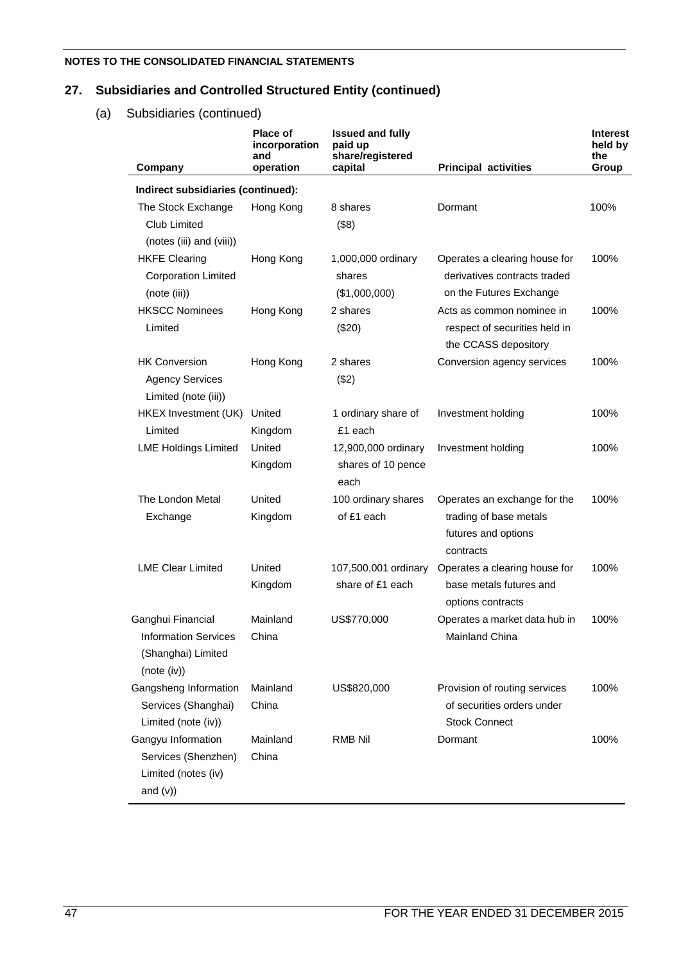# **27. Subsidiaries and Controlled Structured Entity (continued)**

(a) Subsidiaries (continued)

| Company                                                                               | <b>Place of</b><br>incorporation<br>and<br>operation | <b>Issued and fully</b><br>paid up<br>share/registered<br>capital | <b>Principal activities</b>                                                                | <b>Interest</b><br>held by<br>the<br>Group |
|---------------------------------------------------------------------------------------|------------------------------------------------------|-------------------------------------------------------------------|--------------------------------------------------------------------------------------------|--------------------------------------------|
| Indirect subsidiaries (continued):                                                    |                                                      |                                                                   |                                                                                            |                                            |
| The Stock Exchange<br>Club Limited<br>(notes (iii) and (viii))                        | Hong Kong                                            | 8 shares<br>(\$8)                                                 | Dormant                                                                                    | 100%                                       |
| <b>HKFE Clearing</b><br><b>Corporation Limited</b><br>(note (iii))                    | Hong Kong                                            | 1,000,000 ordinary<br>shares<br>(\$1,000,000)                     | Operates a clearing house for<br>derivatives contracts traded<br>on the Futures Exchange   | 100%                                       |
| <b>HKSCC Nominees</b><br>Limited                                                      | Hong Kong                                            | 2 shares<br>(\$20)                                                | Acts as common nominee in<br>respect of securities held in<br>the CCASS depository         | 100%                                       |
| <b>HK Conversion</b><br><b>Agency Services</b><br>Limited (note (iii))                | Hong Kong                                            | 2 shares<br>(\$2)                                                 | Conversion agency services                                                                 | 100%                                       |
| HKEX Investment (UK)<br>Limited                                                       | United<br>Kingdom                                    | 1 ordinary share of<br>£1 each                                    | Investment holding                                                                         | 100%                                       |
| <b>LME Holdings Limited</b>                                                           | United<br>Kingdom                                    | 12,900,000 ordinary<br>shares of 10 pence<br>each                 | Investment holding                                                                         | 100%                                       |
| The London Metal<br>Exchange                                                          | United<br>Kingdom                                    | 100 ordinary shares<br>of £1 each                                 | Operates an exchange for the<br>trading of base metals<br>futures and options<br>contracts | 100%                                       |
| <b>LME Clear Limited</b>                                                              | United<br>Kingdom                                    | 107,500,001 ordinary<br>share of £1 each                          | Operates a clearing house for<br>base metals futures and<br>options contracts              | 100%                                       |
| Ganghui Financial<br><b>Information Services</b><br>(Shanghai) Limited<br>(note (iv)) | Mainland<br>China                                    | US\$770,000                                                       | Operates a market data hub in<br>Mainland China                                            | 100%                                       |
| Gangsheng Information<br>Services (Shanghai)<br>Limited (note (iv))                   | Mainland<br>China                                    | US\$820,000                                                       | Provision of routing services<br>of securities orders under<br><b>Stock Connect</b>        | 100%                                       |
| Gangyu Information<br>Services (Shenzhen)<br>Limited (notes (iv)<br>and $(v)$ )       | Mainland<br>China                                    | RMB Nil                                                           | Dormant                                                                                    | 100%                                       |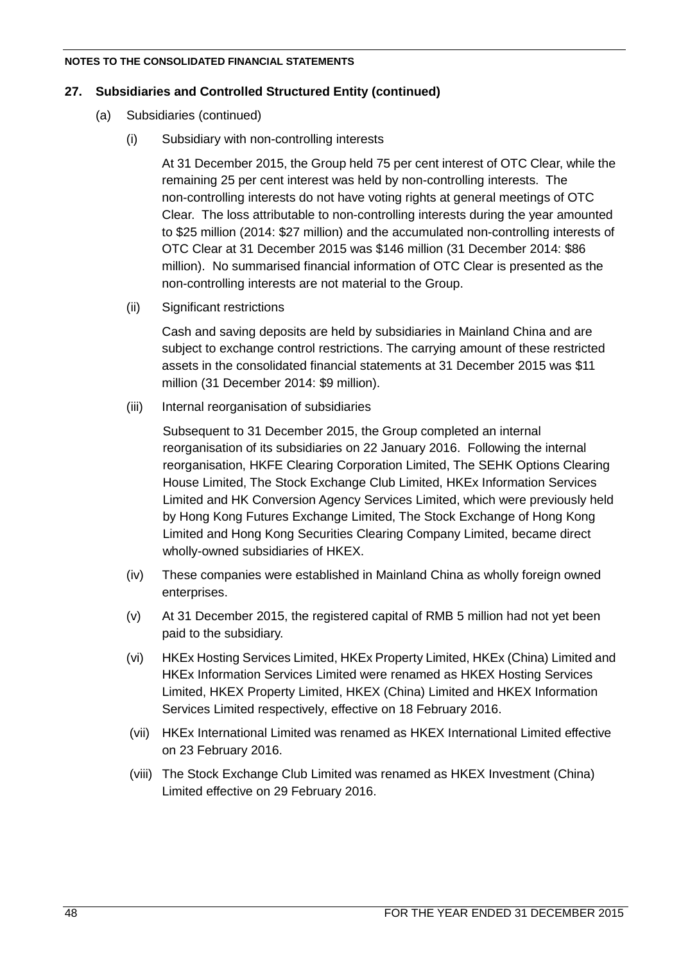## **27. Subsidiaries and Controlled Structured Entity (continued)**

- (a) Subsidiaries (continued)
	- (i) Subsidiary with non-controlling interests

At 31 December 2015, the Group held 75 per cent interest of OTC Clear, while the remaining 25 per cent interest was held by non-controlling interests. The non-controlling interests do not have voting rights at general meetings of OTC Clear. The loss attributable to non-controlling interests during the year amounted to \$25 million (2014: \$27 million) and the accumulated non-controlling interests of OTC Clear at 31 December 2015 was \$146 million (31 December 2014: \$86 million). No summarised financial information of OTC Clear is presented as the non-controlling interests are not material to the Group.

(ii) Significant restrictions

Cash and saving deposits are held by subsidiaries in Mainland China and are subject to exchange control restrictions. The carrying amount of these restricted assets in the consolidated financial statements at 31 December 2015 was \$11 million (31 December 2014: \$9 million).

(iii) Internal reorganisation of subsidiaries

Subsequent to 31 December 2015, the Group completed an internal reorganisation of its subsidiaries on 22 January 2016. Following the internal reorganisation, HKFE Clearing Corporation Limited, The SEHK Options Clearing House Limited, The Stock Exchange Club Limited, HKEx Information Services Limited and HK Conversion Agency Services Limited, which were previously held by Hong Kong Futures Exchange Limited, The Stock Exchange of Hong Kong Limited and Hong Kong Securities Clearing Company Limited, became direct wholly-owned subsidiaries of HKEX.

- (iv) These companies were established in Mainland China as wholly foreign owned enterprises.
- (v) At 31 December 2015, the registered capital of RMB 5 million had not yet been paid to the subsidiary.
- (vi) HKEx Hosting Services Limited, HKEx Property Limited, HKEx (China) Limited and HKEx Information Services Limited were renamed as HKEX Hosting Services Limited, HKEX Property Limited, HKEX (China) Limited and HKEX Information Services Limited respectively, effective on 18 February 2016.
- (vii) HKEx International Limited was renamed as HKEX International Limited effective on 23 February 2016.
- (viii) The Stock Exchange Club Limited was renamed as HKEX Investment (China) Limited effective on 29 February 2016.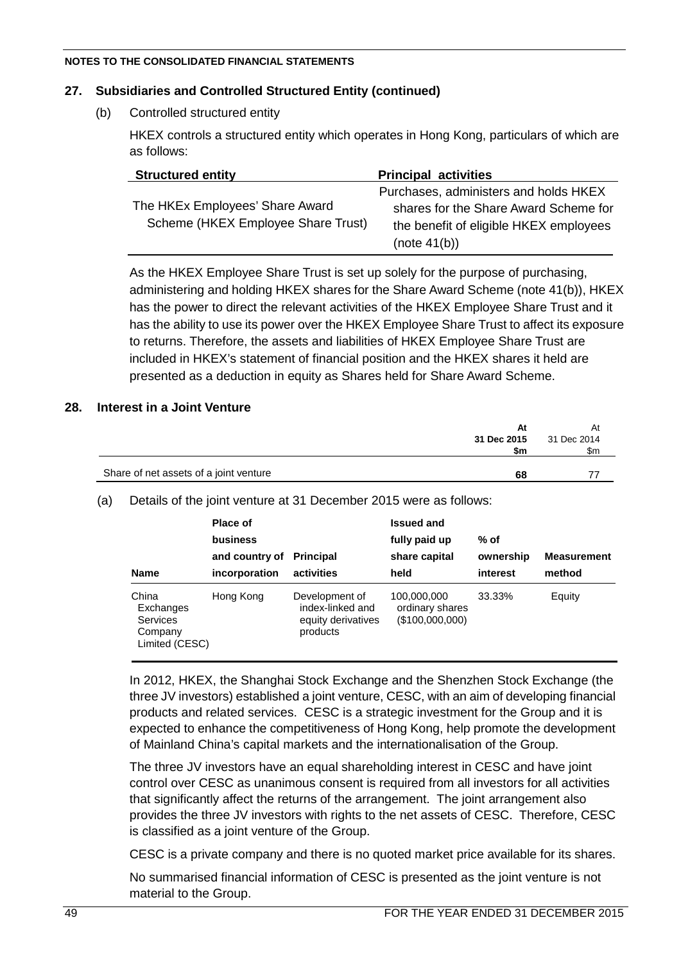### **27. Subsidiaries and Controlled Structured Entity (continued)**

(b) Controlled structured entity

HKEX controls a structured entity which operates in Hong Kong, particulars of which are as follows:

| <b>Structured entity</b>                                              | <b>Principal activities</b>                                                                                                              |
|-----------------------------------------------------------------------|------------------------------------------------------------------------------------------------------------------------------------------|
| The HKEx Employees' Share Award<br>Scheme (HKEX Employee Share Trust) | Purchases, administers and holds HKEX<br>shares for the Share Award Scheme for<br>the benefit of eligible HKEX employees<br>(note 41(b)) |

As the HKEX Employee Share Trust is set up solely for the purpose of purchasing, administering and holding HKEX shares for the Share Award Scheme (note 41(b)), HKEX has the power to direct the relevant activities of the HKEX Employee Share Trust and it has the ability to use its power over the HKEX Employee Share Trust to affect its exposure to returns. Therefore, the assets and liabilities of HKEX Employee Share Trust are included in HKEX's statement of financial position and the HKEX shares it held are presented as a deduction in equity as Shares held for Share Award Scheme.

### **28. Interest in a Joint Venture**

|                                        | At          | At          |
|----------------------------------------|-------------|-------------|
|                                        | 31 Dec 2015 | 31 Dec 2014 |
|                                        | \$m         | \$m         |
|                                        |             |             |
| Share of net assets of a joint venture | 68          |             |

### (a) Details of the joint venture at 31 December 2015 were as follows:

| <b>Name</b>                                                        | Place of<br>business<br>and country of<br>incorporation | <b>Principal</b><br>activities                                       | <b>Issued and</b><br>fully paid up<br>share capital<br>held | % of<br>ownership<br>interest | <b>Measurement</b><br>method |
|--------------------------------------------------------------------|---------------------------------------------------------|----------------------------------------------------------------------|-------------------------------------------------------------|-------------------------------|------------------------------|
| China<br>Exchanges<br><b>Services</b><br>Company<br>Limited (CESC) | Hong Kong                                               | Development of<br>index-linked and<br>equity derivatives<br>products | 100,000,000<br>ordinary shares<br>(\$100,000,000)           | 33.33%                        | Equity                       |

In 2012, HKEX, the Shanghai Stock Exchange and the Shenzhen Stock Exchange (the three JV investors) established a joint venture, CESC, with an aim of developing financial products and related services. CESC is a strategic investment for the Group and it is expected to enhance the competitiveness of Hong Kong, help promote the development of Mainland China's capital markets and the internationalisation of the Group.

The three JV investors have an equal shareholding interest in CESC and have joint control over CESC as unanimous consent is required from all investors for all activities that significantly affect the returns of the arrangement. The joint arrangement also provides the three JV investors with rights to the net assets of CESC. Therefore, CESC is classified as a joint venture of the Group.

CESC is a private company and there is no quoted market price available for its shares.

No summarised financial information of CESC is presented as the joint venture is not material to the Group.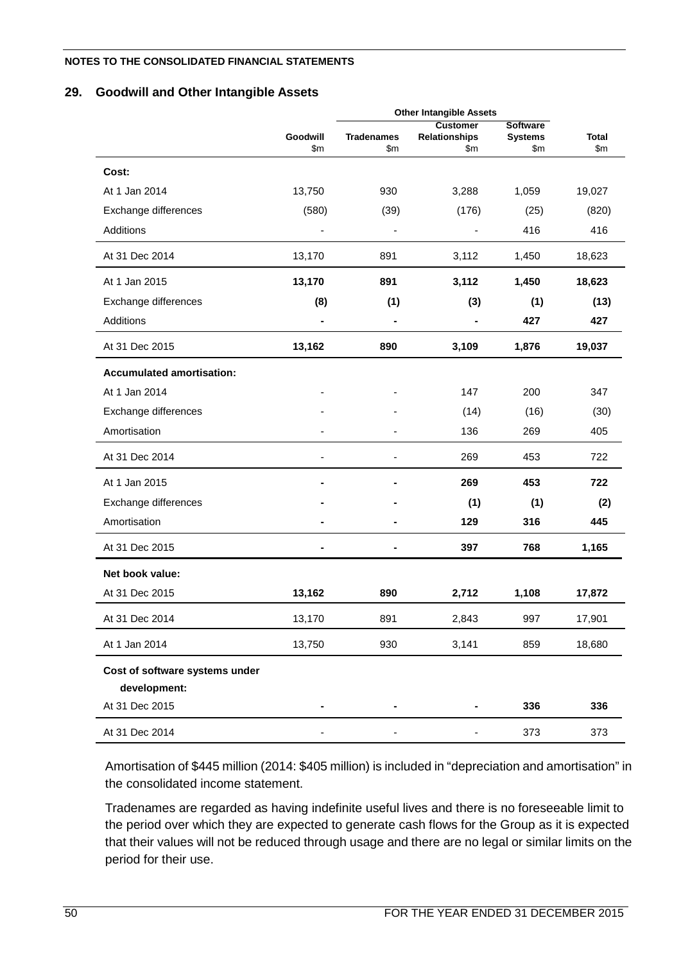### **29. Goodwill and Other Intangible Assets**

|                                  |          |                   | <b>Other Intangible Assets</b> |                       |              |
|----------------------------------|----------|-------------------|--------------------------------|-----------------------|--------------|
|                                  | Goodwill | <b>Tradenames</b> | <b>Customer</b>                | <b>Software</b>       | <b>Total</b> |
|                                  | \$m\$    | \$m               | <b>Relationships</b><br>\$m    | <b>Systems</b><br>\$m | \$m          |
| Cost:                            |          |                   |                                |                       |              |
| At 1 Jan 2014                    | 13,750   | 930               | 3,288                          | 1,059                 | 19,027       |
| Exchange differences             | (580)    | (39)              | (176)                          | (25)                  | (820)        |
| Additions                        |          |                   |                                | 416                   | 416          |
| At 31 Dec 2014                   | 13,170   | 891               | 3,112                          | 1,450                 | 18,623       |
| At 1 Jan 2015                    | 13,170   | 891               | 3,112                          | 1,450                 | 18,623       |
| Exchange differences             | (8)      | (1)               | (3)                            | (1)                   | (13)         |
| Additions                        |          |                   |                                | 427                   | 427          |
| At 31 Dec 2015                   | 13,162   | 890               | 3,109                          | 1,876                 | 19,037       |
| <b>Accumulated amortisation:</b> |          |                   |                                |                       |              |
| At 1 Jan 2014                    |          |                   | 147                            | 200                   | 347          |
| Exchange differences             |          |                   | (14)                           | (16)                  | (30)         |
| Amortisation                     |          |                   | 136                            | 269                   | 405          |
| At 31 Dec 2014                   |          |                   | 269                            | 453                   | 722          |
| At 1 Jan 2015                    |          |                   | 269                            | 453                   | 722          |
| Exchange differences             |          |                   | (1)                            | (1)                   | (2)          |
| Amortisation                     |          |                   | 129                            | 316                   | 445          |
| At 31 Dec 2015                   |          | -                 | 397                            | 768                   | 1,165        |
| Net book value:                  |          |                   |                                |                       |              |
| At 31 Dec 2015                   | 13,162   | 890               | 2,712                          | 1,108                 | 17,872       |
| At 31 Dec 2014                   | 13,170   | 891               | 2,843                          | 997                   | 17,901       |
| At 1 Jan 2014                    | 13,750   | 930               | 3,141                          | 859                   | 18,680       |
| Cost of software systems under   |          |                   |                                |                       |              |
| development:                     |          |                   |                                |                       |              |
| At 31 Dec 2015                   |          |                   |                                | 336                   | 336          |
| At 31 Dec 2014                   |          |                   |                                | 373                   | 373          |

Amortisation of \$445 million (2014: \$405 million) is included in "depreciation and amortisation" in the consolidated income statement.

Tradenames are regarded as having indefinite useful lives and there is no foreseeable limit to the period over which they are expected to generate cash flows for the Group as it is expected that their values will not be reduced through usage and there are no legal or similar limits on the period for their use.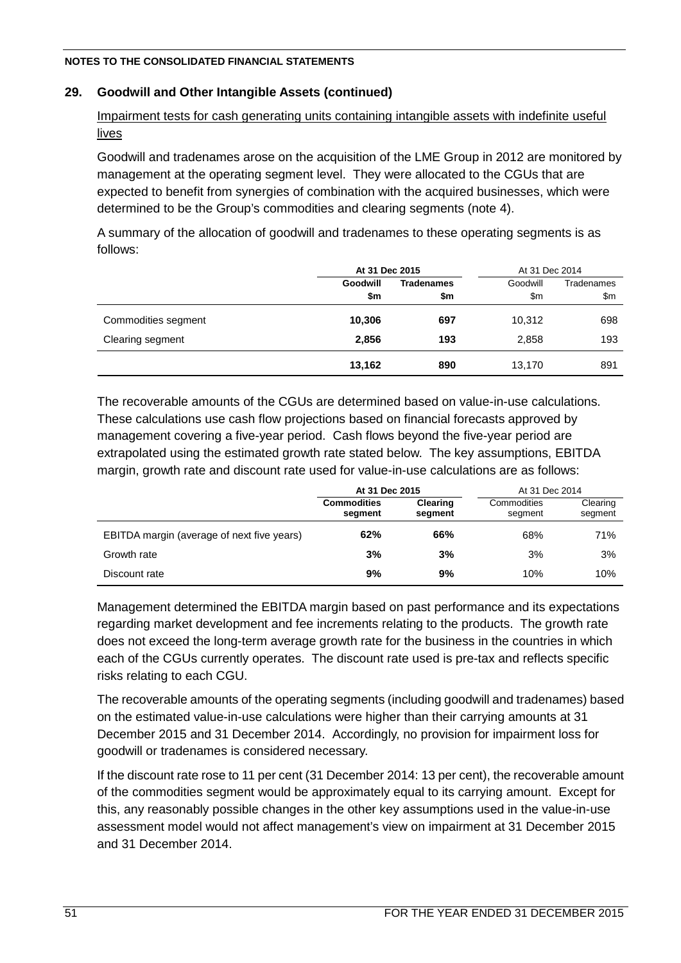# **29. Goodwill and Other Intangible Assets (continued)**

# Impairment tests for cash generating units containing intangible assets with indefinite useful lives

Goodwill and tradenames arose on the acquisition of the LME Group in 2012 are monitored by management at the operating segment level. They were allocated to the CGUs that are expected to benefit from synergies of combination with the acquired businesses, which were determined to be the Group's commodities and clearing segments (note 4).

A summary of the allocation of goodwill and tradenames to these operating segments is as follows:

|                     | At 31 Dec 2015 |                   | At 31 Dec 2014 |            |
|---------------------|----------------|-------------------|----------------|------------|
|                     | Goodwill       | <b>Tradenames</b> | Goodwill       | Tradenames |
|                     | \$m            | \$m               | \$m            | \$m        |
| Commodities segment | 10,306         | 697               | 10,312         | 698        |
| Clearing segment    | 2,856          | 193               | 2.858          | 193        |
|                     | 13,162         | 890               | 13,170         | 891        |

The recoverable amounts of the CGUs are determined based on value-in-use calculations. These calculations use cash flow projections based on financial forecasts approved by management covering a five-year period. Cash flows beyond the five-year period are extrapolated using the estimated growth rate stated below. The key assumptions, EBITDA margin, growth rate and discount rate used for value-in-use calculations are as follows:

|                                            | At 31 Dec 2015                |                            | At 31 Dec 2014         |                     |
|--------------------------------------------|-------------------------------|----------------------------|------------------------|---------------------|
|                                            | <b>Commodities</b><br>segment | <b>Clearing</b><br>segment | Commodities<br>segment | Clearing<br>segment |
| EBITDA margin (average of next five years) | 62%                           | 66%                        | 68%                    | 71%                 |
| Growth rate                                | 3%                            | 3%                         | 3%                     | 3%                  |
| Discount rate                              | 9%                            | 9%                         | 10%                    | 10%                 |

Management determined the EBITDA margin based on past performance and its expectations regarding market development and fee increments relating to the products. The growth rate does not exceed the long-term average growth rate for the business in the countries in which each of the CGUs currently operates. The discount rate used is pre-tax and reflects specific risks relating to each CGU.

The recoverable amounts of the operating segments (including goodwill and tradenames) based on the estimated value-in-use calculations were higher than their carrying amounts at 31 December 2015 and 31 December 2014. Accordingly, no provision for impairment loss for goodwill or tradenames is considered necessary.

If the discount rate rose to 11 per cent (31 December 2014: 13 per cent), the recoverable amount of the commodities segment would be approximately equal to its carrying amount. Except for this, any reasonably possible changes in the other key assumptions used in the value-in-use assessment model would not affect management's view on impairment at 31 December 2015 and 31 December 2014.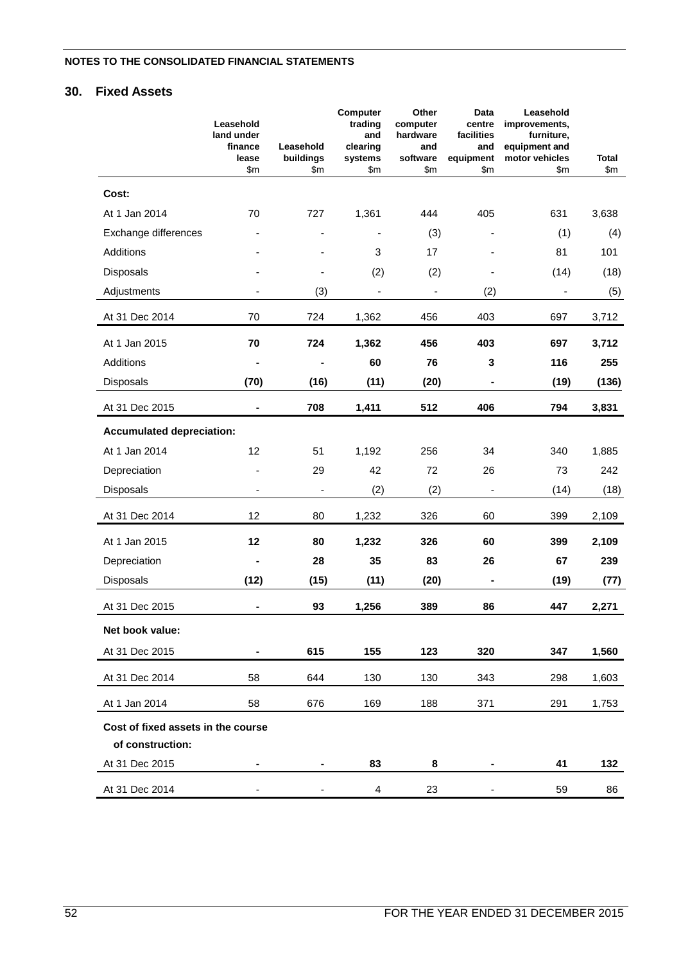# **30. Fixed Assets**

|                                    | Leasehold<br>land under<br>finance | Leasehold | Computer<br>trading<br>and<br>clearing | Other<br>computer<br>hardware<br>and | Data<br>centre<br>facilities<br>and | Leasehold<br>improvements,<br>furniture,<br>equipment and |       |
|------------------------------------|------------------------------------|-----------|----------------------------------------|--------------------------------------|-------------------------------------|-----------------------------------------------------------|-------|
|                                    | lease                              | buildings | systems                                | software                             | equipment                           | motor vehicles                                            | Total |
|                                    | \$m\$                              | \$m       | \$m                                    | \$m                                  | \$m\$                               | \$m                                                       | \$m   |
| Cost:                              |                                    |           |                                        |                                      |                                     |                                                           |       |
| At 1 Jan 2014                      | 70                                 | 727       | 1,361                                  | 444                                  | 405                                 | 631                                                       | 3,638 |
| Exchange differences               |                                    |           |                                        | (3)                                  |                                     | (1)                                                       | (4)   |
| Additions                          |                                    |           | 3                                      | 17                                   |                                     | 81                                                        | 101   |
| Disposals                          |                                    |           | (2)                                    | (2)                                  |                                     | (14)                                                      | (18)  |
| Adjustments                        |                                    | (3)       |                                        | $\qquad \qquad \blacksquare$         | (2)                                 |                                                           | (5)   |
| At 31 Dec 2014                     | 70                                 | 724       | 1,362                                  | 456                                  | 403                                 | 697                                                       | 3,712 |
| At 1 Jan 2015                      | 70                                 | 724       | 1,362                                  | 456                                  | 403                                 | 697                                                       | 3,712 |
| Additions                          |                                    |           | 60                                     | 76                                   | 3                                   | 116                                                       | 255   |
| Disposals                          | (70)                               | (16)      | (11)                                   | (20)                                 |                                     | (19)                                                      | (136) |
| At 31 Dec 2015                     |                                    | 708       | 1,411                                  | 512                                  | 406                                 | 794                                                       | 3,831 |
| <b>Accumulated depreciation:</b>   |                                    |           |                                        |                                      |                                     |                                                           |       |
| At 1 Jan 2014                      | 12                                 | 51        | 1,192                                  | 256                                  | 34                                  | 340                                                       | 1,885 |
| Depreciation                       |                                    | 29        | 42                                     | 72                                   | 26                                  | 73                                                        | 242   |
| Disposals                          |                                    |           | (2)                                    | (2)                                  |                                     | (14)                                                      | (18)  |
| At 31 Dec 2014                     | 12                                 | 80        | 1,232                                  | 326                                  | 60                                  | 399                                                       | 2,109 |
| At 1 Jan 2015                      | 12                                 | 80        | 1,232                                  | 326                                  | 60                                  | 399                                                       | 2,109 |
| Depreciation                       |                                    | 28        | 35                                     | 83                                   | 26                                  | 67                                                        | 239   |
| Disposals                          | (12)                               | (15)      | (11)                                   | (20)                                 |                                     | (19)                                                      | (77)  |
| At 31 Dec 2015                     |                                    | 93        | 1,256                                  | 389                                  | 86                                  | 447                                                       | 2,271 |
| Net book value:                    |                                    |           |                                        |                                      |                                     |                                                           |       |
| At 31 Dec 2015                     |                                    | 615       | 155                                    | 123                                  | 320                                 | 347                                                       | 1,560 |
| At 31 Dec 2014                     | 58                                 | 644       | 130                                    | 130                                  | 343                                 | 298                                                       | 1,603 |
| At 1 Jan 2014                      | 58                                 | 676       | 169                                    | 188                                  | 371                                 | 291                                                       | 1,753 |
| Cost of fixed assets in the course |                                    |           |                                        |                                      |                                     |                                                           |       |
| of construction:                   |                                    |           |                                        |                                      |                                     |                                                           |       |
| At 31 Dec 2015                     |                                    |           | 83                                     | 8                                    |                                     | 41                                                        | 132   |
| At 31 Dec 2014                     |                                    |           | 4                                      | 23                                   |                                     | 59                                                        | 86    |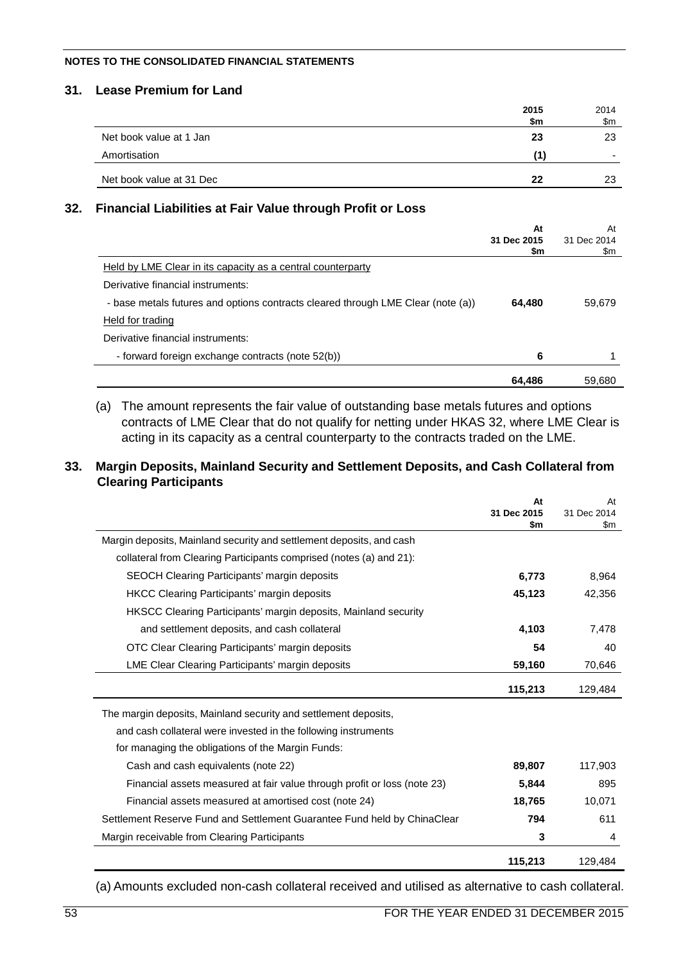### **31. Lease Premium for Land**

|                          | 2015<br>\$m | 2014<br>\$m              |
|--------------------------|-------------|--------------------------|
| Net book value at 1 Jan  | 23          | 23                       |
| Amortisation             | (1)         | $\overline{\phantom{0}}$ |
| Net book value at 31 Dec | 22          | 23                       |

# **32. Financial Liabilities at Fair Value through Profit or Loss**

|                                                                                  | At<br>31 Dec 2015<br>\$m | At<br>31 Dec 2014<br>\$m |
|----------------------------------------------------------------------------------|--------------------------|--------------------------|
| Held by LME Clear in its capacity as a central counterparty                      |                          |                          |
| Derivative financial instruments:                                                |                          |                          |
| - base metals futures and options contracts cleared through LME Clear (note (a)) | 64,480                   | 59,679                   |
| Held for trading                                                                 |                          |                          |
| Derivative financial instruments:                                                |                          |                          |
| - forward foreign exchange contracts (note 52(b))                                | 6                        |                          |
|                                                                                  | 64.486                   | 59.680                   |

(a) The amount represents the fair value of outstanding base metals futures and options contracts of LME Clear that do not qualify for netting under HKAS 32, where LME Clear is acting in its capacity as a central counterparty to the contracts traded on the LME.

### **33. Margin Deposits, Mainland Security and Settlement Deposits, and Cash Collateral from Clearing Participants**

|                                                                          | At                 | At                 |
|--------------------------------------------------------------------------|--------------------|--------------------|
|                                                                          | 31 Dec 2015<br>\$m | 31 Dec 2014<br>\$m |
| Margin deposits, Mainland security and settlement deposits, and cash     |                    |                    |
|                                                                          |                    |                    |
| collateral from Clearing Participants comprised (notes (a) and 21):      |                    |                    |
| <b>SEOCH Clearing Participants' margin deposits</b>                      | 6,773              | 8,964              |
| <b>HKCC Clearing Participants' margin deposits</b>                       | 45,123             | 42,356             |
| HKSCC Clearing Participants' margin deposits, Mainland security          |                    |                    |
| and settlement deposits, and cash collateral                             | 4,103              | 7,478              |
| OTC Clear Clearing Participants' margin deposits                         | 54                 | 40                 |
| LME Clear Clearing Participants' margin deposits                         | 59,160             | 70,646             |
|                                                                          | 115,213            | 129,484            |
| The margin deposits, Mainland security and settlement deposits,          |                    |                    |
| and cash collateral were invested in the following instruments           |                    |                    |
| for managing the obligations of the Margin Funds:                        |                    |                    |
| Cash and cash equivalents (note 22)                                      | 89,807             | 117,903            |
| Financial assets measured at fair value through profit or loss (note 23) | 5,844              | 895                |
| Financial assets measured at amortised cost (note 24)                    | 18,765             | 10,071             |
| Settlement Reserve Fund and Settlement Guarantee Fund held by ChinaClear | 794                | 611                |
| Margin receivable from Clearing Participants                             | 3                  | 4                  |
|                                                                          | 115,213            | 129,484            |

(a) Amounts excluded non-cash collateral received and utilised as alternative to cash collateral.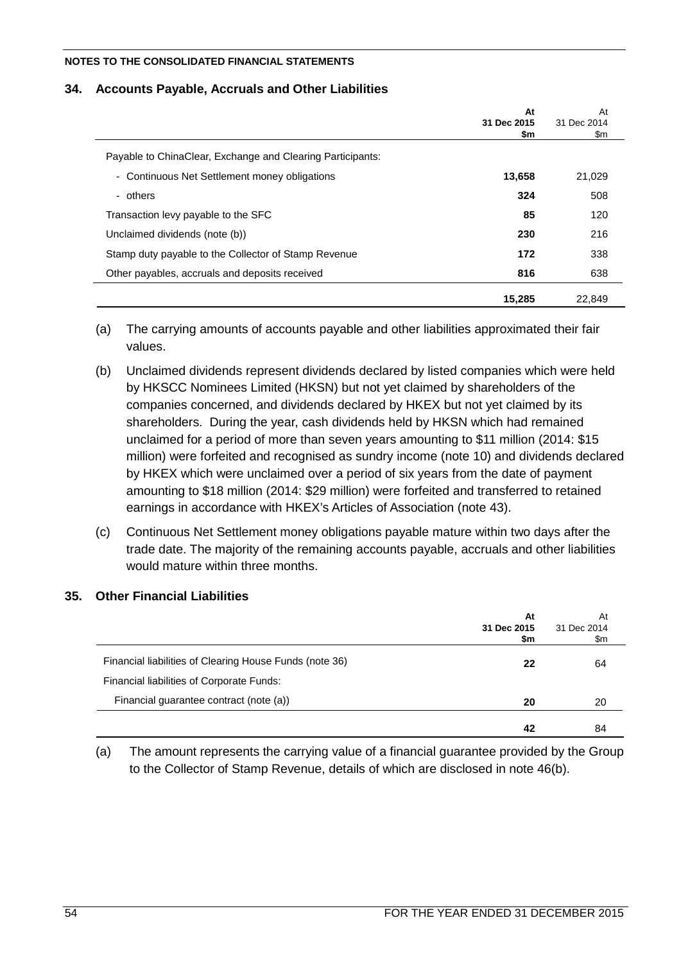### **34. Accounts Payable, Accruals and Other Liabilities**

|                                                            | At<br>31 Dec 2015<br>\$m | At<br>31 Dec 2014<br>\$m |
|------------------------------------------------------------|--------------------------|--------------------------|
| Payable to ChinaClear, Exchange and Clearing Participants: |                          |                          |
| - Continuous Net Settlement money obligations              | 13,658                   | 21,029                   |
| - others                                                   | 324                      | 508                      |
| Transaction levy payable to the SFC                        | 85                       | 120                      |
| Unclaimed dividends (note (b))                             | 230                      | 216                      |
| Stamp duty payable to the Collector of Stamp Revenue       | 172                      | 338                      |
| Other payables, accruals and deposits received             | 816                      | 638                      |
|                                                            | 15.285                   | 22,849                   |

(a) The carrying amounts of accounts payable and other liabilities approximated their fair values.

- (b) Unclaimed dividends represent dividends declared by listed companies which were held by HKSCC Nominees Limited (HKSN) but not yet claimed by shareholders of the companies concerned, and dividends declared by HKEX but not yet claimed by its shareholders. During the year, cash dividends held by HKSN which had remained unclaimed for a period of more than seven years amounting to \$11 million (2014: \$15 million) were forfeited and recognised as sundry income (note 10) and dividends declared by HKEX which were unclaimed over a period of six years from the date of payment amounting to \$18 million (2014: \$29 million) were forfeited and transferred to retained earnings in accordance with HKEX's Articles of Association (note 43).
- (c) Continuous Net Settlement money obligations payable mature within two days after the trade date. The majority of the remaining accounts payable, accruals and other liabilities would mature within three months.

### **35. Other Financial Liabilities**

|                                                         | At<br>31 Dec 2015<br>\$m | At<br>31 Dec 2014<br>\$m |
|---------------------------------------------------------|--------------------------|--------------------------|
| Financial liabilities of Clearing House Funds (note 36) | 22                       | 64                       |
| Financial liabilities of Corporate Funds:               |                          |                          |
| Financial guarantee contract (note (a))                 | 20                       | 20                       |
|                                                         | 42                       | 84                       |

(a) The amount represents the carrying value of a financial guarantee provided by the Group to the Collector of Stamp Revenue, details of which are disclosed in note 46(b).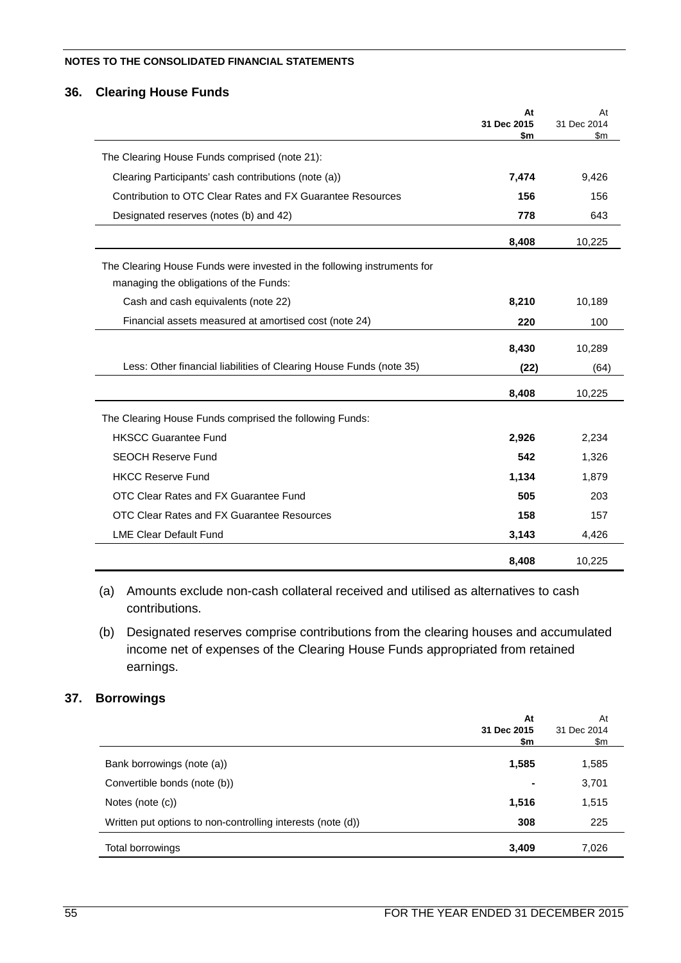### **36. Clearing House Funds**

|                                                                         | At<br>31 Dec 2015<br>\$m | At<br>31 Dec 2014<br>$\mathsf{Sm}$ |
|-------------------------------------------------------------------------|--------------------------|------------------------------------|
| The Clearing House Funds comprised (note 21):                           |                          |                                    |
| Clearing Participants' cash contributions (note (a))                    | 7,474                    | 9,426                              |
|                                                                         |                          |                                    |
| Contribution to OTC Clear Rates and FX Guarantee Resources              | 156                      | 156                                |
| Designated reserves (notes (b) and 42)                                  | 778                      | 643                                |
|                                                                         | 8,408                    | 10,225                             |
| The Clearing House Funds were invested in the following instruments for |                          |                                    |
| managing the obligations of the Funds:                                  |                          |                                    |
| Cash and cash equivalents (note 22)                                     | 8,210                    | 10,189                             |
| Financial assets measured at amortised cost (note 24)                   | 220                      | 100                                |
|                                                                         | 8,430                    | 10,289                             |
| Less: Other financial liabilities of Clearing House Funds (note 35)     | (22)                     | (64)                               |
|                                                                         | 8,408                    | 10,225                             |
| The Clearing House Funds comprised the following Funds:                 |                          |                                    |
| <b>HKSCC Guarantee Fund</b>                                             | 2,926                    | 2,234                              |
| <b>SEOCH Reserve Fund</b>                                               | 542                      | 1,326                              |
| <b>HKCC Reserve Fund</b>                                                | 1,134                    | 1,879                              |
| OTC Clear Rates and FX Guarantee Fund                                   | 505                      | 203                                |
| OTC Clear Rates and FX Guarantee Resources                              | 158                      | 157                                |
| <b>LME Clear Default Fund</b>                                           | 3,143                    | 4,426                              |
|                                                                         | 8,408                    | 10,225                             |

(a) Amounts exclude non-cash collateral received and utilised as alternatives to cash contributions.

(b) Designated reserves comprise contributions from the clearing houses and accumulated income net of expenses of the Clearing House Funds appropriated from retained earnings.

### **37. Borrowings**

|                                                             | At<br>31 Dec 2015<br>\$m | At<br>31 Dec 2014<br>\$m |
|-------------------------------------------------------------|--------------------------|--------------------------|
| Bank borrowings (note (a))                                  | 1,585                    | 1,585                    |
| Convertible bonds (note (b))                                |                          | 3,701                    |
| Notes (note (c))                                            | 1,516                    | 1,515                    |
| Written put options to non-controlling interests (note (d)) | 308                      | 225                      |
| Total borrowings                                            | 3,409                    | 7,026                    |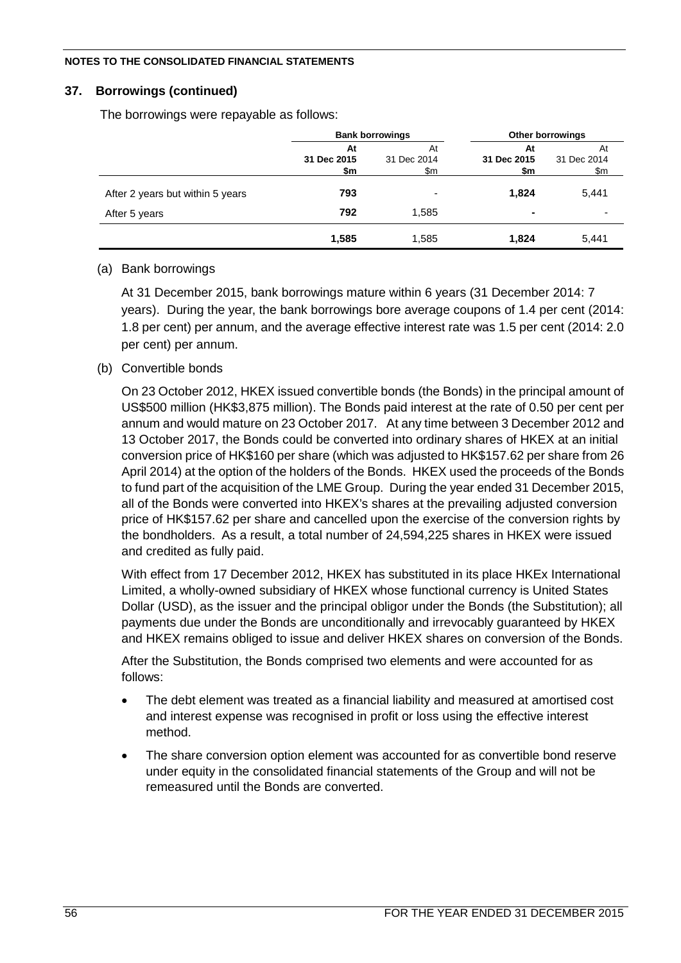## **37. Borrowings (continued)**

The borrowings were repayable as follows:

|                                  |             | <b>Bank borrowings</b> | <b>Other borrowings</b> |                          |  |
|----------------------------------|-------------|------------------------|-------------------------|--------------------------|--|
|                                  | At          | At                     | At                      | At                       |  |
|                                  | 31 Dec 2015 | 31 Dec 2014            | 31 Dec 2015             | 31 Dec 2014              |  |
|                                  | \$m         | \$m<br>\$m             |                         | \$m                      |  |
| After 2 years but within 5 years | 793         | $\overline{a}$         | 1,824                   | 5,441                    |  |
| After 5 years                    | 792         | 1.585                  | $\blacksquare$          | $\overline{\phantom{0}}$ |  |
|                                  | 1,585       | 1,585                  | 1,824                   | 5,441                    |  |

### (a) Bank borrowings

At 31 December 2015, bank borrowings mature within 6 years (31 December 2014: 7 years). During the year, the bank borrowings bore average coupons of 1.4 per cent (2014: 1.8 per cent) per annum, and the average effective interest rate was 1.5 per cent (2014: 2.0 per cent) per annum.

## (b) Convertible bonds

On 23 October 2012, HKEX issued convertible bonds (the Bonds) in the principal amount of US\$500 million (HK\$3,875 million). The Bonds paid interest at the rate of 0.50 per cent per annum and would mature on 23 October 2017. At any time between 3 December 2012 and 13 October 2017, the Bonds could be converted into ordinary shares of HKEX at an initial conversion price of HK\$160 per share (which was adjusted to HK\$157.62 per share from 26 April 2014) at the option of the holders of the Bonds. HKEX used the proceeds of the Bonds to fund part of the acquisition of the LME Group. During the year ended 31 December 2015, all of the Bonds were converted into HKEX's shares at the prevailing adjusted conversion price of HK\$157.62 per share and cancelled upon the exercise of the conversion rights by the bondholders. As a result, a total number of 24,594,225 shares in HKEX were issued and credited as fully paid.

With effect from 17 December 2012, HKEX has substituted in its place HKEx International Limited, a wholly-owned subsidiary of HKEX whose functional currency is United States Dollar (USD), as the issuer and the principal obligor under the Bonds (the Substitution); all payments due under the Bonds are unconditionally and irrevocably guaranteed by HKEX and HKEX remains obliged to issue and deliver HKEX shares on conversion of the Bonds.

After the Substitution, the Bonds comprised two elements and were accounted for as follows:

- The debt element was treated as a financial liability and measured at amortised cost and interest expense was recognised in profit or loss using the effective interest method.
- The share conversion option element was accounted for as convertible bond reserve under equity in the consolidated financial statements of the Group and will not be remeasured until the Bonds are converted.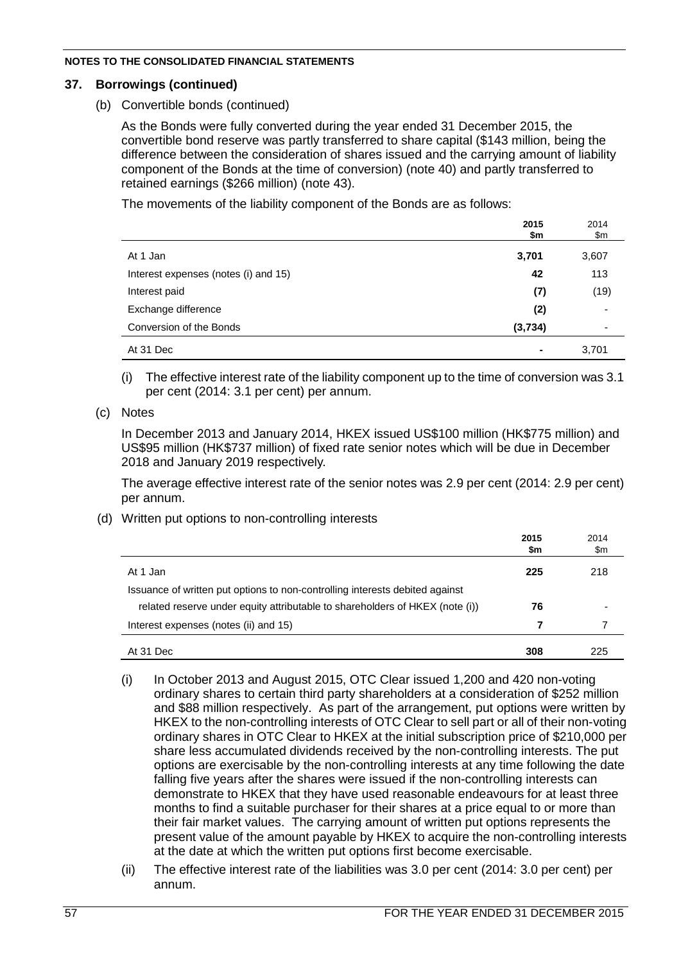### **37. Borrowings (continued)**

(b) Convertible bonds (continued)

As the Bonds were fully converted during the year ended 31 December 2015, the convertible bond reserve was partly transferred to share capital (\$143 million, being the difference between the consideration of shares issued and the carrying amount of liability component of the Bonds at the time of conversion) (note 40) and partly transferred to retained earnings (\$266 million) (note 43).

The movements of the liability component of the Bonds are as follows:

|                                      | 2015    | 2014  |
|--------------------------------------|---------|-------|
|                                      | \$m     | \$m   |
| At 1 Jan                             | 3,701   | 3,607 |
| Interest expenses (notes (i) and 15) | 42      | 113   |
| Interest paid                        | (7)     | (19)  |
| Exchange difference                  | (2)     |       |
| Conversion of the Bonds              | (3,734) |       |
| At 31 Dec                            | ۰       | 3,701 |

- (i) The effective interest rate of the liability component up to the time of conversion was 3.1 per cent (2014: 3.1 per cent) per annum.
- (c) Notes

In December 2013 and January 2014, HKEX issued US\$100 million (HK\$775 million) and US\$95 million (HK\$737 million) of fixed rate senior notes which will be due in December 2018 and January 2019 respectively.

The average effective interest rate of the senior notes was 2.9 per cent (2014: 2.9 per cent) per annum.

(d) Written put options to non-controlling interests

|                                                                              | 2015<br>\$m | 2014<br>\$m |
|------------------------------------------------------------------------------|-------------|-------------|
| At 1 Jan                                                                     | 225         | 218         |
| Issuance of written put options to non-controlling interests debited against |             |             |
| related reserve under equity attributable to shareholders of HKEX (note (i)) | 76          |             |
| Interest expenses (notes (ii) and 15)                                        |             |             |
| At 31 Dec                                                                    | 308         | 225         |

- (i) In October 2013 and August 2015, OTC Clear issued 1,200 and 420 non-voting ordinary shares to certain third party shareholders at a consideration of \$252 million and \$88 million respectively. As part of the arrangement, put options were written by HKEX to the non-controlling interests of OTC Clear to sell part or all of their non-voting ordinary shares in OTC Clear to HKEX at the initial subscription price of \$210,000 per share less accumulated dividends received by the non-controlling interests. The put options are exercisable by the non-controlling interests at any time following the date falling five years after the shares were issued if the non-controlling interests can demonstrate to HKEX that they have used reasonable endeavours for at least three months to find a suitable purchaser for their shares at a price equal to or more than their fair market values. The carrying amount of written put options represents the present value of the amount payable by HKEX to acquire the non-controlling interests at the date at which the written put options first become exercisable.
- (ii) The effective interest rate of the liabilities was 3.0 per cent (2014: 3.0 per cent) per annum.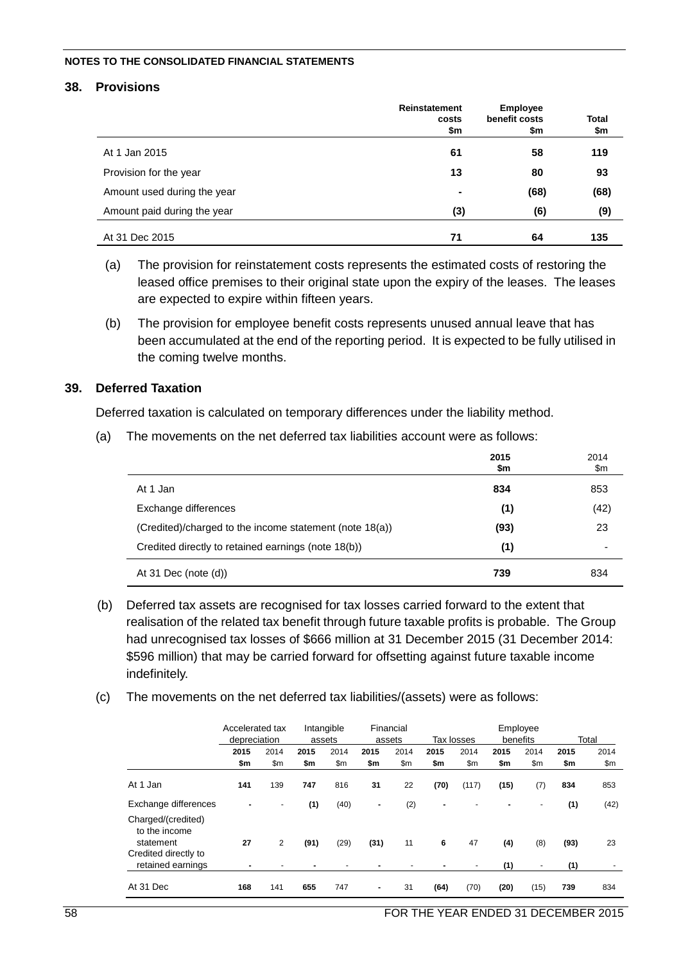### **38. Provisions**

|                             | <b>Reinstatement</b><br>costs<br>\$m | <b>Employee</b><br>benefit costs<br>\$m | <b>Total</b><br>\$m |
|-----------------------------|--------------------------------------|-----------------------------------------|---------------------|
| At 1 Jan 2015               | 61                                   | 58                                      | 119                 |
| Provision for the year      | 13                                   | 80                                      | 93                  |
| Amount used during the year | $\blacksquare$                       | (68)                                    | (68)                |
| Amount paid during the year | (3)                                  | (6)                                     | (9)                 |
| At 31 Dec 2015              | 71                                   | 64                                      | 135                 |

- (a) The provision for reinstatement costs represents the estimated costs of restoring the leased office premises to their original state upon the expiry of the leases. The leases are expected to expire within fifteen years.
- (b) The provision for employee benefit costs represents unused annual leave that has been accumulated at the end of the reporting period. It is expected to be fully utilised in the coming twelve months.

### **39. Deferred Taxation**

Deferred taxation is calculated on temporary differences under the liability method.

|                                                         | 2015<br>\$m | 2014<br>\$m |
|---------------------------------------------------------|-------------|-------------|
| At 1 Jan                                                | 834         | 853         |
| Exchange differences                                    | (1)         | (42)        |
| (Credited)/charged to the income statement (note 18(a)) | (93)        | 23          |
| Credited directly to retained earnings (note 18(b))     | (1)         |             |
| At 31 Dec (note $(d)$ )                                 | 739         | 834         |

(a) The movements on the net deferred tax liabilities account were as follows:

- (b) Deferred tax assets are recognised for tax losses carried forward to the extent that realisation of the related tax benefit through future taxable profits is probable. The Group had unrecognised tax losses of \$666 million at 31 December 2015 (31 December 2014: \$596 million) that may be carried forward for offsetting against future taxable income indefinitely.
- (c) The movements on the net deferred tax liabilities/(assets) were as follows:

|                                                  | Accelerated tax<br>depreciation |                          |      | Intangible<br>assets |                | Financial<br>assets |      | Employee<br>benefits<br>Tax losses |      | Total                    |      |      |
|--------------------------------------------------|---------------------------------|--------------------------|------|----------------------|----------------|---------------------|------|------------------------------------|------|--------------------------|------|------|
|                                                  | 2015                            | 2014                     | 2015 | 2014                 | 2015           | 2014                | 2015 | 2014                               | 2015 | 2014                     | 2015 | 2014 |
|                                                  | \$m                             | \$m\$                    | \$m  | \$m                  | \$m            | \$m                 | \$m  | \$m\$                              | \$m  | \$m\$                    | \$m  | \$m  |
| At 1 Jan                                         | 141                             | 139                      | 747  | 816                  | 31             | 22                  | (70) | (117)                              | (15) | (7)                      | 834  | 853  |
| Exchange differences                             | ٠                               | $\overline{\phantom{a}}$ | (1)  | (40)                 | $\blacksquare$ | (2)                 | ۰    |                                    |      | $\overline{\phantom{a}}$ | (1)  | (42) |
| Charged/(credited)<br>to the income<br>statement | 27                              | 2                        | (91) | (29)                 | (31)           | 11                  | 6    | 47                                 | (4)  | (8)                      | (93) | 23   |
| Credited directly to<br>retained earnings        | -                               |                          | ٠    |                      |                |                     |      |                                    | (1)  |                          | (1)  |      |
| At 31 Dec                                        | 168                             | 141                      | 655  | 747                  | ٠              | 31                  | (64) | (70)                               | (20) | (15)                     | 739  | 834  |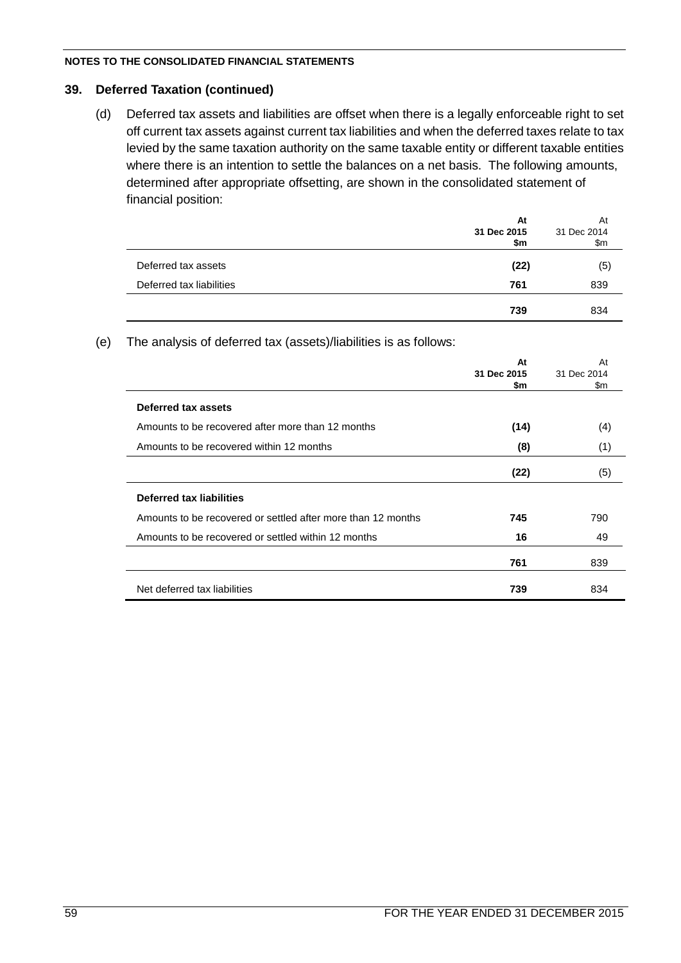### **39. Deferred Taxation (continued)**

(d) Deferred tax assets and liabilities are offset when there is a legally enforceable right to set off current tax assets against current tax liabilities and when the deferred taxes relate to tax levied by the same taxation authority on the same taxable entity or different taxable entities where there is an intention to settle the balances on a net basis. The following amounts, determined after appropriate offsetting, are shown in the consolidated statement of financial position:

|                          | At          | At          |
|--------------------------|-------------|-------------|
|                          | 31 Dec 2015 | 31 Dec 2014 |
|                          | \$m         | \$m\$       |
| Deferred tax assets      | (22)        | (5)         |
| Deferred tax liabilities | 761         | 839         |
|                          | 739         | 834         |

(e) The analysis of deferred tax (assets)/liabilities is as follows:

|                                                              | At<br>31 Dec 2015<br>\$m | At<br>31 Dec 2014<br>\$m |
|--------------------------------------------------------------|--------------------------|--------------------------|
| Deferred tax assets                                          |                          |                          |
| Amounts to be recovered after more than 12 months            | (14)                     | (4)                      |
| Amounts to be recovered within 12 months                     | (8)                      | (1)                      |
|                                                              | (22)                     | (5)                      |
| Deferred tax liabilities                                     |                          |                          |
| Amounts to be recovered or settled after more than 12 months | 745                      | 790                      |
| Amounts to be recovered or settled within 12 months          | 16                       | 49                       |
|                                                              | 761                      | 839                      |
| Net deferred tax liabilities                                 | 739                      | 834                      |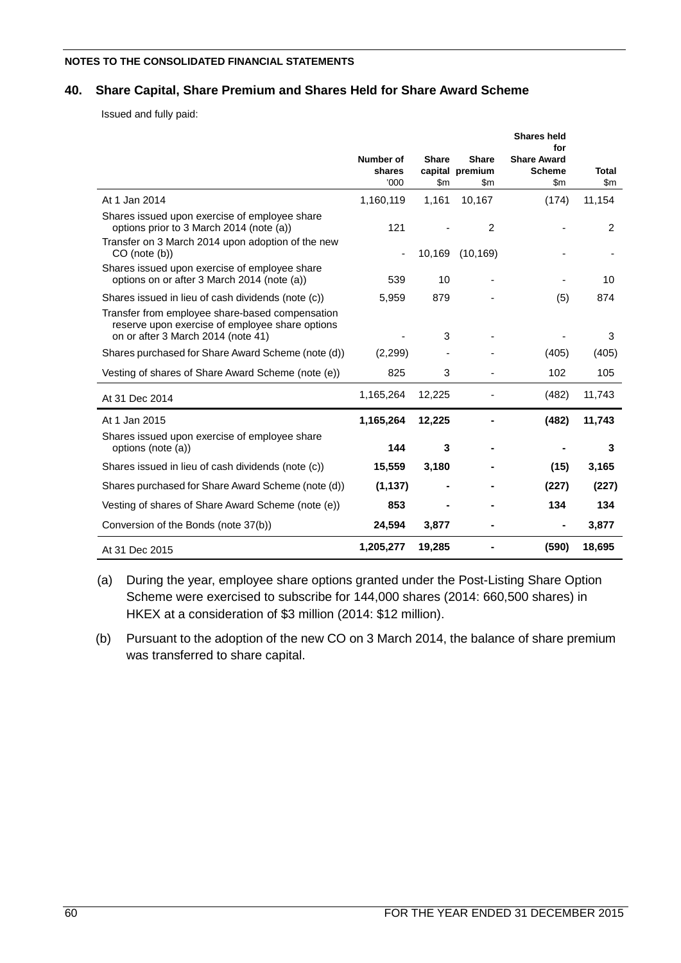### **40. Share Capital, Share Premium and Shares Held for Share Award Scheme**

Issued and fully paid:

|                                                                                                                                          |                             |                               |                                                  | <b>Shares held</b><br>for                            |                               |
|------------------------------------------------------------------------------------------------------------------------------------------|-----------------------------|-------------------------------|--------------------------------------------------|------------------------------------------------------|-------------------------------|
|                                                                                                                                          | Number of<br>shares<br>'000 | <b>Share</b><br>$\mathsf{Sm}$ | <b>Share</b><br>capital premium<br>$\mathsf{Sm}$ | <b>Share Award</b><br><b>Scheme</b><br>$\mathsf{Sm}$ | <b>Total</b><br>$\mathsf{Sm}$ |
| At 1 Jan 2014                                                                                                                            | 1,160,119                   | 1,161                         | 10,167                                           | (174)                                                | 11,154                        |
| Shares issued upon exercise of employee share<br>options prior to 3 March 2014 (note (a))                                                | 121                         |                               | 2                                                |                                                      | 2                             |
| Transfer on 3 March 2014 upon adoption of the new<br>$CO$ (note $(b)$ )                                                                  | ٠                           | 10,169                        | (10, 169)                                        |                                                      |                               |
| Shares issued upon exercise of employee share<br>options on or after 3 March 2014 (note (a))                                             | 539                         | 10                            |                                                  |                                                      | 10                            |
| Shares issued in lieu of cash dividends (note (c))                                                                                       | 5,959                       | 879                           |                                                  | (5)                                                  | 874                           |
| Transfer from employee share-based compensation<br>reserve upon exercise of employee share options<br>on or after 3 March 2014 (note 41) |                             | 3                             |                                                  |                                                      | 3                             |
| Shares purchased for Share Award Scheme (note (d))                                                                                       | (2,299)                     |                               |                                                  | (405)                                                | (405)                         |
| Vesting of shares of Share Award Scheme (note (e))                                                                                       | 825                         | 3                             |                                                  | 102                                                  | 105                           |
| At 31 Dec 2014                                                                                                                           | 1,165,264                   | 12,225                        |                                                  | (482)                                                | 11,743                        |
| At 1 Jan 2015                                                                                                                            | 1,165,264                   | 12,225                        |                                                  | (482)                                                | 11,743                        |
| Shares issued upon exercise of employee share<br>options (note (a))                                                                      | 144                         | 3                             |                                                  |                                                      | 3                             |
| Shares issued in lieu of cash dividends (note (c))                                                                                       | 15,559                      | 3,180                         |                                                  | (15)                                                 | 3,165                         |
| Shares purchased for Share Award Scheme (note (d))                                                                                       | (1, 137)                    |                               |                                                  | (227)                                                | (227)                         |
| Vesting of shares of Share Award Scheme (note (e))                                                                                       | 853                         |                               |                                                  | 134                                                  | 134                           |
| Conversion of the Bonds (note 37(b))                                                                                                     | 24,594                      | 3,877                         |                                                  | -                                                    | 3,877                         |
| At 31 Dec 2015                                                                                                                           | 1,205,277                   | 19,285                        |                                                  | (590)                                                | 18,695                        |

(a) During the year, employee share options granted under the Post-Listing Share Option Scheme were exercised to subscribe for 144,000 shares (2014: 660,500 shares) in HKEX at a consideration of \$3 million (2014: \$12 million).

(b) Pursuant to the adoption of the new CO on 3 March 2014, the balance of share premium was transferred to share capital.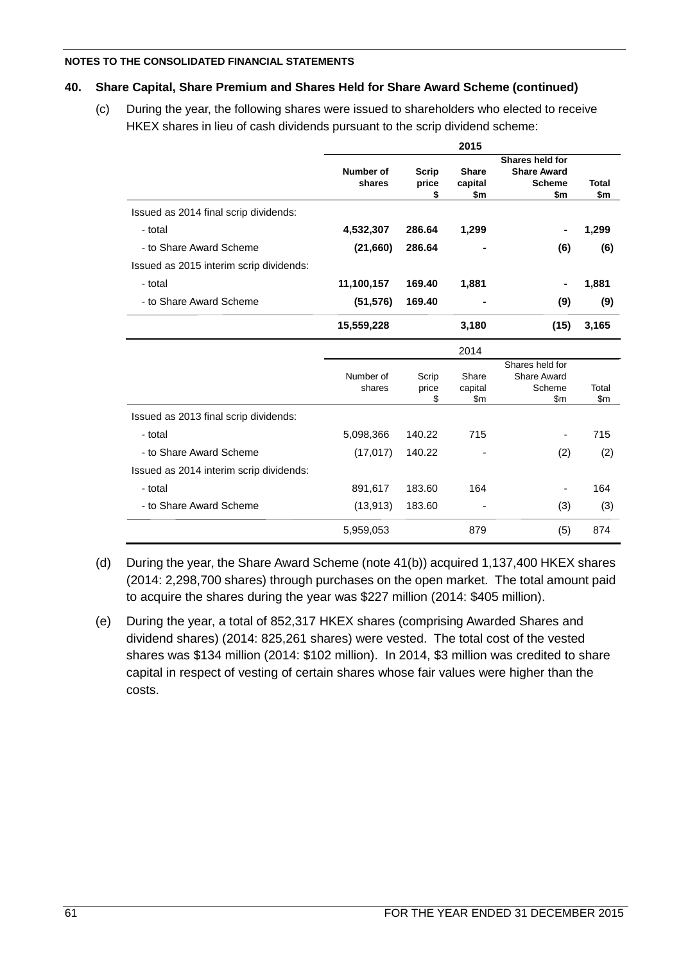### **40. Share Capital, Share Premium and Shares Held for Share Award Scheme (continued)**

(c) During the year, the following shares were issued to shareholders who elected to receive HKEX shares in lieu of cash dividends pursuant to the scrip dividend scheme:

|                                         |                     |                       | 2015             |                                              |              |
|-----------------------------------------|---------------------|-----------------------|------------------|----------------------------------------------|--------------|
|                                         | Number of           |                       | <b>Share</b>     | <b>Shares held for</b><br><b>Share Award</b> |              |
|                                         | shares              | <b>Scrip</b><br>price | capital          | <b>Scheme</b>                                | <b>Total</b> |
|                                         |                     | \$                    | \$m              | \$m                                          | \$m          |
| Issued as 2014 final scrip dividends:   |                     |                       |                  |                                              |              |
| - total                                 | 4,532,307           | 286.64                | 1,299            |                                              | 1,299        |
| - to Share Award Scheme                 | (21,660)            | 286.64                |                  | (6)                                          | (6)          |
| Issued as 2015 interim scrip dividends: |                     |                       |                  |                                              |              |
| - total                                 | 11,100,157          | 169.40                | 1,881            |                                              | 1,881        |
| - to Share Award Scheme                 | (51, 576)           | 169.40                |                  | (9)                                          | (9)          |
|                                         | 15,559,228          |                       | 3,180            | (15)                                         | 3,165        |
|                                         |                     |                       | 2014             |                                              |              |
|                                         |                     |                       |                  | Shares held for                              |              |
|                                         | Number of<br>shares | Scrip<br>price        | Share<br>capital | <b>Share Award</b><br>Scheme                 | Total        |
|                                         |                     | \$                    | \$m              | \$m                                          | \$m          |
| Issued as 2013 final scrip dividends:   |                     |                       |                  |                                              |              |
| - total                                 | 5,098,366           | 140.22                | 715              | $\overline{\phantom{a}}$                     | 715          |
| - to Share Award Scheme                 | (17, 017)           | 140.22                |                  | (2)                                          | (2)          |
| Issued as 2014 interim scrip dividends: |                     |                       |                  |                                              |              |
|                                         |                     |                       | 164              |                                              | 164          |
| - total                                 | 891,617             | 183.60                |                  |                                              |              |
| - to Share Award Scheme                 | (13,913)            | 183.60                |                  | (3)                                          | (3)          |

- (d) During the year, the Share Award Scheme (note 41(b)) acquired 1,137,400 HKEX shares (2014: 2,298,700 shares) through purchases on the open market. The total amount paid to acquire the shares during the year was \$227 million (2014: \$405 million).
- (e) During the year, a total of 852,317 HKEX shares (comprising Awarded Shares and dividend shares) (2014: 825,261 shares) were vested. The total cost of the vested shares was \$134 million (2014: \$102 million). In 2014, \$3 million was credited to share capital in respect of vesting of certain shares whose fair values were higher than the costs.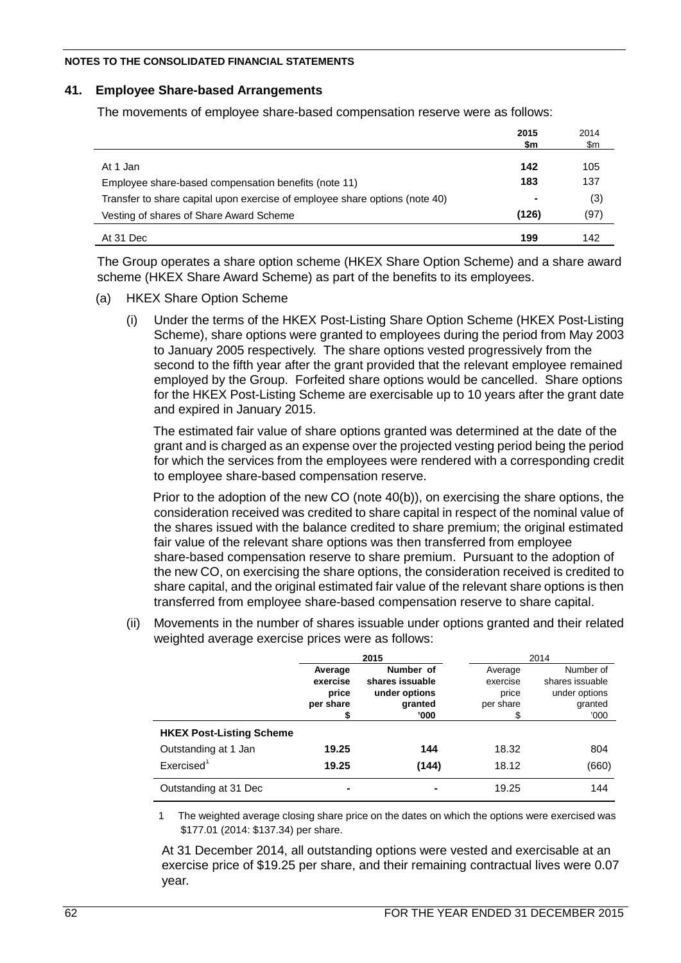### **41. Employee Share-based Arrangements**

The movements of employee share-based compensation reserve were as follows:

|                                                                             | 2015<br>\$m | 2014<br>\$m |
|-----------------------------------------------------------------------------|-------------|-------------|
| At 1 Jan                                                                    | 142         | 105         |
| Employee share-based compensation benefits (note 11)                        | 183         | 137         |
| Transfer to share capital upon exercise of employee share options (note 40) |             | (3)         |
| Vesting of shares of Share Award Scheme                                     | (126)       | (97)        |
| At 31 Dec                                                                   | 199         | 142         |

The Group operates a share option scheme (HKEX Share Option Scheme) and a share award scheme (HKEX Share Award Scheme) as part of the benefits to its employees.

- (a) HKEX Share Option Scheme
	- (i) Under the terms of the HKEX Post-Listing Share Option Scheme (HKEX Post-Listing Scheme), share options were granted to employees during the period from May 2003 to January 2005 respectively. The share options vested progressively from the second to the fifth year after the grant provided that the relevant employee remained employed by the Group. Forfeited share options would be cancelled. Share options for the HKEX Post-Listing Scheme are exercisable up to 10 years after the grant date and expired in January 2015.

The estimated fair value of share options granted was determined at the date of the grant and is charged as an expense over the projected vesting period being the period for which the services from the employees were rendered with a corresponding credit to employee share-based compensation reserve.

Prior to the adoption of the new CO (note 40(b)), on exercising the share options, the consideration received was credited to share capital in respect of the nominal value of the shares issued with the balance credited to share premium; the original estimated fair value of the relevant share options was then transferred from employee share-based compensation reserve to share premium. Pursuant to the adoption of the new CO, on exercising the share options, the consideration received is credited to share capital, and the original estimated fair value of the relevant share options is then transferred from employee share-based compensation reserve to share capital.

(ii) Movements in the number of shares issuable under options granted and their related weighted average exercise prices were as follows:

|                                 | 2015                         |                                               |                              | 2014                                          |
|---------------------------------|------------------------------|-----------------------------------------------|------------------------------|-----------------------------------------------|
|                                 | Average<br>exercise<br>price | Number of<br>shares issuable<br>under options | Average<br>exercise<br>price | Number of<br>shares issuable<br>under options |
|                                 | per share                    | granted<br>'000                               | per share<br>S               | granted<br>'000'                              |
| <b>HKEX Post-Listing Scheme</b> |                              |                                               |                              |                                               |
| Outstanding at 1 Jan            | 19.25                        | 144                                           | 18.32                        | 804                                           |
| Exercised <sup>1</sup>          | 19.25                        | (144)                                         | 18.12                        | (660)                                         |
| Outstanding at 31 Dec           | -                            |                                               | 19.25                        | 144                                           |

1 The weighted average closing share price on the dates on which the options were exercised was \$177.01 (2014: \$137.34) per share.

At 31 December 2014, all outstanding options were vested and exercisable at an exercise price of \$19.25 per share, and their remaining contractual lives were 0.07 year.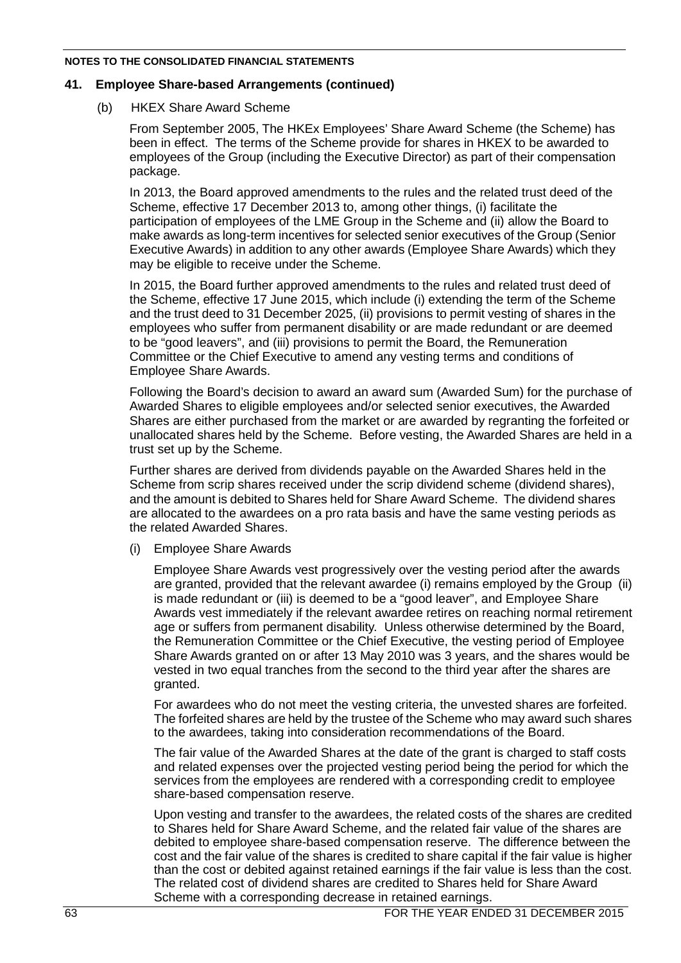### **41. Employee Share-based Arrangements (continued)**

### (b) HKEX Share Award Scheme

From September 2005, The HKEx Employees' Share Award Scheme (the Scheme) has been in effect. The terms of the Scheme provide for shares in HKEX to be awarded to employees of the Group (including the Executive Director) as part of their compensation package.

In 2013, the Board approved amendments to the rules and the related trust deed of the Scheme, effective 17 December 2013 to, among other things, (i) facilitate the participation of employees of the LME Group in the Scheme and (ii) allow the Board to make awards as long-term incentives for selected senior executives of the Group (Senior Executive Awards) in addition to any other awards (Employee Share Awards) which they may be eligible to receive under the Scheme.

In 2015, the Board further approved amendments to the rules and related trust deed of the Scheme, effective 17 June 2015, which include (i) extending the term of the Scheme and the trust deed to 31 December 2025, (ii) provisions to permit vesting of shares in the employees who suffer from permanent disability or are made redundant or are deemed to be "good leavers", and (iii) provisions to permit the Board, the Remuneration Committee or the Chief Executive to amend any vesting terms and conditions of Employee Share Awards.

Following the Board's decision to award an award sum (Awarded Sum) for the purchase of Awarded Shares to eligible employees and/or selected senior executives, the Awarded Shares are either purchased from the market or are awarded by regranting the forfeited or unallocated shares held by the Scheme. Before vesting, the Awarded Shares are held in a trust set up by the Scheme.

Further shares are derived from dividends payable on the Awarded Shares held in the Scheme from scrip shares received under the scrip dividend scheme (dividend shares), and the amount is debited to Shares held for Share Award Scheme. The dividend shares are allocated to the awardees on a pro rata basis and have the same vesting periods as the related Awarded Shares.

(i) Employee Share Awards

Employee Share Awards vest progressively over the vesting period after the awards are granted, provided that the relevant awardee (i) remains employed by the Group (ii) is made redundant or (iii) is deemed to be a "good leaver", and Employee Share Awards vest immediately if the relevant awardee retires on reaching normal retirement age or suffers from permanent disability. Unless otherwise determined by the Board, the Remuneration Committee or the Chief Executive, the vesting period of Employee Share Awards granted on or after 13 May 2010 was 3 years, and the shares would be vested in two equal tranches from the second to the third year after the shares are granted.

For awardees who do not meet the vesting criteria, the unvested shares are forfeited. The forfeited shares are held by the trustee of the Scheme who may award such shares to the awardees, taking into consideration recommendations of the Board.

The fair value of the Awarded Shares at the date of the grant is charged to staff costs and related expenses over the projected vesting period being the period for which the services from the employees are rendered with a corresponding credit to employee share-based compensation reserve.

Upon vesting and transfer to the awardees, the related costs of the shares are credited to Shares held for Share Award Scheme, and the related fair value of the shares are debited to employee share-based compensation reserve. The difference between the cost and the fair value of the shares is credited to share capital if the fair value is higher than the cost or debited against retained earnings if the fair value is less than the cost. The related cost of dividend shares are credited to Shares held for Share Award Scheme with a corresponding decrease in retained earnings.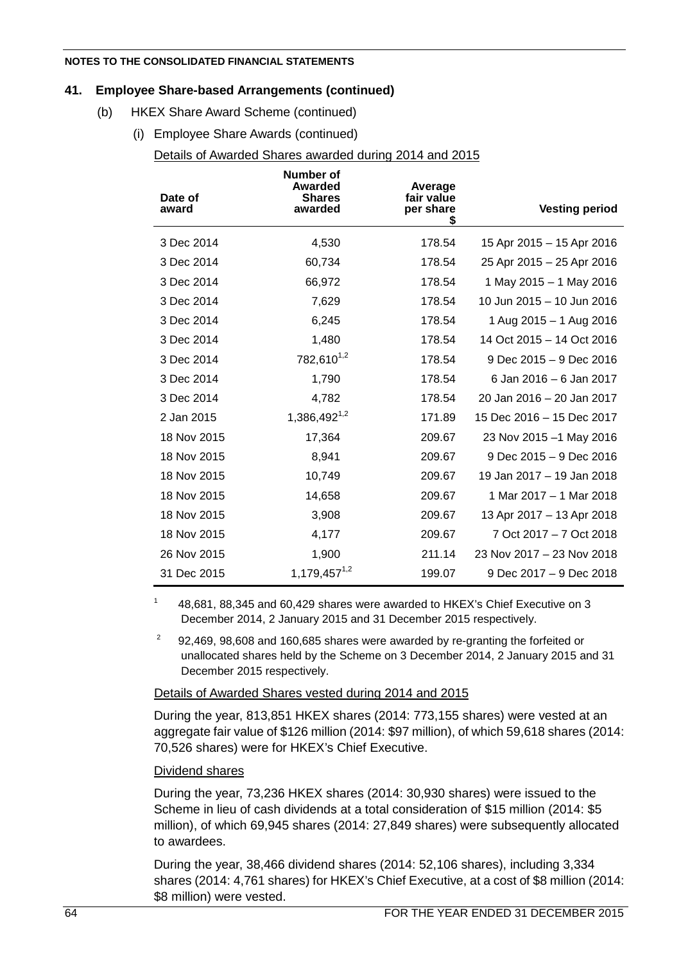#### **41. Employee Share-based Arrangements (continued)**

- (b) HKEX Share Award Scheme (continued)
	- (i) Employee Share Awards (continued)

#### Details of Awarded Shares awarded during 2014 and 2015

| Date of<br>award | Number of<br><b>Awarded</b><br><b>Shares</b><br>awarded | Average<br>fair value<br>per share | <b>Vesting period</b>     |
|------------------|---------------------------------------------------------|------------------------------------|---------------------------|
| 3 Dec 2014       | 4,530                                                   | 178.54                             | 15 Apr 2015 - 15 Apr 2016 |
| 3 Dec 2014       | 60,734                                                  | 178.54                             | 25 Apr 2015 - 25 Apr 2016 |
| 3 Dec 2014       | 66,972                                                  | 178.54                             | 1 May 2015 - 1 May 2016   |
| 3 Dec 2014       | 7,629                                                   | 178.54                             | 10 Jun 2015 - 10 Jun 2016 |
| 3 Dec 2014       | 6,245                                                   | 178.54                             | 1 Aug 2015 - 1 Aug 2016   |
| 3 Dec 2014       | 1,480                                                   | 178.54                             | 14 Oct 2015 - 14 Oct 2016 |
| 3 Dec 2014       | 782,610 <sup>1,2</sup>                                  | 178.54                             | 9 Dec 2015 - 9 Dec 2016   |
| 3 Dec 2014       | 1,790                                                   | 178.54                             | 6 Jan 2016 - 6 Jan 2017   |
| 3 Dec 2014       | 4,782                                                   | 178.54                             | 20 Jan 2016 - 20 Jan 2017 |
| 2 Jan 2015       | $1,386,492^{1,2}$                                       | 171.89                             | 15 Dec 2016 - 15 Dec 2017 |
| 18 Nov 2015      | 17,364                                                  | 209.67                             | 23 Nov 2015 -1 May 2016   |
| 18 Nov 2015      | 8,941                                                   | 209.67                             | 9 Dec 2015 - 9 Dec 2016   |
| 18 Nov 2015      | 10,749                                                  | 209.67                             | 19 Jan 2017 - 19 Jan 2018 |
| 18 Nov 2015      | 14,658                                                  | 209.67                             | 1 Mar 2017 - 1 Mar 2018   |
| 18 Nov 2015      | 3,908                                                   | 209.67                             | 13 Apr 2017 - 13 Apr 2018 |
| 18 Nov 2015      | 4,177                                                   | 209.67                             | 7 Oct 2017 - 7 Oct 2018   |
| 26 Nov 2015      | 1,900                                                   | 211.14                             | 23 Nov 2017 - 23 Nov 2018 |
| 31 Dec 2015      | $1,179,457^{1,2}$                                       | 199.07                             | 9 Dec 2017 - 9 Dec 2018   |
|                  |                                                         |                                    |                           |

<sup>1</sup> 48,681, 88,345 and 60,429 shares were awarded to HKEX's Chief Executive on 3 December 2014, 2 January 2015 and 31 December 2015 respectively.

 $2^2$  92,469, 98,608 and 160,685 shares were awarded by re-granting the forfeited or unallocated shares held by the Scheme on 3 December 2014, 2 January 2015 and 31 December 2015 respectively.

#### Details of Awarded Shares vested during 2014 and 2015

During the year, 813,851 HKEX shares (2014: 773,155 shares) were vested at an aggregate fair value of \$126 million (2014: \$97 million), of which 59,618 shares (2014: 70,526 shares) were for HKEX's Chief Executive.

#### Dividend shares

During the year, 73,236 HKEX shares (2014: 30,930 shares) were issued to the Scheme in lieu of cash dividends at a total consideration of \$15 million (2014: \$5 million), of which 69,945 shares (2014: 27,849 shares) were subsequently allocated to awardees.

During the year, 38,466 dividend shares (2014: 52,106 shares), including 3,334 shares (2014: 4,761 shares) for HKEX's Chief Executive, at a cost of \$8 million (2014: \$8 million) were vested.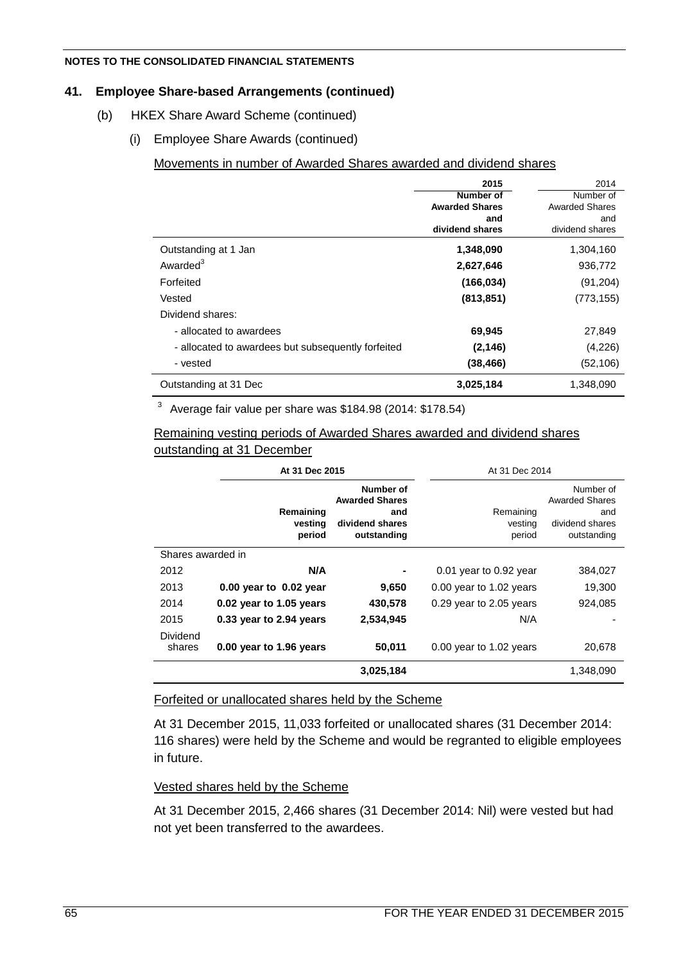## **41. Employee Share-based Arrangements (continued)**

- (b) HKEX Share Award Scheme (continued)
	- (i) Employee Share Awards (continued)

### Movements in number of Awarded Shares awarded and dividend shares

|                                                    | 2015                  | 2014                  |
|----------------------------------------------------|-----------------------|-----------------------|
|                                                    | <b>Number of</b>      | Number of             |
|                                                    | <b>Awarded Shares</b> | <b>Awarded Shares</b> |
|                                                    | and                   | and                   |
|                                                    | dividend shares       | dividend shares       |
| Outstanding at 1 Jan                               | 1,348,090             | 1,304,160             |
| Awarded <sup>3</sup>                               | 2,627,646             | 936,772               |
| Forfeited                                          | (166, 034)            | (91, 204)             |
| Vested                                             | (813, 851)            | (773, 155)            |
| Dividend shares:                                   |                       |                       |
| - allocated to awardees                            | 69,945                | 27,849                |
| - allocated to awardees but subsequently forfeited | (2, 146)              | (4,226)               |
| - vested                                           | (38, 466)             | (52, 106)             |
| Outstanding at 31 Dec                              | 3.025.184             | 1,348,090             |

<sup>3</sup> Average fair value per share was \$184.98 (2014: \$178.54)

# Remaining vesting periods of Awarded Shares awarded and dividend shares outstanding at 31 December

|                    | At 31 Dec 2015                 |                                                                             | At 31 Dec 2014                 |                                                                             |
|--------------------|--------------------------------|-----------------------------------------------------------------------------|--------------------------------|-----------------------------------------------------------------------------|
|                    | Remaining<br>vesting<br>period | Number of<br><b>Awarded Shares</b><br>and<br>dividend shares<br>outstanding | Remaining<br>vesting<br>period | Number of<br><b>Awarded Shares</b><br>and<br>dividend shares<br>outstanding |
| Shares awarded in  |                                |                                                                             |                                |                                                                             |
| 2012               | N/A                            |                                                                             | $0.01$ year to $0.92$ year     | 384,027                                                                     |
| 2013               | 0.00 year to 0.02 year         | 9,650                                                                       | 0.00 year to 1.02 years        | 19.300                                                                      |
| 2014               | 0.02 year to 1.05 years        | 430,578                                                                     | 0.29 year to 2.05 years        | 924,085                                                                     |
| 2015               | 0.33 year to 2.94 years        | 2.534.945                                                                   | N/A                            |                                                                             |
| Dividend<br>shares | 0.00 year to 1.96 years        | 50,011                                                                      | 0.00 year to 1.02 years        | 20,678                                                                      |
|                    |                                | 3,025,184                                                                   |                                | 1,348,090                                                                   |

Forfeited or unallocated shares held by the Scheme

At 31 December 2015, 11,033 forfeited or unallocated shares (31 December 2014: 116 shares) were held by the Scheme and would be regranted to eligible employees in future.

### Vested shares held by the Scheme

At 31 December 2015, 2,466 shares (31 December 2014: Nil) were vested but had not yet been transferred to the awardees.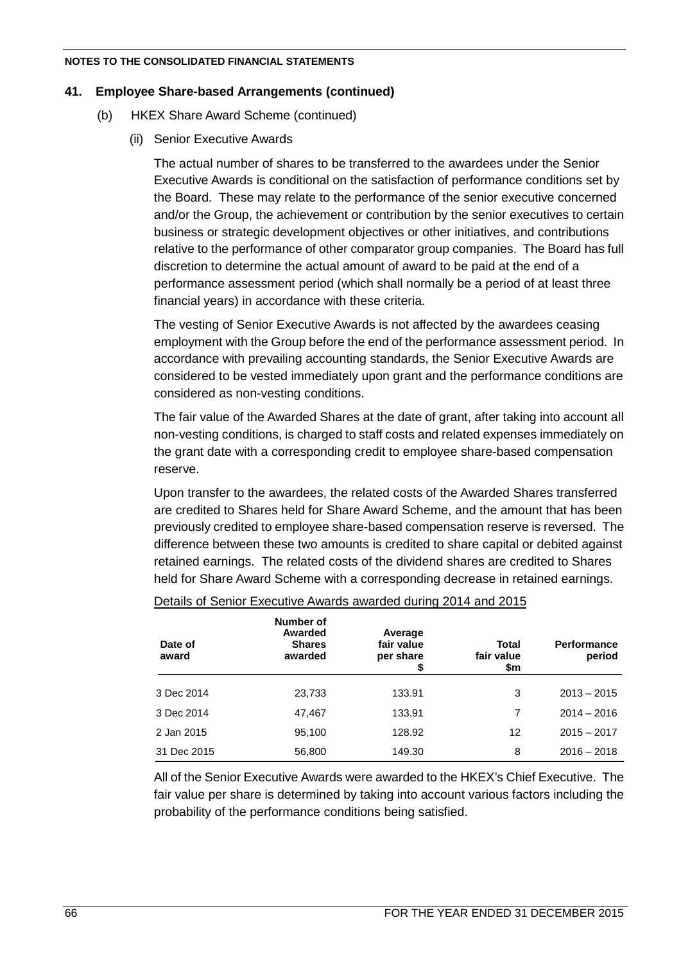### **41. Employee Share-based Arrangements (continued)**

- (b) HKEX Share Award Scheme (continued)
	- (ii) Senior Executive Awards

The actual number of shares to be transferred to the awardees under the Senior Executive Awards is conditional on the satisfaction of performance conditions set by the Board. These may relate to the performance of the senior executive concerned and/or the Group, the achievement or contribution by the senior executives to certain business or strategic development objectives or other initiatives, and contributions relative to the performance of other comparator group companies. The Board has full discretion to determine the actual amount of award to be paid at the end of a performance assessment period (which shall normally be a period of at least three financial years) in accordance with these criteria.

The vesting of Senior Executive Awards is not affected by the awardees ceasing employment with the Group before the end of the performance assessment period. In accordance with prevailing accounting standards, the Senior Executive Awards are considered to be vested immediately upon grant and the performance conditions are considered as non-vesting conditions.

The fair value of the Awarded Shares at the date of grant, after taking into account all non-vesting conditions, is charged to staff costs and related expenses immediately on the grant date with a corresponding credit to employee share-based compensation reserve.

Upon transfer to the awardees, the related costs of the Awarded Shares transferred are credited to Shares held for Share Award Scheme, and the amount that has been previously credited to employee share-based compensation reserve is reversed. The difference between these two amounts is credited to share capital or debited against retained earnings. The related costs of the dividend shares are credited to Shares held for Share Award Scheme with a corresponding decrease in retained earnings.

| Date of<br>award | Number of<br>Awarded<br><b>Shares</b><br>awarded | Average<br>fair value<br>per share<br>\$ | Total<br>fair value<br>\$m | <b>Performance</b><br>period |
|------------------|--------------------------------------------------|------------------------------------------|----------------------------|------------------------------|
| 3 Dec 2014       | 23,733                                           | 133.91                                   | 3                          | $2013 - 2015$                |
| 3 Dec 2014       | 47,467                                           | 133.91                                   | 7                          | $2014 - 2016$                |
| 2 Jan 2015       | 95,100                                           | 128.92                                   | 12                         | $2015 - 2017$                |
| 31 Dec 2015      | 56,800                                           | 149.30                                   | 8                          | $2016 - 2018$                |

## Details of Senior Executive Awards awarded during 2014 and 2015

All of the Senior Executive Awards were awarded to the HKEX's Chief Executive. The fair value per share is determined by taking into account various factors including the probability of the performance conditions being satisfied.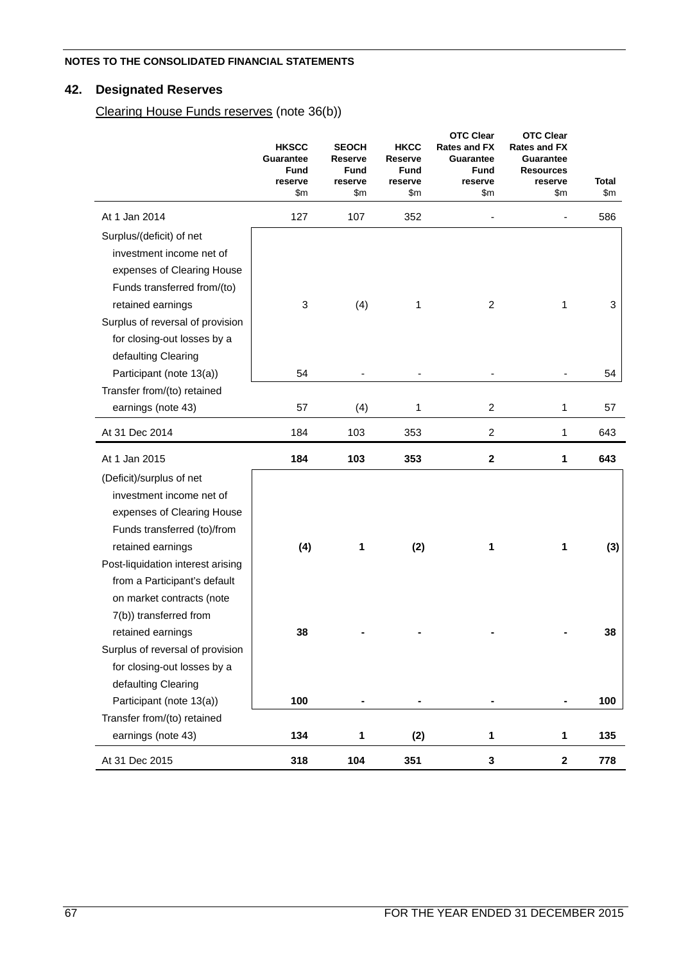# **42. Designated Reserves**

Clearing House Funds reserves (note 36(b))

|                                   | <b>HKSCC</b><br>Guarantee<br><b>Fund</b><br>reserve<br>\$m | <b>SEOCH</b><br>Reserve<br>Fund<br>reserve<br>\$m | <b>HKCC</b><br>Reserve<br><b>Fund</b><br>reserve<br>\$m | <b>OTC Clear</b><br><b>Rates and FX</b><br>Guarantee<br>Fund<br>reserve<br>\$m | <b>OTC Clear</b><br><b>Rates and FX</b><br>Guarantee<br><b>Resources</b><br>reserve<br>\$m\$ | <b>Total</b><br>\$m |
|-----------------------------------|------------------------------------------------------------|---------------------------------------------------|---------------------------------------------------------|--------------------------------------------------------------------------------|----------------------------------------------------------------------------------------------|---------------------|
| At 1 Jan 2014                     | 127                                                        | 107                                               | 352                                                     |                                                                                |                                                                                              | 586                 |
| Surplus/(deficit) of net          |                                                            |                                                   |                                                         |                                                                                |                                                                                              |                     |
| investment income net of          |                                                            |                                                   |                                                         |                                                                                |                                                                                              |                     |
| expenses of Clearing House        |                                                            |                                                   |                                                         |                                                                                |                                                                                              |                     |
| Funds transferred from/(to)       |                                                            |                                                   |                                                         |                                                                                |                                                                                              |                     |
| retained earnings                 | 3                                                          | (4)                                               | 1                                                       | $\overline{2}$                                                                 | 1                                                                                            | 3                   |
| Surplus of reversal of provision  |                                                            |                                                   |                                                         |                                                                                |                                                                                              |                     |
| for closing-out losses by a       |                                                            |                                                   |                                                         |                                                                                |                                                                                              |                     |
| defaulting Clearing               |                                                            |                                                   |                                                         |                                                                                |                                                                                              |                     |
| Participant (note 13(a))          | 54                                                         |                                                   |                                                         |                                                                                |                                                                                              | 54                  |
| Transfer from/(to) retained       |                                                            |                                                   |                                                         |                                                                                |                                                                                              |                     |
| earnings (note 43)                | 57                                                         | (4)                                               | 1                                                       | $\overline{2}$                                                                 | 1                                                                                            | 57                  |
| At 31 Dec 2014                    | 184                                                        | 103                                               | 353                                                     | $\overline{c}$                                                                 | 1                                                                                            | 643                 |
| At 1 Jan 2015                     | 184                                                        | 103                                               | 353                                                     | $\mathbf{2}$                                                                   | 1                                                                                            | 643                 |
| (Deficit)/surplus of net          |                                                            |                                                   |                                                         |                                                                                |                                                                                              |                     |
| investment income net of          |                                                            |                                                   |                                                         |                                                                                |                                                                                              |                     |
| expenses of Clearing House        |                                                            |                                                   |                                                         |                                                                                |                                                                                              |                     |
| Funds transferred (to)/from       |                                                            |                                                   |                                                         |                                                                                |                                                                                              |                     |
| retained earnings                 | (4)                                                        | 1                                                 | (2)                                                     | 1                                                                              | 1                                                                                            | (3)                 |
| Post-liquidation interest arising |                                                            |                                                   |                                                         |                                                                                |                                                                                              |                     |
| from a Participant's default      |                                                            |                                                   |                                                         |                                                                                |                                                                                              |                     |
| on market contracts (note         |                                                            |                                                   |                                                         |                                                                                |                                                                                              |                     |
| 7(b)) transferred from            |                                                            |                                                   |                                                         |                                                                                |                                                                                              |                     |
| retained earnings                 | 38                                                         |                                                   |                                                         |                                                                                |                                                                                              | 38                  |
| Surplus of reversal of provision  |                                                            |                                                   |                                                         |                                                                                |                                                                                              |                     |
| for closing-out losses by a       |                                                            |                                                   |                                                         |                                                                                |                                                                                              |                     |
| defaulting Clearing               |                                                            |                                                   |                                                         |                                                                                |                                                                                              |                     |
| Participant (note 13(a))          | 100                                                        |                                                   |                                                         |                                                                                | -                                                                                            | 100                 |
| Transfer from/(to) retained       |                                                            |                                                   |                                                         |                                                                                |                                                                                              |                     |
| earnings (note 43)                | 134                                                        | 1                                                 | (2)                                                     | 1                                                                              | 1                                                                                            | 135                 |
| At 31 Dec 2015                    | 318                                                        | 104                                               | 351                                                     | 3                                                                              | $\mathbf 2$                                                                                  | 778                 |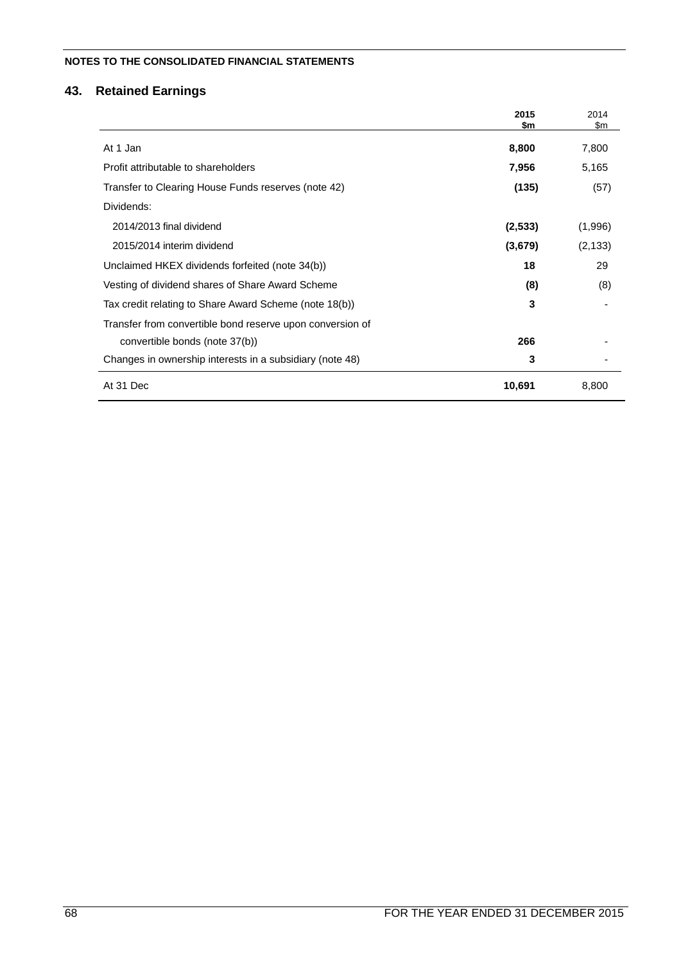# **43. Retained Earnings**

|                                                           | 2015     | 2014     |
|-----------------------------------------------------------|----------|----------|
|                                                           | \$m      | \$m      |
| At 1 Jan                                                  | 8,800    | 7,800    |
| Profit attributable to shareholders                       | 7,956    | 5,165    |
| Transfer to Clearing House Funds reserves (note 42)       | (135)    | (57)     |
| Dividends:                                                |          |          |
| 2014/2013 final dividend                                  | (2, 533) | (1,996)  |
| 2015/2014 interim dividend                                | (3,679)  | (2, 133) |
| Unclaimed HKEX dividends forfeited (note 34(b))           | 18       | 29       |
| Vesting of dividend shares of Share Award Scheme          | (8)      | (8)      |
| Tax credit relating to Share Award Scheme (note 18(b))    | 3        |          |
| Transfer from convertible bond reserve upon conversion of |          |          |
| convertible bonds (note 37(b))                            | 266      |          |
| Changes in ownership interests in a subsidiary (note 48)  | 3        |          |
| At 31 Dec                                                 | 10,691   | 8,800    |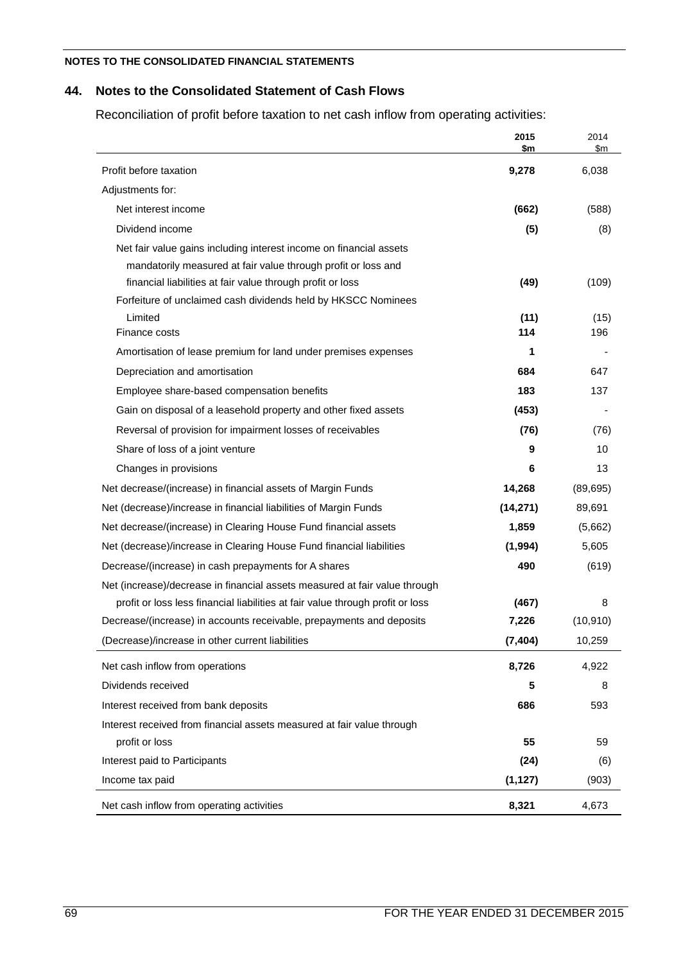### **44. Notes to the Consolidated Statement of Cash Flows**

Reconciliation of profit before taxation to net cash inflow from operating activities:

|                                                                                | 2015<br>\$m | 2014<br>\$m |
|--------------------------------------------------------------------------------|-------------|-------------|
| Profit before taxation                                                         | 9,278       | 6,038       |
| Adjustments for:                                                               |             |             |
| Net interest income                                                            | (662)       | (588)       |
| Dividend income                                                                | (5)         | (8)         |
| Net fair value gains including interest income on financial assets             |             |             |
| mandatorily measured at fair value through profit or loss and                  |             |             |
| financial liabilities at fair value through profit or loss                     | (49)        | (109)       |
| Forfeiture of unclaimed cash dividends held by HKSCC Nominees                  |             |             |
| Limited                                                                        | (11)        | (15)        |
| Finance costs                                                                  | 114         | 196         |
| Amortisation of lease premium for land under premises expenses                 | 1           |             |
| Depreciation and amortisation                                                  | 684         | 647         |
| Employee share-based compensation benefits                                     | 183         | 137         |
| Gain on disposal of a leasehold property and other fixed assets                | (453)       |             |
| Reversal of provision for impairment losses of receivables                     | (76)        | (76)        |
| Share of loss of a joint venture                                               | 9           | 10          |
| Changes in provisions                                                          | 6           | 13          |
| Net decrease/(increase) in financial assets of Margin Funds                    | 14,268      | (89, 695)   |
| Net (decrease)/increase in financial liabilities of Margin Funds               | (14, 271)   | 89,691      |
| Net decrease/(increase) in Clearing House Fund financial assets                | 1,859       | (5,662)     |
| Net (decrease)/increase in Clearing House Fund financial liabilities           | (1, 994)    | 5,605       |
| Decrease/(increase) in cash prepayments for A shares                           | 490         | (619)       |
| Net (increase)/decrease in financial assets measured at fair value through     |             |             |
| profit or loss less financial liabilities at fair value through profit or loss | (467)       | 8           |
| Decrease/(increase) in accounts receivable, prepayments and deposits           | 7,226       | (10, 910)   |
| (Decrease)/increase in other current liabilities                               | (7, 404)    | 10,259      |
| Net cash inflow from operations                                                | 8,726       | 4,922       |
| Dividends received                                                             | 5           | 8           |
| Interest received from bank deposits                                           | 686         | 593         |
| Interest received from financial assets measured at fair value through         |             |             |
| profit or loss                                                                 | 55          | 59          |
| Interest paid to Participants                                                  | (24)        | (6)         |
| Income tax paid                                                                | (1, 127)    | (903)       |
| Net cash inflow from operating activities                                      | 8,321       | 4,673       |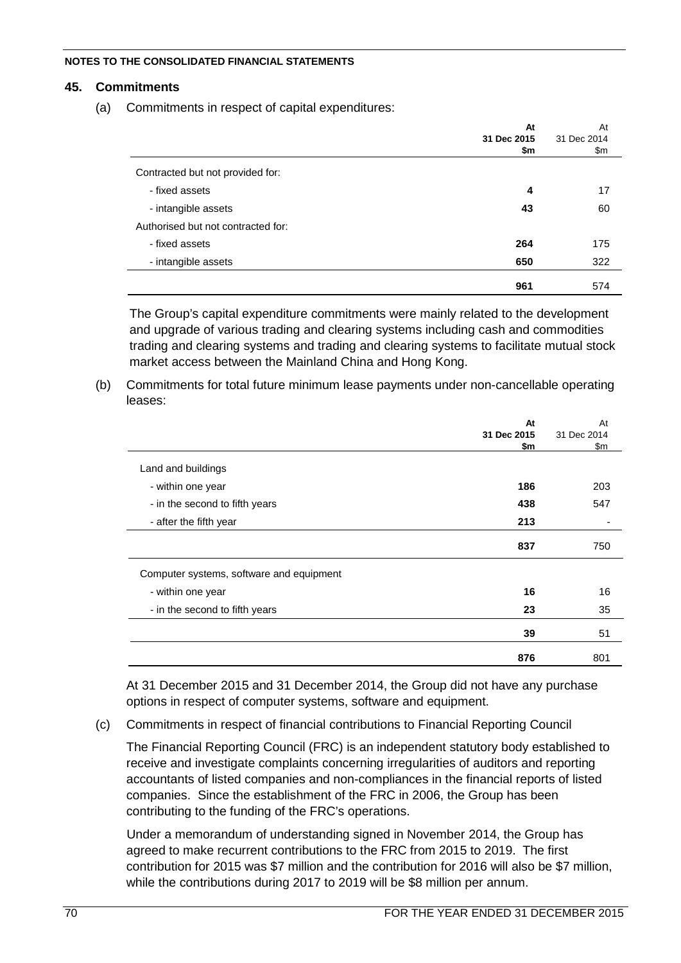### **45. Commitments**

(a) Commitments in respect of capital expenditures:

|                                    | At          | At          |
|------------------------------------|-------------|-------------|
|                                    | 31 Dec 2015 | 31 Dec 2014 |
|                                    | \$m         | \$m         |
| Contracted but not provided for:   |             |             |
| - fixed assets                     | 4           | 17          |
| - intangible assets                | 43          | 60          |
| Authorised but not contracted for: |             |             |
| - fixed assets                     | 264         | 175         |
| - intangible assets                | 650         | 322         |
|                                    | 961         | 574         |

The Group's capital expenditure commitments were mainly related to the development and upgrade of various trading and clearing systems including cash and commodities trading and clearing systems and trading and clearing systems to facilitate mutual stock market access between the Mainland China and Hong Kong.

(b) Commitments for total future minimum lease payments under non-cancellable operating leases:

|                                          | At<br>31 Dec 2015<br>\$m | At<br>31 Dec 2014<br>\$m |
|------------------------------------------|--------------------------|--------------------------|
| Land and buildings                       |                          |                          |
| - within one year                        | 186                      | 203                      |
| - in the second to fifth years           | 438                      | 547                      |
| - after the fifth year                   | 213                      |                          |
|                                          | 837                      | 750                      |
| Computer systems, software and equipment |                          |                          |
| - within one year                        | 16                       | 16                       |
| - in the second to fifth years           | 23                       | 35                       |
|                                          | 39                       | 51                       |
|                                          | 876                      | 801                      |

At 31 December 2015 and 31 December 2014, the Group did not have any purchase options in respect of computer systems, software and equipment.

### (c) Commitments in respect of financial contributions to Financial Reporting Council

The Financial Reporting Council (FRC) is an independent statutory body established to receive and investigate complaints concerning irregularities of auditors and reporting accountants of listed companies and non-compliances in the financial reports of listed companies. Since the establishment of the FRC in 2006, the Group has been contributing to the funding of the FRC's operations.

Under a memorandum of understanding signed in November 2014, the Group has agreed to make recurrent contributions to the FRC from 2015 to 2019. The first contribution for 2015 was \$7 million and the contribution for 2016 will also be \$7 million, while the contributions during 2017 to 2019 will be \$8 million per annum.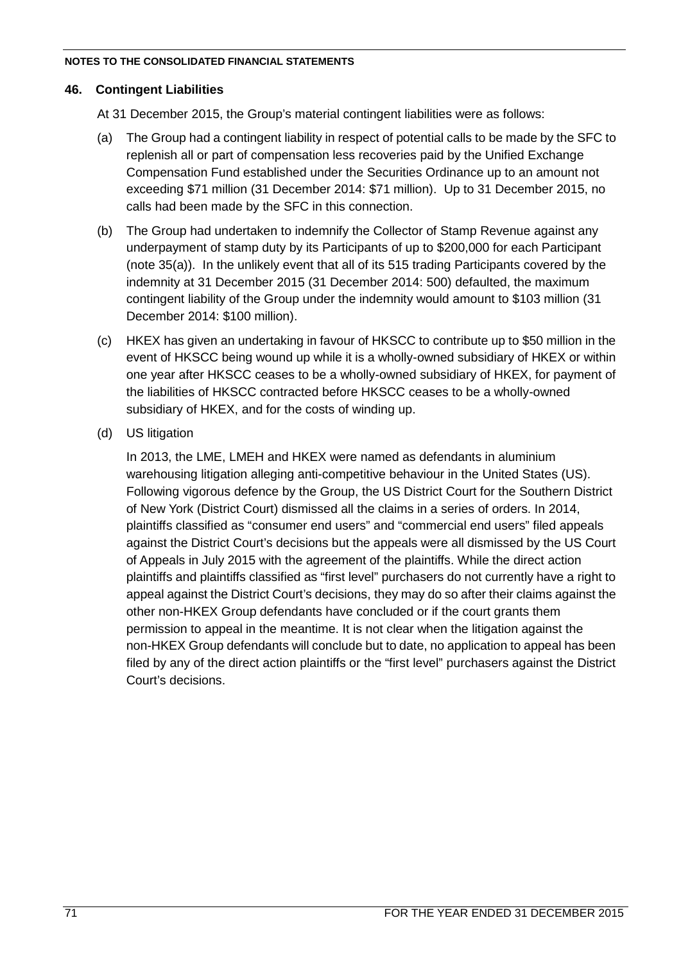### **46. Contingent Liabilities**

At 31 December 2015, the Group's material contingent liabilities were as follows:

- (a) The Group had a contingent liability in respect of potential calls to be made by the SFC to replenish all or part of compensation less recoveries paid by the Unified Exchange Compensation Fund established under the Securities Ordinance up to an amount not exceeding \$71 million (31 December 2014: \$71 million). Up to 31 December 2015, no calls had been made by the SFC in this connection.
- (b) The Group had undertaken to indemnify the Collector of Stamp Revenue against any underpayment of stamp duty by its Participants of up to \$200,000 for each Participant (note 35(a)). In the unlikely event that all of its 515 trading Participants covered by the indemnity at 31 December 2015 (31 December 2014: 500) defaulted, the maximum contingent liability of the Group under the indemnity would amount to \$103 million (31 December 2014: \$100 million).
- (c) HKEX has given an undertaking in favour of HKSCC to contribute up to \$50 million in the event of HKSCC being wound up while it is a wholly-owned subsidiary of HKEX or within one year after HKSCC ceases to be a wholly-owned subsidiary of HKEX, for payment of the liabilities of HKSCC contracted before HKSCC ceases to be a wholly-owned subsidiary of HKEX, and for the costs of winding up.
- (d) US litigation

In 2013, the LME, LMEH and HKEX were named as defendants in aluminium warehousing litigation alleging anti-competitive behaviour in the United States (US). Following vigorous defence by the Group, the US District Court for the Southern District of New York (District Court) dismissed all the claims in a series of orders. In 2014, plaintiffs classified as "consumer end users" and "commercial end users" filed appeals against the District Court's decisions but the appeals were all dismissed by the US Court of Appeals in July 2015 with the agreement of the plaintiffs. While the direct action plaintiffs and plaintiffs classified as "first level" purchasers do not currently have a right to appeal against the District Court's decisions, they may do so after their claims against the other non-HKEX Group defendants have concluded or if the court grants them permission to appeal in the meantime. It is not clear when the litigation against the non-HKEX Group defendants will conclude but to date, no application to appeal has been filed by any of the direct action plaintiffs or the "first level" purchasers against the District Court's decisions.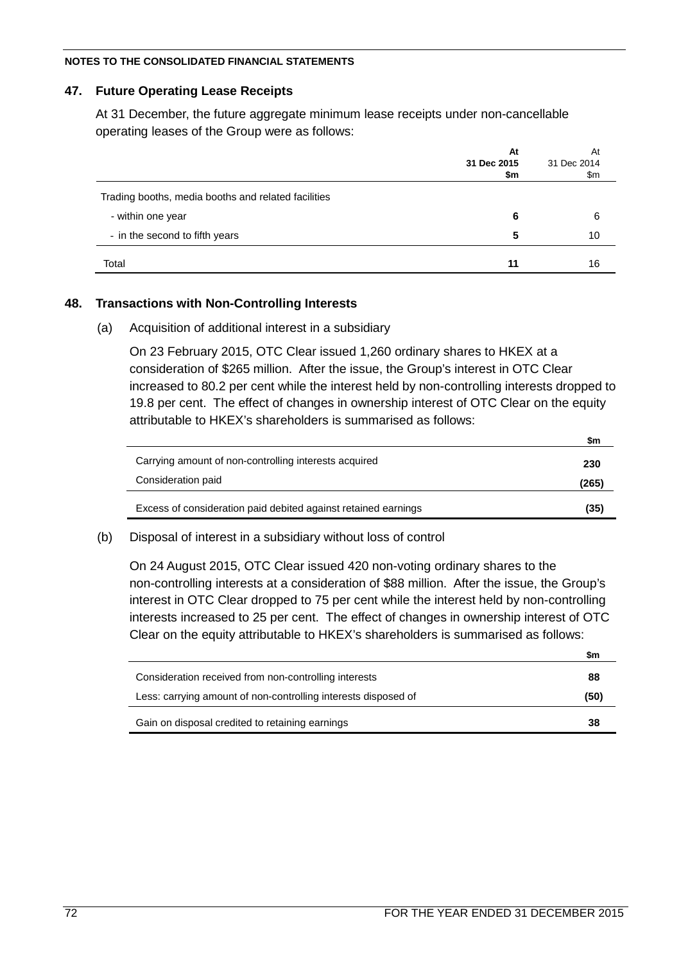### **47. Future Operating Lease Receipts**

At 31 December, the future aggregate minimum lease receipts under non-cancellable operating leases of the Group were as follows:

|                                                     | At<br>31 Dec 2015<br>\$m | At<br>31 Dec 2014<br>\$m |
|-----------------------------------------------------|--------------------------|--------------------------|
| Trading booths, media booths and related facilities |                          |                          |
| - within one year                                   | 6                        | 6                        |
| - in the second to fifth years                      | 5                        | 10                       |
| Total                                               | 11                       | 16                       |

### **48. Transactions with Non-Controlling Interests**

(a) Acquisition of additional interest in a subsidiary

On 23 February 2015, OTC Clear issued 1,260 ordinary shares to HKEX at a consideration of \$265 million. After the issue, the Group's interest in OTC Clear increased to 80.2 per cent while the interest held by non-controlling interests dropped to 19.8 per cent. The effect of changes in ownership interest of OTC Clear on the equity attributable to HKEX's shareholders is summarised as follows:

|                                                                | ΨH    |
|----------------------------------------------------------------|-------|
| Carrying amount of non-controlling interests acquired          | 230   |
| Consideration paid                                             | (265) |
| Excess of consideration paid debited against retained earnings | (35)  |

### (b) Disposal of interest in a subsidiary without loss of control

On 24 August 2015, OTC Clear issued 420 non-voting ordinary shares to the non-controlling interests at a consideration of \$88 million. After the issue, the Group's interest in OTC Clear dropped to 75 per cent while the interest held by non-controlling interests increased to 25 per cent. The effect of changes in ownership interest of OTC Clear on the equity attributable to HKEX's shareholders is summarised as follows:

| \$m                                                            |      |
|----------------------------------------------------------------|------|
| Consideration received from non-controlling interests<br>88    |      |
| Less: carrying amount of non-controlling interests disposed of | (50) |
| Gain on disposal credited to retaining earnings                | 38   |

**\$m**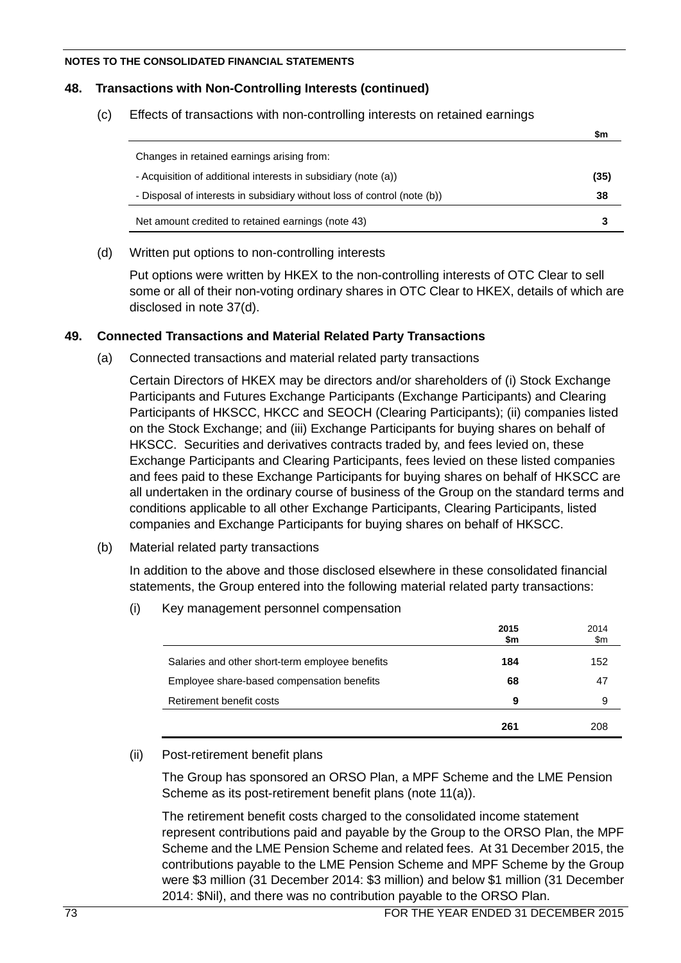# **48. Transactions with Non-Controlling Interests (continued)**

(c) Effects of transactions with non-controlling interests on retained earnings

|                                                                          | <b>WIII</b> |
|--------------------------------------------------------------------------|-------------|
| Changes in retained earnings arising from:                               |             |
| - Acquisition of additional interests in subsidiary (note (a))           | (35)        |
| - Disposal of interests in subsidiary without loss of control (note (b)) | 38          |
| Net amount credited to retained earnings (note 43)                       |             |

**\$m**

(d) Written put options to non-controlling interests

Put options were written by HKEX to the non-controlling interests of OTC Clear to sell some or all of their non-voting ordinary shares in OTC Clear to HKEX, details of which are disclosed in note 37(d).

# **49. Connected Transactions and Material Related Party Transactions**

(a) Connected transactions and material related party transactions

Certain Directors of HKEX may be directors and/or shareholders of (i) Stock Exchange Participants and Futures Exchange Participants (Exchange Participants) and Clearing Participants of HKSCC, HKCC and SEOCH (Clearing Participants); (ii) companies listed on the Stock Exchange; and (iii) Exchange Participants for buying shares on behalf of HKSCC. Securities and derivatives contracts traded by, and fees levied on, these Exchange Participants and Clearing Participants, fees levied on these listed companies and fees paid to these Exchange Participants for buying shares on behalf of HKSCC are all undertaken in the ordinary course of business of the Group on the standard terms and conditions applicable to all other Exchange Participants, Clearing Participants, listed companies and Exchange Participants for buying shares on behalf of HKSCC.

(b) Material related party transactions

In addition to the above and those disclosed elsewhere in these consolidated financial statements, the Group entered into the following material related party transactions:

(i) Key management personnel compensation

|                                                 | 2015<br>\$m | 2014<br>\$m |
|-------------------------------------------------|-------------|-------------|
| Salaries and other short-term employee benefits | 184         | 152         |
| Employee share-based compensation benefits      | 68          | 47          |
| Retirement benefit costs                        | 9           | 9           |
|                                                 | 261         | 208         |

# (ii) Post-retirement benefit plans

The Group has sponsored an ORSO Plan, a MPF Scheme and the LME Pension Scheme as its post-retirement benefit plans (note 11(a)).

The retirement benefit costs charged to the consolidated income statement represent contributions paid and payable by the Group to the ORSO Plan, the MPF Scheme and the LME Pension Scheme and related fees. At 31 December 2015, the contributions payable to the LME Pension Scheme and MPF Scheme by the Group were \$3 million (31 December 2014: \$3 million) and below \$1 million (31 December 2014: \$Nil), and there was no contribution payable to the ORSO Plan.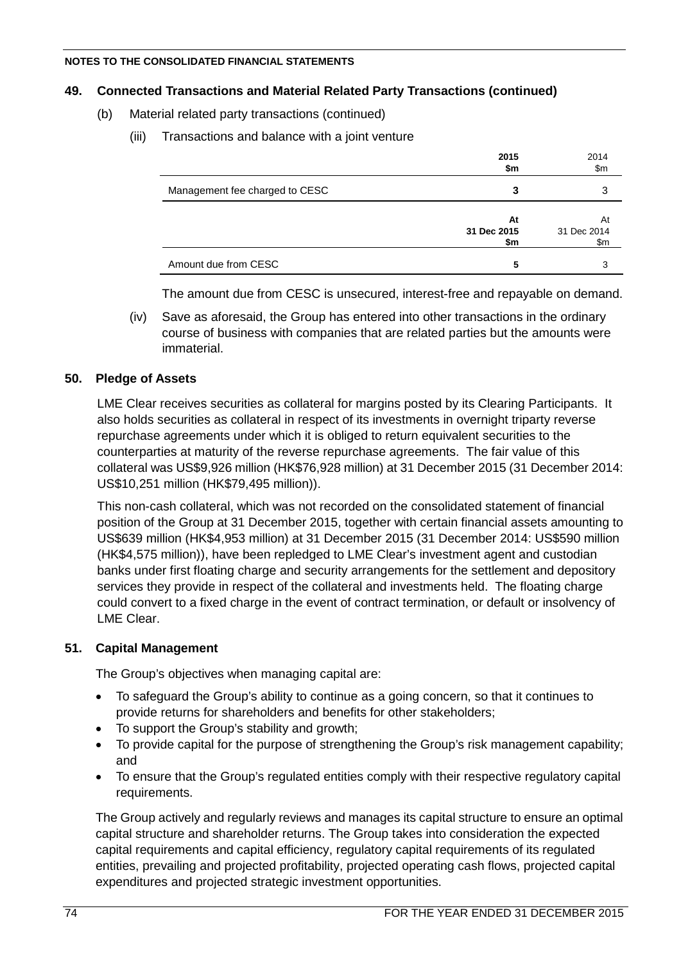# **49. Connected Transactions and Material Related Party Transactions (continued)**

- (b) Material related party transactions (continued)
	- (iii) Transactions and balance with a joint venture

|                                | 2015<br>\$m              | 2014<br>\$m              |
|--------------------------------|--------------------------|--------------------------|
| Management fee charged to CESC | 3                        | 3                        |
|                                | At<br>31 Dec 2015<br>\$m | At<br>31 Dec 2014<br>\$m |
| Amount due from CESC           | 5                        | 3                        |

The amount due from CESC is unsecured, interest-free and repayable on demand.

(iv) Save as aforesaid, the Group has entered into other transactions in the ordinary course of business with companies that are related parties but the amounts were immaterial.

# **50. Pledge of Assets**

LME Clear receives securities as collateral for margins posted by its Clearing Participants. It also holds securities as collateral in respect of its investments in overnight triparty reverse repurchase agreements under which it is obliged to return equivalent securities to the counterparties at maturity of the reverse repurchase agreements. The fair value of this collateral was US\$9,926 million (HK\$76,928 million) at 31 December 2015 (31 December 2014: US\$10,251 million (HK\$79,495 million)).

This non-cash collateral, which was not recorded on the consolidated statement of financial position of the Group at 31 December 2015, together with certain financial assets amounting to US\$639 million (HK\$4,953 million) at 31 December 2015 (31 December 2014: US\$590 million (HK\$4,575 million)), have been repledged to LME Clear's investment agent and custodian banks under first floating charge and security arrangements for the settlement and depository services they provide in respect of the collateral and investments held. The floating charge could convert to a fixed charge in the event of contract termination, or default or insolvency of LME Clear.

# **51. Capital Management**

The Group's objectives when managing capital are:

- To safeguard the Group's ability to continue as a going concern, so that it continues to provide returns for shareholders and benefits for other stakeholders;
- To support the Group's stability and growth;
- To provide capital for the purpose of strengthening the Group's risk management capability; and
- To ensure that the Group's regulated entities comply with their respective regulatory capital requirements.

The Group actively and regularly reviews and manages its capital structure to ensure an optimal capital structure and shareholder returns. The Group takes into consideration the expected capital requirements and capital efficiency, regulatory capital requirements of its regulated entities, prevailing and projected profitability, projected operating cash flows, projected capital expenditures and projected strategic investment opportunities.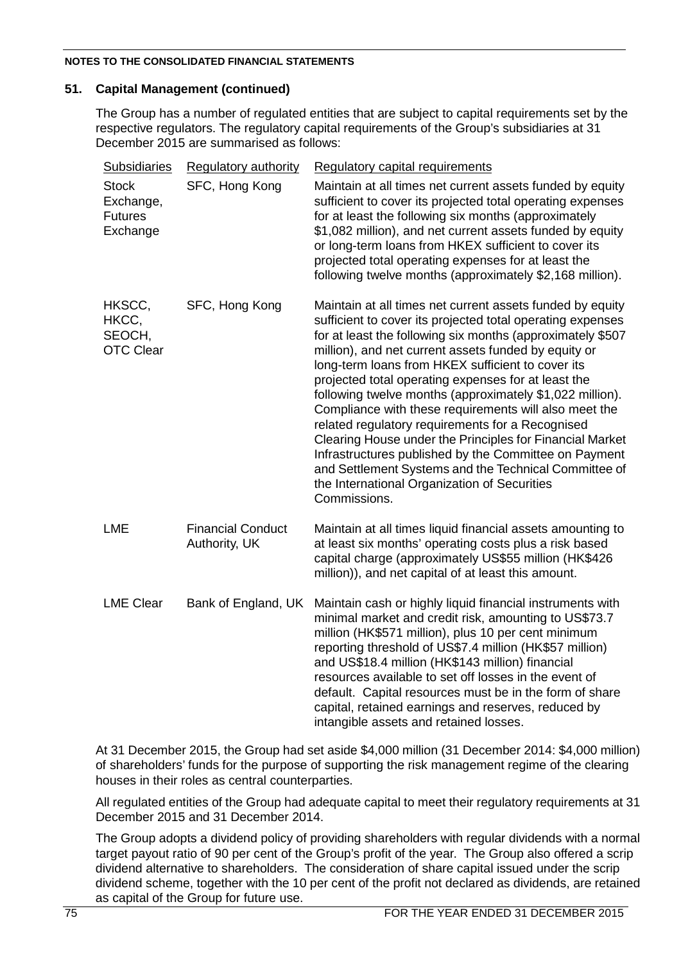# **51. Capital Management (continued)**

The Group has a number of regulated entities that are subject to capital requirements set by the respective regulators. The regulatory capital requirements of the Group's subsidiaries at 31 December 2015 are summarised as follows:

| <b>Subsidiaries</b>                                     | <b>Regulatory authority</b>               | <b>Regulatory capital requirements</b>                                                                                                                                                                                                                                                                                                                                                                                                                                                                                                                                                                                                                                                                                                                                           |
|---------------------------------------------------------|-------------------------------------------|----------------------------------------------------------------------------------------------------------------------------------------------------------------------------------------------------------------------------------------------------------------------------------------------------------------------------------------------------------------------------------------------------------------------------------------------------------------------------------------------------------------------------------------------------------------------------------------------------------------------------------------------------------------------------------------------------------------------------------------------------------------------------------|
| <b>Stock</b><br>Exchange,<br><b>Futures</b><br>Exchange | SFC, Hong Kong                            | Maintain at all times net current assets funded by equity<br>sufficient to cover its projected total operating expenses<br>for at least the following six months (approximately<br>\$1,082 million), and net current assets funded by equity<br>or long-term loans from HKEX sufficient to cover its<br>projected total operating expenses for at least the<br>following twelve months (approximately \$2,168 million).                                                                                                                                                                                                                                                                                                                                                          |
| HKSCC,<br>HKCC,<br>SEOCH,<br><b>OTC Clear</b>           | SFC, Hong Kong                            | Maintain at all times net current assets funded by equity<br>sufficient to cover its projected total operating expenses<br>for at least the following six months (approximately \$507<br>million), and net current assets funded by equity or<br>long-term loans from HKEX sufficient to cover its<br>projected total operating expenses for at least the<br>following twelve months (approximately \$1,022 million).<br>Compliance with these requirements will also meet the<br>related regulatory requirements for a Recognised<br>Clearing House under the Principles for Financial Market<br>Infrastructures published by the Committee on Payment<br>and Settlement Systems and the Technical Committee of<br>the International Organization of Securities<br>Commissions. |
| <b>LME</b>                                              | <b>Financial Conduct</b><br>Authority, UK | Maintain at all times liquid financial assets amounting to<br>at least six months' operating costs plus a risk based<br>capital charge (approximately US\$55 million (HK\$426<br>million)), and net capital of at least this amount.                                                                                                                                                                                                                                                                                                                                                                                                                                                                                                                                             |
| <b>LME Clear</b>                                        | Bank of England, UK                       | Maintain cash or highly liquid financial instruments with<br>minimal market and credit risk, amounting to US\$73.7<br>million (HK\$571 million), plus 10 per cent minimum<br>reporting threshold of US\$7.4 million (HK\$57 million)<br>and US\$18.4 million (HK\$143 million) financial<br>resources available to set off losses in the event of<br>default. Capital resources must be in the form of share<br>capital, retained earnings and reserves, reduced by<br>intangible assets and retained losses.                                                                                                                                                                                                                                                                    |

At 31 December 2015, the Group had set aside \$4,000 million (31 December 2014: \$4,000 million) of shareholders' funds for the purpose of supporting the risk management regime of the clearing houses in their roles as central counterparties.

All regulated entities of the Group had adequate capital to meet their regulatory requirements at 31 December 2015 and 31 December 2014.

The Group adopts a dividend policy of providing shareholders with regular dividends with a normal target payout ratio of 90 per cent of the Group's profit of the year. The Group also offered a scrip dividend alternative to shareholders. The consideration of share capital issued under the scrip dividend scheme, together with the 10 per cent of the profit not declared as dividends, are retained as capital of the Group for future use.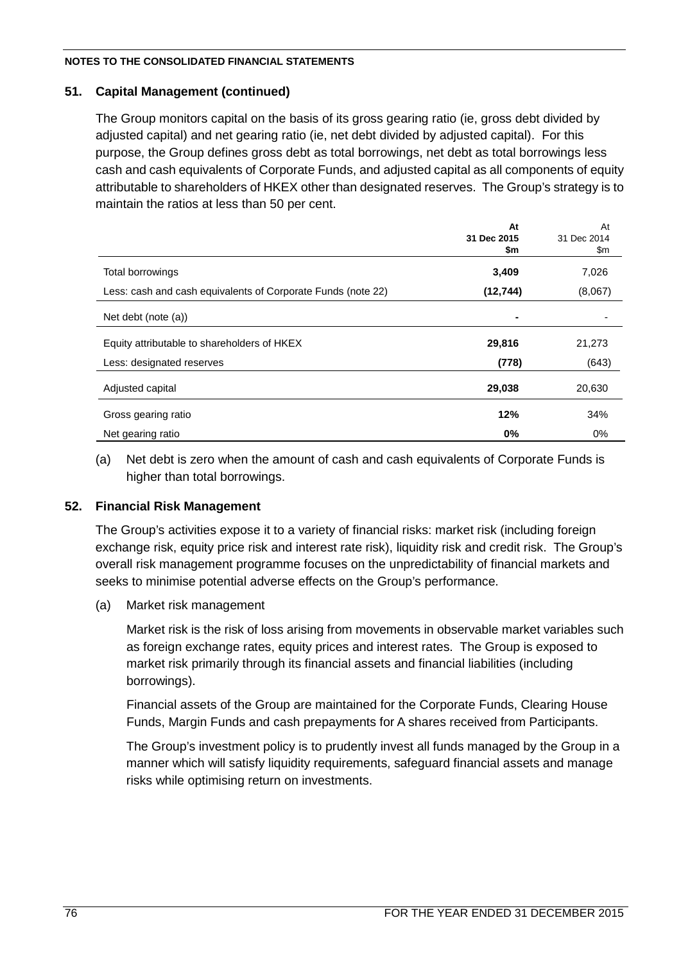# **51. Capital Management (continued)**

The Group monitors capital on the basis of its gross gearing ratio (ie, gross debt divided by adjusted capital) and net gearing ratio (ie, net debt divided by adjusted capital). For this purpose, the Group defines gross debt as total borrowings, net debt as total borrowings less cash and cash equivalents of Corporate Funds, and adjusted capital as all components of equity attributable to shareholders of HKEX other than designated reserves. The Group's strategy is to maintain the ratios at less than 50 per cent.

|                                                              | At<br>31 Dec 2015 | At<br>31 Dec 2014 |
|--------------------------------------------------------------|-------------------|-------------------|
|                                                              | \$m               | \$m               |
| Total borrowings                                             | 3,409             | 7,026             |
| Less: cash and cash equivalents of Corporate Funds (note 22) | (12, 744)         | (8,067)           |
| Net debt (note (a))                                          | ۰                 |                   |
| Equity attributable to shareholders of HKEX                  | 29,816            | 21,273            |
| Less: designated reserves                                    | (778)             | (643)             |
| Adjusted capital                                             | 29,038            | 20,630            |
| Gross gearing ratio                                          | 12%               | 34%               |
| Net gearing ratio                                            | $0\%$             | $0\%$             |

(a) Net debt is zero when the amount of cash and cash equivalents of Corporate Funds is higher than total borrowings.

# **52. Financial Risk Management**

The Group's activities expose it to a variety of financial risks: market risk (including foreign exchange risk, equity price risk and interest rate risk), liquidity risk and credit risk. The Group's overall risk management programme focuses on the unpredictability of financial markets and seeks to minimise potential adverse effects on the Group's performance.

(a) Market risk management

Market risk is the risk of loss arising from movements in observable market variables such as foreign exchange rates, equity prices and interest rates. The Group is exposed to market risk primarily through its financial assets and financial liabilities (including borrowings).

Financial assets of the Group are maintained for the Corporate Funds, Clearing House Funds, Margin Funds and cash prepayments for A shares received from Participants.

The Group's investment policy is to prudently invest all funds managed by the Group in a manner which will satisfy liquidity requirements, safeguard financial assets and manage risks while optimising return on investments.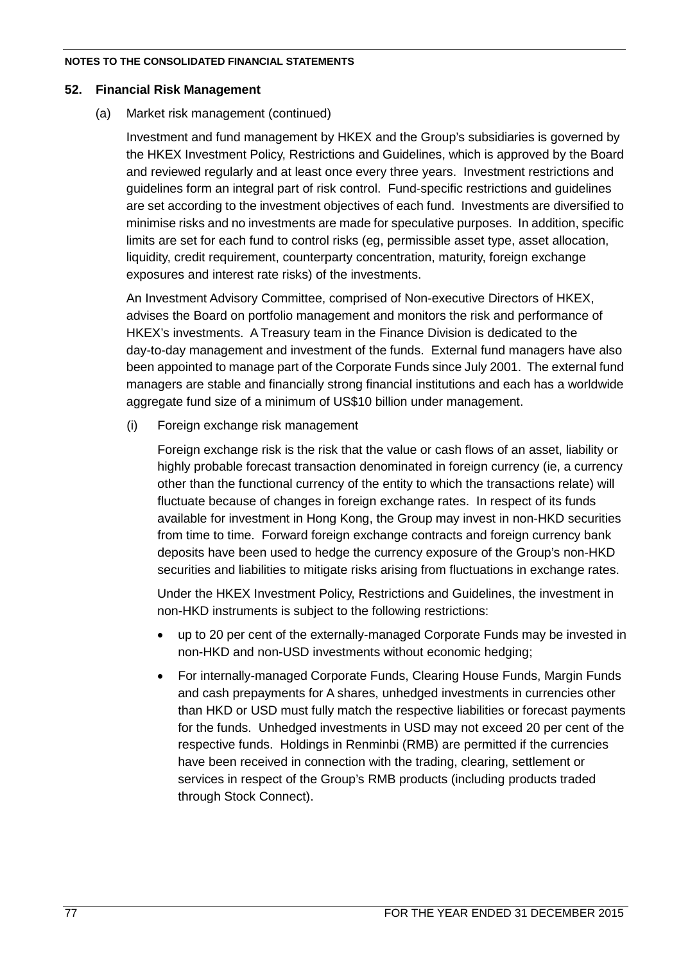## **52. Financial Risk Management**

(a) Market risk management (continued)

Investment and fund management by HKEX and the Group's subsidiaries is governed by the HKEX Investment Policy, Restrictions and Guidelines, which is approved by the Board and reviewed regularly and at least once every three years. Investment restrictions and guidelines form an integral part of risk control. Fund-specific restrictions and guidelines are set according to the investment objectives of each fund. Investments are diversified to minimise risks and no investments are made for speculative purposes. In addition, specific limits are set for each fund to control risks (eg, permissible asset type, asset allocation, liquidity, credit requirement, counterparty concentration, maturity, foreign exchange exposures and interest rate risks) of the investments.

An Investment Advisory Committee, comprised of Non-executive Directors of HKEX, advises the Board on portfolio management and monitors the risk and performance of HKEX's investments. A Treasury team in the Finance Division is dedicated to the day-to-day management and investment of the funds. External fund managers have also been appointed to manage part of the Corporate Funds since July 2001. The external fund managers are stable and financially strong financial institutions and each has a worldwide aggregate fund size of a minimum of US\$10 billion under management.

(i) Foreign exchange risk management

Foreign exchange risk is the risk that the value or cash flows of an asset, liability or highly probable forecast transaction denominated in foreign currency (ie, a currency other than the functional currency of the entity to which the transactions relate) will fluctuate because of changes in foreign exchange rates. In respect of its funds available for investment in Hong Kong, the Group may invest in non-HKD securities from time to time. Forward foreign exchange contracts and foreign currency bank deposits have been used to hedge the currency exposure of the Group's non-HKD securities and liabilities to mitigate risks arising from fluctuations in exchange rates.

Under the HKEX Investment Policy, Restrictions and Guidelines, the investment in non-HKD instruments is subject to the following restrictions:

- up to 20 per cent of the externally-managed Corporate Funds may be invested in non-HKD and non-USD investments without economic hedging;
- For internally-managed Corporate Funds, Clearing House Funds, Margin Funds and cash prepayments for A shares, unhedged investments in currencies other than HKD or USD must fully match the respective liabilities or forecast payments for the funds. Unhedged investments in USD may not exceed 20 per cent of the respective funds. Holdings in Renminbi (RMB) are permitted if the currencies have been received in connection with the trading, clearing, settlement or services in respect of the Group's RMB products (including products traded through Stock Connect).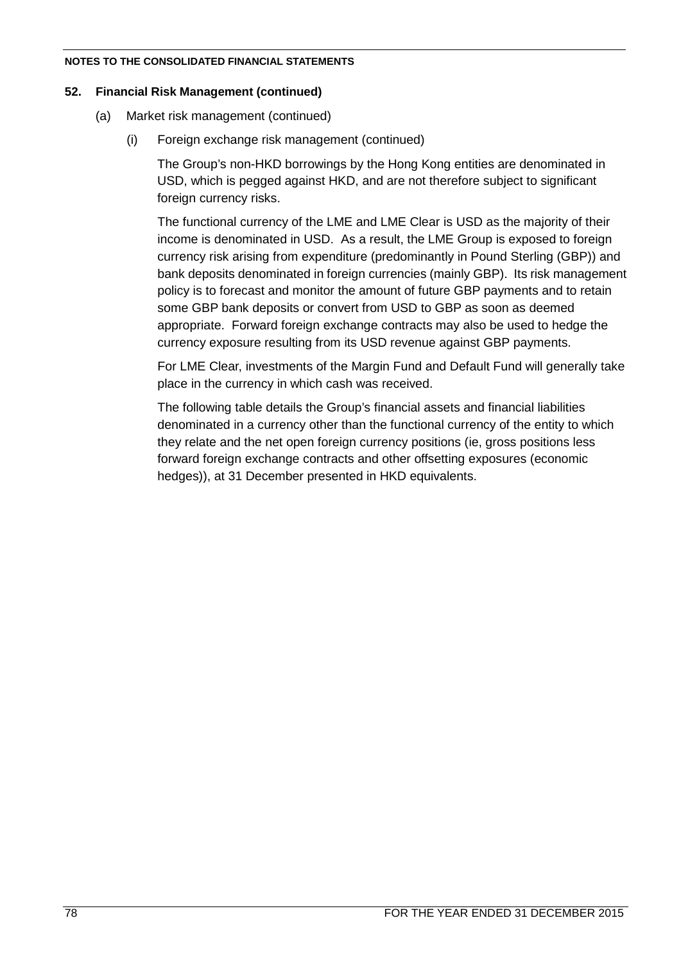## **52. Financial Risk Management (continued)**

- (a) Market risk management (continued)
	- (i) Foreign exchange risk management (continued)

The Group's non-HKD borrowings by the Hong Kong entities are denominated in USD, which is pegged against HKD, and are not therefore subject to significant foreign currency risks.

The functional currency of the LME and LME Clear is USD as the majority of their income is denominated in USD. As a result, the LME Group is exposed to foreign currency risk arising from expenditure (predominantly in Pound Sterling (GBP)) and bank deposits denominated in foreign currencies (mainly GBP). Its risk management policy is to forecast and monitor the amount of future GBP payments and to retain some GBP bank deposits or convert from USD to GBP as soon as deemed appropriate. Forward foreign exchange contracts may also be used to hedge the currency exposure resulting from its USD revenue against GBP payments.

For LME Clear, investments of the Margin Fund and Default Fund will generally take place in the currency in which cash was received.

The following table details the Group's financial assets and financial liabilities denominated in a currency other than the functional currency of the entity to which they relate and the net open foreign currency positions (ie, gross positions less forward foreign exchange contracts and other offsetting exposures (economic hedges)), at 31 December presented in HKD equivalents.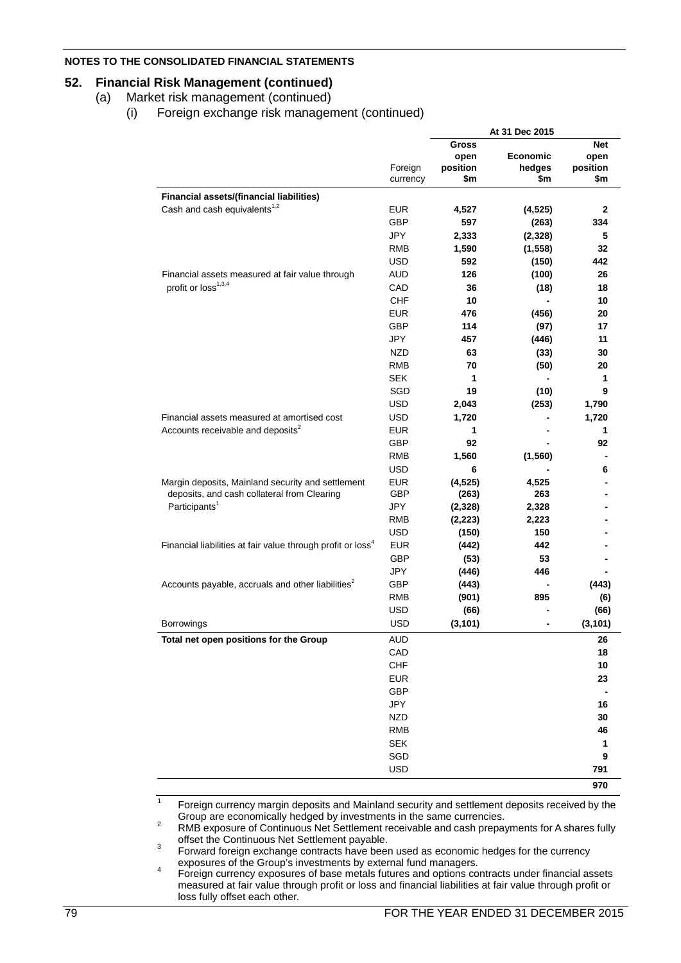# **52. Financial Risk Management (continued)**

(a) Market risk management (continued)

(i) Foreign exchange risk management (continued)

|                                                                                    |                     | At 31 Dec 2015                   |                                  |                                       |
|------------------------------------------------------------------------------------|---------------------|----------------------------------|----------------------------------|---------------------------------------|
|                                                                                    | Foreign<br>currency | Gross<br>open<br>position<br>\$m | <b>Economic</b><br>hedges<br>\$m | <b>Net</b><br>open<br>position<br>\$m |
| <b>Financial assets/(financial liabilities)</b>                                    |                     |                                  |                                  |                                       |
| Cash and cash equivalents <sup>1,2</sup>                                           | <b>EUR</b>          |                                  |                                  | $\mathbf 2$                           |
|                                                                                    | GBP                 | 4,527<br>597                     | (4, 525)                         | 334                                   |
|                                                                                    | <b>JPY</b>          | 2,333                            | (263)                            | 5                                     |
|                                                                                    | <b>RMB</b>          |                                  | (2, 328)                         | 32                                    |
|                                                                                    |                     | 1,590<br>592                     | (1, 558)                         |                                       |
|                                                                                    | <b>USD</b>          |                                  | (150)                            | 442                                   |
| Financial assets measured at fair value through<br>profit or loss <sup>1,3,4</sup> | <b>AUD</b><br>CAD   | 126<br>36                        | (100)                            | 26<br>18                              |
|                                                                                    | CHF                 |                                  | (18)                             |                                       |
|                                                                                    |                     | 10                               |                                  | 10                                    |
|                                                                                    | <b>EUR</b>          | 476                              | (456)                            | 20                                    |
|                                                                                    | GBP                 | 114                              | (97)                             | 17                                    |
|                                                                                    | <b>JPY</b>          | 457                              | (446)                            | 11                                    |
|                                                                                    | <b>NZD</b>          | 63                               | (33)                             | 30                                    |
|                                                                                    | <b>RMB</b>          | 70                               | (50)                             | 20                                    |
|                                                                                    | <b>SEK</b>          | 1                                |                                  | 1                                     |
|                                                                                    | SGD                 | 19                               | (10)                             | 9                                     |
|                                                                                    | <b>USD</b>          | 2,043                            | (253)                            | 1,790                                 |
| Financial assets measured at amortised cost                                        | <b>USD</b>          | 1,720                            |                                  | 1,720                                 |
| Accounts receivable and deposits <sup>2</sup>                                      | <b>EUR</b>          | 1                                |                                  | 1                                     |
|                                                                                    | <b>GBP</b>          | 92                               |                                  | 92                                    |
|                                                                                    | <b>RMB</b>          | 1,560                            | (1, 560)                         |                                       |
|                                                                                    | <b>USD</b>          | 6                                |                                  | 6                                     |
| Margin deposits, Mainland security and settlement                                  | <b>EUR</b>          | (4, 525)                         | 4,525                            |                                       |
| deposits, and cash collateral from Clearing                                        | <b>GBP</b>          | (263)                            | 263                              |                                       |
| Participants <sup>1</sup>                                                          | JPY                 | (2,328)                          | 2,328                            |                                       |
|                                                                                    | <b>RMB</b>          | (2, 223)                         | 2,223                            |                                       |
|                                                                                    | <b>USD</b>          | (150)                            | 150                              |                                       |
| Financial liabilities at fair value through profit or loss <sup>4</sup>            | <b>EUR</b>          | (442)                            | 442                              |                                       |
|                                                                                    | <b>GBP</b>          | (53)                             | 53                               |                                       |
|                                                                                    | <b>JPY</b>          | (446)                            | 446                              |                                       |
| Accounts payable, accruals and other liabilities <sup>2</sup>                      | <b>GBP</b>          | (443)                            |                                  | (443)                                 |
|                                                                                    | <b>RMB</b>          | (901)                            | 895                              | (6)                                   |
|                                                                                    | <b>USD</b>          | (66)                             |                                  | (66)                                  |
| <b>Borrowings</b>                                                                  | <b>USD</b>          | (3, 101)                         |                                  | (3, 101)                              |
| Total net open positions for the Group                                             | AUD                 |                                  |                                  | 26                                    |
|                                                                                    | CAD                 |                                  |                                  | 18                                    |
|                                                                                    | CHF                 |                                  |                                  | 10                                    |
|                                                                                    | <b>EUR</b>          |                                  |                                  | 23                                    |
|                                                                                    | GBP                 |                                  |                                  |                                       |
|                                                                                    | JPY                 |                                  |                                  | 16                                    |
|                                                                                    | <b>NZD</b>          |                                  |                                  | 30                                    |
|                                                                                    | <b>RMB</b>          |                                  |                                  | 46                                    |
|                                                                                    | <b>SEK</b>          |                                  |                                  | 1                                     |
|                                                                                    | SGD                 |                                  |                                  | 9                                     |
|                                                                                    | <b>USD</b>          |                                  |                                  | 791                                   |
|                                                                                    |                     |                                  |                                  | 970                                   |

<sup>1</sup> Foreign currency margin deposits and Mainland security and settlement deposits received by the Group are economically hedged by investments in the same currencies.

Eroup are economically hedged by investments in the same currencies.<br>
2 RMB exposure of Continuous Net Settlement receivable and cash prepayments for A shares fully<br>
offset the Continuous Net Settlement payable.

offset the Continuous Net Settlement payable.<br>
Forward foreign exchange contracts have been used as economic hedges for the currency<br>
exposures of the Group's investments by external fund managers.

exposures of the Group's investments by external fund managers. <sup>4</sup> Foreign currency exposures of base metals futures and options contracts under financial assets measured at fair value through profit or loss and financial liabilities at fair value through profit or loss fully offset each other.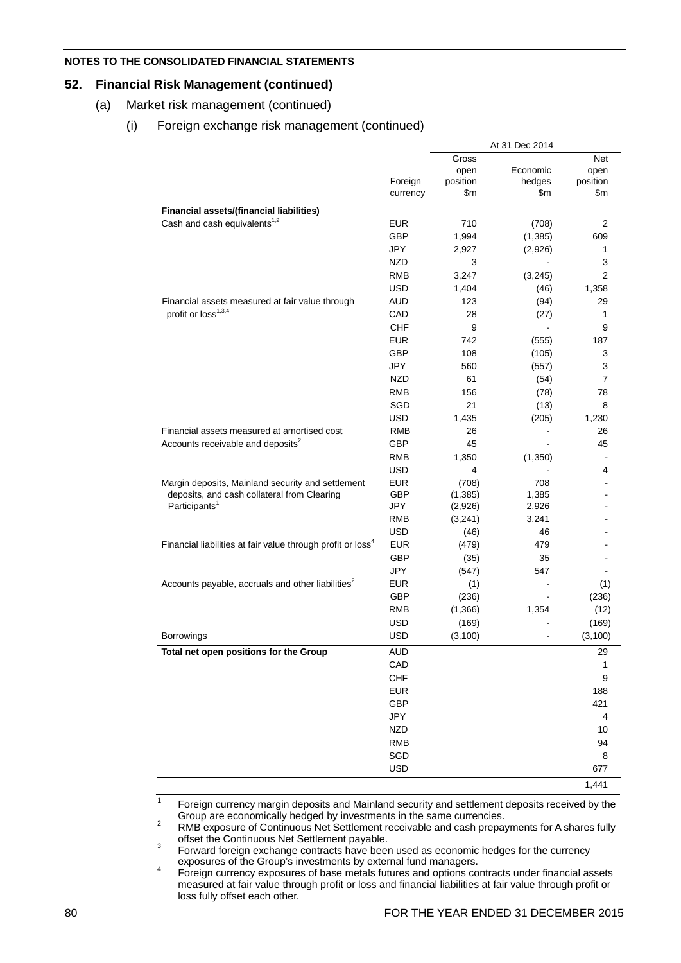## **52. Financial Risk Management (continued)**

(a) Market risk management (continued)

## (i) Foreign exchange risk management (continued)

|                                                                         |            | At 31 Dec 2014 |                        |                  |
|-------------------------------------------------------------------------|------------|----------------|------------------------|------------------|
|                                                                         |            | Gross          |                        | Net              |
|                                                                         |            | open           | Economic               | open             |
|                                                                         | Foreign    | position       | hedges                 | position         |
|                                                                         | currency   | \$m            | \$m                    | \$m              |
| Financial assets/(financial liabilities)                                |            |                |                        |                  |
| Cash and cash equivalents <sup>1,2</sup>                                | <b>EUR</b> | 710            | (708)                  | $\overline{c}$   |
|                                                                         | GBP        | 1,994          | (1, 385)               | 609              |
|                                                                         | JPY        | 2,927          | (2,926)                | 1                |
|                                                                         | <b>NZD</b> | 3              |                        | 3                |
|                                                                         | <b>RMB</b> | 3,247          | (3, 245)               | $\overline{c}$   |
|                                                                         | <b>USD</b> | 1,404          | (46)                   | 1,358            |
| Financial assets measured at fair value through                         | AUD        | 123            | (94)                   | 29               |
| profit or loss <sup>1,3,4</sup>                                         | CAD        | 28             |                        | 1                |
|                                                                         | CHF        | 9              | (27)<br>$\blacksquare$ |                  |
|                                                                         |            |                |                        | 9                |
|                                                                         | <b>EUR</b> | 742            | (555)                  | 187              |
|                                                                         | <b>GBP</b> | 108            | (105)                  | 3                |
|                                                                         | <b>JPY</b> | 560            | (557)                  | 3                |
|                                                                         | <b>NZD</b> | 61             | (54)                   | 7                |
|                                                                         | <b>RMB</b> | 156            | (78)                   | 78               |
|                                                                         | SGD        | 21             | (13)                   | 8                |
|                                                                         | <b>USD</b> | 1,435          | (205)                  | 1,230            |
| Financial assets measured at amortised cost                             | <b>RMB</b> | 26             |                        | 26               |
| Accounts receivable and deposits <sup>2</sup>                           | <b>GBP</b> | 45             | $\blacksquare$         | 45               |
|                                                                         | <b>RMB</b> | 1,350          | (1,350)                |                  |
|                                                                         | <b>USD</b> | 4              |                        | 4                |
| Margin deposits, Mainland security and settlement                       | <b>EUR</b> | (708)          | 708                    |                  |
| deposits, and cash collateral from Clearing                             | <b>GBP</b> | (1, 385)       | 1,385                  |                  |
| Participants <sup>1</sup>                                               | JPY        | (2,926)        | 2,926                  |                  |
|                                                                         | <b>RMB</b> | (3,241)        | 3,241                  |                  |
|                                                                         | <b>USD</b> | (46)           | 46                     |                  |
| Financial liabilities at fair value through profit or loss <sup>4</sup> | <b>EUR</b> | (479)          | 479                    |                  |
|                                                                         | <b>GBP</b> | (35)           | 35                     |                  |
|                                                                         | JPY        | (547)          | 547                    |                  |
| Accounts payable, accruals and other liabilities <sup>2</sup>           | <b>EUR</b> | (1)            |                        | (1)              |
|                                                                         | <b>GBP</b> | (236)          |                        | (236)            |
|                                                                         | <b>RMB</b> | (1,366)        | 1,354                  | (12)             |
|                                                                         | <b>USD</b> | (169)          |                        | (169)            |
| Borrowings                                                              | <b>USD</b> | (3, 100)       | $\blacksquare$         | (3, 100)         |
| Total net open positions for the Group                                  | <b>AUD</b> |                |                        | 29               |
|                                                                         | CAD        |                |                        | 1                |
|                                                                         | <b>CHF</b> |                |                        | $\boldsymbol{9}$ |
|                                                                         | <b>EUR</b> |                |                        | 188              |
|                                                                         | GBP        |                |                        | 421              |
|                                                                         | JPY        |                |                        | 4                |
|                                                                         | <b>NZD</b> |                |                        | 10               |
|                                                                         | <b>RMB</b> |                |                        | 94               |
|                                                                         | SGD        |                |                        | 8                |
|                                                                         | <b>USD</b> |                |                        |                  |
|                                                                         |            |                |                        | 677              |
|                                                                         |            |                |                        | 1,441            |

 $\frac{1}{2}$  Foreign currency margin deposits and Mainland security and settlement deposits received by the Group are economically hedged by investments in the same currencies.

Group are economically hedged by investments in the same currencies.<br>2 RMB exposure of Continuous Net Settlement receivable and cash prepayments for A shares fully<br>offset the Continuous Net Settlement payable.

offset the Continuous Net Settlement payable.<br>
Forward foreign exchange contracts have been used as economic hedges for the currency<br>
exposures of the Group's investments by external fund managers.

exposures of the Group's investments by external fund managers. <sup>4</sup> Foreign currency exposures of base metals futures and options contracts under financial assets measured at fair value through profit or loss and financial liabilities at fair value through profit or loss fully offset each other.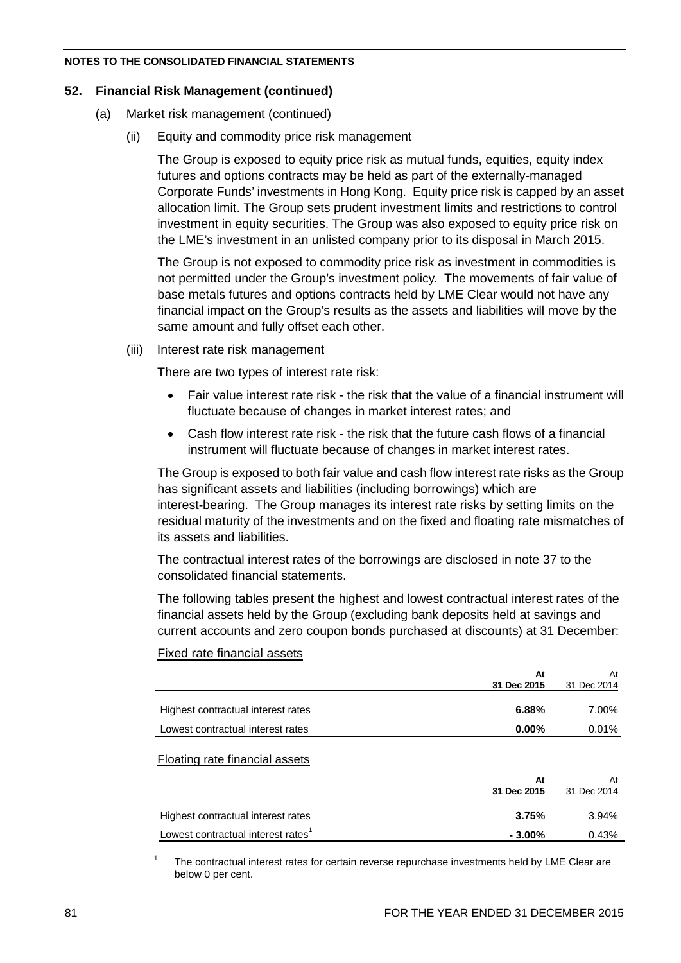# **52. Financial Risk Management (continued)**

- (a) Market risk management (continued)
	- (ii) Equity and commodity price risk management

The Group is exposed to equity price risk as mutual funds, equities, equity index futures and options contracts may be held as part of the externally-managed Corporate Funds' investments in Hong Kong. Equity price risk is capped by an asset allocation limit. The Group sets prudent investment limits and restrictions to control investment in equity securities. The Group was also exposed to equity price risk on the LME's investment in an unlisted company prior to its disposal in March 2015.

The Group is not exposed to commodity price risk as investment in commodities is not permitted under the Group's investment policy. The movements of fair value of base metals futures and options contracts held by LME Clear would not have any financial impact on the Group's results as the assets and liabilities will move by the same amount and fully offset each other.

(iii) Interest rate risk management

There are two types of interest rate risk:

- Fair value interest rate risk the risk that the value of a financial instrument will fluctuate because of changes in market interest rates; and
- Cash flow interest rate risk the risk that the future cash flows of a financial instrument will fluctuate because of changes in market interest rates.

The Group is exposed to both fair value and cash flow interest rate risks as the Group has significant assets and liabilities (including borrowings) which are interest-bearing. The Group manages its interest rate risks by setting limits on the residual maturity of the investments and on the fixed and floating rate mismatches of its assets and liabilities.

The contractual interest rates of the borrowings are disclosed in note 37 to the consolidated financial statements.

The following tables present the highest and lowest contractual interest rates of the financial assets held by the Group (excluding bank deposits held at savings and current accounts and zero coupon bonds purchased at discounts) at 31 December:

|                                                | At          | At          |
|------------------------------------------------|-------------|-------------|
|                                                | 31 Dec 2015 | 31 Dec 2014 |
|                                                |             |             |
| Highest contractual interest rates             | 6.88%       | 7.00%       |
| Lowest contractual interest rates              | $0.00\%$    | 0.01%       |
|                                                |             |             |
| Floating rate financial assets                 |             |             |
|                                                | At          | At          |
|                                                | 31 Dec 2015 | 31 Dec 2014 |
|                                                |             |             |
| Highest contractual interest rates             | 3.75%       | 3.94%       |
| Lowest contractual interest rates <sup>1</sup> | $-3.00\%$   | 0.43%       |

# Fixed rate financial assets

<sup>1</sup> The contractual interest rates for certain reverse repurchase investments held by LME Clear are below 0 per cent.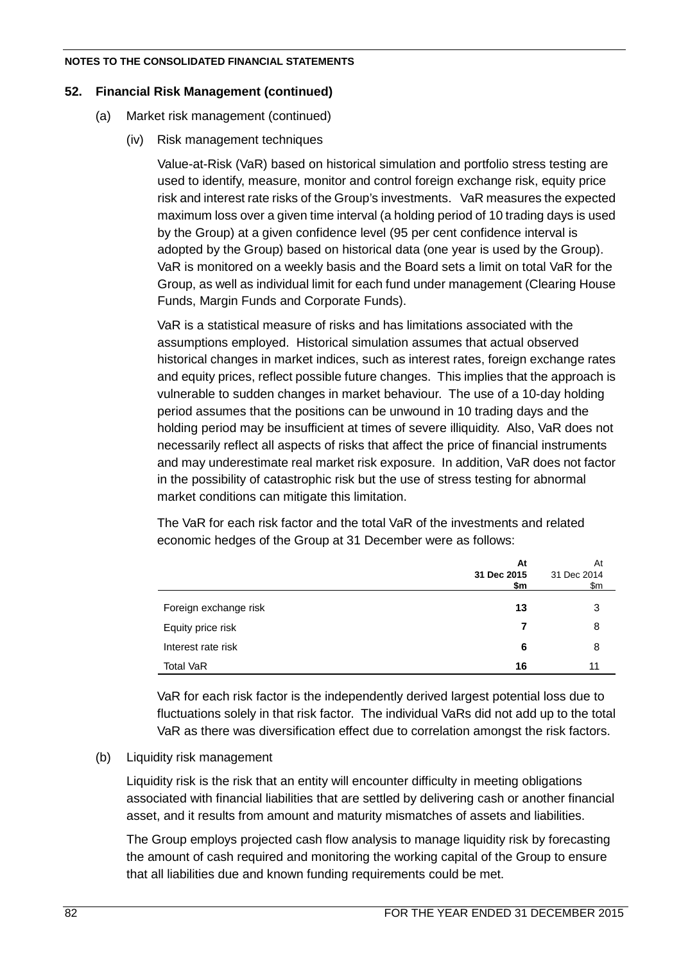# **52. Financial Risk Management (continued)**

- (a) Market risk management (continued)
	- (iv) Risk management techniques

Value-at-Risk (VaR) based on historical simulation and portfolio stress testing are used to identify, measure, monitor and control foreign exchange risk, equity price risk and interest rate risks of the Group's investments. VaR measures the expected maximum loss over a given time interval (a holding period of 10 trading days is used by the Group) at a given confidence level (95 per cent confidence interval is adopted by the Group) based on historical data (one year is used by the Group). VaR is monitored on a weekly basis and the Board sets a limit on total VaR for the Group, as well as individual limit for each fund under management (Clearing House Funds, Margin Funds and Corporate Funds).

VaR is a statistical measure of risks and has limitations associated with the assumptions employed. Historical simulation assumes that actual observed historical changes in market indices, such as interest rates, foreign exchange rates and equity prices, reflect possible future changes. This implies that the approach is vulnerable to sudden changes in market behaviour. The use of a 10-day holding period assumes that the positions can be unwound in 10 trading days and the holding period may be insufficient at times of severe illiquidity. Also, VaR does not necessarily reflect all aspects of risks that affect the price of financial instruments and may underestimate real market risk exposure. In addition, VaR does not factor in the possibility of catastrophic risk but the use of stress testing for abnormal market conditions can mitigate this limitation.

The VaR for each risk factor and the total VaR of the investments and related economic hedges of the Group at 31 December were as follows:

|                       | At          | At          |
|-----------------------|-------------|-------------|
|                       | 31 Dec 2015 | 31 Dec 2014 |
|                       | \$m         | \$m         |
| Foreign exchange risk | 13          | 3           |
| Equity price risk     | 7           | 8           |
| Interest rate risk    | 6           | 8           |
| <b>Total VaR</b>      | 16          | 11          |

VaR for each risk factor is the independently derived largest potential loss due to fluctuations solely in that risk factor. The individual VaRs did not add up to the total VaR as there was diversification effect due to correlation amongst the risk factors.

# (b) Liquidity risk management

Liquidity risk is the risk that an entity will encounter difficulty in meeting obligations associated with financial liabilities that are settled by delivering cash or another financial asset, and it results from amount and maturity mismatches of assets and liabilities.

The Group employs projected cash flow analysis to manage liquidity risk by forecasting the amount of cash required and monitoring the working capital of the Group to ensure that all liabilities due and known funding requirements could be met.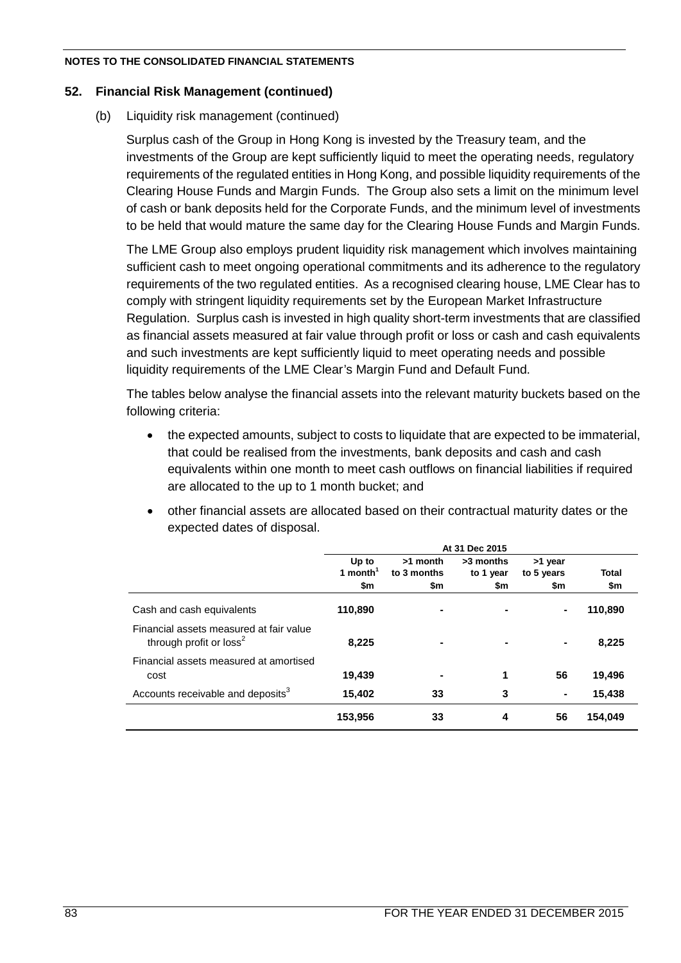## **52. Financial Risk Management (continued)**

(b) Liquidity risk management (continued)

Surplus cash of the Group in Hong Kong is invested by the Treasury team, and the investments of the Group are kept sufficiently liquid to meet the operating needs, regulatory requirements of the regulated entities in Hong Kong, and possible liquidity requirements of the Clearing House Funds and Margin Funds. The Group also sets a limit on the minimum level of cash or bank deposits held for the Corporate Funds, and the minimum level of investments to be held that would mature the same day for the Clearing House Funds and Margin Funds.

The LME Group also employs prudent liquidity risk management which involves maintaining sufficient cash to meet ongoing operational commitments and its adherence to the regulatory requirements of the two regulated entities. As a recognised clearing house, LME Clear has to comply with stringent liquidity requirements set by the European Market Infrastructure Regulation. Surplus cash is invested in high quality short-term investments that are classified as financial assets measured at fair value through profit or loss or cash and cash equivalents and such investments are kept sufficiently liquid to meet operating needs and possible liquidity requirements of the LME Clear's Margin Fund and Default Fund.

The tables below analyse the financial assets into the relevant maturity buckets based on the following criteria:

- the expected amounts, subject to costs to liquidate that are expected to be immaterial. that could be realised from the investments, bank deposits and cash and cash equivalents within one month to meet cash outflows on financial liabilities if required are allocated to the up to 1 month bucket; and
- other financial assets are allocated based on their contractual maturity dates or the expected dates of disposal.

|                                                                                | At 31 Dec 2015              |                                |                               |                              |              |
|--------------------------------------------------------------------------------|-----------------------------|--------------------------------|-------------------------------|------------------------------|--------------|
|                                                                                | Up to<br>1 month $1$<br>\$m | >1 month<br>to 3 months<br>\$m | >3 months<br>to 1 year<br>\$m | >1 year<br>to 5 years<br>\$m | Total<br>\$m |
| Cash and cash equivalents                                                      | 110,890                     |                                | $\blacksquare$                |                              | 110,890      |
| Financial assets measured at fair value<br>through profit or loss <sup>2</sup> | 8,225                       |                                |                               |                              | 8,225        |
| Financial assets measured at amortised<br>cost                                 | 19,439                      |                                | 1                             | 56                           | 19,496       |
| Accounts receivable and deposits <sup>3</sup>                                  | 15,402                      | 33                             | 3                             | ۰                            | 15,438       |
|                                                                                | 153,956                     | 33                             | 4                             | 56                           | 154,049      |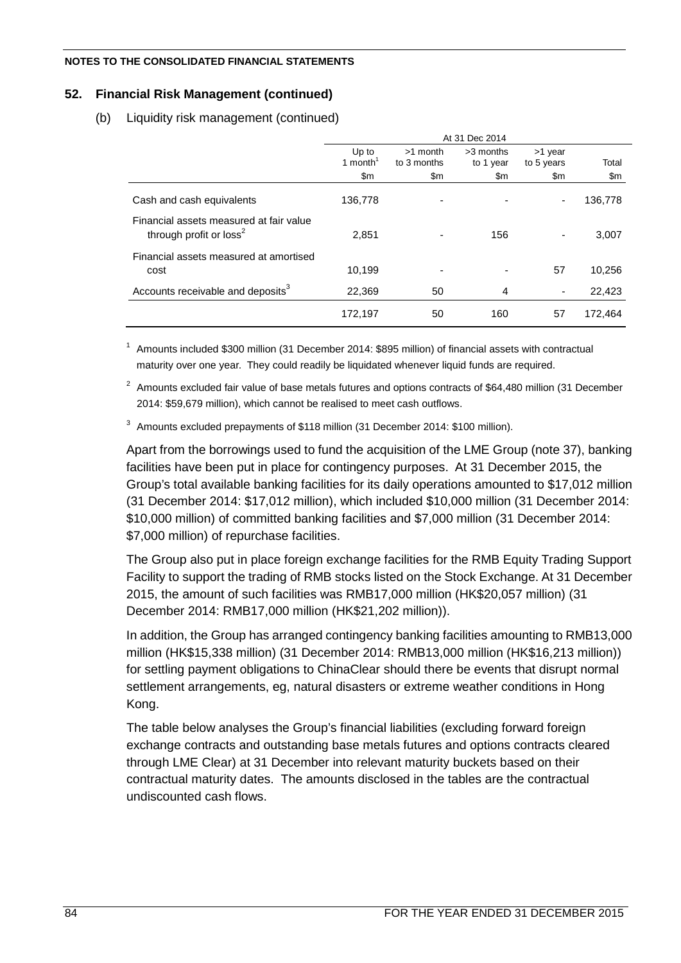# **52. Financial Risk Management (continued)**

(b) Liquidity risk management (continued)

|                                                                                | At 31 Dec 2014                                    |                                |                               |                              |              |
|--------------------------------------------------------------------------------|---------------------------------------------------|--------------------------------|-------------------------------|------------------------------|--------------|
|                                                                                | Up to<br>1 month <sup><math>1</math></sup><br>\$m | >1 month<br>to 3 months<br>\$m | >3 months<br>to 1 year<br>\$m | >1 year<br>to 5 years<br>\$m | Total<br>\$m |
| Cash and cash equivalents                                                      | 136,778                                           |                                |                               | ۰                            | 136,778      |
| Financial assets measured at fair value<br>through profit or loss <sup>2</sup> | 2.851                                             |                                | 156                           |                              | 3,007        |
| Financial assets measured at amortised<br>cost                                 | 10.199                                            |                                |                               | 57                           | 10,256       |
| Accounts receivable and deposits <sup>3</sup>                                  | 22,369                                            | 50                             | 4                             |                              | 22,423       |
|                                                                                | 172,197                                           | 50                             | 160                           | 57                           | 172.464      |

<sup>1</sup> Amounts included \$300 million (31 December 2014: \$895 million) of financial assets with contractual maturity over one year. They could readily be liquidated whenever liquid funds are required.

<sup>2</sup> Amounts excluded fair value of base metals futures and options contracts of \$64,480 million (31 December 2014: \$59,679 million), which cannot be realised to meet cash outflows.

<sup>3</sup> Amounts excluded prepayments of \$118 million (31 December 2014: \$100 million).

Apart from the borrowings used to fund the acquisition of the LME Group (note 37), banking facilities have been put in place for contingency purposes. At 31 December 2015, the Group's total available banking facilities for its daily operations amounted to \$17,012 million (31 December 2014: \$17,012 million), which included \$10,000 million (31 December 2014: \$10,000 million) of committed banking facilities and \$7,000 million (31 December 2014: \$7,000 million) of repurchase facilities.

The Group also put in place foreign exchange facilities for the RMB Equity Trading Support Facility to support the trading of RMB stocks listed on the Stock Exchange. At 31 December 2015, the amount of such facilities was RMB17,000 million (HK\$20,057 million) (31 December 2014: RMB17,000 million (HK\$21,202 million)).

In addition, the Group has arranged contingency banking facilities amounting to RMB13,000 million (HK\$15,338 million) (31 December 2014: RMB13,000 million (HK\$16,213 million)) for settling payment obligations to ChinaClear should there be events that disrupt normal settlement arrangements, eg, natural disasters or extreme weather conditions in Hong Kong.

The table below analyses the Group's financial liabilities (excluding forward foreign exchange contracts and outstanding base metals futures and options contracts cleared through LME Clear) at 31 December into relevant maturity buckets based on their contractual maturity dates. The amounts disclosed in the tables are the contractual undiscounted cash flows.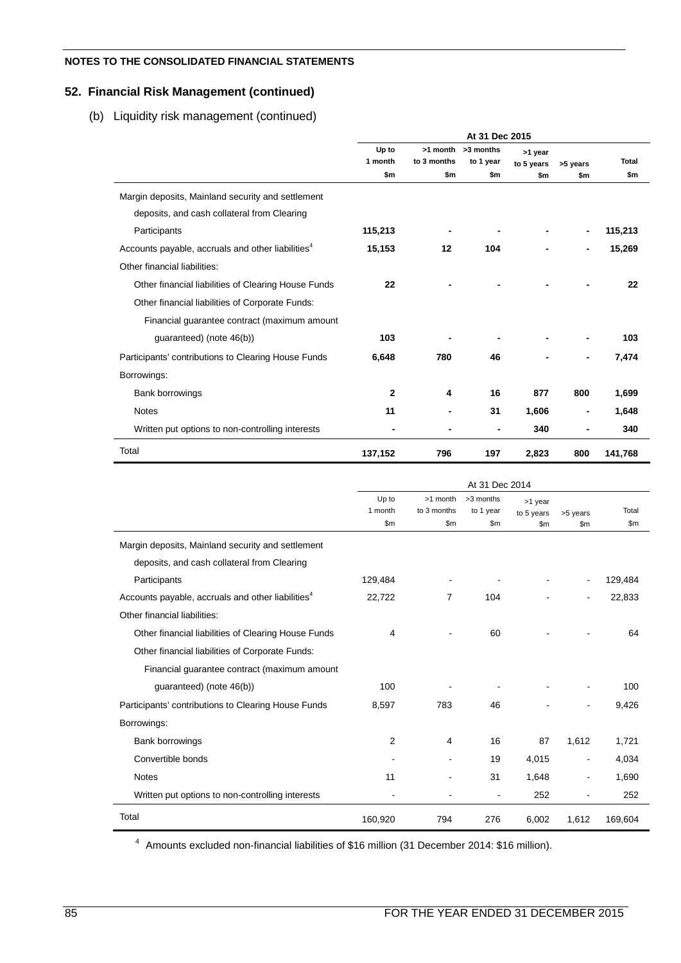# **52. Financial Risk Management (continued)**

(b) Liquidity risk management (continued)

|                                                               | At 31 Dec 2015          |                                |                               |                              |                 |                     |
|---------------------------------------------------------------|-------------------------|--------------------------------|-------------------------------|------------------------------|-----------------|---------------------|
|                                                               | Up to<br>1 month<br>\$m | >1 month<br>to 3 months<br>\$m | >3 months<br>to 1 year<br>\$m | >1 year<br>to 5 years<br>\$m | >5 years<br>\$m | <b>Total</b><br>\$m |
|                                                               |                         |                                |                               |                              |                 |                     |
| Margin deposits, Mainland security and settlement             |                         |                                |                               |                              |                 |                     |
| deposits, and cash collateral from Clearing                   |                         |                                |                               |                              |                 |                     |
| Participants                                                  | 115,213                 |                                |                               |                              | $\blacksquare$  | 115,213             |
| Accounts payable, accruals and other liabilities <sup>4</sup> | 15,153                  | 12                             | 104                           |                              | $\blacksquare$  | 15,269              |
| Other financial liabilities:                                  |                         |                                |                               |                              |                 |                     |
| Other financial liabilities of Clearing House Funds           | 22                      |                                |                               |                              |                 | 22                  |
| Other financial liabilities of Corporate Funds:               |                         |                                |                               |                              |                 |                     |
| Financial guarantee contract (maximum amount                  |                         |                                |                               |                              |                 |                     |
| guaranteed) (note 46(b))                                      | 103                     |                                |                               |                              |                 | 103                 |
| Participants' contributions to Clearing House Funds           | 6,648                   | 780                            | 46                            |                              | $\blacksquare$  | 7,474               |
| Borrowings:                                                   |                         |                                |                               |                              |                 |                     |
| Bank borrowings                                               | $\mathbf{2}$            | 4                              | 16                            | 877                          | 800             | 1,699               |
| <b>Notes</b>                                                  | 11                      |                                | 31                            | 1,606                        | $\blacksquare$  | 1,648               |
| Written put options to non-controlling interests              |                         | ۰                              | -                             | 340                          | ۰               | 340                 |
| Total                                                         | 137,152                 | 796                            | 197                           | 2,823                        | 800             | 141,768             |

|                                                               | At 31 Dec 2014   |                         |                        |                       |                          |         |
|---------------------------------------------------------------|------------------|-------------------------|------------------------|-----------------------|--------------------------|---------|
|                                                               | Up to<br>1 month | >1 month<br>to 3 months | >3 months<br>to 1 year | >1 year<br>to 5 years | >5 years                 | Total   |
|                                                               | \$m\$            | \$m                     | \$m                    | \$m\$                 | \$m                      | \$m\$   |
| Margin deposits, Mainland security and settlement             |                  |                         |                        |                       |                          |         |
| deposits, and cash collateral from Clearing                   |                  |                         |                        |                       |                          |         |
| Participants                                                  | 129,484          | $\blacksquare$          |                        |                       |                          | 129,484 |
| Accounts payable, accruals and other liabilities <sup>4</sup> | 22,722           | 7                       | 104                    |                       |                          | 22,833  |
| Other financial liabilities:                                  |                  |                         |                        |                       |                          |         |
| Other financial liabilities of Clearing House Funds           | 4                |                         | 60                     |                       |                          | 64      |
| Other financial liabilities of Corporate Funds:               |                  |                         |                        |                       |                          |         |
| Financial guarantee contract (maximum amount                  |                  |                         |                        |                       |                          |         |
| guaranteed) (note 46(b))                                      | 100              |                         |                        |                       |                          | 100     |
| Participants' contributions to Clearing House Funds           | 8,597            | 783                     | 46                     |                       |                          | 9,426   |
| Borrowings:                                                   |                  |                         |                        |                       |                          |         |
| Bank borrowings                                               | 2                | 4                       | 16                     | 87                    | 1,612                    | 1,721   |
| Convertible bonds                                             |                  | $\blacksquare$          | 19                     | 4,015                 | $\overline{\phantom{a}}$ | 4,034   |
| <b>Notes</b>                                                  | 11               | $\blacksquare$          | 31                     | 1,648                 | $\overline{\phantom{a}}$ | 1,690   |
| Written put options to non-controlling interests              |                  |                         | $\blacksquare$         | 252                   |                          | 252     |
| Total                                                         | 160,920          | 794                     | 276                    | 6,002                 | 1,612                    | 169,604 |

<sup>4</sup> Amounts excluded non-financial liabilities of \$16 million (31 December 2014: \$16 million).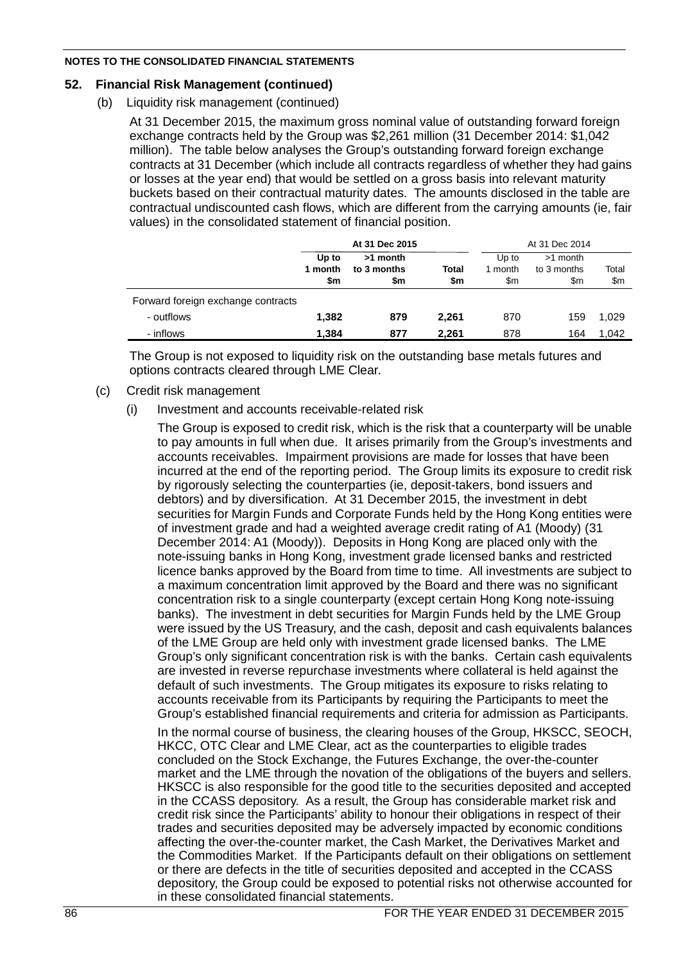## **52. Financial Risk Management (continued)**

(b) Liquidity risk management (continued)

At 31 December 2015, the maximum gross nominal value of outstanding forward foreign exchange contracts held by the Group was \$2,261 million (31 December 2014: \$1,042 million). The table below analyses the Group's outstanding forward foreign exchange contracts at 31 December (which include all contracts regardless of whether they had gains or losses at the year end) that would be settled on a gross basis into relevant maturity buckets based on their contractual maturity dates. The amounts disclosed in the table are contractual undiscounted cash flows, which are different from the carrying amounts (ie, fair values) in the consolidated statement of financial position.

|                                    | At 31 Dec 2015          |                                |                     | At 31 Dec 2014          |                                |              |
|------------------------------------|-------------------------|--------------------------------|---------------------|-------------------------|--------------------------------|--------------|
|                                    | Up to<br>1 month<br>\$m | >1 month<br>to 3 months<br>\$m | <b>Total</b><br>\$m | Up to<br>1 month<br>\$m | >1 month<br>to 3 months<br>\$m | Total<br>\$m |
| Forward foreign exchange contracts |                         |                                |                     |                         |                                |              |
| - outflows                         | 1,382                   | 879                            | 2.261               | 870                     | 159                            | 1,029        |
| - inflows                          | 1,384                   | 877                            | 2.261               | 878                     | 164                            | 1,042        |

The Group is not exposed to liquidity risk on the outstanding base metals futures and options contracts cleared through LME Clear.

- (c) Credit risk management
	- (i) Investment and accounts receivable-related risk

The Group is exposed to credit risk, which is the risk that a counterparty will be unable to pay amounts in full when due. It arises primarily from the Group's investments and accounts receivables. Impairment provisions are made for losses that have been incurred at the end of the reporting period. The Group limits its exposure to credit risk by rigorously selecting the counterparties (ie, deposit-takers, bond issuers and debtors) and by diversification. At 31 December 2015, the investment in debt securities for Margin Funds and Corporate Funds held by the Hong Kong entities were of investment grade and had a weighted average credit rating of A1 (Moody) (31 December 2014: A1 (Moody)). Deposits in Hong Kong are placed only with the note-issuing banks in Hong Kong, investment grade licensed banks and restricted licence banks approved by the Board from time to time. All investments are subject to a maximum concentration limit approved by the Board and there was no significant concentration risk to a single counterparty (except certain Hong Kong note-issuing banks). The investment in debt securities for Margin Funds held by the LME Group were issued by the US Treasury, and the cash, deposit and cash equivalents balances of the LME Group are held only with investment grade licensed banks. The LME Group's only significant concentration risk is with the banks. Certain cash equivalents are invested in reverse repurchase investments where collateral is held against the default of such investments. The Group mitigates its exposure to risks relating to accounts receivable from its Participants by requiring the Participants to meet the Group's established financial requirements and criteria for admission as Participants.

In the normal course of business, the clearing houses of the Group, HKSCC, SEOCH, HKCC, OTC Clear and LME Clear, act as the counterparties to eligible trades concluded on the Stock Exchange, the Futures Exchange, the over-the-counter market and the LME through the novation of the obligations of the buyers and sellers. HKSCC is also responsible for the good title to the securities deposited and accepted in the CCASS depository. As a result, the Group has considerable market risk and credit risk since the Participants' ability to honour their obligations in respect of their trades and securities deposited may be adversely impacted by economic conditions affecting the over-the-counter market, the Cash Market, the Derivatives Market and the Commodities Market. If the Participants default on their obligations on settlement or there are defects in the title of securities deposited and accepted in the CCASS depository, the Group could be exposed to potential risks not otherwise accounted for in these consolidated financial statements.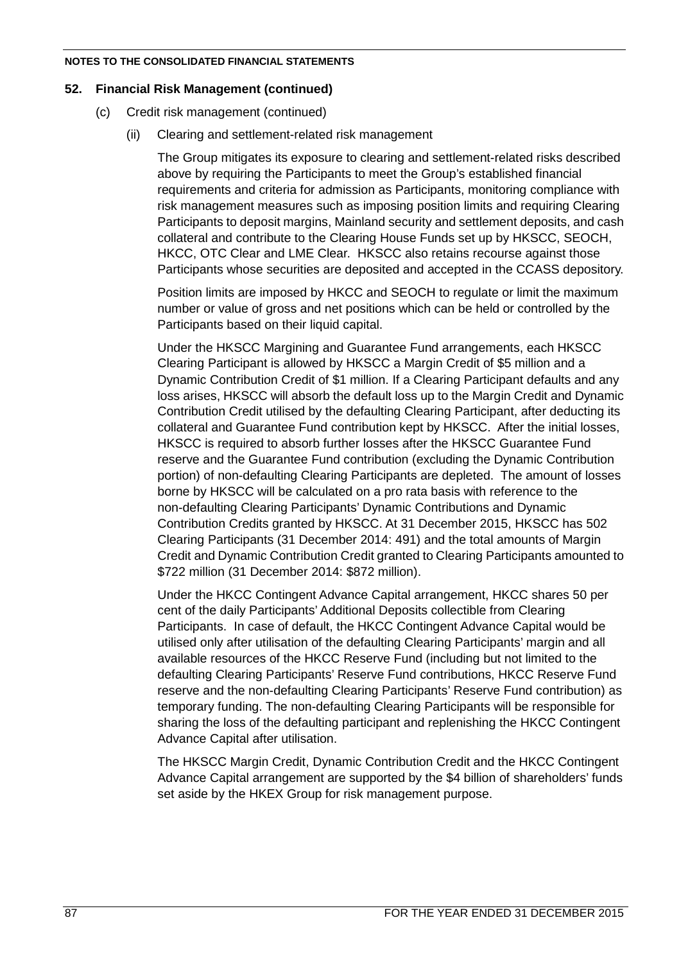# **52. Financial Risk Management (continued)**

- (c) Credit risk management (continued)
	- (ii) Clearing and settlement-related risk management

The Group mitigates its exposure to clearing and settlement-related risks described above by requiring the Participants to meet the Group's established financial requirements and criteria for admission as Participants, monitoring compliance with risk management measures such as imposing position limits and requiring Clearing Participants to deposit margins, Mainland security and settlement deposits, and cash collateral and contribute to the Clearing House Funds set up by HKSCC, SEOCH, HKCC, OTC Clear and LME Clear. HKSCC also retains recourse against those Participants whose securities are deposited and accepted in the CCASS depository.

Position limits are imposed by HKCC and SEOCH to regulate or limit the maximum number or value of gross and net positions which can be held or controlled by the Participants based on their liquid capital.

Under the HKSCC Margining and Guarantee Fund arrangements, each HKSCC Clearing Participant is allowed by HKSCC a Margin Credit of \$5 million and a Dynamic Contribution Credit of \$1 million. If a Clearing Participant defaults and any loss arises, HKSCC will absorb the default loss up to the Margin Credit and Dynamic Contribution Credit utilised by the defaulting Clearing Participant, after deducting its collateral and Guarantee Fund contribution kept by HKSCC. After the initial losses, HKSCC is required to absorb further losses after the HKSCC Guarantee Fund reserve and the Guarantee Fund contribution (excluding the Dynamic Contribution portion) of non-defaulting Clearing Participants are depleted. The amount of losses borne by HKSCC will be calculated on a pro rata basis with reference to the non-defaulting Clearing Participants' Dynamic Contributions and Dynamic Contribution Credits granted by HKSCC. At 31 December 2015, HKSCC has 502 Clearing Participants (31 December 2014: 491) and the total amounts of Margin Credit and Dynamic Contribution Credit granted to Clearing Participants amounted to \$722 million (31 December 2014: \$872 million).

Under the HKCC Contingent Advance Capital arrangement, HKCC shares 50 per cent of the daily Participants' Additional Deposits collectible from Clearing Participants. In case of default, the HKCC Contingent Advance Capital would be utilised only after utilisation of the defaulting Clearing Participants' margin and all available resources of the HKCC Reserve Fund (including but not limited to the defaulting Clearing Participants' Reserve Fund contributions, HKCC Reserve Fund reserve and the non-defaulting Clearing Participants' Reserve Fund contribution) as temporary funding. The non-defaulting Clearing Participants will be responsible for sharing the loss of the defaulting participant and replenishing the HKCC Contingent Advance Capital after utilisation.

The HKSCC Margin Credit, Dynamic Contribution Credit and the HKCC Contingent Advance Capital arrangement are supported by the \$4 billion of shareholders' funds set aside by the HKEX Group for risk management purpose.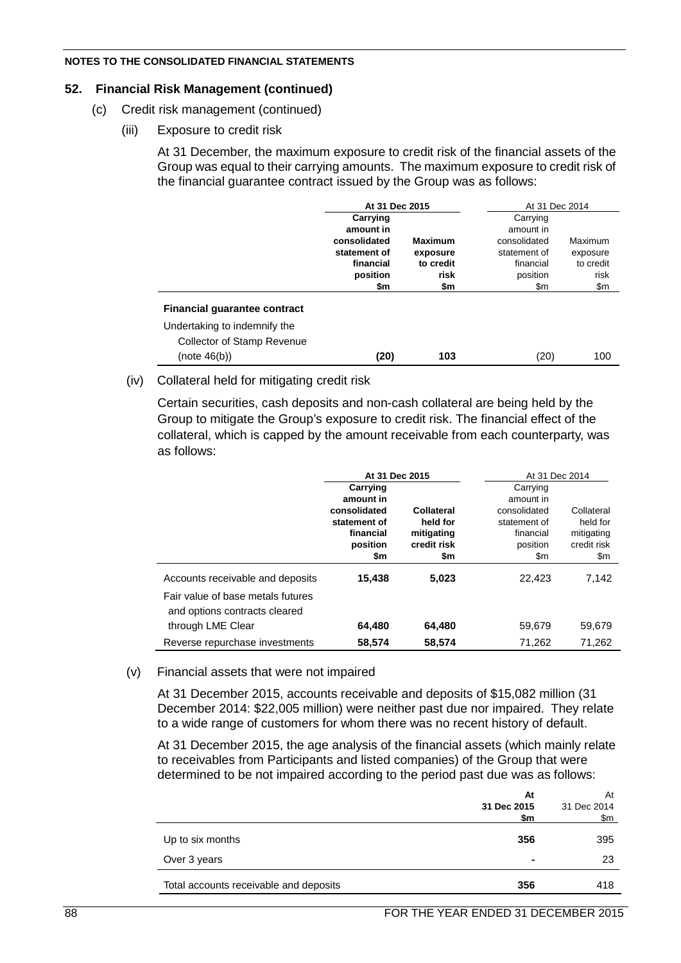# **52. Financial Risk Management (continued)**

- (c) Credit risk management (continued)
	- (iii) Exposure to credit risk

At 31 December, the maximum exposure to credit risk of the financial assets of the Group was equal to their carrying amounts. The maximum exposure to credit risk of the financial guarantee contract issued by the Group was as follows:

|                                     | At 31 Dec 2015         |                | At 31 Dec 2014 |           |  |
|-------------------------------------|------------------------|----------------|----------------|-----------|--|
|                                     | Carrying               |                | Carrying       |           |  |
|                                     | amount in              |                | amount in      |           |  |
|                                     | consolidated           | <b>Maximum</b> | consolidated   | Maximum   |  |
|                                     | statement of           | exposure       | statement of   | exposure  |  |
|                                     | financial<br>to credit |                | financial      | to credit |  |
|                                     | position               | risk           | position       | risk      |  |
|                                     | \$m                    | \$m            | \$m            | \$m       |  |
| <b>Financial guarantee contract</b> |                        |                |                |           |  |
| Undertaking to indemnify the        |                        |                |                |           |  |
| <b>Collector of Stamp Revenue</b>   |                        |                |                |           |  |
| (note 46(b))                        | (20)                   | 103            | (20)           | 100       |  |

(iv) Collateral held for mitigating credit risk

Certain securities, cash deposits and non-cash collateral are being held by the Group to mitigate the Group's exposure to credit risk. The financial effect of the collateral, which is capped by the amount receivable from each counterparty, was as follows:

|                                   | At 31 Dec 2015 |             | At 31 Dec 2014 |             |  |
|-----------------------------------|----------------|-------------|----------------|-------------|--|
|                                   | Carrying       |             | Carrying       |             |  |
|                                   | amount in      |             | amount in      |             |  |
|                                   | consolidated   | Collateral  | consolidated   | Collateral  |  |
|                                   | statement of   | held for    | statement of   | held for    |  |
|                                   | financial      | mitigating  | financial      | mitigating  |  |
|                                   | position       | credit risk | position       | credit risk |  |
|                                   | \$m            | \$m         | \$m            | \$m         |  |
| Accounts receivable and deposits  | 15,438         | 5,023       | 22,423         | 7,142       |  |
| Fair value of base metals futures |                |             |                |             |  |
| and options contracts cleared     |                |             |                |             |  |
| through LME Clear                 | 64,480         | 64,480      | 59,679         | 59,679      |  |
| Reverse repurchase investments    | 58,574         | 58,574      | 71,262         | 71.262      |  |

# (v) Financial assets that were not impaired

At 31 December 2015, accounts receivable and deposits of \$15,082 million (31 December 2014: \$22,005 million) were neither past due nor impaired. They relate to a wide range of customers for whom there was no recent history of default.

At 31 December 2015, the age analysis of the financial assets (which mainly relate to receivables from Participants and listed companies) of the Group that were determined to be not impaired according to the period past due was as follows:

|                                        | At<br>31 Dec 2015<br>\$m | At<br>31 Dec 2014<br>\$m |
|----------------------------------------|--------------------------|--------------------------|
| Up to six months                       | 356                      | 395                      |
| Over 3 years                           | $\blacksquare$           | 23                       |
| Total accounts receivable and deposits | 356                      | 418                      |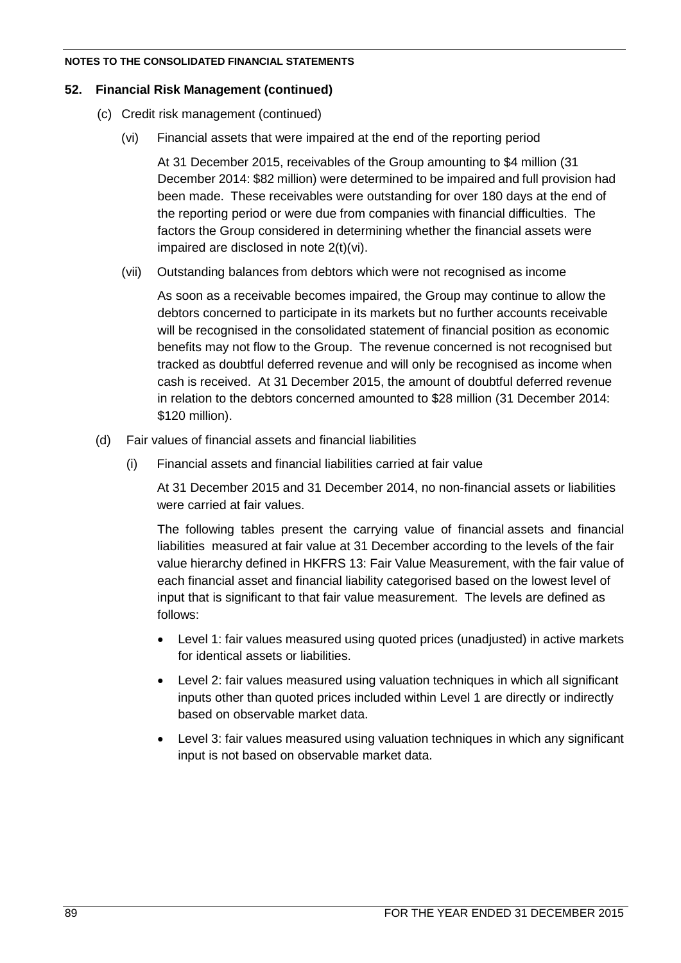# **52. Financial Risk Management (continued)**

- (c) Credit risk management (continued)
	- (vi) Financial assets that were impaired at the end of the reporting period

At 31 December 2015, receivables of the Group amounting to \$4 million (31 December 2014: \$82 million) were determined to be impaired and full provision had been made. These receivables were outstanding for over 180 days at the end of the reporting period or were due from companies with financial difficulties. The factors the Group considered in determining whether the financial assets were impaired are disclosed in note 2(t)(vi).

(vii) Outstanding balances from debtors which were not recognised as income

As soon as a receivable becomes impaired, the Group may continue to allow the debtors concerned to participate in its markets but no further accounts receivable will be recognised in the consolidated statement of financial position as economic benefits may not flow to the Group. The revenue concerned is not recognised but tracked as doubtful deferred revenue and will only be recognised as income when cash is received. At 31 December 2015, the amount of doubtful deferred revenue in relation to the debtors concerned amounted to \$28 million (31 December 2014: \$120 million).

- (d) Fair values of financial assets and financial liabilities
	- (i) Financial assets and financial liabilities carried at fair value

At 31 December 2015 and 31 December 2014, no non-financial assets or liabilities were carried at fair values.

The following tables present the carrying value of financial assets and financial liabilities measured at fair value at 31 December according to the levels of the fair value hierarchy defined in HKFRS 13: Fair Value Measurement, with the fair value of each financial asset and financial liability categorised based on the lowest level of input that is significant to that fair value measurement. The levels are defined as follows:

- Level 1: fair values measured using quoted prices (unadjusted) in active markets for identical assets or liabilities.
- Level 2: fair values measured using valuation techniques in which all significant inputs other than quoted prices included within Level 1 are directly or indirectly based on observable market data.
- Level 3: fair values measured using valuation techniques in which any significant input is not based on observable market data.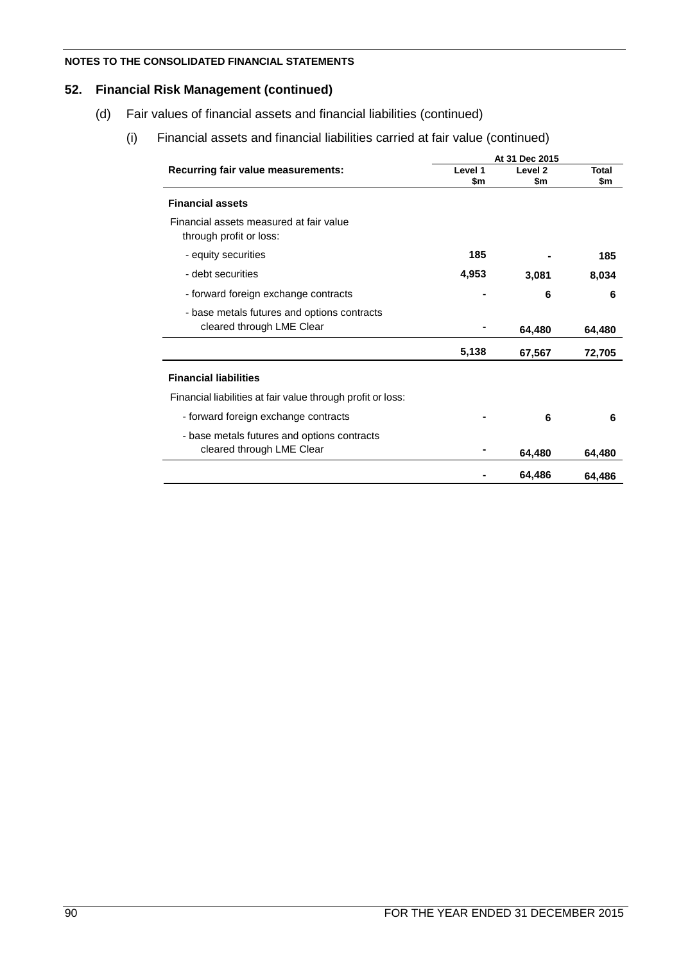# **52. Financial Risk Management (continued)**

- (d) Fair values of financial assets and financial liabilities (continued)
	- (i) Financial assets and financial liabilities carried at fair value (continued)

|                                                                    | At 31 Dec 2015 |         |              |  |
|--------------------------------------------------------------------|----------------|---------|--------------|--|
| Recurring fair value measurements:                                 | Level 1        | Level 2 | <b>Total</b> |  |
|                                                                    | \$m            | \$m     | \$m          |  |
| <b>Financial assets</b>                                            |                |         |              |  |
| Financial assets measured at fair value<br>through profit or loss: |                |         |              |  |
| - equity securities                                                | 185            |         | 185          |  |
| - debt securities                                                  | 4,953          | 3,081   | 8,034        |  |
| - forward foreign exchange contracts                               |                | 6       | 6            |  |
| - base metals futures and options contracts                        |                |         |              |  |
| cleared through LME Clear                                          |                | 64,480  | 64,480       |  |
|                                                                    | 5,138          | 67,567  | 72,705       |  |
| <b>Financial liabilities</b>                                       |                |         |              |  |
| Financial liabilities at fair value through profit or loss:        |                |         |              |  |
| - forward foreign exchange contracts                               |                | 6       | 6            |  |
| - base metals futures and options contracts                        |                |         |              |  |
| cleared through LME Clear                                          |                | 64,480  | 64,480       |  |
|                                                                    |                | 64,486  | 64,486       |  |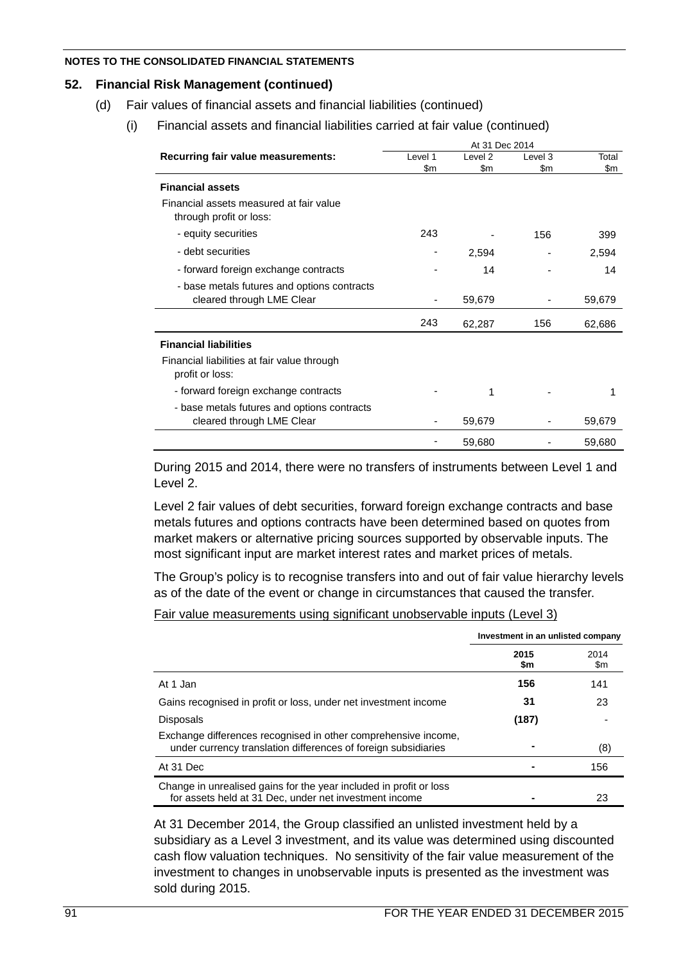# **52. Financial Risk Management (continued)**

- (d) Fair values of financial assets and financial liabilities (continued)
	- (i) Financial assets and financial liabilities carried at fair value (continued)

|                                                                    | At 31 Dec 2014 |         |         |        |  |  |
|--------------------------------------------------------------------|----------------|---------|---------|--------|--|--|
| Recurring fair value measurements:                                 | Level 1        | Level 2 | Level 3 | Total  |  |  |
|                                                                    | \$m            | \$m     | \$m     | \$m    |  |  |
| <b>Financial assets</b>                                            |                |         |         |        |  |  |
| Financial assets measured at fair value<br>through profit or loss: |                |         |         |        |  |  |
| - equity securities                                                | 243            |         | 156     | 399    |  |  |
| - debt securities                                                  |                | 2,594   |         | 2,594  |  |  |
| - forward foreign exchange contracts                               |                | 14      |         | 14     |  |  |
| - base metals futures and options contracts                        |                |         |         |        |  |  |
| cleared through LME Clear                                          |                | 59,679  |         | 59,679 |  |  |
|                                                                    | 243            | 62,287  | 156     | 62,686 |  |  |
| <b>Financial liabilities</b>                                       |                |         |         |        |  |  |
| Financial liabilities at fair value through<br>profit or loss:     |                |         |         |        |  |  |
| - forward foreign exchange contracts                               |                | 1       |         | 1      |  |  |
| - base metals futures and options contracts                        |                |         |         |        |  |  |
| cleared through LME Clear                                          |                | 59,679  |         | 59,679 |  |  |
|                                                                    |                | 59,680  |         | 59,680 |  |  |

During 2015 and 2014, there were no transfers of instruments between Level 1 and Level 2.

Level 2 fair values of debt securities, forward foreign exchange contracts and base metals futures and options contracts have been determined based on quotes from market makers or alternative pricing sources supported by observable inputs. The most significant input are market interest rates and market prices of metals.

The Group's policy is to recognise transfers into and out of fair value hierarchy levels as of the date of the event or change in circumstances that caused the transfer.

Fair value measurements using significant unobservable inputs (Level 3)

|                                                                                                                                  |             | Investment in an unlisted company |  |  |
|----------------------------------------------------------------------------------------------------------------------------------|-------------|-----------------------------------|--|--|
|                                                                                                                                  | 2015<br>\$m | 2014<br>\$m                       |  |  |
| At 1 Jan                                                                                                                         | 156         | 141                               |  |  |
| Gains recognised in profit or loss, under net investment income                                                                  | 31          | 23                                |  |  |
| <b>Disposals</b>                                                                                                                 | (187)       |                                   |  |  |
| Exchange differences recognised in other comprehensive income,<br>under currency translation differences of foreign subsidiaries |             | (8)                               |  |  |
| At 31 Dec                                                                                                                        |             | 156                               |  |  |
| Change in unrealised gains for the year included in profit or loss<br>for assets held at 31 Dec, under net investment income     |             | 23                                |  |  |

At 31 December 2014, the Group classified an unlisted investment held by a subsidiary as a Level 3 investment, and its value was determined using discounted cash flow valuation techniques. No sensitivity of the fair value measurement of the investment to changes in unobservable inputs is presented as the investment was sold during 2015.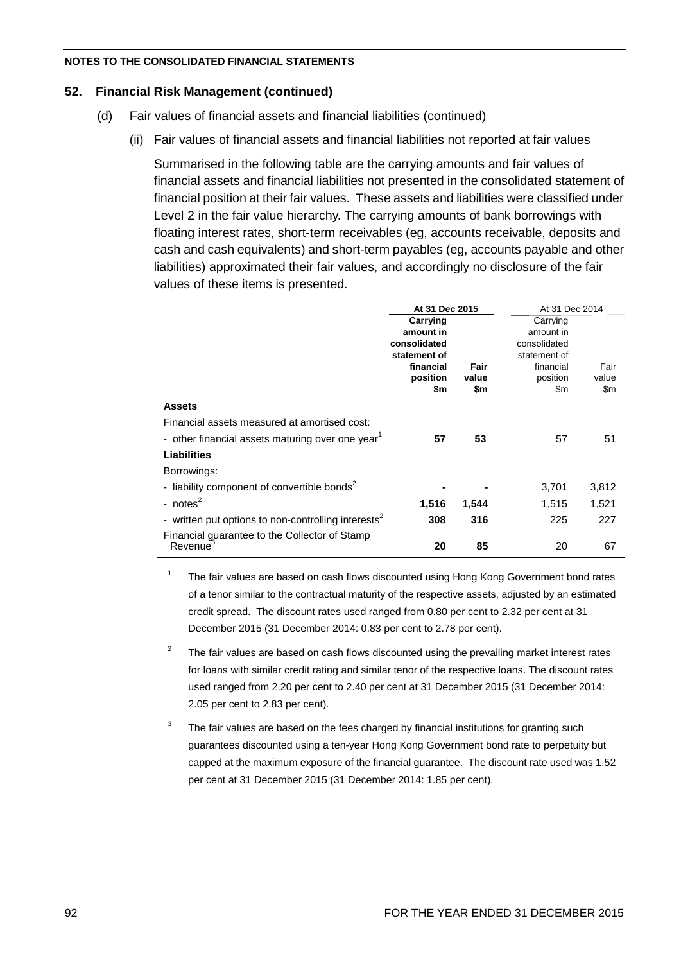# **52. Financial Risk Management (continued)**

- (d) Fair values of financial assets and financial liabilities (continued)
	- (ii) Fair values of financial assets and financial liabilities not reported at fair values

Summarised in the following table are the carrying amounts and fair values of financial assets and financial liabilities not presented in the consolidated statement of financial position at their fair values. These assets and liabilities were classified under Level 2 in the fair value hierarchy. The carrying amounts of bank borrowings with floating interest rates, short-term receivables (eg, accounts receivable, deposits and cash and cash equivalents) and short-term payables (eg, accounts payable and other liabilities) approximated their fair values, and accordingly no disclosure of the fair values of these items is presented.

|                                                                 | At 31 Dec 2015 |       | At 31 Dec 2014 |       |  |
|-----------------------------------------------------------------|----------------|-------|----------------|-------|--|
|                                                                 | Carrying       |       | Carrying       |       |  |
|                                                                 | amount in      |       | amount in      |       |  |
|                                                                 | consolidated   |       | consolidated   |       |  |
|                                                                 | statement of   |       | statement of   |       |  |
|                                                                 | financial      | Fair  | financial      | Fair  |  |
|                                                                 | position       | value | position       | value |  |
|                                                                 | \$m            | \$m   | \$m            | \$m   |  |
| <b>Assets</b>                                                   |                |       |                |       |  |
| Financial assets measured at amortised cost:                    |                |       |                |       |  |
| - other financial assets maturing over one year <sup>1</sup>    | 57             | 53    | 57             | 51    |  |
| <b>Liabilities</b>                                              |                |       |                |       |  |
| Borrowings:                                                     |                |       |                |       |  |
| - liability component of convertible bonds <sup>2</sup>         |                |       | 3,701          | 3,812 |  |
| - notes $2$                                                     | 1,516          | 1,544 | 1,515          | 1,521 |  |
| - written put options to non-controlling interests <sup>2</sup> | 308            | 316   | 225            | 227   |  |
| Financial guarantee to the Collector of Stamp                   |                |       |                |       |  |
| Revenue <sup>3</sup>                                            | 20             | 85    | 20             | 67    |  |

<sup>1</sup> The fair values are based on cash flows discounted using Hong Kong Government bond rates of a tenor similar to the contractual maturity of the respective assets, adjusted by an estimated credit spread. The discount rates used ranged from 0.80 per cent to 2.32 per cent at 31 December 2015 (31 December 2014: 0.83 per cent to 2.78 per cent).

- <sup>2</sup> The fair values are based on cash flows discounted using the prevailing market interest rates for loans with similar credit rating and similar tenor of the respective loans. The discount rates used ranged from 2.20 per cent to 2.40 per cent at 31 December 2015 (31 December 2014: 2.05 per cent to 2.83 per cent).
- $3$  The fair values are based on the fees charged by financial institutions for granting such guarantees discounted using a ten-year Hong Kong Government bond rate to perpetuity but capped at the maximum exposure of the financial guarantee. The discount rate used was 1.52 per cent at 31 December 2015 (31 December 2014: 1.85 per cent).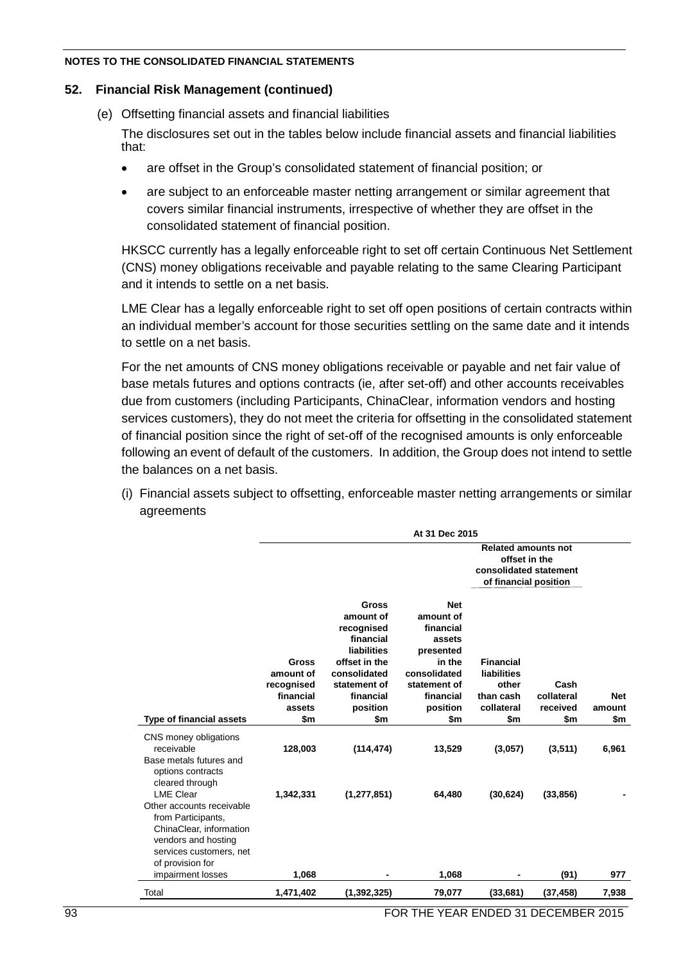## **52. Financial Risk Management (continued)**

(e) Offsetting financial assets and financial liabilities

The disclosures set out in the tables below include financial assets and financial liabilities that:

- are offset in the Group's consolidated statement of financial position; or
- are subject to an enforceable master netting arrangement or similar agreement that covers similar financial instruments, irrespective of whether they are offset in the consolidated statement of financial position.

HKSCC currently has a legally enforceable right to set off certain Continuous Net Settlement (CNS) money obligations receivable and payable relating to the same Clearing Participant and it intends to settle on a net basis.

LME Clear has a legally enforceable right to set off open positions of certain contracts within an individual member's account for those securities settling on the same date and it intends to settle on a net basis.

For the net amounts of CNS money obligations receivable or payable and net fair value of base metals futures and options contracts (ie, after set-off) and other accounts receivables due from customers (including Participants, ChinaClear, information vendors and hosting services customers), they do not meet the criteria for offsetting in the consolidated statement of financial position since the right of set-off of the recognised amounts is only enforceable following an event of default of the customers. In addition, the Group does not intend to settle the balances on a net basis.

(i) Financial assets subject to offsetting, enforceable master netting arrangements or similar agreements

|                                                                                                                                                                      |                                                                |                                                                                                                                                      | At 31 Dec 2015                                                                                                                 |                                                                                   |                                       |                      |
|----------------------------------------------------------------------------------------------------------------------------------------------------------------------|----------------------------------------------------------------|------------------------------------------------------------------------------------------------------------------------------------------------------|--------------------------------------------------------------------------------------------------------------------------------|-----------------------------------------------------------------------------------|---------------------------------------|----------------------|
|                                                                                                                                                                      |                                                                |                                                                                                                                                      |                                                                                                                                | <b>Related amounts not</b>                                                        |                                       |                      |
|                                                                                                                                                                      |                                                                |                                                                                                                                                      |                                                                                                                                | offset in the<br>consolidated statement                                           |                                       |                      |
|                                                                                                                                                                      |                                                                |                                                                                                                                                      |                                                                                                                                | of financial position                                                             |                                       |                      |
| <b>Type of financial assets</b>                                                                                                                                      | Gross<br>amount of<br>recognised<br>financial<br>assets<br>\$m | <b>Gross</b><br>amount of<br>recognised<br>financial<br>liabilities<br>offset in the<br>consolidated<br>statement of<br>financial<br>position<br>\$m | <b>Net</b><br>amount of<br>financial<br>assets<br>presented<br>in the<br>consolidated<br>statement of<br>financial<br>position | <b>Financial</b><br><b>liabilities</b><br>other<br>than cash<br>collateral<br>\$m | Cash<br>collateral<br>received<br>\$m | <b>Net</b><br>amount |
|                                                                                                                                                                      |                                                                |                                                                                                                                                      | \$m                                                                                                                            |                                                                                   |                                       | \$m                  |
| CNS money obligations<br>receivable<br>Base metals futures and<br>options contracts<br>cleared through                                                               | 128,003                                                        | (114, 474)                                                                                                                                           | 13,529                                                                                                                         | (3,057)                                                                           | (3,511)                               | 6,961                |
| <b>LME Clear</b><br>Other accounts receivable<br>from Participants,<br>ChinaClear, information<br>vendors and hosting<br>services customers, net<br>of provision for | 1,342,331                                                      | (1, 277, 851)                                                                                                                                        | 64,480                                                                                                                         | (30, 624)                                                                         | (33, 856)                             |                      |
| impairment losses                                                                                                                                                    | 1,068                                                          |                                                                                                                                                      | 1,068                                                                                                                          |                                                                                   | (91)                                  | 977                  |
| Total                                                                                                                                                                | 1,471,402                                                      | (1, 392, 325)                                                                                                                                        | 79,077                                                                                                                         | (33,681)                                                                          | (37, 458)                             | 7,938                |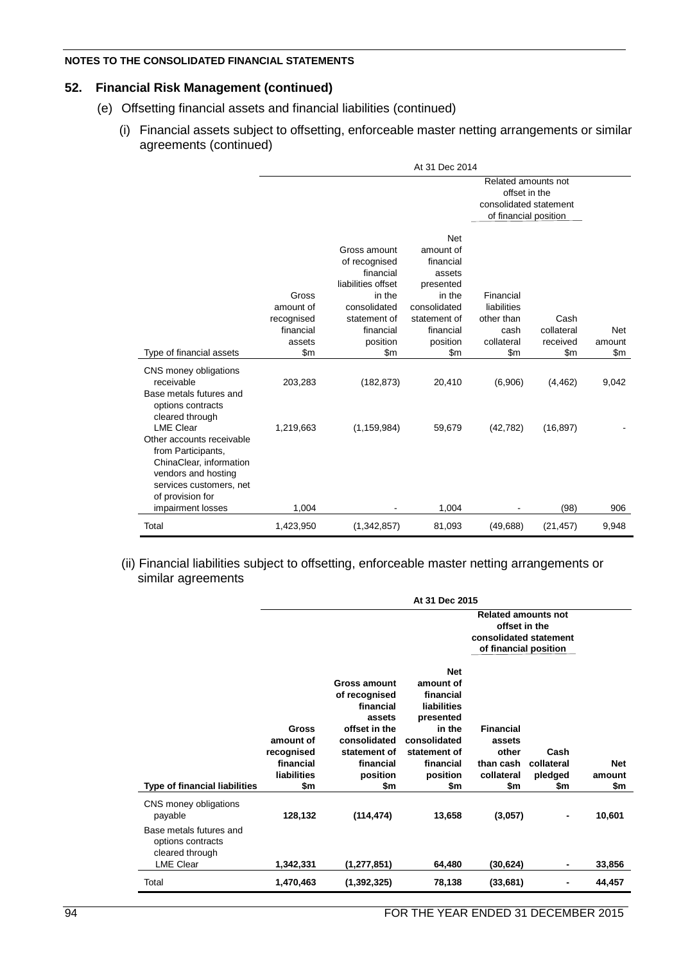# **52. Financial Risk Management (continued)**

- (e) Offsetting financial assets and financial liabilities (continued)
	- (i) Financial assets subject to offsetting, enforceable master netting arrangements or similar agreements (continued)

|                                                                                                                                                                      | At 31 Dec 2014                                                   |                                                                                                                                              |                                                                                                                                       |                                                                                         |                                       |                             |
|----------------------------------------------------------------------------------------------------------------------------------------------------------------------|------------------------------------------------------------------|----------------------------------------------------------------------------------------------------------------------------------------------|---------------------------------------------------------------------------------------------------------------------------------------|-----------------------------------------------------------------------------------------|---------------------------------------|-----------------------------|
|                                                                                                                                                                      |                                                                  |                                                                                                                                              |                                                                                                                                       | Related amounts not<br>offset in the<br>consolidated statement<br>of financial position |                                       |                             |
| Type of financial assets                                                                                                                                             | Gross<br>amount of<br>recognised<br>financial<br>assets<br>\$m\$ | Gross amount<br>of recognised<br>financial<br>liabilities offset<br>in the<br>consolidated<br>statement of<br>financial<br>position<br>\$m\$ | <b>Net</b><br>amount of<br>financial<br>assets<br>presented<br>in the<br>consolidated<br>statement of<br>financial<br>position<br>\$m | Financial<br>liabilities<br>other than<br>cash<br>collateral<br>$\mathsf{m}$            | Cash<br>collateral<br>received<br>\$m | <b>Net</b><br>amount<br>\$m |
| CNS money obligations                                                                                                                                                |                                                                  |                                                                                                                                              |                                                                                                                                       |                                                                                         |                                       |                             |
| receivable<br>Base metals futures and<br>options contracts<br>cleared through                                                                                        | 203,283                                                          | (182, 873)                                                                                                                                   | 20,410                                                                                                                                | (6,906)                                                                                 | (4, 462)                              | 9,042                       |
| <b>LME Clear</b><br>Other accounts receivable<br>from Participants,<br>ChinaClear, information<br>vendors and hosting<br>services customers, net<br>of provision for | 1,219,663                                                        | (1, 159, 984)                                                                                                                                | 59,679                                                                                                                                | (42, 782)                                                                               | (16, 897)                             |                             |
| impairment losses                                                                                                                                                    | 1,004                                                            |                                                                                                                                              | 1,004                                                                                                                                 |                                                                                         | (98)                                  | 906                         |
| Total                                                                                                                                                                | 1,423,950                                                        | (1,342,857)                                                                                                                                  | 81,093                                                                                                                                | (49, 688)                                                                               | (21, 457)                             | 9,948                       |

(ii) Financial liabilities subject to offsetting, enforceable master netting arrangements or similar agreements

|                                                             |                                                                            |                                                                                                                                              | At 31 Dec 2015                                                                                                                             |                                                                                                |                                      |                             |
|-------------------------------------------------------------|----------------------------------------------------------------------------|----------------------------------------------------------------------------------------------------------------------------------------------|--------------------------------------------------------------------------------------------------------------------------------------------|------------------------------------------------------------------------------------------------|--------------------------------------|-----------------------------|
|                                                             |                                                                            |                                                                                                                                              |                                                                                                                                            | <b>Related amounts not</b><br>offset in the<br>consolidated statement<br>of financial position |                                      |                             |
| <b>Type of financial liabilities</b>                        | Gross<br>amount of<br>recognised<br>financial<br><b>liabilities</b><br>\$m | <b>Gross amount</b><br>of recognised<br>financial<br>assets<br>offset in the<br>consolidated<br>statement of<br>financial<br>position<br>\$m | <b>Net</b><br>amount of<br>financial<br>liabilities<br>presented<br>in the<br>consolidated<br>statement of<br>financial<br>position<br>\$m | <b>Financial</b><br>assets<br>other<br>than cash<br>collateral<br>\$m                          | Cash<br>collateral<br>pledged<br>\$m | <b>Net</b><br>amount<br>\$m |
| CNS money obligations<br>payable<br>Base metals futures and | 128,132                                                                    | (114, 474)                                                                                                                                   | 13,658                                                                                                                                     | (3,057)                                                                                        | -                                    | 10,601                      |
| options contracts<br>cleared through<br><b>LME Clear</b>    | 1,342,331                                                                  | (1, 277, 851)                                                                                                                                | 64,480                                                                                                                                     | (30, 624)                                                                                      | -                                    | 33,856                      |
| Total                                                       | 1,470,463                                                                  | (1, 392, 325)                                                                                                                                | 78,138                                                                                                                                     | (33,681)                                                                                       |                                      | 44,457                      |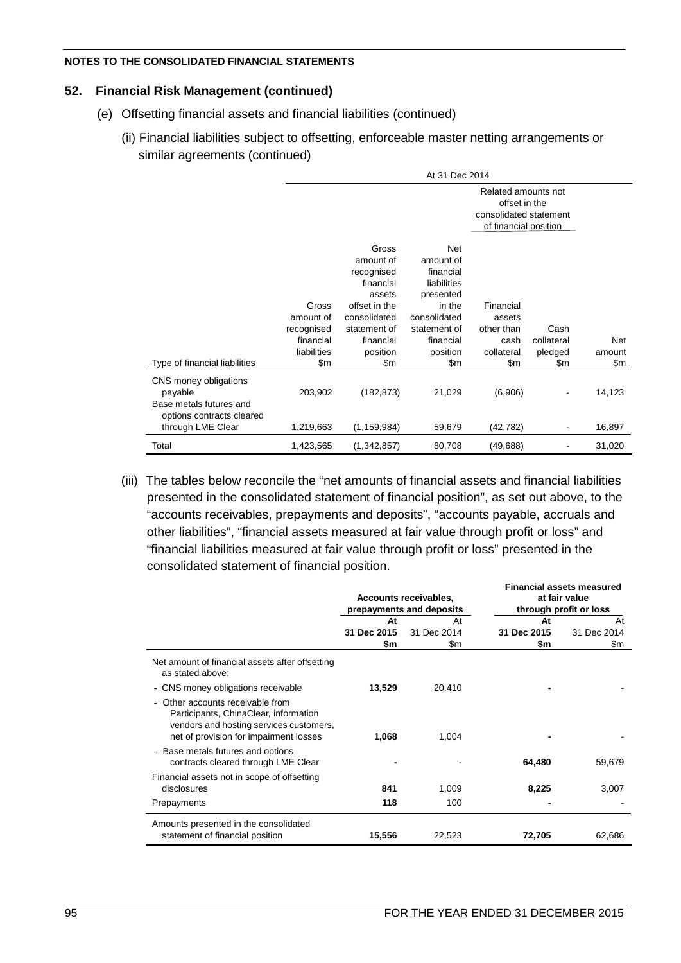# **52. Financial Risk Management (continued)**

- (e) Offsetting financial assets and financial liabilities (continued)
	- (ii) Financial liabilities subject to offsetting, enforceable master netting arrangements or similar agreements (continued)

|                                                                                                               | At 31 Dec 2014                                                        |                                                                                                                                          |                                                                                                                                            |                                                                                         |                                                |                      |  |
|---------------------------------------------------------------------------------------------------------------|-----------------------------------------------------------------------|------------------------------------------------------------------------------------------------------------------------------------------|--------------------------------------------------------------------------------------------------------------------------------------------|-----------------------------------------------------------------------------------------|------------------------------------------------|----------------------|--|
|                                                                                                               |                                                                       |                                                                                                                                          |                                                                                                                                            | Related amounts not<br>offset in the<br>consolidated statement<br>of financial position |                                                |                      |  |
| Type of financial liabilities                                                                                 | Gross<br>amount of<br>recognised<br>financial<br>liabilities<br>\$m\$ | Gross<br>amount of<br>recognised<br>financial<br>assets<br>offset in the<br>consolidated<br>statement of<br>financial<br>position<br>\$m | <b>Net</b><br>amount of<br>financial<br>liabilities<br>presented<br>in the<br>consolidated<br>statement of<br>financial<br>position<br>\$m | Financial<br>assets<br>other than<br>cash<br>collateral<br>\$m                          | Cash<br>collateral<br>pledged<br>\$m           | Net<br>amount<br>\$m |  |
| CNS money obligations<br>payable<br>Base metals futures and<br>options contracts cleared<br>through LME Clear | 203,902<br>1,219,663                                                  | (182, 873)<br>(1, 159, 984)                                                                                                              | 21,029<br>59,679                                                                                                                           | (6,906)<br>(42, 782)                                                                    | $\qquad \qquad \blacksquare$<br>$\blacksquare$ | 14,123<br>16,897     |  |
| Total                                                                                                         | 1,423,565                                                             | (1,342,857)                                                                                                                              | 80,708                                                                                                                                     | (49, 688)                                                                               |                                                | 31,020               |  |

(iii) The tables below reconcile the "net amounts of financial assets and financial liabilities presented in the consolidated statement of financial position", as set out above, to the "accounts receivables, prepayments and deposits", "accounts payable, accruals and other liabilities", "financial assets measured at fair value through profit or loss" and "financial liabilities measured at fair value through profit or loss" presented in the consolidated statement of financial position.

|                                                                                                                                                                |             | <b>Financial assets measured</b> |                                         |             |  |
|----------------------------------------------------------------------------------------------------------------------------------------------------------------|-------------|----------------------------------|-----------------------------------------|-------------|--|
|                                                                                                                                                                |             | Accounts receivables,            | at fair value<br>through profit or loss |             |  |
|                                                                                                                                                                |             | prepayments and deposits         |                                         |             |  |
|                                                                                                                                                                | At          | At                               | At                                      | At          |  |
|                                                                                                                                                                | 31 Dec 2015 | 31 Dec 2014                      | 31 Dec 2015                             | 31 Dec 2014 |  |
|                                                                                                                                                                | \$m         | \$m                              | \$m                                     | \$m         |  |
| Net amount of financial assets after offsetting<br>as stated above:                                                                                            |             |                                  |                                         |             |  |
| - CNS money obligations receivable                                                                                                                             | 13,529      | 20,410                           |                                         |             |  |
| - Other accounts receivable from<br>Participants, ChinaClear, information<br>vendors and hosting services customers,<br>net of provision for impairment losses | 1,068       | 1,004                            |                                         |             |  |
| - Base metals futures and options<br>contracts cleared through LME Clear                                                                                       |             |                                  | 64,480                                  | 59,679      |  |
| Financial assets not in scope of offsetting<br>disclosures                                                                                                     | 841         | 1,009                            | 8,225                                   | 3,007       |  |
| Prepayments                                                                                                                                                    | 118         | 100                              |                                         |             |  |
| Amounts presented in the consolidated                                                                                                                          |             |                                  |                                         |             |  |
| statement of financial position                                                                                                                                | 15,556      | 22,523                           | 72,705                                  | 62,686      |  |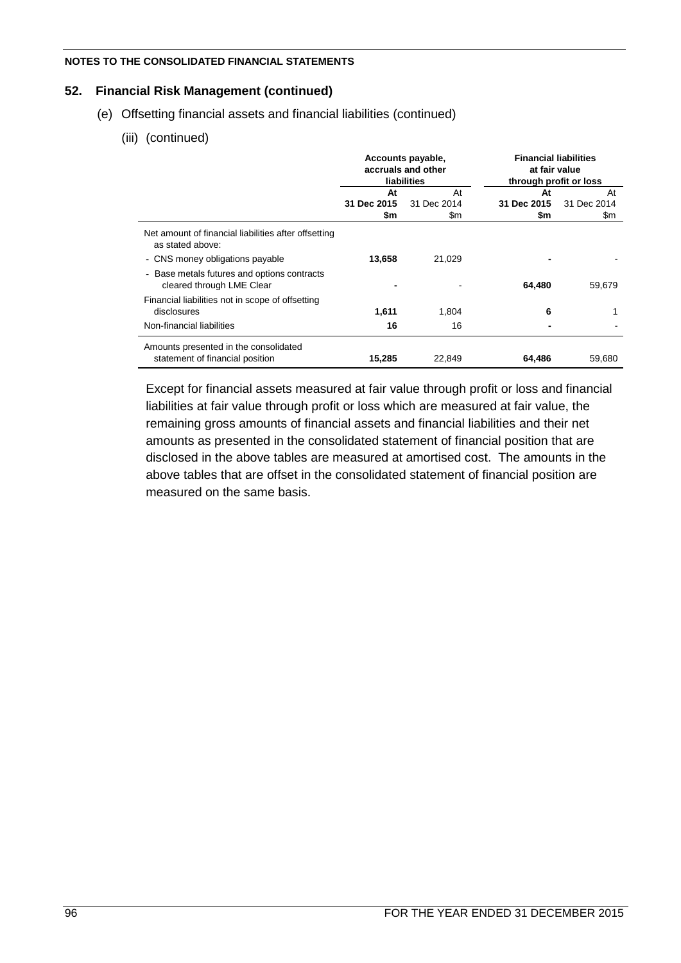# **52. Financial Risk Management (continued)**

- (e) Offsetting financial assets and financial liabilities (continued)
	- (iii) (continued)

|                                                                          | Accounts payable,<br>accruals and other<br><b>liabilities</b> |             | <b>Financial liabilities</b><br>at fair value<br>through profit or loss |             |  |
|--------------------------------------------------------------------------|---------------------------------------------------------------|-------------|-------------------------------------------------------------------------|-------------|--|
|                                                                          | At<br>At                                                      |             | At                                                                      | At          |  |
|                                                                          | 31 Dec 2015                                                   | 31 Dec 2014 | 31 Dec 2015                                                             | 31 Dec 2014 |  |
|                                                                          | \$m                                                           | \$m         | \$m                                                                     | \$m         |  |
| Net amount of financial liabilities after offsetting<br>as stated above: |                                                               |             |                                                                         |             |  |
| - CNS money obligations payable                                          | 13,658                                                        | 21,029      |                                                                         |             |  |
| - Base metals futures and options contracts<br>cleared through LME Clear |                                                               |             | 64,480                                                                  | 59,679      |  |
| Financial liabilities not in scope of offsetting                         |                                                               |             |                                                                         |             |  |
| disclosures                                                              | 1,611                                                         | 1,804       | 6                                                                       |             |  |
| Non-financial liabilities                                                | 16                                                            | 16          |                                                                         |             |  |
| Amounts presented in the consolidated<br>statement of financial position | 15,285                                                        | 22,849      | 64,486                                                                  | 59,680      |  |

Except for financial assets measured at fair value through profit or loss and financial liabilities at fair value through profit or loss which are measured at fair value, the remaining gross amounts of financial assets and financial liabilities and their net amounts as presented in the consolidated statement of financial position that are disclosed in the above tables are measured at amortised cost. The amounts in the above tables that are offset in the consolidated statement of financial position are measured on the same basis.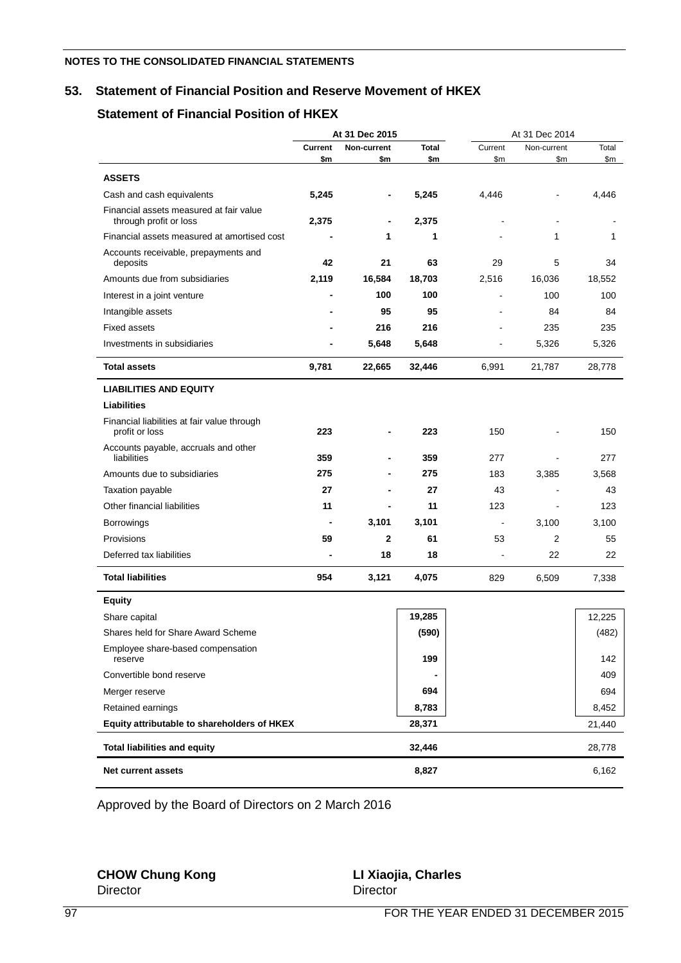# **53. Statement of Financial Position and Reserve Movement of HKEX**

# **Statement of Financial Position of HKEX**

|                                                                   | At 31 Dec 2015        |                    |              | At 31 Dec 2014           |                          |              |
|-------------------------------------------------------------------|-----------------------|--------------------|--------------|--------------------------|--------------------------|--------------|
|                                                                   | <b>Current</b><br>\$m | Non-current<br>\$m | Total<br>\$m | Current<br>\$m\$         | Non-current<br>\$m       | Total<br>\$m |
|                                                                   |                       |                    |              |                          |                          |              |
| <b>ASSETS</b>                                                     |                       |                    |              |                          |                          |              |
| Cash and cash equivalents                                         | 5,245                 | -                  | 5,245        | 4,446                    |                          | 4,446        |
| Financial assets measured at fair value<br>through profit or loss | 2,375                 |                    | 2,375        |                          |                          |              |
| Financial assets measured at amortised cost                       |                       | 1                  | 1            |                          | 1                        | 1            |
| Accounts receivable, prepayments and<br>deposits                  | 42                    | 21                 | 63           | 29                       | 5                        | 34           |
| Amounts due from subsidiaries                                     | 2,119                 | 16,584             | 18,703       | 2,516                    | 16,036                   | 18,552       |
| Interest in a joint venture                                       | $\blacksquare$        | 100                | 100          | L,                       | 100                      | 100          |
| Intangible assets                                                 |                       | 95                 | 95           | $\overline{a}$           | 84                       | 84           |
| <b>Fixed assets</b>                                               |                       | 216                | 216          |                          | 235                      | 235          |
| Investments in subsidiaries                                       |                       | 5,648              | 5,648        | $\blacksquare$           | 5,326                    | 5,326        |
| <b>Total assets</b>                                               | 9,781                 | 22,665             | 32,446       | 6,991                    | 21,787                   | 28,778       |
| <b>LIABILITIES AND EQUITY</b>                                     |                       |                    |              |                          |                          |              |
| <b>Liabilities</b>                                                |                       |                    |              |                          |                          |              |
| Financial liabilities at fair value through<br>profit or loss     | 223                   |                    | 223          | 150                      |                          | 150          |
| Accounts payable, accruals and other                              |                       |                    |              |                          |                          |              |
| liabilities                                                       | 359                   |                    | 359          | 277                      | $\overline{\phantom{a}}$ | 277          |
| Amounts due to subsidiaries                                       | 275                   |                    | 275          | 183                      | 3,385                    | 3,568        |
| Taxation payable                                                  | 27                    |                    | 27           | 43                       |                          | 43           |
| Other financial liabilities                                       | 11                    |                    | 11           | 123                      | $\blacksquare$           | 123          |
| <b>Borrowings</b>                                                 | -                     | 3,101              | 3,101        | $\blacksquare$           | 3,100                    | 3,100        |
| Provisions                                                        | 59                    | 2                  | 61           | 53                       | $\overline{2}$           | 55           |
| Deferred tax liabilities                                          | ٠                     | 18                 | 18           | $\overline{\phantom{a}}$ | 22                       | 22           |
| <b>Total liabilities</b>                                          | 954                   | 3,121              | 4,075        | 829                      | 6,509                    | 7,338        |
| <b>Equity</b>                                                     |                       |                    |              |                          |                          |              |
| Share capital                                                     |                       |                    | 19,285       |                          |                          | 12,225       |
| Shares held for Share Award Scheme                                |                       |                    | (590)        |                          |                          | (482)        |
| Employee share-based compensation<br>reserve                      |                       |                    | 199          |                          |                          | 142          |
| Convertible bond reserve                                          |                       |                    |              |                          |                          | 409          |
| Merger reserve                                                    |                       |                    | 694          |                          |                          | 694          |
| Retained earnings                                                 |                       |                    | 8,783        |                          |                          | 8,452        |
| Equity attributable to shareholders of HKEX                       |                       |                    | 28,371       |                          |                          | 21,440       |
| <b>Total liabilities and equity</b>                               |                       |                    | 32,446       |                          |                          | 28,778       |
| <b>Net current assets</b>                                         |                       |                    | 8,827        |                          |                          | 6,162        |

Approved by the Board of Directors on 2 March 2016

**CHOW Chung Kong LI Xiaojia, Charles** Director Director